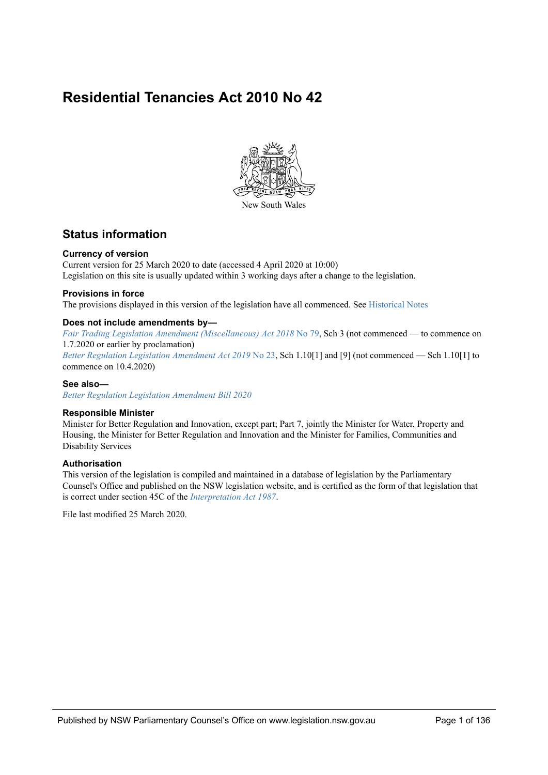## **Residential Tenancies Act 2010 No 42**



## **Status information**

#### **Currency of version**

Current version for 25 March 2020 to date (accessed 4 April 2020 at 10:00) Legislation on this site is usually updated within 3 working days after a change to the legislation.

#### **Provisions in force**

The provisions displayed in this version of the legislation have all commenced. See [Historical Notes](#page-130-0)

#### **Does not include amendments by—**

*Fair Trading Legislation Amendment (Miscellaneous) Act 2018* No 79, Sch 3 (not commenced — to commence on 1.7.2020 or earlier by proclamation) *Better Regulation Legislation Amendment Act 2019* No 23, Sch 1.10[1] and [9] (not commenced — Sch 1.10[1] to commence on 10.4.2020)

#### **See also—**

*Better Regulation Legislation Amendment Bill 2020*

#### **Responsible Minister**

Minister for Better Regulation and Innovation, except part; Part 7, jointly the Minister for Water, Property and Housing, the Minister for Better Regulation and Innovation and the Minister for Families, Communities and Disability Services

#### **Authorisation**

This version of the legislation is compiled and maintained in a database of legislation by the Parliamentary Counsel's Office and published on the NSW legislation website, and is certified as the form of that legislation that is correct under section 45C of the *Interpretation Act 1987*.

File last modified 25 March 2020.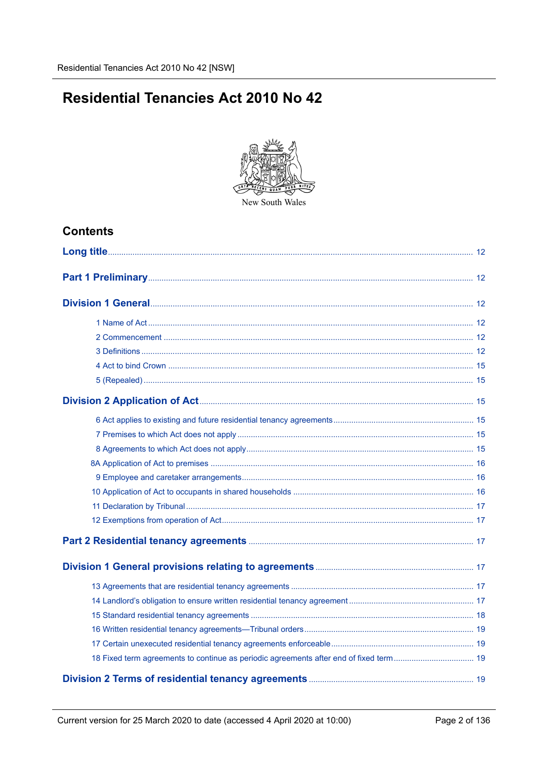# **Residential Tenancies Act 2010 No 42**



## **Contents**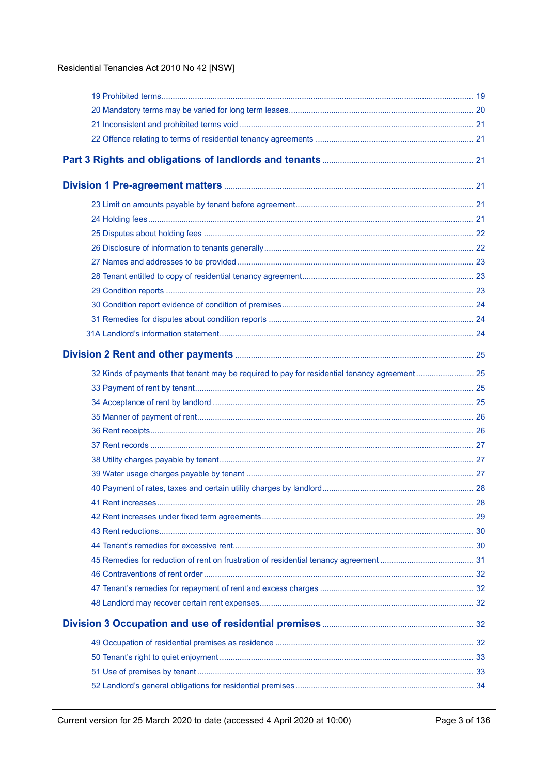| 32 Kinds of payments that tenant may be required to pay for residential tenancy agreement 25 |  |
|----------------------------------------------------------------------------------------------|--|
|                                                                                              |  |
|                                                                                              |  |
|                                                                                              |  |
|                                                                                              |  |
|                                                                                              |  |
|                                                                                              |  |
|                                                                                              |  |
|                                                                                              |  |
|                                                                                              |  |
|                                                                                              |  |
|                                                                                              |  |
|                                                                                              |  |
|                                                                                              |  |
|                                                                                              |  |
|                                                                                              |  |
|                                                                                              |  |
|                                                                                              |  |
|                                                                                              |  |
|                                                                                              |  |
|                                                                                              |  |
|                                                                                              |  |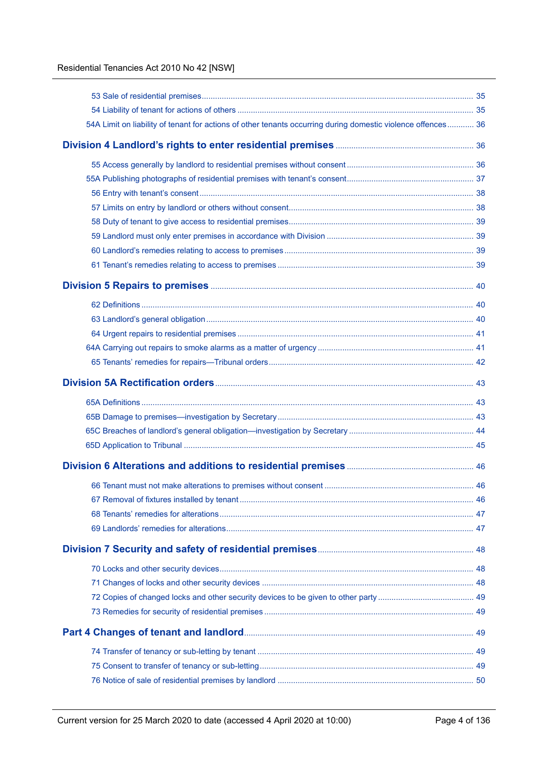| 54A Limit on liability of tenant for actions of other tenants occurring during domestic violence offences 36 |  |
|--------------------------------------------------------------------------------------------------------------|--|
|                                                                                                              |  |
|                                                                                                              |  |
|                                                                                                              |  |
|                                                                                                              |  |
|                                                                                                              |  |
|                                                                                                              |  |
|                                                                                                              |  |
|                                                                                                              |  |
|                                                                                                              |  |
|                                                                                                              |  |
|                                                                                                              |  |
|                                                                                                              |  |
|                                                                                                              |  |
|                                                                                                              |  |
|                                                                                                              |  |
|                                                                                                              |  |
|                                                                                                              |  |
|                                                                                                              |  |
|                                                                                                              |  |
|                                                                                                              |  |
|                                                                                                              |  |
|                                                                                                              |  |
|                                                                                                              |  |
|                                                                                                              |  |
|                                                                                                              |  |
|                                                                                                              |  |
|                                                                                                              |  |
|                                                                                                              |  |
|                                                                                                              |  |
|                                                                                                              |  |
|                                                                                                              |  |
|                                                                                                              |  |
|                                                                                                              |  |
|                                                                                                              |  |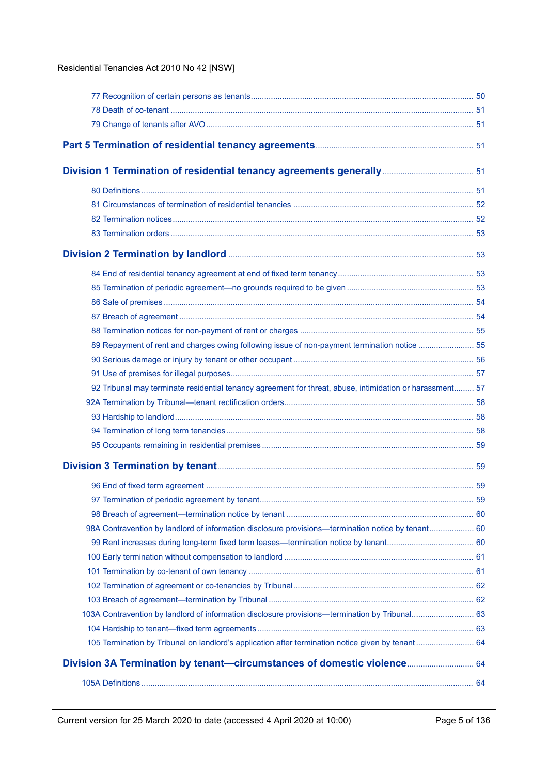| 89 Repayment of rent and charges owing following issue of non-payment termination notice  55             |  |
|----------------------------------------------------------------------------------------------------------|--|
|                                                                                                          |  |
|                                                                                                          |  |
| 92 Tribunal may terminate residential tenancy agreement for threat, abuse, intimidation or harassment 57 |  |
|                                                                                                          |  |
|                                                                                                          |  |
|                                                                                                          |  |
|                                                                                                          |  |
|                                                                                                          |  |
|                                                                                                          |  |
|                                                                                                          |  |
|                                                                                                          |  |
| 98A Contravention by landlord of information disclosure provisions—termination notice by tenant 60       |  |
|                                                                                                          |  |
|                                                                                                          |  |
|                                                                                                          |  |
|                                                                                                          |  |
|                                                                                                          |  |
| 103A Contravention by landlord of information disclosure provisions—termination by Tribunal 63           |  |
|                                                                                                          |  |
| 105 Termination by Tribunal on landlord's application after termination notice given by tenant 64        |  |
| Division 3A Termination by tenant-circumstances of domestic violence 64                                  |  |
|                                                                                                          |  |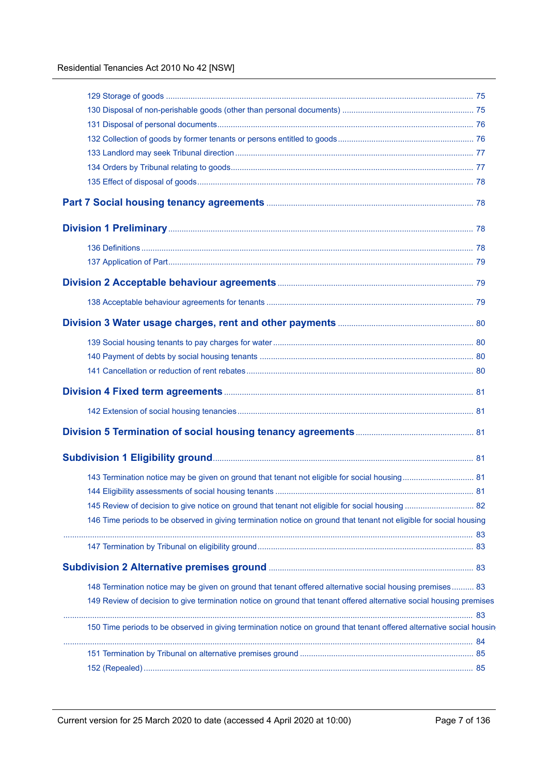| 143 Termination notice may be given on ground that tenant not eligible for social housing 81                         |  |
|----------------------------------------------------------------------------------------------------------------------|--|
|                                                                                                                      |  |
|                                                                                                                      |  |
| 146 Time periods to be observed in giving termination notice on ground that tenant not eligible for social housing   |  |
|                                                                                                                      |  |
|                                                                                                                      |  |
|                                                                                                                      |  |
| 148 Termination notice may be given on ground that tenant offered alternative social housing premises 83             |  |
| 149 Review of decision to give termination notice on ground that tenant offered alternative social housing premises  |  |
|                                                                                                                      |  |
| 150 Time periods to be observed in giving termination notice on ground that tenant offered alternative social housin |  |
|                                                                                                                      |  |
|                                                                                                                      |  |
|                                                                                                                      |  |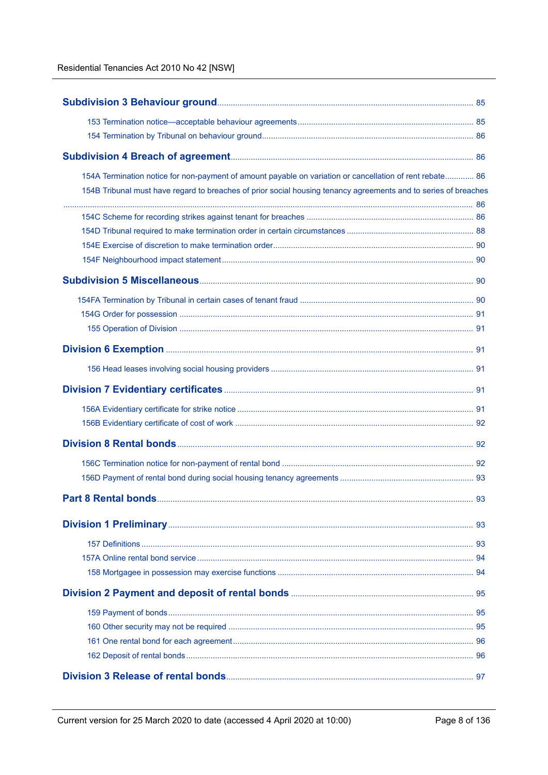| 154A Termination notice for non-payment of amount payable on variation or cancellation of rent rebate 86        |  |
|-----------------------------------------------------------------------------------------------------------------|--|
| 154B Tribunal must have regard to breaches of prior social housing tenancy agreements and to series of breaches |  |
|                                                                                                                 |  |
|                                                                                                                 |  |
|                                                                                                                 |  |
|                                                                                                                 |  |
|                                                                                                                 |  |
|                                                                                                                 |  |
|                                                                                                                 |  |
|                                                                                                                 |  |
|                                                                                                                 |  |
|                                                                                                                 |  |
|                                                                                                                 |  |
|                                                                                                                 |  |
|                                                                                                                 |  |
|                                                                                                                 |  |
|                                                                                                                 |  |
|                                                                                                                 |  |
|                                                                                                                 |  |
|                                                                                                                 |  |
|                                                                                                                 |  |
|                                                                                                                 |  |
|                                                                                                                 |  |
|                                                                                                                 |  |
|                                                                                                                 |  |
|                                                                                                                 |  |
|                                                                                                                 |  |
|                                                                                                                 |  |
|                                                                                                                 |  |
|                                                                                                                 |  |
|                                                                                                                 |  |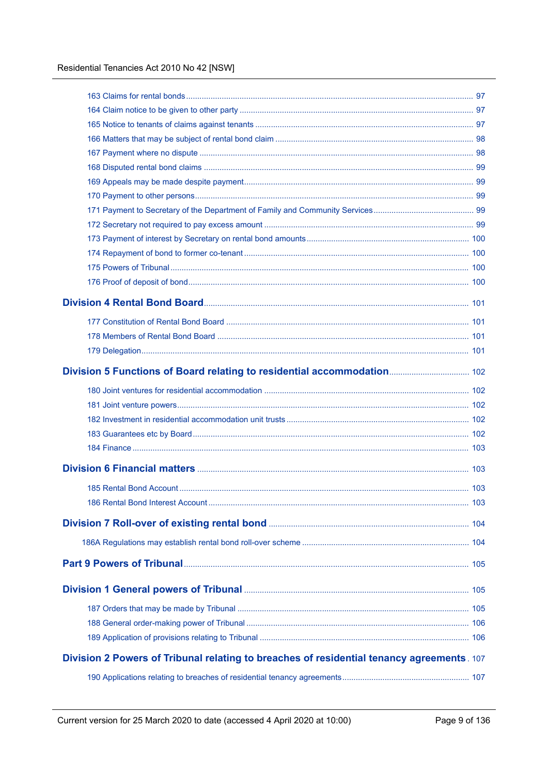| Division 2 Powers of Tribunal relating to breaches of residential tenancy agreements. 107 |  |
|-------------------------------------------------------------------------------------------|--|
|                                                                                           |  |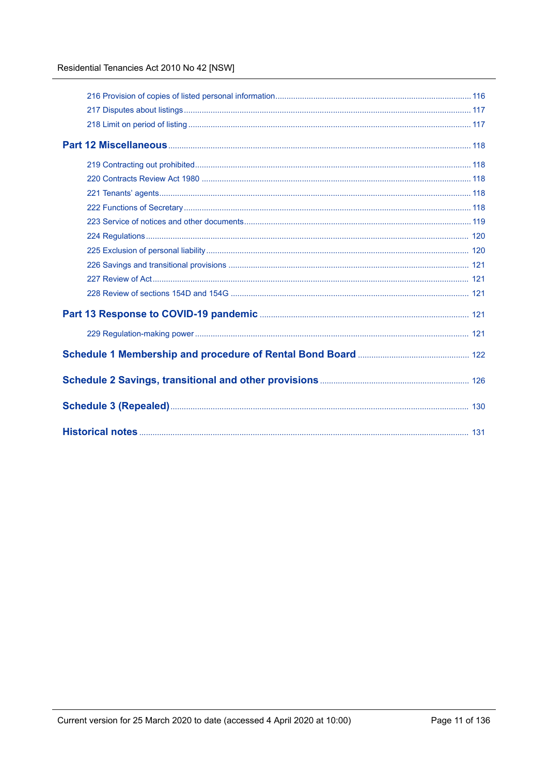### Residential Tenancies Act 2010 No 42 [NSW]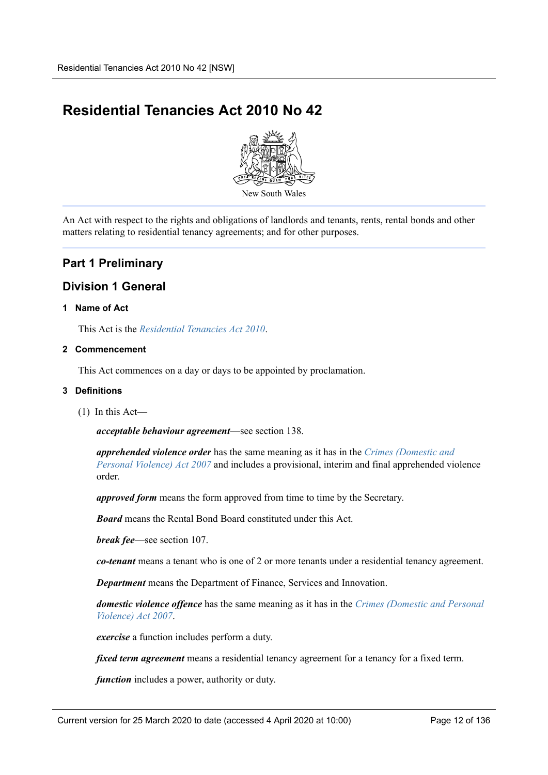# <span id="page-11-0"></span>**Residential Tenancies Act 2010 No 42**



An Act with respect to the rights and obligations of landlords and tenants, rents, rental bonds and other matters relating to residential tenancy agreements; and for other purposes.

## <span id="page-11-1"></span>**Part 1 Preliminary**

## <span id="page-11-2"></span>**Division 1 General**

#### <span id="page-11-3"></span>**1 Name of Act**

This Act is the *Residential Tenancies Act 2010*.

#### <span id="page-11-4"></span>**2 Commencement**

This Act commences on a day or days to be appointed by proclamation.

#### <span id="page-11-5"></span>**3 Definitions**

(1) In this Act—

*acceptable behaviour agreement*—see section 138.

*apprehended violence order* has the same meaning as it has in the *Crimes (Domestic and Personal Violence) Act 2007* and includes a provisional, interim and final apprehended violence order.

*approved form* means the form approved from time to time by the Secretary.

*Board* means the Rental Bond Board constituted under this Act.

*break fee*—see section 107.

*co-tenant* means a tenant who is one of 2 or more tenants under a residential tenancy agreement.

*Department* means the Department of Finance, Services and Innovation.

*domestic violence offence* has the same meaning as it has in the *Crimes (Domestic and Personal Violence) Act 2007*.

*exercise* a function includes perform a duty.

*fixed term agreement* means a residential tenancy agreement for a tenancy for a fixed term.

*function* includes a power, authority or duty.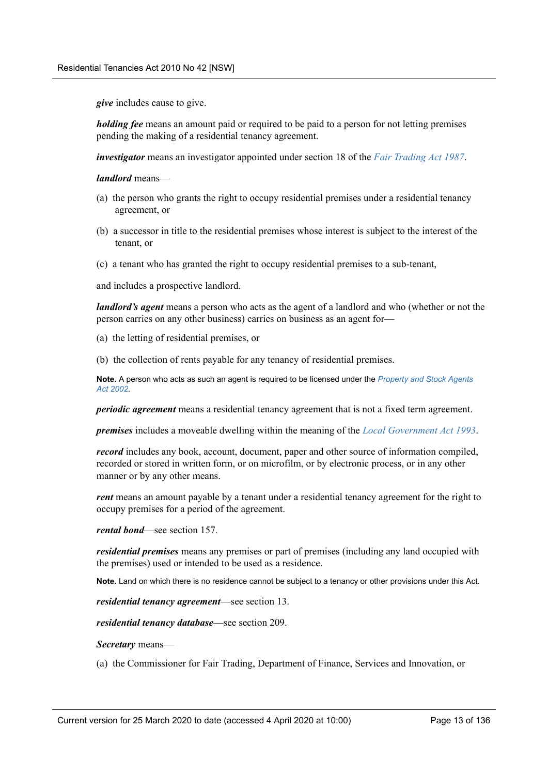*give* includes cause to give.

*holding fee* means an amount paid or required to be paid to a person for not letting premises pending the making of a residential tenancy agreement.

*investigator* means an investigator appointed under section 18 of the *Fair Trading Act 1987*.

*landlord* means—

- (a) the person who grants the right to occupy residential premises under a residential tenancy agreement, or
- (b) a successor in title to the residential premises whose interest is subject to the interest of the tenant, or
- (c) a tenant who has granted the right to occupy residential premises to a sub-tenant,

and includes a prospective landlord.

*landlord's agent* means a person who acts as the agent of a landlord and who (whether or not the person carries on any other business) carries on business as an agent for—

(a) the letting of residential premises, or

(b) the collection of rents payable for any tenancy of residential premises.

**Note.** A person who acts as such an agent is required to be licensed under the *Property and Stock Agents Act 2002*.

*periodic agreement* means a residential tenancy agreement that is not a fixed term agreement.

*premises* includes a moveable dwelling within the meaning of the *Local Government Act 1993*.

*record* includes any book, account, document, paper and other source of information compiled, recorded or stored in written form, or on microfilm, or by electronic process, or in any other manner or by any other means.

*rent* means an amount payable by a tenant under a residential tenancy agreement for the right to occupy premises for a period of the agreement.

*rental bond*—see section 157.

*residential premises* means any premises or part of premises (including any land occupied with the premises) used or intended to be used as a residence.

**Note.** Land on which there is no residence cannot be subject to a tenancy or other provisions under this Act.

*residential tenancy agreement*—see section 13.

*residential tenancy database*—see section 209.

*Secretary* means—

(a) the Commissioner for Fair Trading, Department of Finance, Services and Innovation, or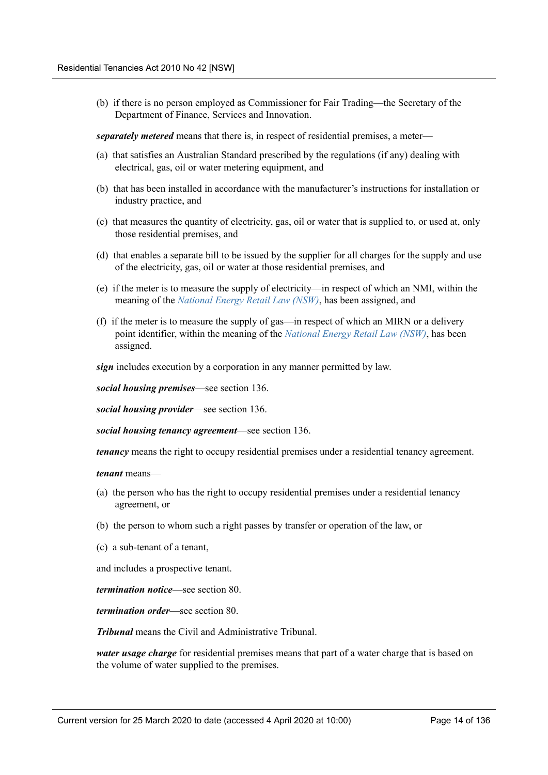(b) if there is no person employed as Commissioner for Fair Trading—the Secretary of the Department of Finance, Services and Innovation.

*separately metered* means that there is, in respect of residential premises, a meter—

- (a) that satisfies an Australian Standard prescribed by the regulations (if any) dealing with electrical, gas, oil or water metering equipment, and
- (b) that has been installed in accordance with the manufacturer's instructions for installation or industry practice, and
- (c) that measures the quantity of electricity, gas, oil or water that is supplied to, or used at, only those residential premises, and
- (d) that enables a separate bill to be issued by the supplier for all charges for the supply and use of the electricity, gas, oil or water at those residential premises, and
- (e) if the meter is to measure the supply of electricity—in respect of which an NMI, within the meaning of the *National Energy Retail Law (NSW)*, has been assigned, and
- (f) if the meter is to measure the supply of gas—in respect of which an MIRN or a delivery point identifier, within the meaning of the *National Energy Retail Law (NSW)*, has been assigned.

*sign* includes execution by a corporation in any manner permitted by law.

*social housing premises*—see section 136.

*social housing provider*—see section 136.

*social housing tenancy agreement*—see section 136.

*tenancy* means the right to occupy residential premises under a residential tenancy agreement.

*tenant* means—

- (a) the person who has the right to occupy residential premises under a residential tenancy agreement, or
- (b) the person to whom such a right passes by transfer or operation of the law, or
- (c) a sub-tenant of a tenant,

and includes a prospective tenant.

*termination notice*—see section 80.

*termination order*—see section 80.

*Tribunal* means the Civil and Administrative Tribunal.

*water usage charge* for residential premises means that part of a water charge that is based on the volume of water supplied to the premises.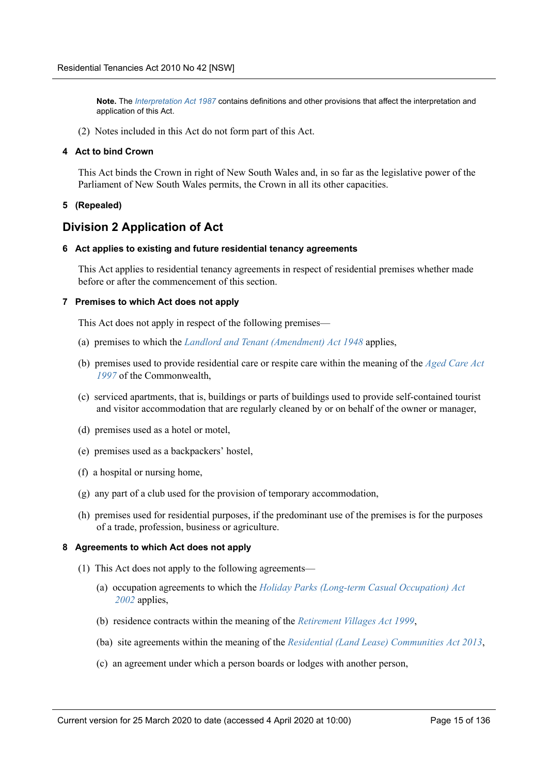**Note.** The *Interpretation Act 1987* contains definitions and other provisions that affect the interpretation and application of this Act.

(2) Notes included in this Act do not form part of this Act.

#### <span id="page-14-0"></span>**4 Act to bind Crown**

This Act binds the Crown in right of New South Wales and, in so far as the legislative power of the Parliament of New South Wales permits, the Crown in all its other capacities.

#### <span id="page-14-1"></span>**5 (Repealed)**

## <span id="page-14-2"></span>**Division 2 Application of Act**

#### <span id="page-14-3"></span>**6 Act applies to existing and future residential tenancy agreements**

This Act applies to residential tenancy agreements in respect of residential premises whether made before or after the commencement of this section.

#### <span id="page-14-4"></span>**7 Premises to which Act does not apply**

This Act does not apply in respect of the following premises—

- (a) premises to which the *Landlord and Tenant (Amendment) Act 1948* applies,
- (b) premises used to provide residential care or respite care within the meaning of the *Aged Care Act 1997* of the Commonwealth,
- (c) serviced apartments, that is, buildings or parts of buildings used to provide self-contained tourist and visitor accommodation that are regularly cleaned by or on behalf of the owner or manager,
- (d) premises used as a hotel or motel,
- (e) premises used as a backpackers' hostel,
- (f) a hospital or nursing home,
- (g) any part of a club used for the provision of temporary accommodation,
- (h) premises used for residential purposes, if the predominant use of the premises is for the purposes of a trade, profession, business or agriculture.

#### <span id="page-14-5"></span>**8 Agreements to which Act does not apply**

- (1) This Act does not apply to the following agreements—
	- (a) occupation agreements to which the *Holiday Parks (Long-term Casual Occupation) Act 2002* applies,
	- (b) residence contracts within the meaning of the *Retirement Villages Act 1999*,
	- (ba) site agreements within the meaning of the *Residential (Land Lease) Communities Act 2013*,
	- (c) an agreement under which a person boards or lodges with another person,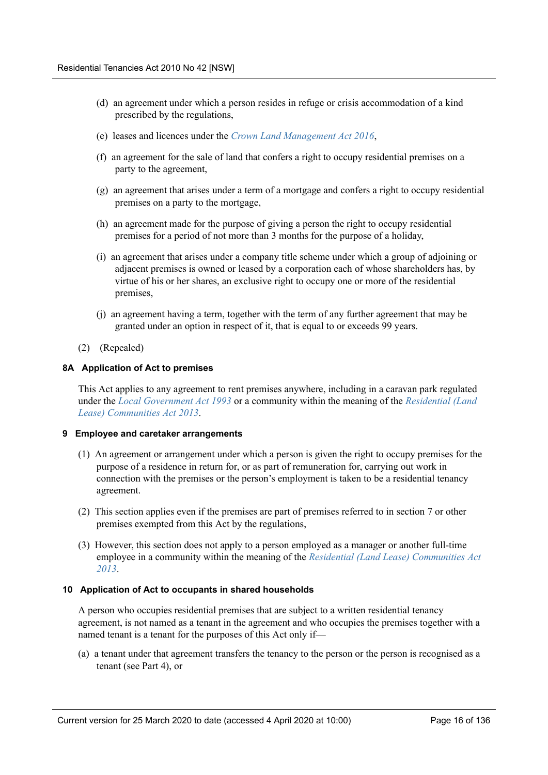- (d) an agreement under which a person resides in refuge or crisis accommodation of a kind prescribed by the regulations,
- (e) leases and licences under the *Crown Land Management Act 2016*,
- (f) an agreement for the sale of land that confers a right to occupy residential premises on a party to the agreement,
- (g) an agreement that arises under a term of a mortgage and confers a right to occupy residential premises on a party to the mortgage,
- (h) an agreement made for the purpose of giving a person the right to occupy residential premises for a period of not more than 3 months for the purpose of a holiday,
- (i) an agreement that arises under a company title scheme under which a group of adjoining or adjacent premises is owned or leased by a corporation each of whose shareholders has, by virtue of his or her shares, an exclusive right to occupy one or more of the residential premises,
- (j) an agreement having a term, together with the term of any further agreement that may be granted under an option in respect of it, that is equal to or exceeds 99 years.
- (2) (Repealed)

#### <span id="page-15-0"></span>**8A Application of Act to premises**

This Act applies to any agreement to rent premises anywhere, including in a caravan park regulated under the *Local Government Act 1993* or a community within the meaning of the *Residential (Land Lease) Communities Act 2013*.

#### <span id="page-15-1"></span>**9 Employee and caretaker arrangements**

- (1) An agreement or arrangement under which a person is given the right to occupy premises for the purpose of a residence in return for, or as part of remuneration for, carrying out work in connection with the premises or the person's employment is taken to be a residential tenancy agreement.
- (2) This section applies even if the premises are part of premises referred to in section 7 or other premises exempted from this Act by the regulations,
- (3) However, this section does not apply to a person employed as a manager or another full-time employee in a community within the meaning of the *Residential (Land Lease) Communities Act 2013*.

#### <span id="page-15-2"></span>**10 Application of Act to occupants in shared households**

A person who occupies residential premises that are subject to a written residential tenancy agreement, is not named as a tenant in the agreement and who occupies the premises together with a named tenant is a tenant for the purposes of this Act only if—

(a) a tenant under that agreement transfers the tenancy to the person or the person is recognised as a tenant (see Part 4), or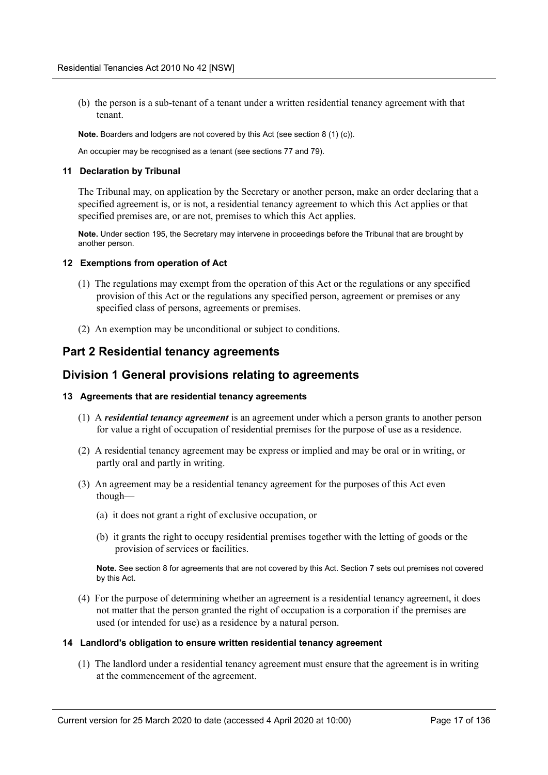(b) the person is a sub-tenant of a tenant under a written residential tenancy agreement with that tenant.

**Note.** Boarders and lodgers are not covered by this Act (see section 8 (1) (c)).

An occupier may be recognised as a tenant (see sections 77 and 79).

#### <span id="page-16-0"></span>**11 Declaration by Tribunal**

The Tribunal may, on application by the Secretary or another person, make an order declaring that a specified agreement is, or is not, a residential tenancy agreement to which this Act applies or that specified premises are, or are not, premises to which this Act applies.

**Note.** Under section 195, the Secretary may intervene in proceedings before the Tribunal that are brought by another person.

#### <span id="page-16-1"></span>**12 Exemptions from operation of Act**

- (1) The regulations may exempt from the operation of this Act or the regulations or any specified provision of this Act or the regulations any specified person, agreement or premises or any specified class of persons, agreements or premises.
- (2) An exemption may be unconditional or subject to conditions.

## <span id="page-16-2"></span>**Part 2 Residential tenancy agreements**

## <span id="page-16-3"></span>**Division 1 General provisions relating to agreements**

#### <span id="page-16-4"></span>**13 Agreements that are residential tenancy agreements**

- (1) A *residential tenancy agreement* is an agreement under which a person grants to another person for value a right of occupation of residential premises for the purpose of use as a residence.
- (2) A residential tenancy agreement may be express or implied and may be oral or in writing, or partly oral and partly in writing.
- (3) An agreement may be a residential tenancy agreement for the purposes of this Act even though—
	- (a) it does not grant a right of exclusive occupation, or
	- (b) it grants the right to occupy residential premises together with the letting of goods or the provision of services or facilities.

**Note.** See section 8 for agreements that are not covered by this Act. Section 7 sets out premises not covered by this Act.

(4) For the purpose of determining whether an agreement is a residential tenancy agreement, it does not matter that the person granted the right of occupation is a corporation if the premises are used (or intended for use) as a residence by a natural person.

#### <span id="page-16-5"></span>**14 Landlord's obligation to ensure written residential tenancy agreement**

(1) The landlord under a residential tenancy agreement must ensure that the agreement is in writing at the commencement of the agreement.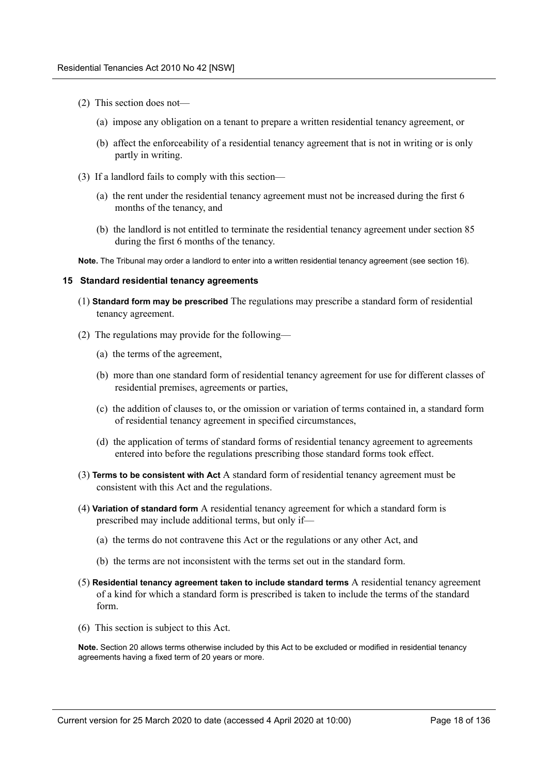- (2) This section does not—
	- (a) impose any obligation on a tenant to prepare a written residential tenancy agreement, or
	- (b) affect the enforceability of a residential tenancy agreement that is not in writing or is only partly in writing.
- (3) If a landlord fails to comply with this section—
	- (a) the rent under the residential tenancy agreement must not be increased during the first 6 months of the tenancy, and
	- (b) the landlord is not entitled to terminate the residential tenancy agreement under section 85 during the first 6 months of the tenancy.

**Note.** The Tribunal may order a landlord to enter into a written residential tenancy agreement (see section 16).

#### <span id="page-17-0"></span>**15 Standard residential tenancy agreements**

- (1) **Standard form may be prescribed** The regulations may prescribe a standard form of residential tenancy agreement.
- (2) The regulations may provide for the following—
	- (a) the terms of the agreement,
	- (b) more than one standard form of residential tenancy agreement for use for different classes of residential premises, agreements or parties,
	- (c) the addition of clauses to, or the omission or variation of terms contained in, a standard form of residential tenancy agreement in specified circumstances,
	- (d) the application of terms of standard forms of residential tenancy agreement to agreements entered into before the regulations prescribing those standard forms took effect.
- (3) **Terms to be consistent with Act** A standard form of residential tenancy agreement must be consistent with this Act and the regulations.
- (4) **Variation of standard form** A residential tenancy agreement for which a standard form is prescribed may include additional terms, but only if—
	- (a) the terms do not contravene this Act or the regulations or any other Act, and
	- (b) the terms are not inconsistent with the terms set out in the standard form.
- (5) **Residential tenancy agreement taken to include standard terms** A residential tenancy agreement of a kind for which a standard form is prescribed is taken to include the terms of the standard form.
- (6) This section is subject to this Act.

**Note.** Section 20 allows terms otherwise included by this Act to be excluded or modified in residential tenancy agreements having a fixed term of 20 years or more.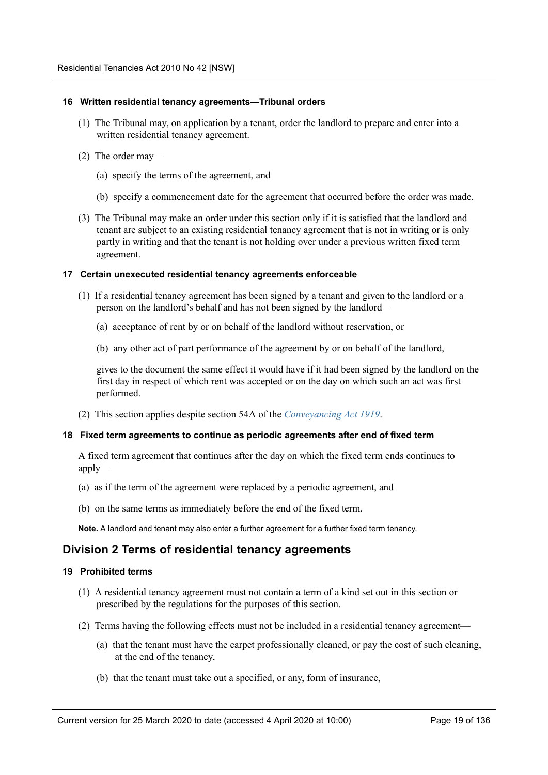#### <span id="page-18-0"></span>**16 Written residential tenancy agreements—Tribunal orders**

- (1) The Tribunal may, on application by a tenant, order the landlord to prepare and enter into a written residential tenancy agreement.
- (2) The order may—
	- (a) specify the terms of the agreement, and
	- (b) specify a commencement date for the agreement that occurred before the order was made.
- (3) The Tribunal may make an order under this section only if it is satisfied that the landlord and tenant are subject to an existing residential tenancy agreement that is not in writing or is only partly in writing and that the tenant is not holding over under a previous written fixed term agreement.

#### <span id="page-18-1"></span>**17 Certain unexecuted residential tenancy agreements enforceable**

- (1) If a residential tenancy agreement has been signed by a tenant and given to the landlord or a person on the landlord's behalf and has not been signed by the landlord—
	- (a) acceptance of rent by or on behalf of the landlord without reservation, or
	- (b) any other act of part performance of the agreement by or on behalf of the landlord,

gives to the document the same effect it would have if it had been signed by the landlord on the first day in respect of which rent was accepted or on the day on which such an act was first performed.

(2) This section applies despite section 54A of the *Conveyancing Act 1919*.

#### <span id="page-18-2"></span>**18 Fixed term agreements to continue as periodic agreements after end of fixed term**

A fixed term agreement that continues after the day on which the fixed term ends continues to apply—

- (a) as if the term of the agreement were replaced by a periodic agreement, and
- (b) on the same terms as immediately before the end of the fixed term.

**Note.** A landlord and tenant may also enter a further agreement for a further fixed term tenancy.

## <span id="page-18-3"></span>**Division 2 Terms of residential tenancy agreements**

#### <span id="page-18-4"></span>**19 Prohibited terms**

- (1) A residential tenancy agreement must not contain a term of a kind set out in this section or prescribed by the regulations for the purposes of this section.
- (2) Terms having the following effects must not be included in a residential tenancy agreement—
	- (a) that the tenant must have the carpet professionally cleaned, or pay the cost of such cleaning, at the end of the tenancy,
	- (b) that the tenant must take out a specified, or any, form of insurance,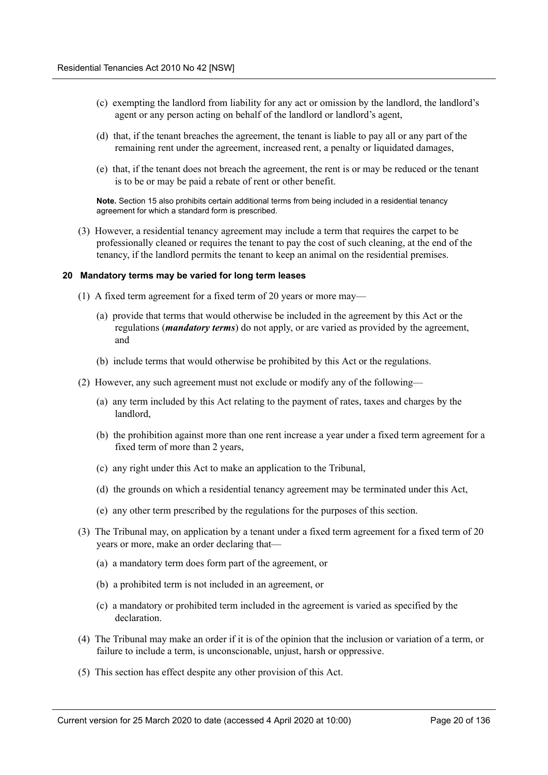- (c) exempting the landlord from liability for any act or omission by the landlord, the landlord's agent or any person acting on behalf of the landlord or landlord's agent,
- (d) that, if the tenant breaches the agreement, the tenant is liable to pay all or any part of the remaining rent under the agreement, increased rent, a penalty or liquidated damages,
- (e) that, if the tenant does not breach the agreement, the rent is or may be reduced or the tenant is to be or may be paid a rebate of rent or other benefit.

**Note.** Section 15 also prohibits certain additional terms from being included in a residential tenancy agreement for which a standard form is prescribed.

(3) However, a residential tenancy agreement may include a term that requires the carpet to be professionally cleaned or requires the tenant to pay the cost of such cleaning, at the end of the tenancy, if the landlord permits the tenant to keep an animal on the residential premises.

#### <span id="page-19-0"></span>**20 Mandatory terms may be varied for long term leases**

- (1) A fixed term agreement for a fixed term of 20 years or more may—
	- (a) provide that terms that would otherwise be included in the agreement by this Act or the regulations (*mandatory terms*) do not apply, or are varied as provided by the agreement, and
	- (b) include terms that would otherwise be prohibited by this Act or the regulations.
- (2) However, any such agreement must not exclude or modify any of the following—
	- (a) any term included by this Act relating to the payment of rates, taxes and charges by the landlord,
	- (b) the prohibition against more than one rent increase a year under a fixed term agreement for a fixed term of more than 2 years,
	- (c) any right under this Act to make an application to the Tribunal,
	- (d) the grounds on which a residential tenancy agreement may be terminated under this Act,
	- (e) any other term prescribed by the regulations for the purposes of this section.
- (3) The Tribunal may, on application by a tenant under a fixed term agreement for a fixed term of 20 years or more, make an order declaring that—
	- (a) a mandatory term does form part of the agreement, or
	- (b) a prohibited term is not included in an agreement, or
	- (c) a mandatory or prohibited term included in the agreement is varied as specified by the declaration.
- (4) The Tribunal may make an order if it is of the opinion that the inclusion or variation of a term, or failure to include a term, is unconscionable, unjust, harsh or oppressive.
- (5) This section has effect despite any other provision of this Act.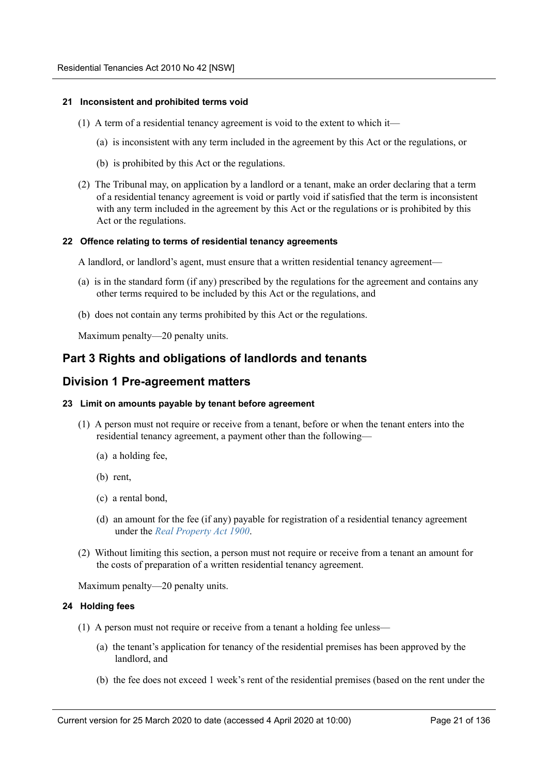#### <span id="page-20-0"></span>**21 Inconsistent and prohibited terms void**

- (1) A term of a residential tenancy agreement is void to the extent to which it—
	- (a) is inconsistent with any term included in the agreement by this Act or the regulations, or
	- (b) is prohibited by this Act or the regulations.
- (2) The Tribunal may, on application by a landlord or a tenant, make an order declaring that a term of a residential tenancy agreement is void or partly void if satisfied that the term is inconsistent with any term included in the agreement by this Act or the regulations or is prohibited by this Act or the regulations.

#### <span id="page-20-1"></span>**22 Offence relating to terms of residential tenancy agreements**

A landlord, or landlord's agent, must ensure that a written residential tenancy agreement—

- (a) is in the standard form (if any) prescribed by the regulations for the agreement and contains any other terms required to be included by this Act or the regulations, and
- (b) does not contain any terms prohibited by this Act or the regulations.

Maximum penalty—20 penalty units.

## <span id="page-20-2"></span>**Part 3 Rights and obligations of landlords and tenants**

### <span id="page-20-3"></span>**Division 1 Pre-agreement matters**

#### <span id="page-20-4"></span>**23 Limit on amounts payable by tenant before agreement**

- (1) A person must not require or receive from a tenant, before or when the tenant enters into the residential tenancy agreement, a payment other than the following—
	- (a) a holding fee,
	- (b) rent,
	- (c) a rental bond,
	- (d) an amount for the fee (if any) payable for registration of a residential tenancy agreement under the *Real Property Act 1900*.
- (2) Without limiting this section, a person must not require or receive from a tenant an amount for the costs of preparation of a written residential tenancy agreement.

Maximum penalty—20 penalty units.

#### <span id="page-20-5"></span>**24 Holding fees**

- (1) A person must not require or receive from a tenant a holding fee unless—
	- (a) the tenant's application for tenancy of the residential premises has been approved by the landlord, and
	- (b) the fee does not exceed 1 week's rent of the residential premises (based on the rent under the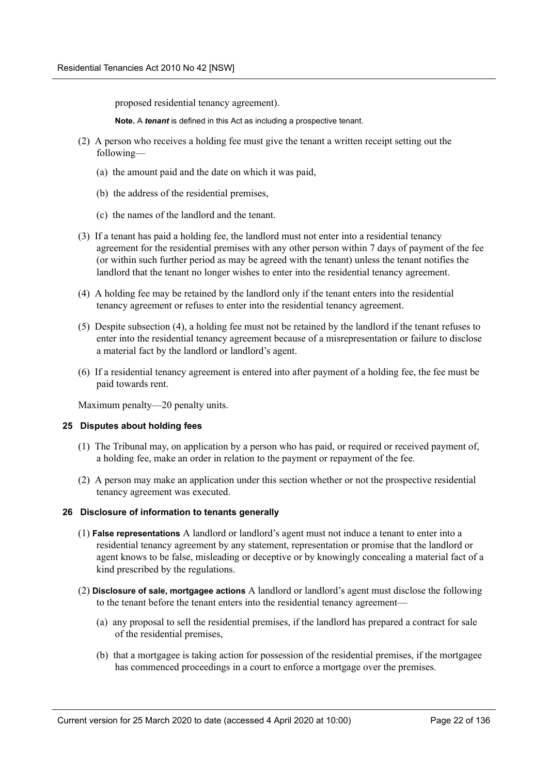proposed residential tenancy agreement).

**Note.** A *tenant* is defined in this Act as including a prospective tenant.

- (2) A person who receives a holding fee must give the tenant a written receipt setting out the following—
	- (a) the amount paid and the date on which it was paid,
	- (b) the address of the residential premises,
	- (c) the names of the landlord and the tenant.
- (3) If a tenant has paid a holding fee, the landlord must not enter into a residential tenancy agreement for the residential premises with any other person within 7 days of payment of the fee (or within such further period as may be agreed with the tenant) unless the tenant notifies the landlord that the tenant no longer wishes to enter into the residential tenancy agreement.
- (4) A holding fee may be retained by the landlord only if the tenant enters into the residential tenancy agreement or refuses to enter into the residential tenancy agreement.
- (5) Despite subsection (4), a holding fee must not be retained by the landlord if the tenant refuses to enter into the residential tenancy agreement because of a misrepresentation or failure to disclose a material fact by the landlord or landlord's agent.
- (6) If a residential tenancy agreement is entered into after payment of a holding fee, the fee must be paid towards rent.

Maximum penalty—20 penalty units.

#### <span id="page-21-0"></span>**25 Disputes about holding fees**

- (1) The Tribunal may, on application by a person who has paid, or required or received payment of, a holding fee, make an order in relation to the payment or repayment of the fee.
- (2) A person may make an application under this section whether or not the prospective residential tenancy agreement was executed.

#### <span id="page-21-1"></span>**26 Disclosure of information to tenants generally**

- (1) **False representations** A landlord or landlord's agent must not induce a tenant to enter into a residential tenancy agreement by any statement, representation or promise that the landlord or agent knows to be false, misleading or deceptive or by knowingly concealing a material fact of a kind prescribed by the regulations.
- (2) **Disclosure of sale, mortgagee actions** A landlord or landlord's agent must disclose the following to the tenant before the tenant enters into the residential tenancy agreement—
	- (a) any proposal to sell the residential premises, if the landlord has prepared a contract for sale of the residential premises,
	- (b) that a mortgagee is taking action for possession of the residential premises, if the mortgagee has commenced proceedings in a court to enforce a mortgage over the premises.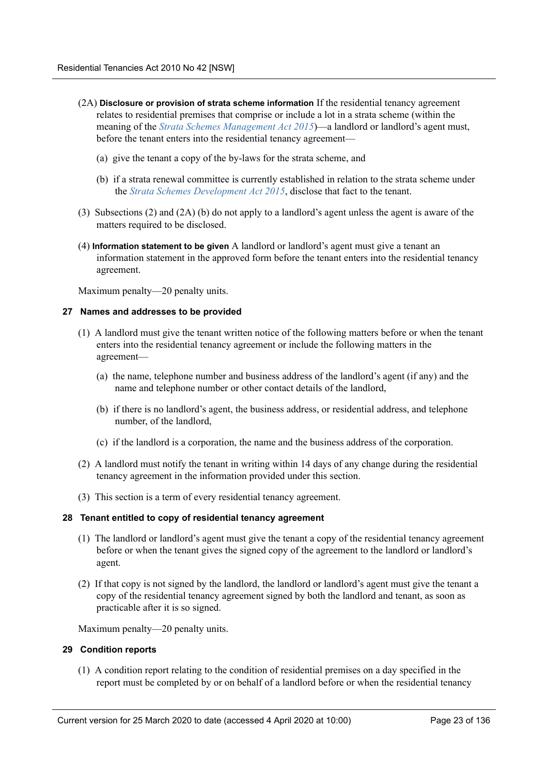- (2A) **Disclosure or provision of strata scheme information** If the residential tenancy agreement relates to residential premises that comprise or include a lot in a strata scheme (within the meaning of the *Strata Schemes Management Act 2015*)—a landlord or landlord's agent must, before the tenant enters into the residential tenancy agreement—
	- (a) give the tenant a copy of the by-laws for the strata scheme, and
	- (b) if a strata renewal committee is currently established in relation to the strata scheme under the *Strata Schemes Development Act 2015*, disclose that fact to the tenant.
- (3) Subsections (2) and (2A) (b) do not apply to a landlord's agent unless the agent is aware of the matters required to be disclosed.
- (4) **Information statement to be given** A landlord or landlord's agent must give a tenant an information statement in the approved form before the tenant enters into the residential tenancy agreement.

Maximum penalty—20 penalty units.

#### <span id="page-22-0"></span>**27 Names and addresses to be provided**

- (1) A landlord must give the tenant written notice of the following matters before or when the tenant enters into the residential tenancy agreement or include the following matters in the agreement—
	- (a) the name, telephone number and business address of the landlord's agent (if any) and the name and telephone number or other contact details of the landlord,
	- (b) if there is no landlord's agent, the business address, or residential address, and telephone number, of the landlord,
	- (c) if the landlord is a corporation, the name and the business address of the corporation.
- (2) A landlord must notify the tenant in writing within 14 days of any change during the residential tenancy agreement in the information provided under this section.
- (3) This section is a term of every residential tenancy agreement.

#### <span id="page-22-1"></span>**28 Tenant entitled to copy of residential tenancy agreement**

- (1) The landlord or landlord's agent must give the tenant a copy of the residential tenancy agreement before or when the tenant gives the signed copy of the agreement to the landlord or landlord's agent.
- (2) If that copy is not signed by the landlord, the landlord or landlord's agent must give the tenant a copy of the residential tenancy agreement signed by both the landlord and tenant, as soon as practicable after it is so signed.

Maximum penalty—20 penalty units.

#### <span id="page-22-2"></span>**29 Condition reports**

(1) A condition report relating to the condition of residential premises on a day specified in the report must be completed by or on behalf of a landlord before or when the residential tenancy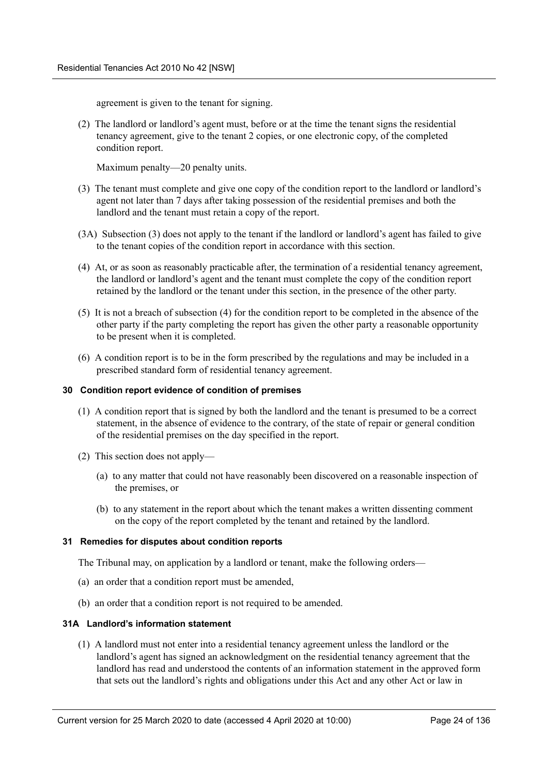agreement is given to the tenant for signing.

(2) The landlord or landlord's agent must, before or at the time the tenant signs the residential tenancy agreement, give to the tenant 2 copies, or one electronic copy, of the completed condition report.

Maximum penalty—20 penalty units.

- (3) The tenant must complete and give one copy of the condition report to the landlord or landlord's agent not later than 7 days after taking possession of the residential premises and both the landlord and the tenant must retain a copy of the report.
- (3A) Subsection (3) does not apply to the tenant if the landlord or landlord's agent has failed to give to the tenant copies of the condition report in accordance with this section.
- (4) At, or as soon as reasonably practicable after, the termination of a residential tenancy agreement, the landlord or landlord's agent and the tenant must complete the copy of the condition report retained by the landlord or the tenant under this section, in the presence of the other party.
- (5) It is not a breach of subsection (4) for the condition report to be completed in the absence of the other party if the party completing the report has given the other party a reasonable opportunity to be present when it is completed.
- (6) A condition report is to be in the form prescribed by the regulations and may be included in a prescribed standard form of residential tenancy agreement.

#### <span id="page-23-0"></span>**30 Condition report evidence of condition of premises**

- (1) A condition report that is signed by both the landlord and the tenant is presumed to be a correct statement, in the absence of evidence to the contrary, of the state of repair or general condition of the residential premises on the day specified in the report.
- (2) This section does not apply—
	- (a) to any matter that could not have reasonably been discovered on a reasonable inspection of the premises, or
	- (b) to any statement in the report about which the tenant makes a written dissenting comment on the copy of the report completed by the tenant and retained by the landlord.

#### <span id="page-23-1"></span>**31 Remedies for disputes about condition reports**

The Tribunal may, on application by a landlord or tenant, make the following orders—

- (a) an order that a condition report must be amended,
- (b) an order that a condition report is not required to be amended.

#### <span id="page-23-2"></span>**31A Landlord's information statement**

(1) A landlord must not enter into a residential tenancy agreement unless the landlord or the landlord's agent has signed an acknowledgment on the residential tenancy agreement that the landlord has read and understood the contents of an information statement in the approved form that sets out the landlord's rights and obligations under this Act and any other Act or law in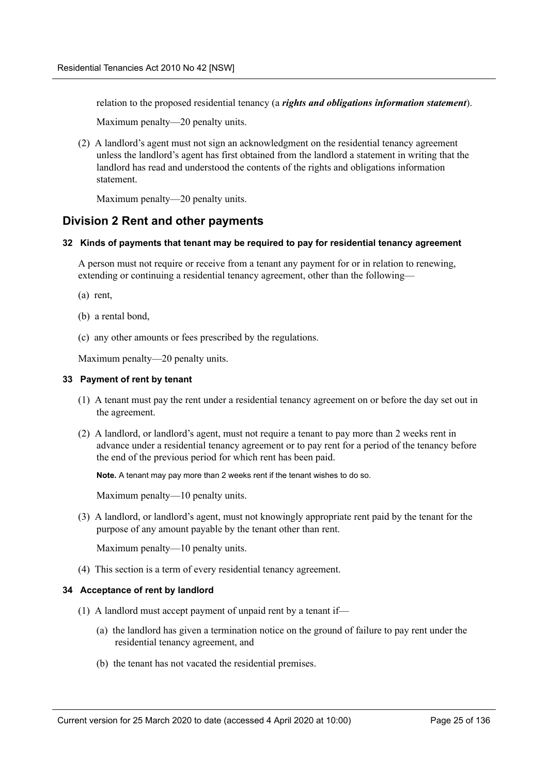relation to the proposed residential tenancy (a *rights and obligations information statement*).

Maximum penalty—20 penalty units.

(2) A landlord's agent must not sign an acknowledgment on the residential tenancy agreement unless the landlord's agent has first obtained from the landlord a statement in writing that the landlord has read and understood the contents of the rights and obligations information statement.

Maximum penalty—20 penalty units.

## <span id="page-24-0"></span>**Division 2 Rent and other payments**

#### <span id="page-24-1"></span>**32 Kinds of payments that tenant may be required to pay for residential tenancy agreement**

A person must not require or receive from a tenant any payment for or in relation to renewing, extending or continuing a residential tenancy agreement, other than the following—

- (a) rent,
- (b) a rental bond,
- (c) any other amounts or fees prescribed by the regulations.

Maximum penalty—20 penalty units.

#### <span id="page-24-2"></span>**33 Payment of rent by tenant**

- (1) A tenant must pay the rent under a residential tenancy agreement on or before the day set out in the agreement.
- (2) A landlord, or landlord's agent, must not require a tenant to pay more than 2 weeks rent in advance under a residential tenancy agreement or to pay rent for a period of the tenancy before the end of the previous period for which rent has been paid.

**Note.** A tenant may pay more than 2 weeks rent if the tenant wishes to do so.

Maximum penalty—10 penalty units.

(3) A landlord, or landlord's agent, must not knowingly appropriate rent paid by the tenant for the purpose of any amount payable by the tenant other than rent.

Maximum penalty—10 penalty units.

(4) This section is a term of every residential tenancy agreement.

#### <span id="page-24-3"></span>**34 Acceptance of rent by landlord**

- (1) A landlord must accept payment of unpaid rent by a tenant if—
	- (a) the landlord has given a termination notice on the ground of failure to pay rent under the residential tenancy agreement, and
	- (b) the tenant has not vacated the residential premises.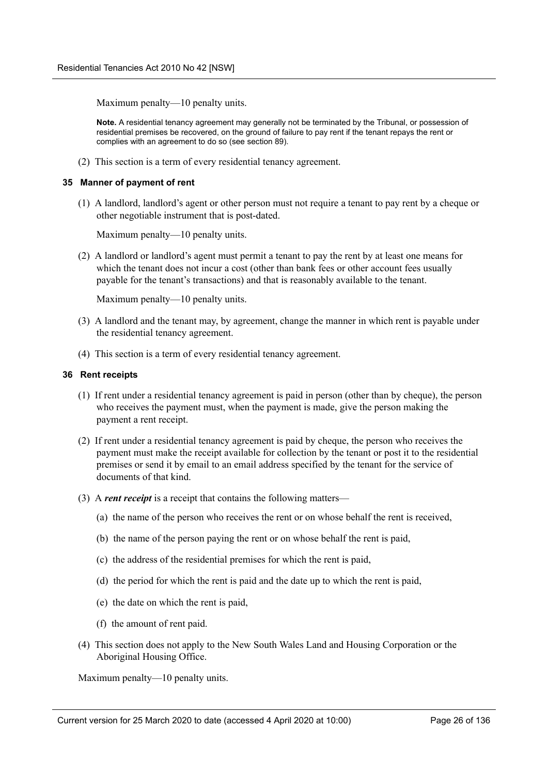Maximum penalty—10 penalty units.

**Note.** A residential tenancy agreement may generally not be terminated by the Tribunal, or possession of residential premises be recovered, on the ground of failure to pay rent if the tenant repays the rent or complies with an agreement to do so (see section 89).

(2) This section is a term of every residential tenancy agreement.

#### <span id="page-25-0"></span>**35 Manner of payment of rent**

(1) A landlord, landlord's agent or other person must not require a tenant to pay rent by a cheque or other negotiable instrument that is post-dated.

Maximum penalty—10 penalty units.

(2) A landlord or landlord's agent must permit a tenant to pay the rent by at least one means for which the tenant does not incur a cost (other than bank fees or other account fees usually payable for the tenant's transactions) and that is reasonably available to the tenant.

Maximum penalty—10 penalty units.

- (3) A landlord and the tenant may, by agreement, change the manner in which rent is payable under the residential tenancy agreement.
- (4) This section is a term of every residential tenancy agreement.

#### <span id="page-25-1"></span>**36 Rent receipts**

- (1) If rent under a residential tenancy agreement is paid in person (other than by cheque), the person who receives the payment must, when the payment is made, give the person making the payment a rent receipt.
- (2) If rent under a residential tenancy agreement is paid by cheque, the person who receives the payment must make the receipt available for collection by the tenant or post it to the residential premises or send it by email to an email address specified by the tenant for the service of documents of that kind.
- (3) A *rent receipt* is a receipt that contains the following matters—
	- (a) the name of the person who receives the rent or on whose behalf the rent is received,
	- (b) the name of the person paying the rent or on whose behalf the rent is paid,
	- (c) the address of the residential premises for which the rent is paid,
	- (d) the period for which the rent is paid and the date up to which the rent is paid,
	- (e) the date on which the rent is paid,
	- (f) the amount of rent paid.
- (4) This section does not apply to the New South Wales Land and Housing Corporation or the Aboriginal Housing Office.

Maximum penalty—10 penalty units.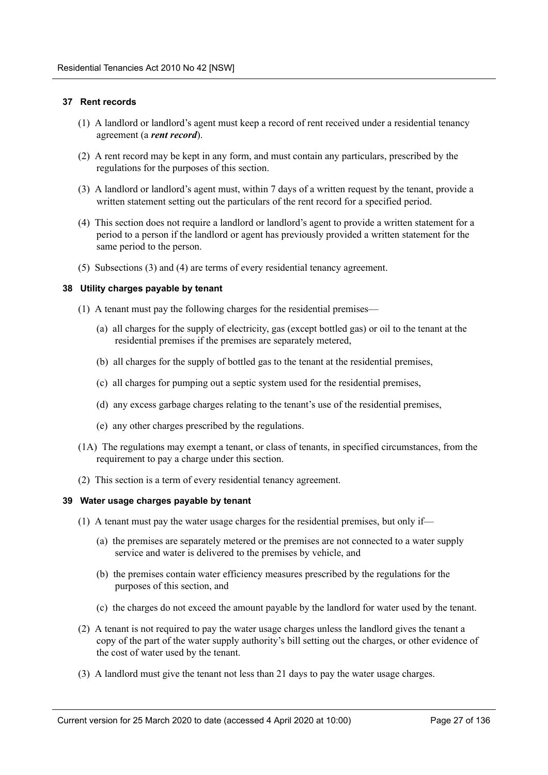#### <span id="page-26-0"></span>**37 Rent records**

- (1) A landlord or landlord's agent must keep a record of rent received under a residential tenancy agreement (a *rent record*).
- (2) A rent record may be kept in any form, and must contain any particulars, prescribed by the regulations for the purposes of this section.
- (3) A landlord or landlord's agent must, within 7 days of a written request by the tenant, provide a written statement setting out the particulars of the rent record for a specified period.
- (4) This section does not require a landlord or landlord's agent to provide a written statement for a period to a person if the landlord or agent has previously provided a written statement for the same period to the person.
- (5) Subsections (3) and (4) are terms of every residential tenancy agreement.

#### <span id="page-26-1"></span>**38 Utility charges payable by tenant**

- (1) A tenant must pay the following charges for the residential premises—
	- (a) all charges for the supply of electricity, gas (except bottled gas) or oil to the tenant at the residential premises if the premises are separately metered,
	- (b) all charges for the supply of bottled gas to the tenant at the residential premises,
	- (c) all charges for pumping out a septic system used for the residential premises,
	- (d) any excess garbage charges relating to the tenant's use of the residential premises,
	- (e) any other charges prescribed by the regulations.
- (1A) The regulations may exempt a tenant, or class of tenants, in specified circumstances, from the requirement to pay a charge under this section.
- (2) This section is a term of every residential tenancy agreement.

#### <span id="page-26-2"></span>**39 Water usage charges payable by tenant**

- (1) A tenant must pay the water usage charges for the residential premises, but only if—
	- (a) the premises are separately metered or the premises are not connected to a water supply service and water is delivered to the premises by vehicle, and
	- (b) the premises contain water efficiency measures prescribed by the regulations for the purposes of this section, and
	- (c) the charges do not exceed the amount payable by the landlord for water used by the tenant.
- (2) A tenant is not required to pay the water usage charges unless the landlord gives the tenant a copy of the part of the water supply authority's bill setting out the charges, or other evidence of the cost of water used by the tenant.
- (3) A landlord must give the tenant not less than 21 days to pay the water usage charges.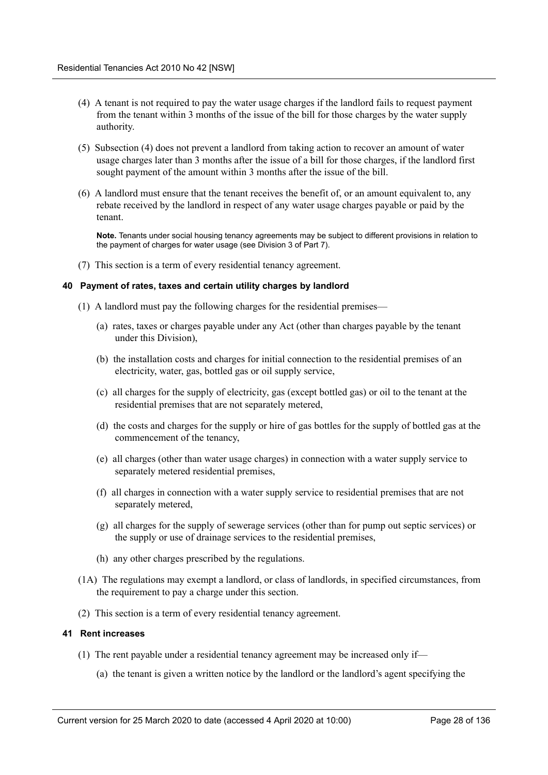- (4) A tenant is not required to pay the water usage charges if the landlord fails to request payment from the tenant within 3 months of the issue of the bill for those charges by the water supply authority.
- (5) Subsection (4) does not prevent a landlord from taking action to recover an amount of water usage charges later than 3 months after the issue of a bill for those charges, if the landlord first sought payment of the amount within 3 months after the issue of the bill.
- (6) A landlord must ensure that the tenant receives the benefit of, or an amount equivalent to, any rebate received by the landlord in respect of any water usage charges payable or paid by the tenant.

**Note.** Tenants under social housing tenancy agreements may be subject to different provisions in relation to the payment of charges for water usage (see Division 3 of Part 7).

(7) This section is a term of every residential tenancy agreement.

#### <span id="page-27-0"></span>**40 Payment of rates, taxes and certain utility charges by landlord**

- (1) A landlord must pay the following charges for the residential premises—
	- (a) rates, taxes or charges payable under any Act (other than charges payable by the tenant under this Division),
	- (b) the installation costs and charges for initial connection to the residential premises of an electricity, water, gas, bottled gas or oil supply service,
	- (c) all charges for the supply of electricity, gas (except bottled gas) or oil to the tenant at the residential premises that are not separately metered,
	- (d) the costs and charges for the supply or hire of gas bottles for the supply of bottled gas at the commencement of the tenancy,
	- (e) all charges (other than water usage charges) in connection with a water supply service to separately metered residential premises,
	- (f) all charges in connection with a water supply service to residential premises that are not separately metered,
	- (g) all charges for the supply of sewerage services (other than for pump out septic services) or the supply or use of drainage services to the residential premises,
	- (h) any other charges prescribed by the regulations.
- (1A) The regulations may exempt a landlord, or class of landlords, in specified circumstances, from the requirement to pay a charge under this section.
- (2) This section is a term of every residential tenancy agreement.

#### <span id="page-27-1"></span>**41 Rent increases**

- (1) The rent payable under a residential tenancy agreement may be increased only if—
	- (a) the tenant is given a written notice by the landlord or the landlord's agent specifying the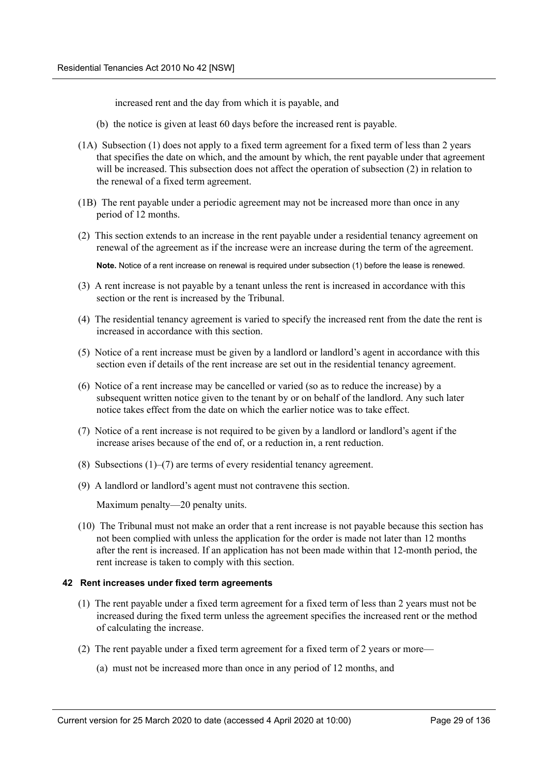increased rent and the day from which it is payable, and

- (b) the notice is given at least 60 days before the increased rent is payable.
- (1A) Subsection (1) does not apply to a fixed term agreement for a fixed term of less than 2 years that specifies the date on which, and the amount by which, the rent payable under that agreement will be increased. This subsection does not affect the operation of subsection (2) in relation to the renewal of a fixed term agreement.
- (1B) The rent payable under a periodic agreement may not be increased more than once in any period of 12 months.
- (2) This section extends to an increase in the rent payable under a residential tenancy agreement on renewal of the agreement as if the increase were an increase during the term of the agreement.

**Note.** Notice of a rent increase on renewal is required under subsection (1) before the lease is renewed.

- (3) A rent increase is not payable by a tenant unless the rent is increased in accordance with this section or the rent is increased by the Tribunal.
- (4) The residential tenancy agreement is varied to specify the increased rent from the date the rent is increased in accordance with this section.
- (5) Notice of a rent increase must be given by a landlord or landlord's agent in accordance with this section even if details of the rent increase are set out in the residential tenancy agreement.
- (6) Notice of a rent increase may be cancelled or varied (so as to reduce the increase) by a subsequent written notice given to the tenant by or on behalf of the landlord. Any such later notice takes effect from the date on which the earlier notice was to take effect.
- (7) Notice of a rent increase is not required to be given by a landlord or landlord's agent if the increase arises because of the end of, or a reduction in, a rent reduction.
- (8) Subsections (1)–(7) are terms of every residential tenancy agreement.
- (9) A landlord or landlord's agent must not contravene this section.

Maximum penalty—20 penalty units.

(10) The Tribunal must not make an order that a rent increase is not payable because this section has not been complied with unless the application for the order is made not later than 12 months after the rent is increased. If an application has not been made within that 12-month period, the rent increase is taken to comply with this section.

#### <span id="page-28-0"></span>**42 Rent increases under fixed term agreements**

- (1) The rent payable under a fixed term agreement for a fixed term of less than 2 years must not be increased during the fixed term unless the agreement specifies the increased rent or the method of calculating the increase.
- (2) The rent payable under a fixed term agreement for a fixed term of 2 years or more—
	- (a) must not be increased more than once in any period of 12 months, and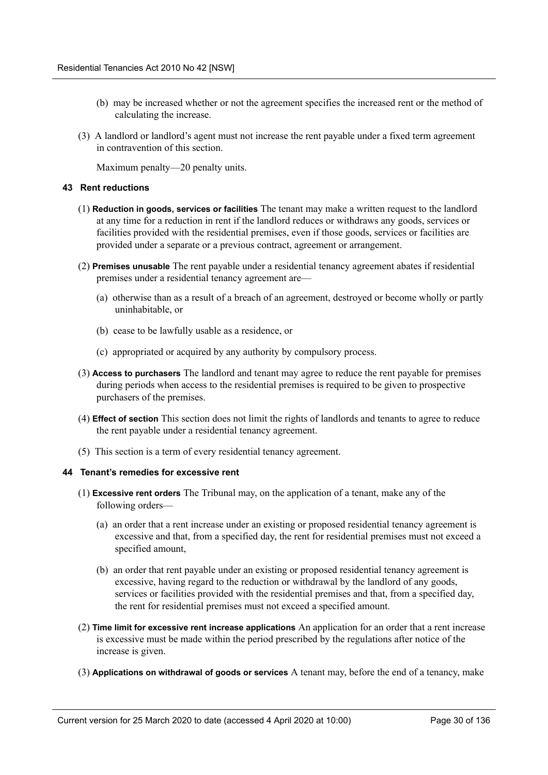- (b) may be increased whether or not the agreement specifies the increased rent or the method of calculating the increase.
- (3) A landlord or landlord's agent must not increase the rent payable under a fixed term agreement in contravention of this section.

Maximum penalty—20 penalty units.

#### <span id="page-29-0"></span>**43 Rent reductions**

- (1) **Reduction in goods, services or facilities** The tenant may make a written request to the landlord at any time for a reduction in rent if the landlord reduces or withdraws any goods, services or facilities provided with the residential premises, even if those goods, services or facilities are provided under a separate or a previous contract, agreement or arrangement.
- (2) **Premises unusable** The rent payable under a residential tenancy agreement abates if residential premises under a residential tenancy agreement are—
	- (a) otherwise than as a result of a breach of an agreement, destroyed or become wholly or partly uninhabitable, or
	- (b) cease to be lawfully usable as a residence, or
	- (c) appropriated or acquired by any authority by compulsory process.
- (3) **Access to purchasers** The landlord and tenant may agree to reduce the rent payable for premises during periods when access to the residential premises is required to be given to prospective purchasers of the premises.
- (4) **Effect of section** This section does not limit the rights of landlords and tenants to agree to reduce the rent payable under a residential tenancy agreement.
- (5) This section is a term of every residential tenancy agreement.

#### <span id="page-29-1"></span>**44 Tenant's remedies for excessive rent**

- (1) **Excessive rent orders** The Tribunal may, on the application of a tenant, make any of the following orders—
	- (a) an order that a rent increase under an existing or proposed residential tenancy agreement is excessive and that, from a specified day, the rent for residential premises must not exceed a specified amount,
	- (b) an order that rent payable under an existing or proposed residential tenancy agreement is excessive, having regard to the reduction or withdrawal by the landlord of any goods, services or facilities provided with the residential premises and that, from a specified day, the rent for residential premises must not exceed a specified amount.
- (2) **Time limit for excessive rent increase applications** An application for an order that a rent increase is excessive must be made within the period prescribed by the regulations after notice of the increase is given.
- (3) **Applications on withdrawal of goods or services** A tenant may, before the end of a tenancy, make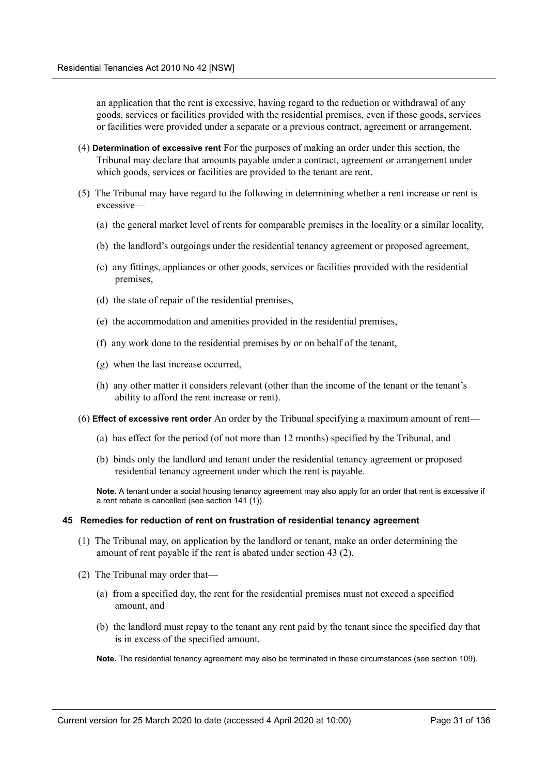an application that the rent is excessive, having regard to the reduction or withdrawal of any goods, services or facilities provided with the residential premises, even if those goods, services or facilities were provided under a separate or a previous contract, agreement or arrangement.

- (4) **Determination of excessive rent** For the purposes of making an order under this section, the Tribunal may declare that amounts payable under a contract, agreement or arrangement under which goods, services or facilities are provided to the tenant are rent.
- (5) The Tribunal may have regard to the following in determining whether a rent increase or rent is excessive—
	- (a) the general market level of rents for comparable premises in the locality or a similar locality,
	- (b) the landlord's outgoings under the residential tenancy agreement or proposed agreement,
	- (c) any fittings, appliances or other goods, services or facilities provided with the residential premises,
	- (d) the state of repair of the residential premises,
	- (e) the accommodation and amenities provided in the residential premises,
	- (f) any work done to the residential premises by or on behalf of the tenant,
	- (g) when the last increase occurred,
	- (h) any other matter it considers relevant (other than the income of the tenant or the tenant's ability to afford the rent increase or rent).
- (6) **Effect of excessive rent order** An order by the Tribunal specifying a maximum amount of rent—
	- (a) has effect for the period (of not more than 12 months) specified by the Tribunal, and
	- (b) binds only the landlord and tenant under the residential tenancy agreement or proposed residential tenancy agreement under which the rent is payable.

**Note.** A tenant under a social housing tenancy agreement may also apply for an order that rent is excessive if a rent rebate is cancelled (see section 141 (1)).

#### <span id="page-30-0"></span>**45 Remedies for reduction of rent on frustration of residential tenancy agreement**

- (1) The Tribunal may, on application by the landlord or tenant, make an order determining the amount of rent payable if the rent is abated under section 43 (2).
- (2) The Tribunal may order that—
	- (a) from a specified day, the rent for the residential premises must not exceed a specified amount, and
	- (b) the landlord must repay to the tenant any rent paid by the tenant since the specified day that is in excess of the specified amount.

**Note.** The residential tenancy agreement may also be terminated in these circumstances (see section 109).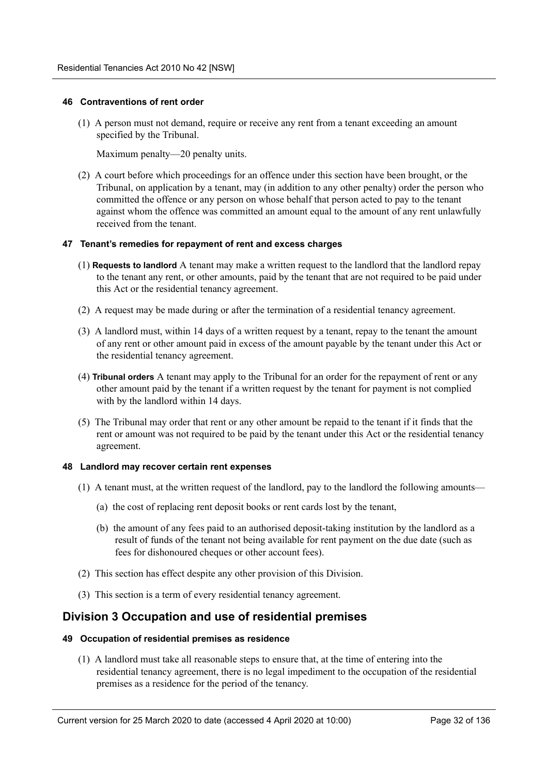#### <span id="page-31-0"></span>**46 Contraventions of rent order**

(1) A person must not demand, require or receive any rent from a tenant exceeding an amount specified by the Tribunal.

Maximum penalty—20 penalty units.

(2) A court before which proceedings for an offence under this section have been brought, or the Tribunal, on application by a tenant, may (in addition to any other penalty) order the person who committed the offence or any person on whose behalf that person acted to pay to the tenant against whom the offence was committed an amount equal to the amount of any rent unlawfully received from the tenant.

#### <span id="page-31-1"></span>**47 Tenant's remedies for repayment of rent and excess charges**

- (1) **Requests to landlord** A tenant may make a written request to the landlord that the landlord repay to the tenant any rent, or other amounts, paid by the tenant that are not required to be paid under this Act or the residential tenancy agreement.
- (2) A request may be made during or after the termination of a residential tenancy agreement.
- (3) A landlord must, within 14 days of a written request by a tenant, repay to the tenant the amount of any rent or other amount paid in excess of the amount payable by the tenant under this Act or the residential tenancy agreement.
- (4) **Tribunal orders** A tenant may apply to the Tribunal for an order for the repayment of rent or any other amount paid by the tenant if a written request by the tenant for payment is not complied with by the landlord within 14 days.
- (5) The Tribunal may order that rent or any other amount be repaid to the tenant if it finds that the rent or amount was not required to be paid by the tenant under this Act or the residential tenancy agreement.

#### <span id="page-31-2"></span>**48 Landlord may recover certain rent expenses**

- (1) A tenant must, at the written request of the landlord, pay to the landlord the following amounts—
	- (a) the cost of replacing rent deposit books or rent cards lost by the tenant,
	- (b) the amount of any fees paid to an authorised deposit-taking institution by the landlord as a result of funds of the tenant not being available for rent payment on the due date (such as fees for dishonoured cheques or other account fees).
- (2) This section has effect despite any other provision of this Division.
- (3) This section is a term of every residential tenancy agreement.

## <span id="page-31-3"></span>**Division 3 Occupation and use of residential premises**

#### <span id="page-31-4"></span>**49 Occupation of residential premises as residence**

(1) A landlord must take all reasonable steps to ensure that, at the time of entering into the residential tenancy agreement, there is no legal impediment to the occupation of the residential premises as a residence for the period of the tenancy.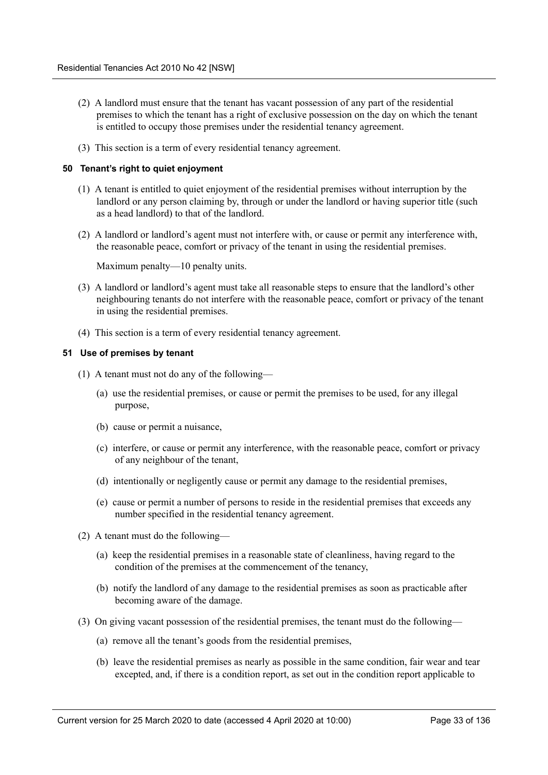- (2) A landlord must ensure that the tenant has vacant possession of any part of the residential premises to which the tenant has a right of exclusive possession on the day on which the tenant is entitled to occupy those premises under the residential tenancy agreement.
- (3) This section is a term of every residential tenancy agreement.

#### <span id="page-32-0"></span>**50 Tenant's right to quiet enjoyment**

- (1) A tenant is entitled to quiet enjoyment of the residential premises without interruption by the landlord or any person claiming by, through or under the landlord or having superior title (such as a head landlord) to that of the landlord.
- (2) A landlord or landlord's agent must not interfere with, or cause or permit any interference with, the reasonable peace, comfort or privacy of the tenant in using the residential premises.

Maximum penalty—10 penalty units.

- (3) A landlord or landlord's agent must take all reasonable steps to ensure that the landlord's other neighbouring tenants do not interfere with the reasonable peace, comfort or privacy of the tenant in using the residential premises.
- (4) This section is a term of every residential tenancy agreement.

#### <span id="page-32-1"></span>**51 Use of premises by tenant**

- (1) A tenant must not do any of the following—
	- (a) use the residential premises, or cause or permit the premises to be used, for any illegal purpose,
	- (b) cause or permit a nuisance,
	- (c) interfere, or cause or permit any interference, with the reasonable peace, comfort or privacy of any neighbour of the tenant,
	- (d) intentionally or negligently cause or permit any damage to the residential premises,
	- (e) cause or permit a number of persons to reside in the residential premises that exceeds any number specified in the residential tenancy agreement.
- (2) A tenant must do the following—
	- (a) keep the residential premises in a reasonable state of cleanliness, having regard to the condition of the premises at the commencement of the tenancy,
	- (b) notify the landlord of any damage to the residential premises as soon as practicable after becoming aware of the damage.
- (3) On giving vacant possession of the residential premises, the tenant must do the following—
	- (a) remove all the tenant's goods from the residential premises,
	- (b) leave the residential premises as nearly as possible in the same condition, fair wear and tear excepted, and, if there is a condition report, as set out in the condition report applicable to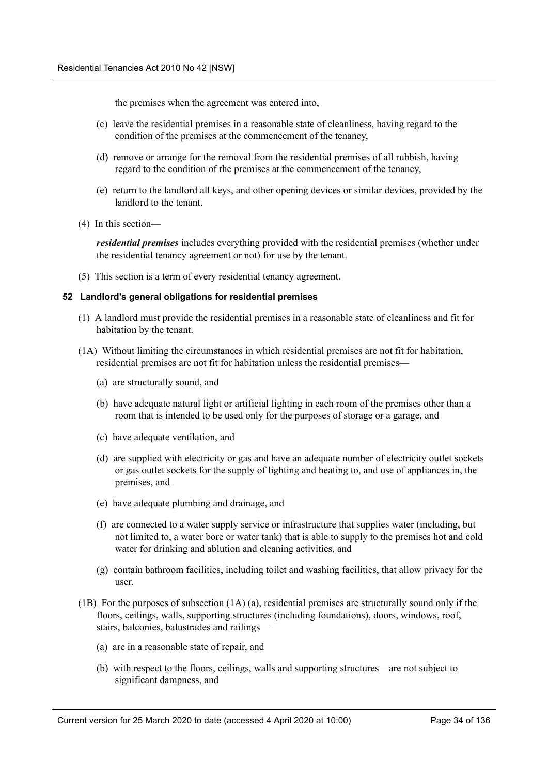the premises when the agreement was entered into,

- (c) leave the residential premises in a reasonable state of cleanliness, having regard to the condition of the premises at the commencement of the tenancy,
- (d) remove or arrange for the removal from the residential premises of all rubbish, having regard to the condition of the premises at the commencement of the tenancy,
- (e) return to the landlord all keys, and other opening devices or similar devices, provided by the landlord to the tenant.
- (4) In this section—

*residential premises* includes everything provided with the residential premises (whether under the residential tenancy agreement or not) for use by the tenant.

(5) This section is a term of every residential tenancy agreement.

#### <span id="page-33-0"></span>**52 Landlord's general obligations for residential premises**

- (1) A landlord must provide the residential premises in a reasonable state of cleanliness and fit for habitation by the tenant.
- (1A) Without limiting the circumstances in which residential premises are not fit for habitation, residential premises are not fit for habitation unless the residential premises—
	- (a) are structurally sound, and
	- (b) have adequate natural light or artificial lighting in each room of the premises other than a room that is intended to be used only for the purposes of storage or a garage, and
	- (c) have adequate ventilation, and
	- (d) are supplied with electricity or gas and have an adequate number of electricity outlet sockets or gas outlet sockets for the supply of lighting and heating to, and use of appliances in, the premises, and
	- (e) have adequate plumbing and drainage, and
	- (f) are connected to a water supply service or infrastructure that supplies water (including, but not limited to, a water bore or water tank) that is able to supply to the premises hot and cold water for drinking and ablution and cleaning activities, and
	- (g) contain bathroom facilities, including toilet and washing facilities, that allow privacy for the user.
- (1B) For the purposes of subsection (1A) (a), residential premises are structurally sound only if the floors, ceilings, walls, supporting structures (including foundations), doors, windows, roof, stairs, balconies, balustrades and railings—
	- (a) are in a reasonable state of repair, and
	- (b) with respect to the floors, ceilings, walls and supporting structures—are not subject to significant dampness, and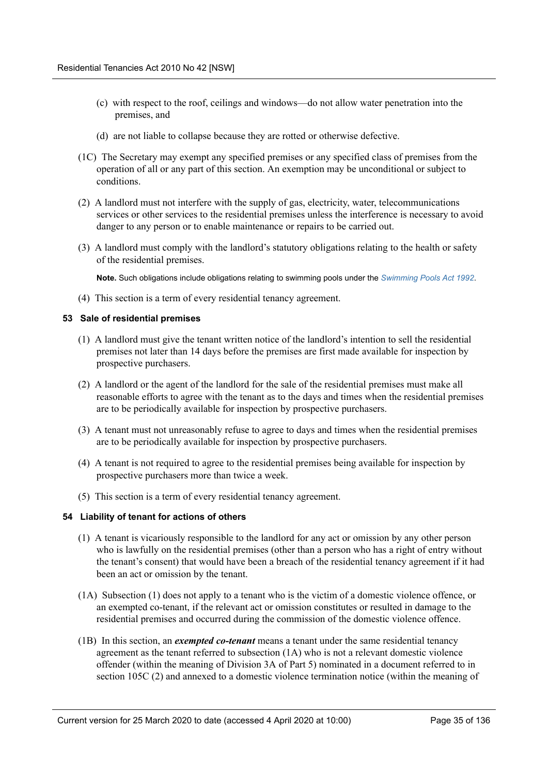- (c) with respect to the roof, ceilings and windows—do not allow water penetration into the premises, and
- (d) are not liable to collapse because they are rotted or otherwise defective.
- (1C) The Secretary may exempt any specified premises or any specified class of premises from the operation of all or any part of this section. An exemption may be unconditional or subject to conditions.
- (2) A landlord must not interfere with the supply of gas, electricity, water, telecommunications services or other services to the residential premises unless the interference is necessary to avoid danger to any person or to enable maintenance or repairs to be carried out.
- (3) A landlord must comply with the landlord's statutory obligations relating to the health or safety of the residential premises.

**Note.** Such obligations include obligations relating to swimming pools under the *Swimming Pools Act 1992*.

(4) This section is a term of every residential tenancy agreement.

#### <span id="page-34-0"></span>**53 Sale of residential premises**

- (1) A landlord must give the tenant written notice of the landlord's intention to sell the residential premises not later than 14 days before the premises are first made available for inspection by prospective purchasers.
- (2) A landlord or the agent of the landlord for the sale of the residential premises must make all reasonable efforts to agree with the tenant as to the days and times when the residential premises are to be periodically available for inspection by prospective purchasers.
- (3) A tenant must not unreasonably refuse to agree to days and times when the residential premises are to be periodically available for inspection by prospective purchasers.
- (4) A tenant is not required to agree to the residential premises being available for inspection by prospective purchasers more than twice a week.
- (5) This section is a term of every residential tenancy agreement.

#### <span id="page-34-1"></span>**54 Liability of tenant for actions of others**

- (1) A tenant is vicariously responsible to the landlord for any act or omission by any other person who is lawfully on the residential premises (other than a person who has a right of entry without the tenant's consent) that would have been a breach of the residential tenancy agreement if it had been an act or omission by the tenant.
- (1A) Subsection (1) does not apply to a tenant who is the victim of a domestic violence offence, or an exempted co-tenant, if the relevant act or omission constitutes or resulted in damage to the residential premises and occurred during the commission of the domestic violence offence.
- (1B) In this section, an *exempted co-tenant* means a tenant under the same residential tenancy agreement as the tenant referred to subsection (1A) who is not a relevant domestic violence offender (within the meaning of Division 3A of Part 5) nominated in a document referred to in section 105C (2) and annexed to a domestic violence termination notice (within the meaning of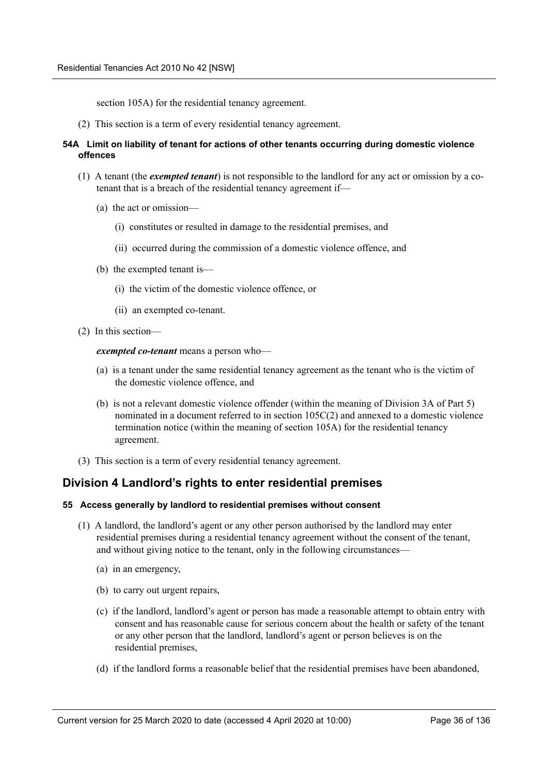section 105A) for the residential tenancy agreement.

(2) This section is a term of every residential tenancy agreement.

#### <span id="page-35-0"></span>**54A Limit on liability of tenant for actions of other tenants occurring during domestic violence offences**

- (1) A tenant (the *exempted tenant*) is not responsible to the landlord for any act or omission by a cotenant that is a breach of the residential tenancy agreement if—
	- (a) the act or omission—
		- (i) constitutes or resulted in damage to the residential premises, and
		- (ii) occurred during the commission of a domestic violence offence, and
	- (b) the exempted tenant is—
		- (i) the victim of the domestic violence offence, or
		- (ii) an exempted co-tenant.
- (2) In this section—

#### *exempted co-tenant* means a person who—

- (a) is a tenant under the same residential tenancy agreement as the tenant who is the victim of the domestic violence offence, and
- (b) is not a relevant domestic violence offender (within the meaning of Division 3A of Part 5) nominated in a document referred to in section 105C(2) and annexed to a domestic violence termination notice (within the meaning of section 105A) for the residential tenancy agreement.
- (3) This section is a term of every residential tenancy agreement.

## <span id="page-35-1"></span>**Division 4 Landlord's rights to enter residential premises**

#### <span id="page-35-2"></span>**55 Access generally by landlord to residential premises without consent**

- (1) A landlord, the landlord's agent or any other person authorised by the landlord may enter residential premises during a residential tenancy agreement without the consent of the tenant, and without giving notice to the tenant, only in the following circumstances—
	- (a) in an emergency,
	- (b) to carry out urgent repairs,
	- (c) if the landlord, landlord's agent or person has made a reasonable attempt to obtain entry with consent and has reasonable cause for serious concern about the health or safety of the tenant or any other person that the landlord, landlord's agent or person believes is on the residential premises,
	- (d) if the landlord forms a reasonable belief that the residential premises have been abandoned,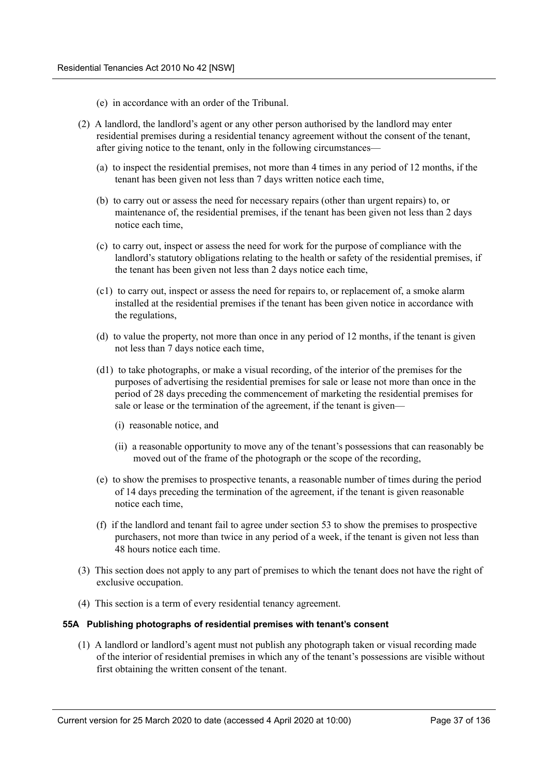- (e) in accordance with an order of the Tribunal.
- (2) A landlord, the landlord's agent or any other person authorised by the landlord may enter residential premises during a residential tenancy agreement without the consent of the tenant, after giving notice to the tenant, only in the following circumstances—
	- (a) to inspect the residential premises, not more than 4 times in any period of 12 months, if the tenant has been given not less than 7 days written notice each time,
	- (b) to carry out or assess the need for necessary repairs (other than urgent repairs) to, or maintenance of, the residential premises, if the tenant has been given not less than 2 days notice each time,
	- (c) to carry out, inspect or assess the need for work for the purpose of compliance with the landlord's statutory obligations relating to the health or safety of the residential premises, if the tenant has been given not less than 2 days notice each time,
	- (c1) to carry out, inspect or assess the need for repairs to, or replacement of, a smoke alarm installed at the residential premises if the tenant has been given notice in accordance with the regulations,
	- (d) to value the property, not more than once in any period of 12 months, if the tenant is given not less than 7 days notice each time,
	- (d1) to take photographs, or make a visual recording, of the interior of the premises for the purposes of advertising the residential premises for sale or lease not more than once in the period of 28 days preceding the commencement of marketing the residential premises for sale or lease or the termination of the agreement, if the tenant is given—
		- (i) reasonable notice, and
		- (ii) a reasonable opportunity to move any of the tenant's possessions that can reasonably be moved out of the frame of the photograph or the scope of the recording,
	- (e) to show the premises to prospective tenants, a reasonable number of times during the period of 14 days preceding the termination of the agreement, if the tenant is given reasonable notice each time,
	- (f) if the landlord and tenant fail to agree under section 53 to show the premises to prospective purchasers, not more than twice in any period of a week, if the tenant is given not less than 48 hours notice each time.
- (3) This section does not apply to any part of premises to which the tenant does not have the right of exclusive occupation.
- (4) This section is a term of every residential tenancy agreement.

### **55A Publishing photographs of residential premises with tenant's consent**

(1) A landlord or landlord's agent must not publish any photograph taken or visual recording made of the interior of residential premises in which any of the tenant's possessions are visible without first obtaining the written consent of the tenant.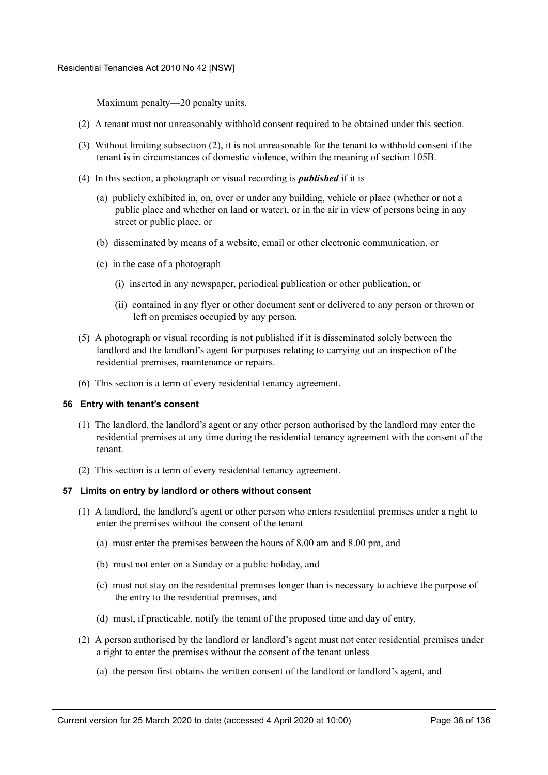Maximum penalty—20 penalty units.

- (2) A tenant must not unreasonably withhold consent required to be obtained under this section.
- (3) Without limiting subsection (2), it is not unreasonable for the tenant to withhold consent if the tenant is in circumstances of domestic violence, within the meaning of section 105B.
- (4) In this section, a photograph or visual recording is *published* if it is—
	- (a) publicly exhibited in, on, over or under any building, vehicle or place (whether or not a public place and whether on land or water), or in the air in view of persons being in any street or public place, or
	- (b) disseminated by means of a website, email or other electronic communication, or
	- (c) in the case of a photograph—
		- (i) inserted in any newspaper, periodical publication or other publication, or
		- (ii) contained in any flyer or other document sent or delivered to any person or thrown or left on premises occupied by any person.
- (5) A photograph or visual recording is not published if it is disseminated solely between the landlord and the landlord's agent for purposes relating to carrying out an inspection of the residential premises, maintenance or repairs.
- (6) This section is a term of every residential tenancy agreement.

### **56 Entry with tenant's consent**

- (1) The landlord, the landlord's agent or any other person authorised by the landlord may enter the residential premises at any time during the residential tenancy agreement with the consent of the tenant.
- (2) This section is a term of every residential tenancy agreement.

### **57 Limits on entry by landlord or others without consent**

- (1) A landlord, the landlord's agent or other person who enters residential premises under a right to enter the premises without the consent of the tenant—
	- (a) must enter the premises between the hours of 8.00 am and 8.00 pm, and
	- (b) must not enter on a Sunday or a public holiday, and
	- (c) must not stay on the residential premises longer than is necessary to achieve the purpose of the entry to the residential premises, and
	- (d) must, if practicable, notify the tenant of the proposed time and day of entry.
- (2) A person authorised by the landlord or landlord's agent must not enter residential premises under a right to enter the premises without the consent of the tenant unless—
	- (a) the person first obtains the written consent of the landlord or landlord's agent, and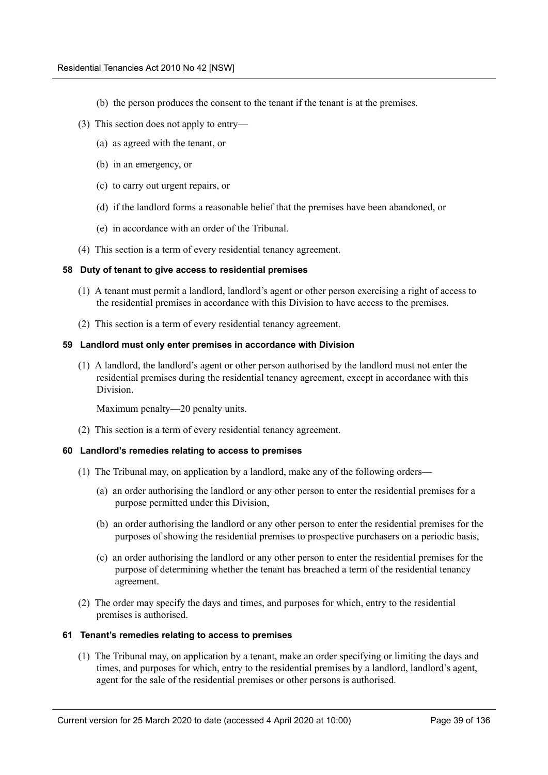- (b) the person produces the consent to the tenant if the tenant is at the premises.
- (3) This section does not apply to entry—
	- (a) as agreed with the tenant, or
	- (b) in an emergency, or
	- (c) to carry out urgent repairs, or
	- (d) if the landlord forms a reasonable belief that the premises have been abandoned, or
	- (e) in accordance with an order of the Tribunal.
- (4) This section is a term of every residential tenancy agreement.

### **58 Duty of tenant to give access to residential premises**

- (1) A tenant must permit a landlord, landlord's agent or other person exercising a right of access to the residential premises in accordance with this Division to have access to the premises.
- (2) This section is a term of every residential tenancy agreement.

### **59 Landlord must only enter premises in accordance with Division**

(1) A landlord, the landlord's agent or other person authorised by the landlord must not enter the residential premises during the residential tenancy agreement, except in accordance with this Division.

Maximum penalty—20 penalty units.

(2) This section is a term of every residential tenancy agreement.

### **60 Landlord's remedies relating to access to premises**

- (1) The Tribunal may, on application by a landlord, make any of the following orders—
	- (a) an order authorising the landlord or any other person to enter the residential premises for a purpose permitted under this Division,
	- (b) an order authorising the landlord or any other person to enter the residential premises for the purposes of showing the residential premises to prospective purchasers on a periodic basis,
	- (c) an order authorising the landlord or any other person to enter the residential premises for the purpose of determining whether the tenant has breached a term of the residential tenancy agreement.
- (2) The order may specify the days and times, and purposes for which, entry to the residential premises is authorised.

### **61 Tenant's remedies relating to access to premises**

(1) The Tribunal may, on application by a tenant, make an order specifying or limiting the days and times, and purposes for which, entry to the residential premises by a landlord, landlord's agent, agent for the sale of the residential premises or other persons is authorised.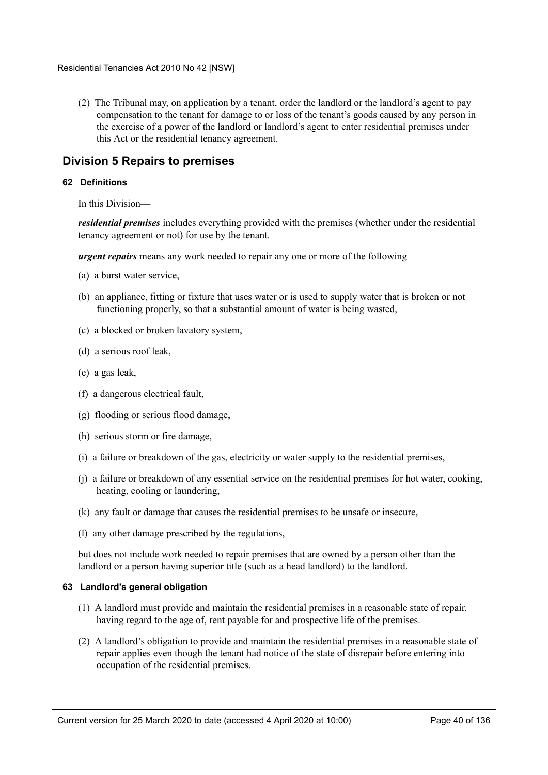(2) The Tribunal may, on application by a tenant, order the landlord or the landlord's agent to pay compensation to the tenant for damage to or loss of the tenant's goods caused by any person in the exercise of a power of the landlord or landlord's agent to enter residential premises under this Act or the residential tenancy agreement.

# **Division 5 Repairs to premises**

## **62 Definitions**

In this Division—

*residential premises* includes everything provided with the premises (whether under the residential tenancy agreement or not) for use by the tenant.

*urgent repairs* means any work needed to repair any one or more of the following—

- (a) a burst water service,
- (b) an appliance, fitting or fixture that uses water or is used to supply water that is broken or not functioning properly, so that a substantial amount of water is being wasted,
- (c) a blocked or broken lavatory system,
- (d) a serious roof leak,
- (e) a gas leak,
- (f) a dangerous electrical fault,
- (g) flooding or serious flood damage,
- (h) serious storm or fire damage,
- (i) a failure or breakdown of the gas, electricity or water supply to the residential premises,
- (j) a failure or breakdown of any essential service on the residential premises for hot water, cooking, heating, cooling or laundering,
- (k) any fault or damage that causes the residential premises to be unsafe or insecure,
- (l) any other damage prescribed by the regulations,

but does not include work needed to repair premises that are owned by a person other than the landlord or a person having superior title (such as a head landlord) to the landlord.

### **63 Landlord's general obligation**

- (1) A landlord must provide and maintain the residential premises in a reasonable state of repair, having regard to the age of, rent payable for and prospective life of the premises.
- (2) A landlord's obligation to provide and maintain the residential premises in a reasonable state of repair applies even though the tenant had notice of the state of disrepair before entering into occupation of the residential premises.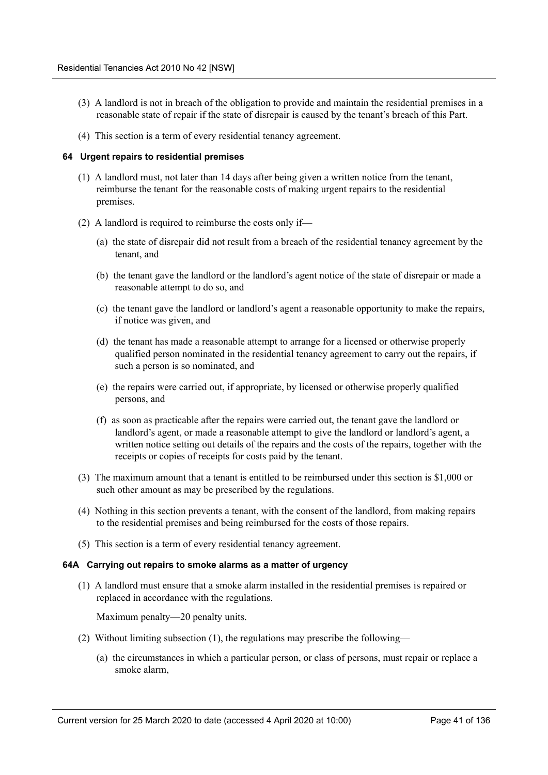- (3) A landlord is not in breach of the obligation to provide and maintain the residential premises in a reasonable state of repair if the state of disrepair is caused by the tenant's breach of this Part.
- (4) This section is a term of every residential tenancy agreement.

## **64 Urgent repairs to residential premises**

- (1) A landlord must, not later than 14 days after being given a written notice from the tenant, reimburse the tenant for the reasonable costs of making urgent repairs to the residential premises.
- (2) A landlord is required to reimburse the costs only if—
	- (a) the state of disrepair did not result from a breach of the residential tenancy agreement by the tenant, and
	- (b) the tenant gave the landlord or the landlord's agent notice of the state of disrepair or made a reasonable attempt to do so, and
	- (c) the tenant gave the landlord or landlord's agent a reasonable opportunity to make the repairs, if notice was given, and
	- (d) the tenant has made a reasonable attempt to arrange for a licensed or otherwise properly qualified person nominated in the residential tenancy agreement to carry out the repairs, if such a person is so nominated, and
	- (e) the repairs were carried out, if appropriate, by licensed or otherwise properly qualified persons, and
	- (f) as soon as practicable after the repairs were carried out, the tenant gave the landlord or landlord's agent, or made a reasonable attempt to give the landlord or landlord's agent, a written notice setting out details of the repairs and the costs of the repairs, together with the receipts or copies of receipts for costs paid by the tenant.
- (3) The maximum amount that a tenant is entitled to be reimbursed under this section is \$1,000 or such other amount as may be prescribed by the regulations.
- (4) Nothing in this section prevents a tenant, with the consent of the landlord, from making repairs to the residential premises and being reimbursed for the costs of those repairs.
- (5) This section is a term of every residential tenancy agreement.

### **64A Carrying out repairs to smoke alarms as a matter of urgency**

(1) A landlord must ensure that a smoke alarm installed in the residential premises is repaired or replaced in accordance with the regulations.

Maximum penalty—20 penalty units.

- (2) Without limiting subsection (1), the regulations may prescribe the following—
	- (a) the circumstances in which a particular person, or class of persons, must repair or replace a smoke alarm,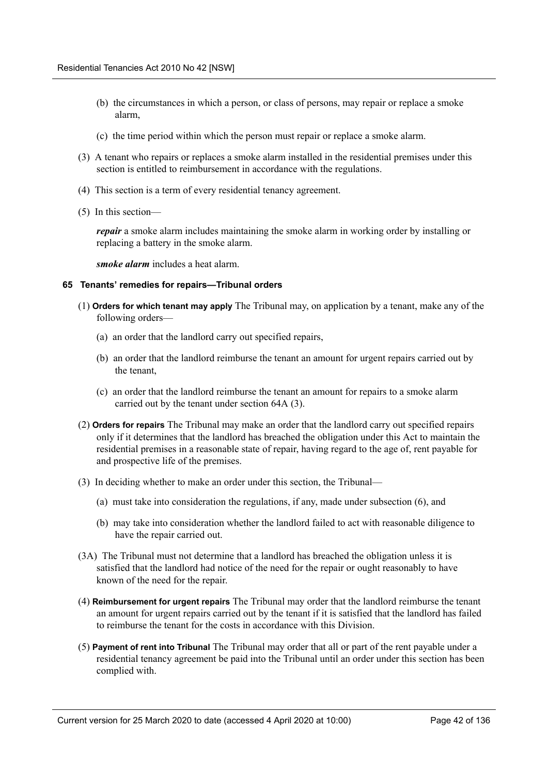- (b) the circumstances in which a person, or class of persons, may repair or replace a smoke alarm,
- (c) the time period within which the person must repair or replace a smoke alarm.
- (3) A tenant who repairs or replaces a smoke alarm installed in the residential premises under this section is entitled to reimbursement in accordance with the regulations.
- (4) This section is a term of every residential tenancy agreement.
- (5) In this section—

*repair* a smoke alarm includes maintaining the smoke alarm in working order by installing or replacing a battery in the smoke alarm.

*smoke alarm* includes a heat alarm.

### **65 Tenants' remedies for repairs—Tribunal orders**

- (1) **Orders for which tenant may apply** The Tribunal may, on application by a tenant, make any of the following orders—
	- (a) an order that the landlord carry out specified repairs,
	- (b) an order that the landlord reimburse the tenant an amount for urgent repairs carried out by the tenant,
	- (c) an order that the landlord reimburse the tenant an amount for repairs to a smoke alarm carried out by the tenant under section 64A (3).
- (2) **Orders for repairs** The Tribunal may make an order that the landlord carry out specified repairs only if it determines that the landlord has breached the obligation under this Act to maintain the residential premises in a reasonable state of repair, having regard to the age of, rent payable for and prospective life of the premises.
- (3) In deciding whether to make an order under this section, the Tribunal—
	- (a) must take into consideration the regulations, if any, made under subsection (6), and
	- (b) may take into consideration whether the landlord failed to act with reasonable diligence to have the repair carried out.
- (3A) The Tribunal must not determine that a landlord has breached the obligation unless it is satisfied that the landlord had notice of the need for the repair or ought reasonably to have known of the need for the repair.
- (4) **Reimbursement for urgent repairs** The Tribunal may order that the landlord reimburse the tenant an amount for urgent repairs carried out by the tenant if it is satisfied that the landlord has failed to reimburse the tenant for the costs in accordance with this Division.
- (5) **Payment of rent into Tribunal** The Tribunal may order that all or part of the rent payable under a residential tenancy agreement be paid into the Tribunal until an order under this section has been complied with.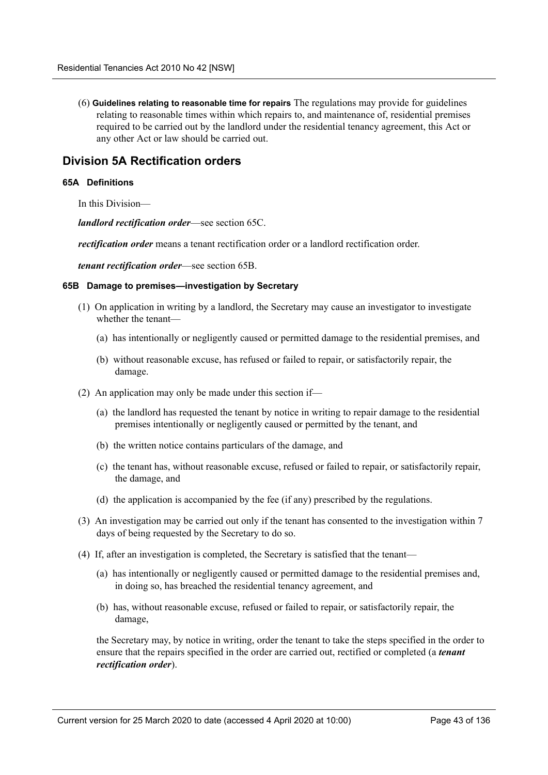(6) **Guidelines relating to reasonable time for repairs** The regulations may provide for guidelines relating to reasonable times within which repairs to, and maintenance of, residential premises required to be carried out by the landlord under the residential tenancy agreement, this Act or any other Act or law should be carried out.

# **Division 5A Rectification orders**

## **65A Definitions**

In this Division—

*landlord rectification order*—see section 65C.

*rectification order* means a tenant rectification order or a landlord rectification order.

*tenant rectification order*—see section 65B.

### **65B Damage to premises—investigation by Secretary**

- (1) On application in writing by a landlord, the Secretary may cause an investigator to investigate whether the tenant—
	- (a) has intentionally or negligently caused or permitted damage to the residential premises, and
	- (b) without reasonable excuse, has refused or failed to repair, or satisfactorily repair, the damage.
- (2) An application may only be made under this section if—
	- (a) the landlord has requested the tenant by notice in writing to repair damage to the residential premises intentionally or negligently caused or permitted by the tenant, and
	- (b) the written notice contains particulars of the damage, and
	- (c) the tenant has, without reasonable excuse, refused or failed to repair, or satisfactorily repair, the damage, and
	- (d) the application is accompanied by the fee (if any) prescribed by the regulations.
- (3) An investigation may be carried out only if the tenant has consented to the investigation within 7 days of being requested by the Secretary to do so.
- (4) If, after an investigation is completed, the Secretary is satisfied that the tenant—
	- (a) has intentionally or negligently caused or permitted damage to the residential premises and, in doing so, has breached the residential tenancy agreement, and
	- (b) has, without reasonable excuse, refused or failed to repair, or satisfactorily repair, the damage,

the Secretary may, by notice in writing, order the tenant to take the steps specified in the order to ensure that the repairs specified in the order are carried out, rectified or completed (a *tenant rectification order*).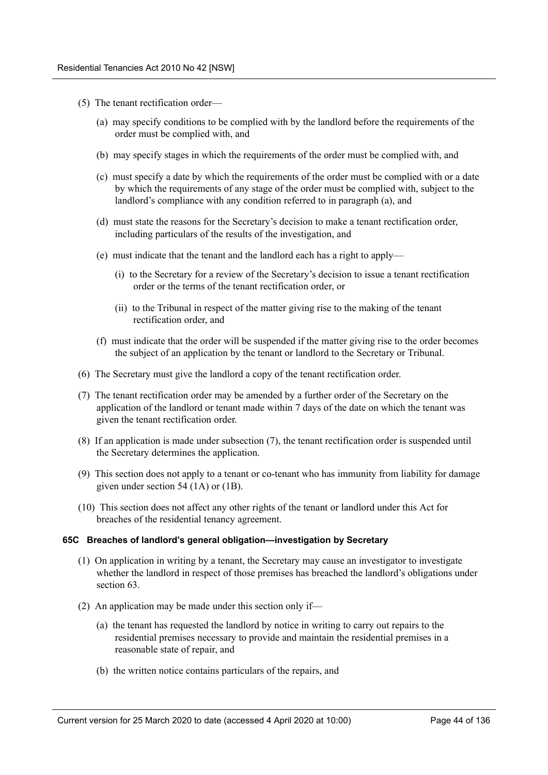- (5) The tenant rectification order—
	- (a) may specify conditions to be complied with by the landlord before the requirements of the order must be complied with, and
	- (b) may specify stages in which the requirements of the order must be complied with, and
	- (c) must specify a date by which the requirements of the order must be complied with or a date by which the requirements of any stage of the order must be complied with, subject to the landlord's compliance with any condition referred to in paragraph (a), and
	- (d) must state the reasons for the Secretary's decision to make a tenant rectification order, including particulars of the results of the investigation, and
	- (e) must indicate that the tenant and the landlord each has a right to apply—
		- (i) to the Secretary for a review of the Secretary's decision to issue a tenant rectification order or the terms of the tenant rectification order, or
		- (ii) to the Tribunal in respect of the matter giving rise to the making of the tenant rectification order, and
	- (f) must indicate that the order will be suspended if the matter giving rise to the order becomes the subject of an application by the tenant or landlord to the Secretary or Tribunal.
- (6) The Secretary must give the landlord a copy of the tenant rectification order.
- (7) The tenant rectification order may be amended by a further order of the Secretary on the application of the landlord or tenant made within 7 days of the date on which the tenant was given the tenant rectification order.
- (8) If an application is made under subsection (7), the tenant rectification order is suspended until the Secretary determines the application.
- (9) This section does not apply to a tenant or co-tenant who has immunity from liability for damage given under section 54 (1A) or (1B).
- (10) This section does not affect any other rights of the tenant or landlord under this Act for breaches of the residential tenancy agreement.

### **65C Breaches of landlord's general obligation—investigation by Secretary**

- (1) On application in writing by a tenant, the Secretary may cause an investigator to investigate whether the landlord in respect of those premises has breached the landlord's obligations under section 63.
- (2) An application may be made under this section only if—
	- (a) the tenant has requested the landlord by notice in writing to carry out repairs to the residential premises necessary to provide and maintain the residential premises in a reasonable state of repair, and
	- (b) the written notice contains particulars of the repairs, and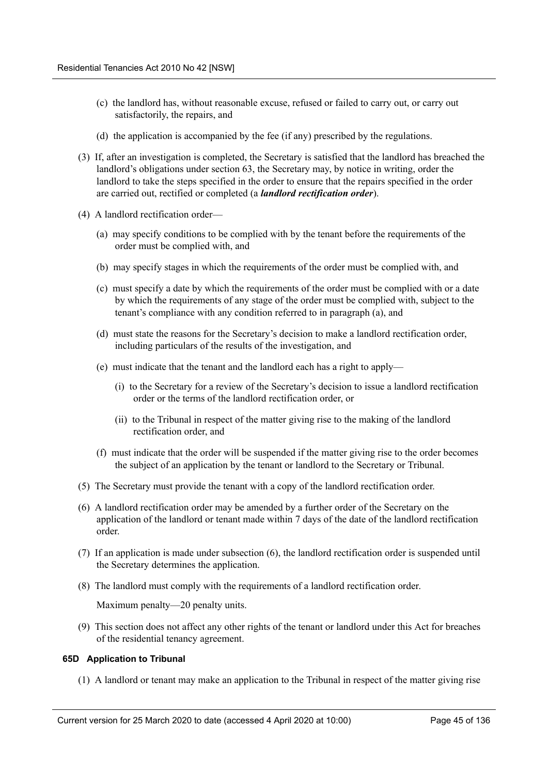- (c) the landlord has, without reasonable excuse, refused or failed to carry out, or carry out satisfactorily, the repairs, and
- (d) the application is accompanied by the fee (if any) prescribed by the regulations.
- (3) If, after an investigation is completed, the Secretary is satisfied that the landlord has breached the landlord's obligations under section 63, the Secretary may, by notice in writing, order the landlord to take the steps specified in the order to ensure that the repairs specified in the order are carried out, rectified or completed (a *landlord rectification order*).
- (4) A landlord rectification order—
	- (a) may specify conditions to be complied with by the tenant before the requirements of the order must be complied with, and
	- (b) may specify stages in which the requirements of the order must be complied with, and
	- (c) must specify a date by which the requirements of the order must be complied with or a date by which the requirements of any stage of the order must be complied with, subject to the tenant's compliance with any condition referred to in paragraph (a), and
	- (d) must state the reasons for the Secretary's decision to make a landlord rectification order, including particulars of the results of the investigation, and
	- (e) must indicate that the tenant and the landlord each has a right to apply—
		- (i) to the Secretary for a review of the Secretary's decision to issue a landlord rectification order or the terms of the landlord rectification order, or
		- (ii) to the Tribunal in respect of the matter giving rise to the making of the landlord rectification order, and
	- (f) must indicate that the order will be suspended if the matter giving rise to the order becomes the subject of an application by the tenant or landlord to the Secretary or Tribunal.
- (5) The Secretary must provide the tenant with a copy of the landlord rectification order.
- (6) A landlord rectification order may be amended by a further order of the Secretary on the application of the landlord or tenant made within 7 days of the date of the landlord rectification order.
- (7) If an application is made under subsection (6), the landlord rectification order is suspended until the Secretary determines the application.
- (8) The landlord must comply with the requirements of a landlord rectification order.

Maximum penalty—20 penalty units.

(9) This section does not affect any other rights of the tenant or landlord under this Act for breaches of the residential tenancy agreement.

## **65D Application to Tribunal**

(1) A landlord or tenant may make an application to the Tribunal in respect of the matter giving rise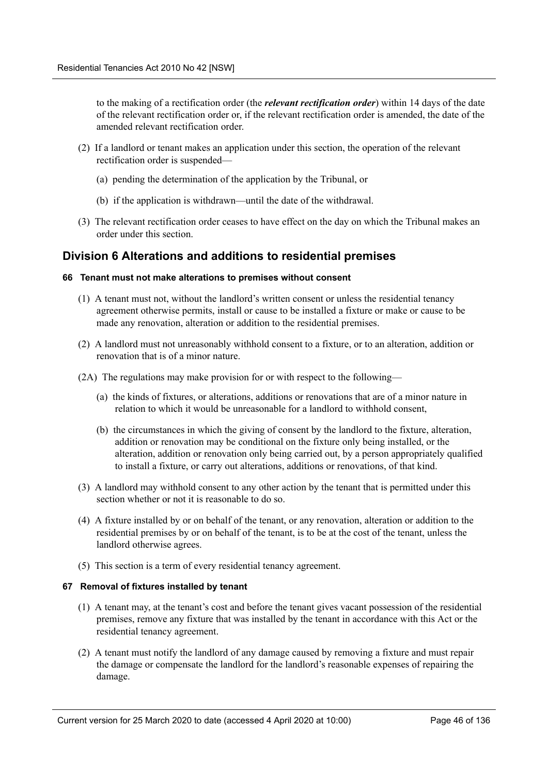to the making of a rectification order (the *relevant rectification order*) within 14 days of the date of the relevant rectification order or, if the relevant rectification order is amended, the date of the amended relevant rectification order.

- (2) If a landlord or tenant makes an application under this section, the operation of the relevant rectification order is suspended—
	- (a) pending the determination of the application by the Tribunal, or
	- (b) if the application is withdrawn—until the date of the withdrawal.
- (3) The relevant rectification order ceases to have effect on the day on which the Tribunal makes an order under this section.

# **Division 6 Alterations and additions to residential premises**

## **66 Tenant must not make alterations to premises without consent**

- (1) A tenant must not, without the landlord's written consent or unless the residential tenancy agreement otherwise permits, install or cause to be installed a fixture or make or cause to be made any renovation, alteration or addition to the residential premises.
- (2) A landlord must not unreasonably withhold consent to a fixture, or to an alteration, addition or renovation that is of a minor nature.
- (2A) The regulations may make provision for or with respect to the following—
	- (a) the kinds of fixtures, or alterations, additions or renovations that are of a minor nature in relation to which it would be unreasonable for a landlord to withhold consent,
	- (b) the circumstances in which the giving of consent by the landlord to the fixture, alteration, addition or renovation may be conditional on the fixture only being installed, or the alteration, addition or renovation only being carried out, by a person appropriately qualified to install a fixture, or carry out alterations, additions or renovations, of that kind.
- (3) A landlord may withhold consent to any other action by the tenant that is permitted under this section whether or not it is reasonable to do so.
- (4) A fixture installed by or on behalf of the tenant, or any renovation, alteration or addition to the residential premises by or on behalf of the tenant, is to be at the cost of the tenant, unless the landlord otherwise agrees.
- (5) This section is a term of every residential tenancy agreement.

## **67 Removal of fixtures installed by tenant**

- (1) A tenant may, at the tenant's cost and before the tenant gives vacant possession of the residential premises, remove any fixture that was installed by the tenant in accordance with this Act or the residential tenancy agreement.
- (2) A tenant must notify the landlord of any damage caused by removing a fixture and must repair the damage or compensate the landlord for the landlord's reasonable expenses of repairing the damage.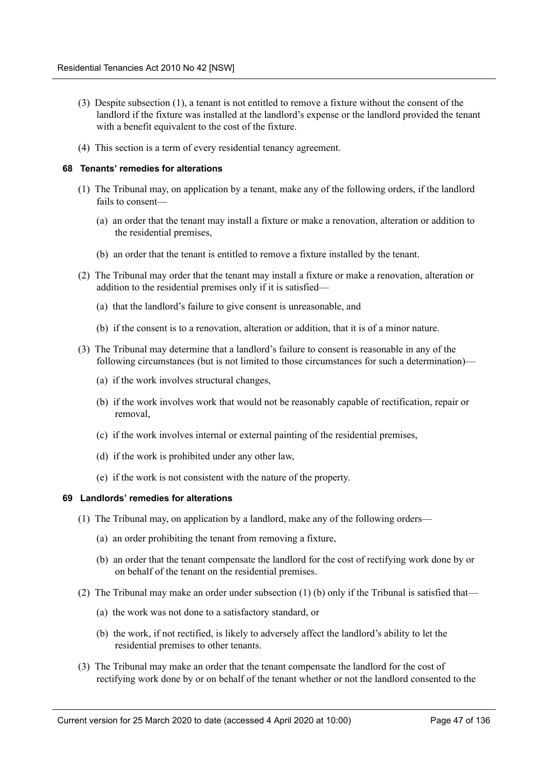- (3) Despite subsection (1), a tenant is not entitled to remove a fixture without the consent of the landlord if the fixture was installed at the landlord's expense or the landlord provided the tenant with a benefit equivalent to the cost of the fixture.
- (4) This section is a term of every residential tenancy agreement.

## **68 Tenants' remedies for alterations**

- (1) The Tribunal may, on application by a tenant, make any of the following orders, if the landlord fails to consent—
	- (a) an order that the tenant may install a fixture or make a renovation, alteration or addition to the residential premises,
	- (b) an order that the tenant is entitled to remove a fixture installed by the tenant.
- (2) The Tribunal may order that the tenant may install a fixture or make a renovation, alteration or addition to the residential premises only if it is satisfied—
	- (a) that the landlord's failure to give consent is unreasonable, and
	- (b) if the consent is to a renovation, alteration or addition, that it is of a minor nature.
- (3) The Tribunal may determine that a landlord's failure to consent is reasonable in any of the following circumstances (but is not limited to those circumstances for such a determination)—
	- (a) if the work involves structural changes,
	- (b) if the work involves work that would not be reasonably capable of rectification, repair or removal,
	- (c) if the work involves internal or external painting of the residential premises,
	- (d) if the work is prohibited under any other law,
	- (e) if the work is not consistent with the nature of the property.

## **69 Landlords' remedies for alterations**

- (1) The Tribunal may, on application by a landlord, make any of the following orders—
	- (a) an order prohibiting the tenant from removing a fixture,
	- (b) an order that the tenant compensate the landlord for the cost of rectifying work done by or on behalf of the tenant on the residential premises.
- (2) The Tribunal may make an order under subsection (1) (b) only if the Tribunal is satisfied that—
	- (a) the work was not done to a satisfactory standard, or
	- (b) the work, if not rectified, is likely to adversely affect the landlord's ability to let the residential premises to other tenants.
- (3) The Tribunal may make an order that the tenant compensate the landlord for the cost of rectifying work done by or on behalf of the tenant whether or not the landlord consented to the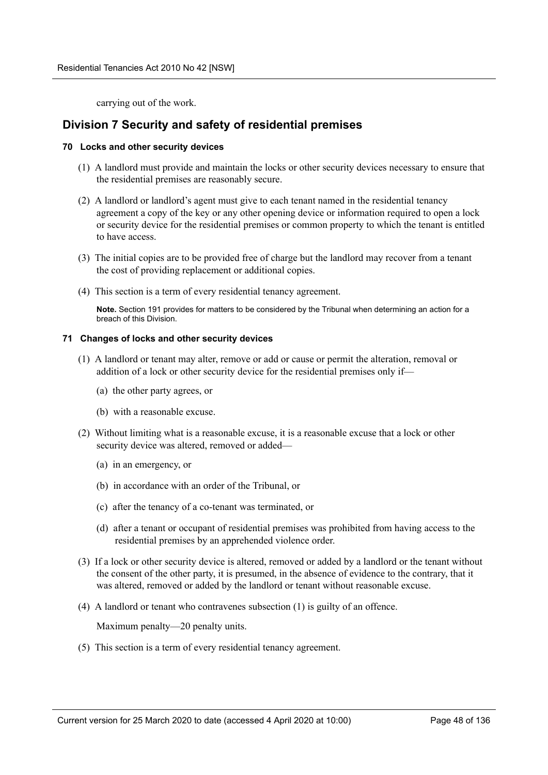carrying out of the work.

# **Division 7 Security and safety of residential premises**

## **70 Locks and other security devices**

- (1) A landlord must provide and maintain the locks or other security devices necessary to ensure that the residential premises are reasonably secure.
- (2) A landlord or landlord's agent must give to each tenant named in the residential tenancy agreement a copy of the key or any other opening device or information required to open a lock or security device for the residential premises or common property to which the tenant is entitled to have access.
- (3) The initial copies are to be provided free of charge but the landlord may recover from a tenant the cost of providing replacement or additional copies.
- (4) This section is a term of every residential tenancy agreement.

**Note.** Section 191 provides for matters to be considered by the Tribunal when determining an action for a breach of this Division.

## **71 Changes of locks and other security devices**

- (1) A landlord or tenant may alter, remove or add or cause or permit the alteration, removal or addition of a lock or other security device for the residential premises only if—
	- (a) the other party agrees, or
	- (b) with a reasonable excuse.
- (2) Without limiting what is a reasonable excuse, it is a reasonable excuse that a lock or other security device was altered, removed or added—
	- (a) in an emergency, or
	- (b) in accordance with an order of the Tribunal, or
	- (c) after the tenancy of a co-tenant was terminated, or
	- (d) after a tenant or occupant of residential premises was prohibited from having access to the residential premises by an apprehended violence order.
- (3) If a lock or other security device is altered, removed or added by a landlord or the tenant without the consent of the other party, it is presumed, in the absence of evidence to the contrary, that it was altered, removed or added by the landlord or tenant without reasonable excuse.
- (4) A landlord or tenant who contravenes subsection (1) is guilty of an offence.

Maximum penalty—20 penalty units.

(5) This section is a term of every residential tenancy agreement.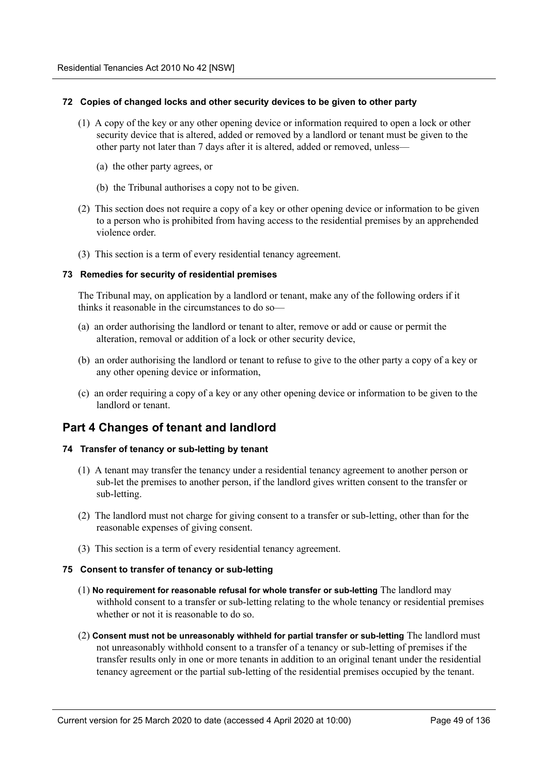## **72 Copies of changed locks and other security devices to be given to other party**

- (1) A copy of the key or any other opening device or information required to open a lock or other security device that is altered, added or removed by a landlord or tenant must be given to the other party not later than 7 days after it is altered, added or removed, unless—
	- (a) the other party agrees, or
	- (b) the Tribunal authorises a copy not to be given.
- (2) This section does not require a copy of a key or other opening device or information to be given to a person who is prohibited from having access to the residential premises by an apprehended violence order.
- (3) This section is a term of every residential tenancy agreement.

## **73 Remedies for security of residential premises**

The Tribunal may, on application by a landlord or tenant, make any of the following orders if it thinks it reasonable in the circumstances to do so—

- (a) an order authorising the landlord or tenant to alter, remove or add or cause or permit the alteration, removal or addition of a lock or other security device,
- (b) an order authorising the landlord or tenant to refuse to give to the other party a copy of a key or any other opening device or information,
- (c) an order requiring a copy of a key or any other opening device or information to be given to the landlord or tenant.

# **Part 4 Changes of tenant and landlord**

### **74 Transfer of tenancy or sub-letting by tenant**

- (1) A tenant may transfer the tenancy under a residential tenancy agreement to another person or sub-let the premises to another person, if the landlord gives written consent to the transfer or sub-letting.
- (2) The landlord must not charge for giving consent to a transfer or sub-letting, other than for the reasonable expenses of giving consent.
- (3) This section is a term of every residential tenancy agreement.

### **75 Consent to transfer of tenancy or sub-letting**

- (1) **No requirement for reasonable refusal for whole transfer or sub-letting** The landlord may withhold consent to a transfer or sub-letting relating to the whole tenancy or residential premises whether or not it is reasonable to do so.
- (2) **Consent must not be unreasonably withheld for partial transfer or sub-letting** The landlord must not unreasonably withhold consent to a transfer of a tenancy or sub-letting of premises if the transfer results only in one or more tenants in addition to an original tenant under the residential tenancy agreement or the partial sub-letting of the residential premises occupied by the tenant.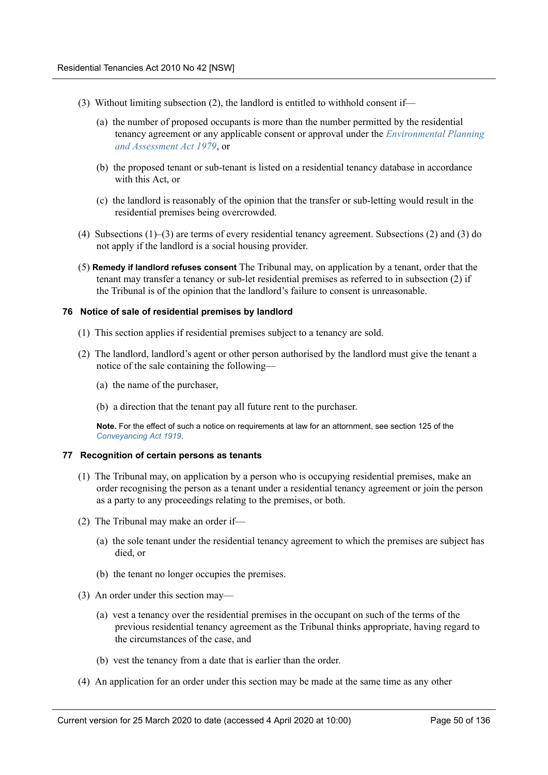- (3) Without limiting subsection (2), the landlord is entitled to withhold consent if—
	- (a) the number of proposed occupants is more than the number permitted by the residential tenancy agreement or any applicable consent or approval under the *Environmental Planning and Assessment Act 1979*, or
	- (b) the proposed tenant or sub-tenant is listed on a residential tenancy database in accordance with this Act, or
	- (c) the landlord is reasonably of the opinion that the transfer or sub-letting would result in the residential premises being overcrowded.
- (4) Subsections (1)–(3) are terms of every residential tenancy agreement. Subsections (2) and (3) do not apply if the landlord is a social housing provider.
- (5) **Remedy if landlord refuses consent** The Tribunal may, on application by a tenant, order that the tenant may transfer a tenancy or sub-let residential premises as referred to in subsection (2) if the Tribunal is of the opinion that the landlord's failure to consent is unreasonable.

### **76 Notice of sale of residential premises by landlord**

- (1) This section applies if residential premises subject to a tenancy are sold.
- (2) The landlord, landlord's agent or other person authorised by the landlord must give the tenant a notice of the sale containing the following—
	- (a) the name of the purchaser,
	- (b) a direction that the tenant pay all future rent to the purchaser.

**Note.** For the effect of such a notice on requirements at law for an attornment, see section 125 of the *Conveyancing Act 1919*.

### **77 Recognition of certain persons as tenants**

- (1) The Tribunal may, on application by a person who is occupying residential premises, make an order recognising the person as a tenant under a residential tenancy agreement or join the person as a party to any proceedings relating to the premises, or both.
- (2) The Tribunal may make an order if—
	- (a) the sole tenant under the residential tenancy agreement to which the premises are subject has died, or
	- (b) the tenant no longer occupies the premises.
- (3) An order under this section may—
	- (a) vest a tenancy over the residential premises in the occupant on such of the terms of the previous residential tenancy agreement as the Tribunal thinks appropriate, having regard to the circumstances of the case, and
	- (b) vest the tenancy from a date that is earlier than the order.
- (4) An application for an order under this section may be made at the same time as any other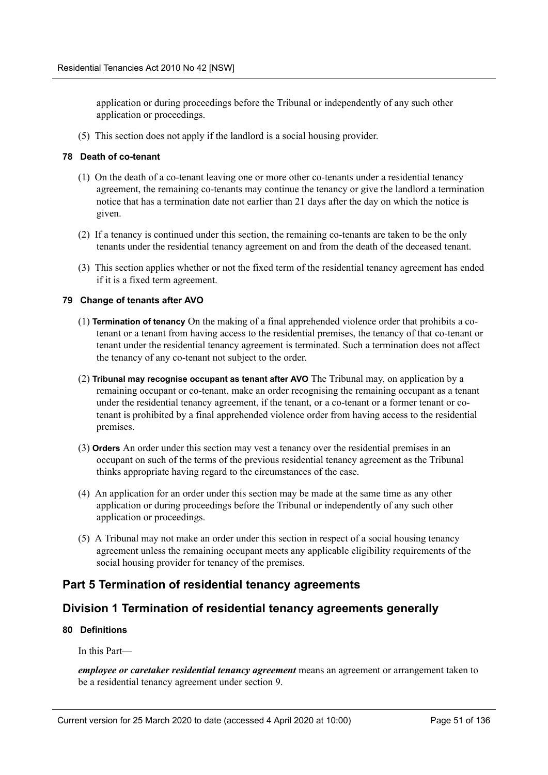application or during proceedings before the Tribunal or independently of any such other application or proceedings.

(5) This section does not apply if the landlord is a social housing provider.

## **78 Death of co-tenant**

- (1) On the death of a co-tenant leaving one or more other co-tenants under a residential tenancy agreement, the remaining co-tenants may continue the tenancy or give the landlord a termination notice that has a termination date not earlier than 21 days after the day on which the notice is given.
- (2) If a tenancy is continued under this section, the remaining co-tenants are taken to be the only tenants under the residential tenancy agreement on and from the death of the deceased tenant.
- (3) This section applies whether or not the fixed term of the residential tenancy agreement has ended if it is a fixed term agreement.

## **79 Change of tenants after AVO**

- (1) **Termination of tenancy** On the making of a final apprehended violence order that prohibits a cotenant or a tenant from having access to the residential premises, the tenancy of that co-tenant or tenant under the residential tenancy agreement is terminated. Such a termination does not affect the tenancy of any co-tenant not subject to the order.
- (2) **Tribunal may recognise occupant as tenant after AVO** The Tribunal may, on application by a remaining occupant or co-tenant, make an order recognising the remaining occupant as a tenant under the residential tenancy agreement, if the tenant, or a co-tenant or a former tenant or cotenant is prohibited by a final apprehended violence order from having access to the residential premises.
- (3) **Orders** An order under this section may vest a tenancy over the residential premises in an occupant on such of the terms of the previous residential tenancy agreement as the Tribunal thinks appropriate having regard to the circumstances of the case.
- (4) An application for an order under this section may be made at the same time as any other application or during proceedings before the Tribunal or independently of any such other application or proceedings.
- (5) A Tribunal may not make an order under this section in respect of a social housing tenancy agreement unless the remaining occupant meets any applicable eligibility requirements of the social housing provider for tenancy of the premises.

# **Part 5 Termination of residential tenancy agreements**

# **Division 1 Termination of residential tenancy agreements generally**

## **80 Definitions**

In this Part—

*employee or caretaker residential tenancy agreement* means an agreement or arrangement taken to be a residential tenancy agreement under section 9.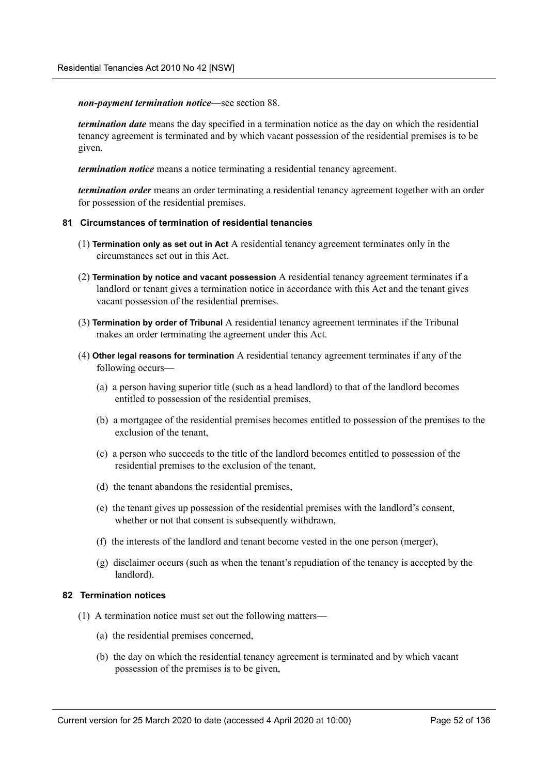*non-payment termination notice*—see section 88.

*termination date* means the day specified in a termination notice as the day on which the residential tenancy agreement is terminated and by which vacant possession of the residential premises is to be given.

*termination notice* means a notice terminating a residential tenancy agreement.

*termination order* means an order terminating a residential tenancy agreement together with an order for possession of the residential premises.

## **81 Circumstances of termination of residential tenancies**

- (1) **Termination only as set out in Act** A residential tenancy agreement terminates only in the circumstances set out in this Act.
- (2) **Termination by notice and vacant possession** A residential tenancy agreement terminates if a landlord or tenant gives a termination notice in accordance with this Act and the tenant gives vacant possession of the residential premises.
- (3) **Termination by order of Tribunal** A residential tenancy agreement terminates if the Tribunal makes an order terminating the agreement under this Act.
- (4) **Other legal reasons for termination** A residential tenancy agreement terminates if any of the following occurs—
	- (a) a person having superior title (such as a head landlord) to that of the landlord becomes entitled to possession of the residential premises,
	- (b) a mortgagee of the residential premises becomes entitled to possession of the premises to the exclusion of the tenant
	- (c) a person who succeeds to the title of the landlord becomes entitled to possession of the residential premises to the exclusion of the tenant,
	- (d) the tenant abandons the residential premises,
	- (e) the tenant gives up possession of the residential premises with the landlord's consent, whether or not that consent is subsequently withdrawn,
	- (f) the interests of the landlord and tenant become vested in the one person (merger),
	- (g) disclaimer occurs (such as when the tenant's repudiation of the tenancy is accepted by the landlord).

### **82 Termination notices**

- (1) A termination notice must set out the following matters—
	- (a) the residential premises concerned,
	- (b) the day on which the residential tenancy agreement is terminated and by which vacant possession of the premises is to be given,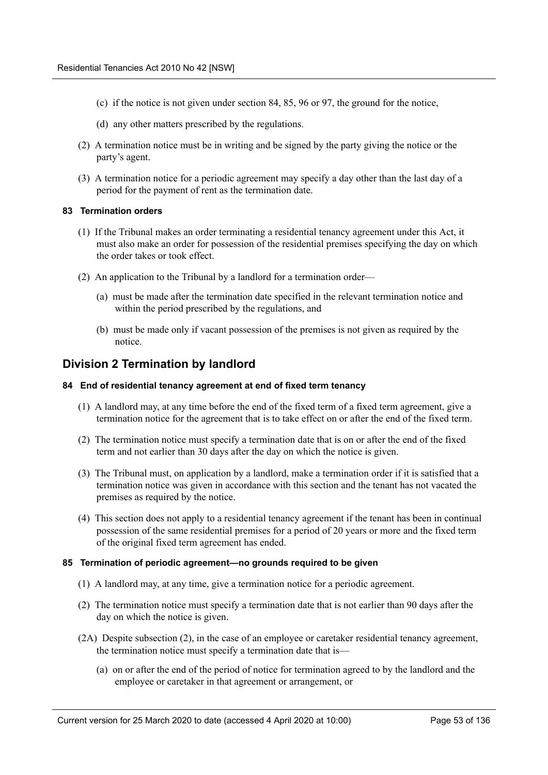- (c) if the notice is not given under section 84, 85, 96 or 97, the ground for the notice,
- (d) any other matters prescribed by the regulations.
- (2) A termination notice must be in writing and be signed by the party giving the notice or the party's agent.
- (3) A termination notice for a periodic agreement may specify a day other than the last day of a period for the payment of rent as the termination date.

## **83 Termination orders**

- (1) If the Tribunal makes an order terminating a residential tenancy agreement under this Act, it must also make an order for possession of the residential premises specifying the day on which the order takes or took effect.
- (2) An application to the Tribunal by a landlord for a termination order—
	- (a) must be made after the termination date specified in the relevant termination notice and within the period prescribed by the regulations, and
	- (b) must be made only if vacant possession of the premises is not given as required by the notice.

# **Division 2 Termination by landlord**

### **84 End of residential tenancy agreement at end of fixed term tenancy**

- (1) A landlord may, at any time before the end of the fixed term of a fixed term agreement, give a termination notice for the agreement that is to take effect on or after the end of the fixed term.
- (2) The termination notice must specify a termination date that is on or after the end of the fixed term and not earlier than 30 days after the day on which the notice is given.
- (3) The Tribunal must, on application by a landlord, make a termination order if it is satisfied that a termination notice was given in accordance with this section and the tenant has not vacated the premises as required by the notice.
- (4) This section does not apply to a residential tenancy agreement if the tenant has been in continual possession of the same residential premises for a period of 20 years or more and the fixed term of the original fixed term agreement has ended.

### **85 Termination of periodic agreement—no grounds required to be given**

- (1) A landlord may, at any time, give a termination notice for a periodic agreement.
- (2) The termination notice must specify a termination date that is not earlier than 90 days after the day on which the notice is given.
- (2A) Despite subsection (2), in the case of an employee or caretaker residential tenancy agreement, the termination notice must specify a termination date that is—
	- (a) on or after the end of the period of notice for termination agreed to by the landlord and the employee or caretaker in that agreement or arrangement, or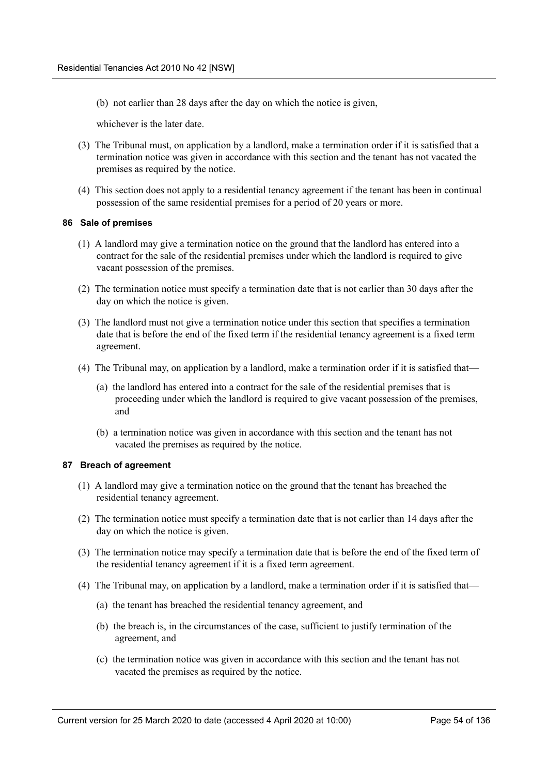(b) not earlier than 28 days after the day on which the notice is given,

whichever is the later date.

- (3) The Tribunal must, on application by a landlord, make a termination order if it is satisfied that a termination notice was given in accordance with this section and the tenant has not vacated the premises as required by the notice.
- (4) This section does not apply to a residential tenancy agreement if the tenant has been in continual possession of the same residential premises for a period of 20 years or more.

### **86 Sale of premises**

- (1) A landlord may give a termination notice on the ground that the landlord has entered into a contract for the sale of the residential premises under which the landlord is required to give vacant possession of the premises.
- (2) The termination notice must specify a termination date that is not earlier than 30 days after the day on which the notice is given.
- (3) The landlord must not give a termination notice under this section that specifies a termination date that is before the end of the fixed term if the residential tenancy agreement is a fixed term agreement.
- (4) The Tribunal may, on application by a landlord, make a termination order if it is satisfied that—
	- (a) the landlord has entered into a contract for the sale of the residential premises that is proceeding under which the landlord is required to give vacant possession of the premises, and
	- (b) a termination notice was given in accordance with this section and the tenant has not vacated the premises as required by the notice.

### **87 Breach of agreement**

- (1) A landlord may give a termination notice on the ground that the tenant has breached the residential tenancy agreement.
- (2) The termination notice must specify a termination date that is not earlier than 14 days after the day on which the notice is given.
- (3) The termination notice may specify a termination date that is before the end of the fixed term of the residential tenancy agreement if it is a fixed term agreement.
- (4) The Tribunal may, on application by a landlord, make a termination order if it is satisfied that—
	- (a) the tenant has breached the residential tenancy agreement, and
	- (b) the breach is, in the circumstances of the case, sufficient to justify termination of the agreement, and
	- (c) the termination notice was given in accordance with this section and the tenant has not vacated the premises as required by the notice.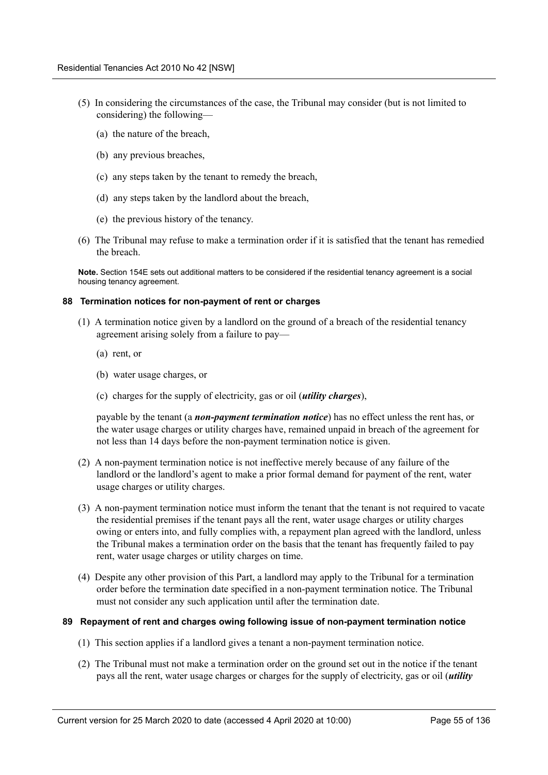- (5) In considering the circumstances of the case, the Tribunal may consider (but is not limited to considering) the following—
	- (a) the nature of the breach,
	- (b) any previous breaches,
	- (c) any steps taken by the tenant to remedy the breach,
	- (d) any steps taken by the landlord about the breach,
	- (e) the previous history of the tenancy.
- (6) The Tribunal may refuse to make a termination order if it is satisfied that the tenant has remedied the breach.

**Note.** Section 154E sets out additional matters to be considered if the residential tenancy agreement is a social housing tenancy agreement.

### **88 Termination notices for non-payment of rent or charges**

- (1) A termination notice given by a landlord on the ground of a breach of the residential tenancy agreement arising solely from a failure to pay—
	- (a) rent, or
	- (b) water usage charges, or
	- (c) charges for the supply of electricity, gas or oil (*utility charges*),

payable by the tenant (a *non-payment termination notice*) has no effect unless the rent has, or the water usage charges or utility charges have, remained unpaid in breach of the agreement for not less than 14 days before the non-payment termination notice is given.

- (2) A non-payment termination notice is not ineffective merely because of any failure of the landlord or the landlord's agent to make a prior formal demand for payment of the rent, water usage charges or utility charges.
- (3) A non-payment termination notice must inform the tenant that the tenant is not required to vacate the residential premises if the tenant pays all the rent, water usage charges or utility charges owing or enters into, and fully complies with, a repayment plan agreed with the landlord, unless the Tribunal makes a termination order on the basis that the tenant has frequently failed to pay rent, water usage charges or utility charges on time.
- (4) Despite any other provision of this Part, a landlord may apply to the Tribunal for a termination order before the termination date specified in a non-payment termination notice. The Tribunal must not consider any such application until after the termination date.

### **89 Repayment of rent and charges owing following issue of non-payment termination notice**

- (1) This section applies if a landlord gives a tenant a non-payment termination notice.
- (2) The Tribunal must not make a termination order on the ground set out in the notice if the tenant pays all the rent, water usage charges or charges for the supply of electricity, gas or oil (*utility*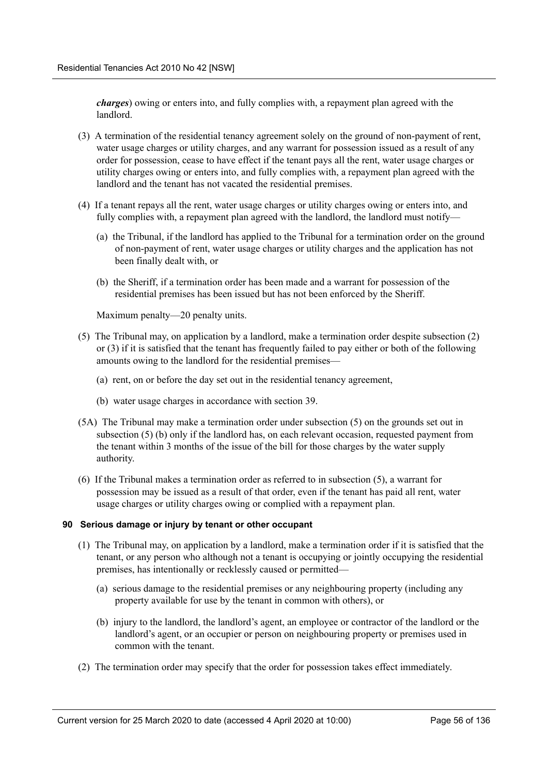*charges*) owing or enters into, and fully complies with, a repayment plan agreed with the landlord.

- (3) A termination of the residential tenancy agreement solely on the ground of non-payment of rent, water usage charges or utility charges, and any warrant for possession issued as a result of any order for possession, cease to have effect if the tenant pays all the rent, water usage charges or utility charges owing or enters into, and fully complies with, a repayment plan agreed with the landlord and the tenant has not vacated the residential premises.
- (4) If a tenant repays all the rent, water usage charges or utility charges owing or enters into, and fully complies with, a repayment plan agreed with the landlord, the landlord must notify—
	- (a) the Tribunal, if the landlord has applied to the Tribunal for a termination order on the ground of non-payment of rent, water usage charges or utility charges and the application has not been finally dealt with, or
	- (b) the Sheriff, if a termination order has been made and a warrant for possession of the residential premises has been issued but has not been enforced by the Sheriff.

Maximum penalty—20 penalty units.

- (5) The Tribunal may, on application by a landlord, make a termination order despite subsection (2) or (3) if it is satisfied that the tenant has frequently failed to pay either or both of the following amounts owing to the landlord for the residential premises—
	- (a) rent, on or before the day set out in the residential tenancy agreement,
	- (b) water usage charges in accordance with section 39.
- (5A) The Tribunal may make a termination order under subsection (5) on the grounds set out in subsection (5) (b) only if the landlord has, on each relevant occasion, requested payment from the tenant within 3 months of the issue of the bill for those charges by the water supply authority.
- (6) If the Tribunal makes a termination order as referred to in subsection (5), a warrant for possession may be issued as a result of that order, even if the tenant has paid all rent, water usage charges or utility charges owing or complied with a repayment plan.

### **90 Serious damage or injury by tenant or other occupant**

- (1) The Tribunal may, on application by a landlord, make a termination order if it is satisfied that the tenant, or any person who although not a tenant is occupying or jointly occupying the residential premises, has intentionally or recklessly caused or permitted—
	- (a) serious damage to the residential premises or any neighbouring property (including any property available for use by the tenant in common with others), or
	- (b) injury to the landlord, the landlord's agent, an employee or contractor of the landlord or the landlord's agent, or an occupier or person on neighbouring property or premises used in common with the tenant.
- (2) The termination order may specify that the order for possession takes effect immediately.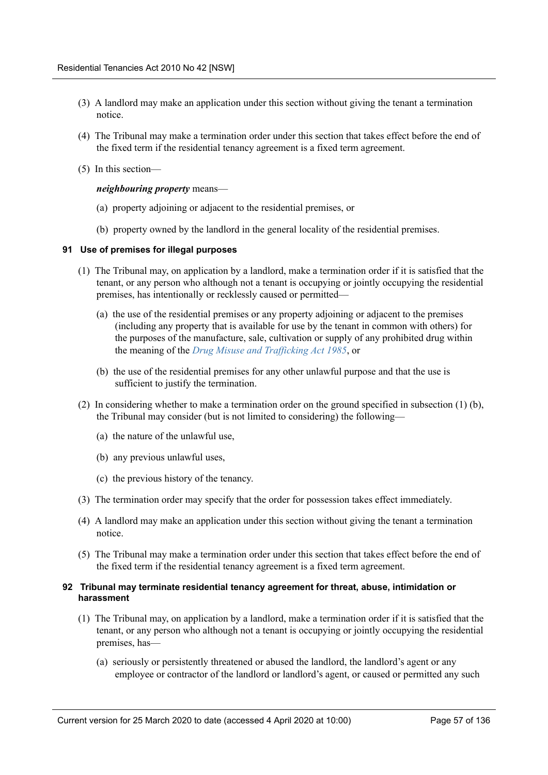- (3) A landlord may make an application under this section without giving the tenant a termination notice.
- (4) The Tribunal may make a termination order under this section that takes effect before the end of the fixed term if the residential tenancy agreement is a fixed term agreement.
- (5) In this section—

## *neighbouring property* means—

- (a) property adjoining or adjacent to the residential premises, or
- (b) property owned by the landlord in the general locality of the residential premises.

## **91 Use of premises for illegal purposes**

- (1) The Tribunal may, on application by a landlord, make a termination order if it is satisfied that the tenant, or any person who although not a tenant is occupying or jointly occupying the residential premises, has intentionally or recklessly caused or permitted—
	- (a) the use of the residential premises or any property adjoining or adjacent to the premises (including any property that is available for use by the tenant in common with others) for the purposes of the manufacture, sale, cultivation or supply of any prohibited drug within the meaning of the *Drug Misuse and Trafficking Act 1985*, or
	- (b) the use of the residential premises for any other unlawful purpose and that the use is sufficient to justify the termination.
- (2) In considering whether to make a termination order on the ground specified in subsection (1) (b), the Tribunal may consider (but is not limited to considering) the following—
	- (a) the nature of the unlawful use,
	- (b) any previous unlawful uses,
	- (c) the previous history of the tenancy.
- (3) The termination order may specify that the order for possession takes effect immediately.
- (4) A landlord may make an application under this section without giving the tenant a termination notice.
- (5) The Tribunal may make a termination order under this section that takes effect before the end of the fixed term if the residential tenancy agreement is a fixed term agreement.

## **92 Tribunal may terminate residential tenancy agreement for threat, abuse, intimidation or harassment**

- (1) The Tribunal may, on application by a landlord, make a termination order if it is satisfied that the tenant, or any person who although not a tenant is occupying or jointly occupying the residential premises, has—
	- (a) seriously or persistently threatened or abused the landlord, the landlord's agent or any employee or contractor of the landlord or landlord's agent, or caused or permitted any such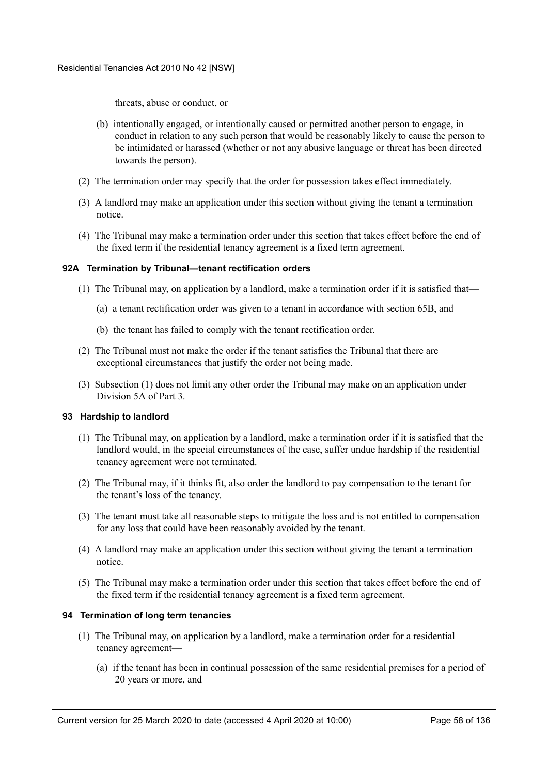threats, abuse or conduct, or

- (b) intentionally engaged, or intentionally caused or permitted another person to engage, in conduct in relation to any such person that would be reasonably likely to cause the person to be intimidated or harassed (whether or not any abusive language or threat has been directed towards the person).
- (2) The termination order may specify that the order for possession takes effect immediately.
- (3) A landlord may make an application under this section without giving the tenant a termination notice.
- (4) The Tribunal may make a termination order under this section that takes effect before the end of the fixed term if the residential tenancy agreement is a fixed term agreement.

## **92A Termination by Tribunal—tenant rectification orders**

- (1) The Tribunal may, on application by a landlord, make a termination order if it is satisfied that—
	- (a) a tenant rectification order was given to a tenant in accordance with section 65B, and
	- (b) the tenant has failed to comply with the tenant rectification order.
- (2) The Tribunal must not make the order if the tenant satisfies the Tribunal that there are exceptional circumstances that justify the order not being made.
- (3) Subsection (1) does not limit any other order the Tribunal may make on an application under Division 5A of Part 3.

## **93 Hardship to landlord**

- (1) The Tribunal may, on application by a landlord, make a termination order if it is satisfied that the landlord would, in the special circumstances of the case, suffer undue hardship if the residential tenancy agreement were not terminated.
- (2) The Tribunal may, if it thinks fit, also order the landlord to pay compensation to the tenant for the tenant's loss of the tenancy.
- (3) The tenant must take all reasonable steps to mitigate the loss and is not entitled to compensation for any loss that could have been reasonably avoided by the tenant.
- (4) A landlord may make an application under this section without giving the tenant a termination notice.
- (5) The Tribunal may make a termination order under this section that takes effect before the end of the fixed term if the residential tenancy agreement is a fixed term agreement.

## **94 Termination of long term tenancies**

- (1) The Tribunal may, on application by a landlord, make a termination order for a residential tenancy agreement—
	- (a) if the tenant has been in continual possession of the same residential premises for a period of 20 years or more, and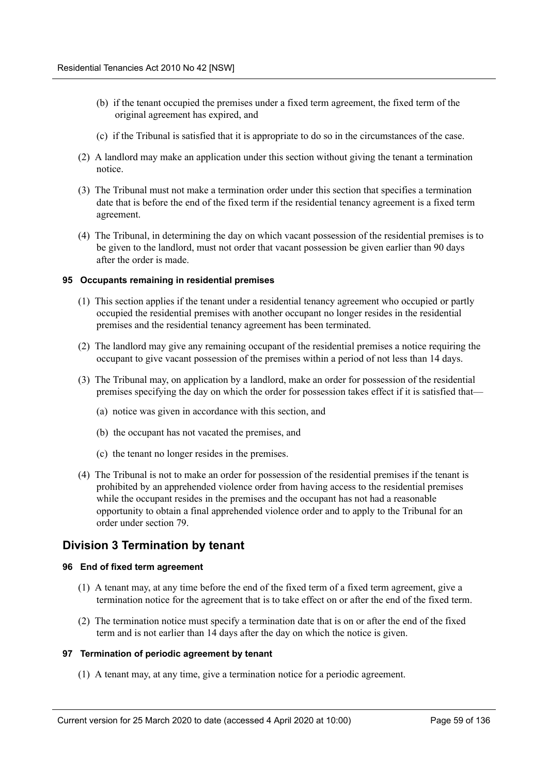- (b) if the tenant occupied the premises under a fixed term agreement, the fixed term of the original agreement has expired, and
- (c) if the Tribunal is satisfied that it is appropriate to do so in the circumstances of the case.
- (2) A landlord may make an application under this section without giving the tenant a termination notice.
- (3) The Tribunal must not make a termination order under this section that specifies a termination date that is before the end of the fixed term if the residential tenancy agreement is a fixed term agreement.
- (4) The Tribunal, in determining the day on which vacant possession of the residential premises is to be given to the landlord, must not order that vacant possession be given earlier than 90 days after the order is made.

## **95 Occupants remaining in residential premises**

- (1) This section applies if the tenant under a residential tenancy agreement who occupied or partly occupied the residential premises with another occupant no longer resides in the residential premises and the residential tenancy agreement has been terminated.
- (2) The landlord may give any remaining occupant of the residential premises a notice requiring the occupant to give vacant possession of the premises within a period of not less than 14 days.
- (3) The Tribunal may, on application by a landlord, make an order for possession of the residential premises specifying the day on which the order for possession takes effect if it is satisfied that—
	- (a) notice was given in accordance with this section, and
	- (b) the occupant has not vacated the premises, and
	- (c) the tenant no longer resides in the premises.
- (4) The Tribunal is not to make an order for possession of the residential premises if the tenant is prohibited by an apprehended violence order from having access to the residential premises while the occupant resides in the premises and the occupant has not had a reasonable opportunity to obtain a final apprehended violence order and to apply to the Tribunal for an order under section 79.

# **Division 3 Termination by tenant**

### **96 End of fixed term agreement**

- (1) A tenant may, at any time before the end of the fixed term of a fixed term agreement, give a termination notice for the agreement that is to take effect on or after the end of the fixed term.
- (2) The termination notice must specify a termination date that is on or after the end of the fixed term and is not earlier than 14 days after the day on which the notice is given.

### **97 Termination of periodic agreement by tenant**

(1) A tenant may, at any time, give a termination notice for a periodic agreement.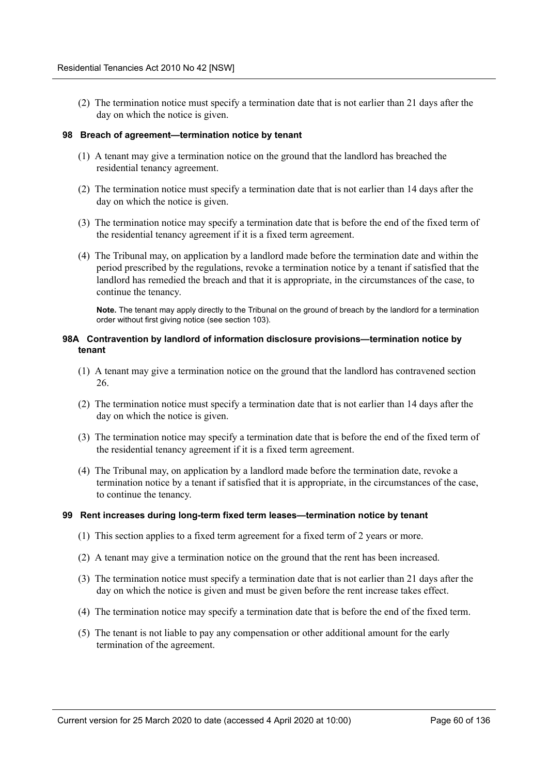(2) The termination notice must specify a termination date that is not earlier than 21 days after the day on which the notice is given.

## **98 Breach of agreement—termination notice by tenant**

- (1) A tenant may give a termination notice on the ground that the landlord has breached the residential tenancy agreement.
- (2) The termination notice must specify a termination date that is not earlier than 14 days after the day on which the notice is given.
- (3) The termination notice may specify a termination date that is before the end of the fixed term of the residential tenancy agreement if it is a fixed term agreement.
- (4) The Tribunal may, on application by a landlord made before the termination date and within the period prescribed by the regulations, revoke a termination notice by a tenant if satisfied that the landlord has remedied the breach and that it is appropriate, in the circumstances of the case, to continue the tenancy.

**Note.** The tenant may apply directly to the Tribunal on the ground of breach by the landlord for a termination order without first giving notice (see section 103).

## **98A Contravention by landlord of information disclosure provisions—termination notice by tenant**

- (1) A tenant may give a termination notice on the ground that the landlord has contravened section 26.
- (2) The termination notice must specify a termination date that is not earlier than 14 days after the day on which the notice is given.
- (3) The termination notice may specify a termination date that is before the end of the fixed term of the residential tenancy agreement if it is a fixed term agreement.
- (4) The Tribunal may, on application by a landlord made before the termination date, revoke a termination notice by a tenant if satisfied that it is appropriate, in the circumstances of the case, to continue the tenancy.

### **99 Rent increases during long-term fixed term leases—termination notice by tenant**

- (1) This section applies to a fixed term agreement for a fixed term of 2 years or more.
- (2) A tenant may give a termination notice on the ground that the rent has been increased.
- (3) The termination notice must specify a termination date that is not earlier than 21 days after the day on which the notice is given and must be given before the rent increase takes effect.
- (4) The termination notice may specify a termination date that is before the end of the fixed term.
- (5) The tenant is not liable to pay any compensation or other additional amount for the early termination of the agreement.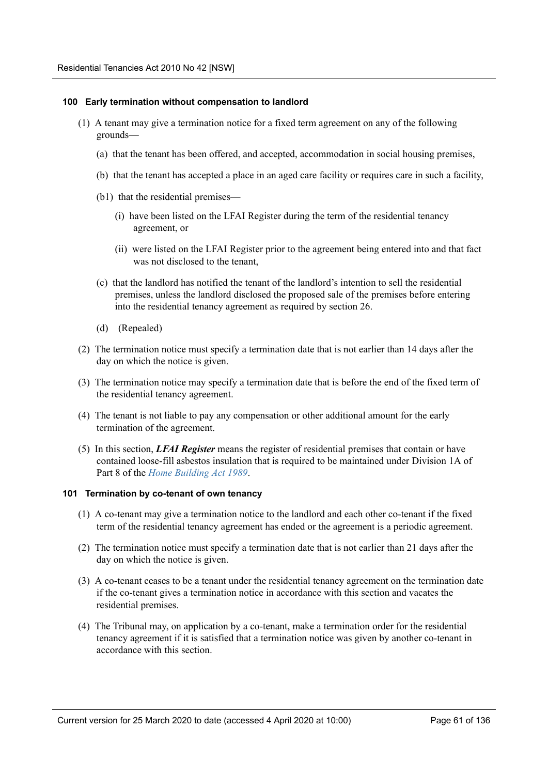### **100 Early termination without compensation to landlord**

- (1) A tenant may give a termination notice for a fixed term agreement on any of the following grounds—
	- (a) that the tenant has been offered, and accepted, accommodation in social housing premises,
	- (b) that the tenant has accepted a place in an aged care facility or requires care in such a facility,
	- (b1) that the residential premises—
		- (i) have been listed on the LFAI Register during the term of the residential tenancy agreement, or
		- (ii) were listed on the LFAI Register prior to the agreement being entered into and that fact was not disclosed to the tenant,
	- (c) that the landlord has notified the tenant of the landlord's intention to sell the residential premises, unless the landlord disclosed the proposed sale of the premises before entering into the residential tenancy agreement as required by section 26.
	- (d) (Repealed)
- (2) The termination notice must specify a termination date that is not earlier than 14 days after the day on which the notice is given.
- (3) The termination notice may specify a termination date that is before the end of the fixed term of the residential tenancy agreement.
- (4) The tenant is not liable to pay any compensation or other additional amount for the early termination of the agreement.
- (5) In this section, *LFAI Register* means the register of residential premises that contain or have contained loose-fill asbestos insulation that is required to be maintained under Division 1A of Part 8 of the *Home Building Act 1989*.

### **101 Termination by co-tenant of own tenancy**

- (1) A co-tenant may give a termination notice to the landlord and each other co-tenant if the fixed term of the residential tenancy agreement has ended or the agreement is a periodic agreement.
- (2) The termination notice must specify a termination date that is not earlier than 21 days after the day on which the notice is given.
- (3) A co-tenant ceases to be a tenant under the residential tenancy agreement on the termination date if the co-tenant gives a termination notice in accordance with this section and vacates the residential premises.
- (4) The Tribunal may, on application by a co-tenant, make a termination order for the residential tenancy agreement if it is satisfied that a termination notice was given by another co-tenant in accordance with this section.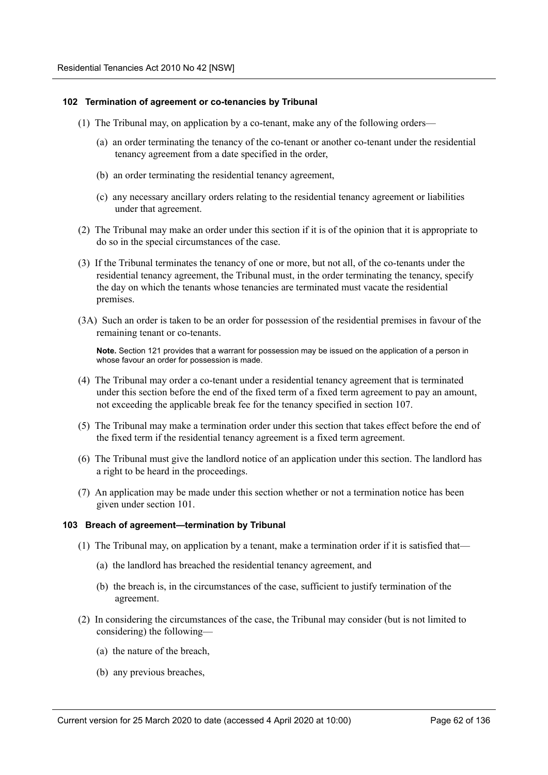### **102 Termination of agreement or co-tenancies by Tribunal**

- (1) The Tribunal may, on application by a co-tenant, make any of the following orders—
	- (a) an order terminating the tenancy of the co-tenant or another co-tenant under the residential tenancy agreement from a date specified in the order,
	- (b) an order terminating the residential tenancy agreement,
	- (c) any necessary ancillary orders relating to the residential tenancy agreement or liabilities under that agreement.
- (2) The Tribunal may make an order under this section if it is of the opinion that it is appropriate to do so in the special circumstances of the case.
- (3) If the Tribunal terminates the tenancy of one or more, but not all, of the co-tenants under the residential tenancy agreement, the Tribunal must, in the order terminating the tenancy, specify the day on which the tenants whose tenancies are terminated must vacate the residential premises.
- (3A) Such an order is taken to be an order for possession of the residential premises in favour of the remaining tenant or co-tenants.

**Note.** Section 121 provides that a warrant for possession may be issued on the application of a person in whose favour an order for possession is made.

- (4) The Tribunal may order a co-tenant under a residential tenancy agreement that is terminated under this section before the end of the fixed term of a fixed term agreement to pay an amount, not exceeding the applicable break fee for the tenancy specified in section 107.
- (5) The Tribunal may make a termination order under this section that takes effect before the end of the fixed term if the residential tenancy agreement is a fixed term agreement.
- (6) The Tribunal must give the landlord notice of an application under this section. The landlord has a right to be heard in the proceedings.
- (7) An application may be made under this section whether or not a termination notice has been given under section 101.

### **103 Breach of agreement—termination by Tribunal**

- (1) The Tribunal may, on application by a tenant, make a termination order if it is satisfied that—
	- (a) the landlord has breached the residential tenancy agreement, and
	- (b) the breach is, in the circumstances of the case, sufficient to justify termination of the agreement.
- (2) In considering the circumstances of the case, the Tribunal may consider (but is not limited to considering) the following—
	- (a) the nature of the breach,
	- (b) any previous breaches,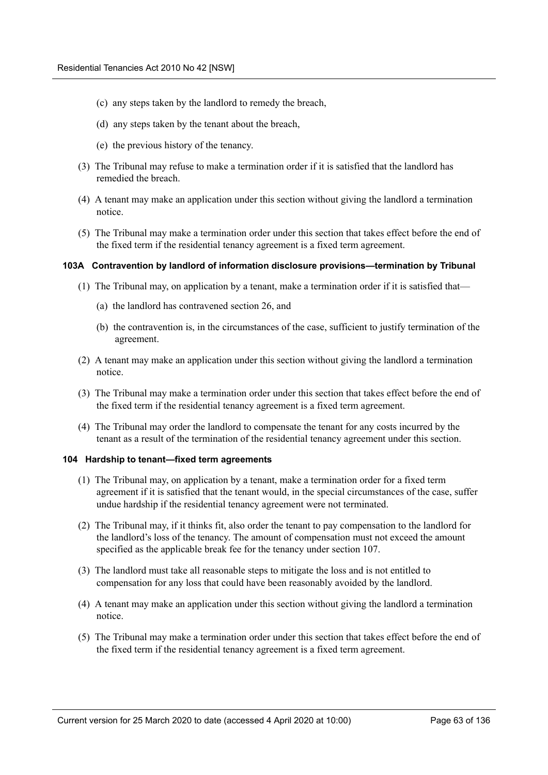- (c) any steps taken by the landlord to remedy the breach,
- (d) any steps taken by the tenant about the breach,
- (e) the previous history of the tenancy.
- (3) The Tribunal may refuse to make a termination order if it is satisfied that the landlord has remedied the breach.
- (4) A tenant may make an application under this section without giving the landlord a termination notice.
- (5) The Tribunal may make a termination order under this section that takes effect before the end of the fixed term if the residential tenancy agreement is a fixed term agreement.

### **103A Contravention by landlord of information disclosure provisions—termination by Tribunal**

- (1) The Tribunal may, on application by a tenant, make a termination order if it is satisfied that—
	- (a) the landlord has contravened section 26, and
	- (b) the contravention is, in the circumstances of the case, sufficient to justify termination of the agreement.
- (2) A tenant may make an application under this section without giving the landlord a termination notice.
- (3) The Tribunal may make a termination order under this section that takes effect before the end of the fixed term if the residential tenancy agreement is a fixed term agreement.
- (4) The Tribunal may order the landlord to compensate the tenant for any costs incurred by the tenant as a result of the termination of the residential tenancy agreement under this section.

### **104 Hardship to tenant—fixed term agreements**

- (1) The Tribunal may, on application by a tenant, make a termination order for a fixed term agreement if it is satisfied that the tenant would, in the special circumstances of the case, suffer undue hardship if the residential tenancy agreement were not terminated.
- (2) The Tribunal may, if it thinks fit, also order the tenant to pay compensation to the landlord for the landlord's loss of the tenancy. The amount of compensation must not exceed the amount specified as the applicable break fee for the tenancy under section 107.
- (3) The landlord must take all reasonable steps to mitigate the loss and is not entitled to compensation for any loss that could have been reasonably avoided by the landlord.
- (4) A tenant may make an application under this section without giving the landlord a termination notice.
- (5) The Tribunal may make a termination order under this section that takes effect before the end of the fixed term if the residential tenancy agreement is a fixed term agreement.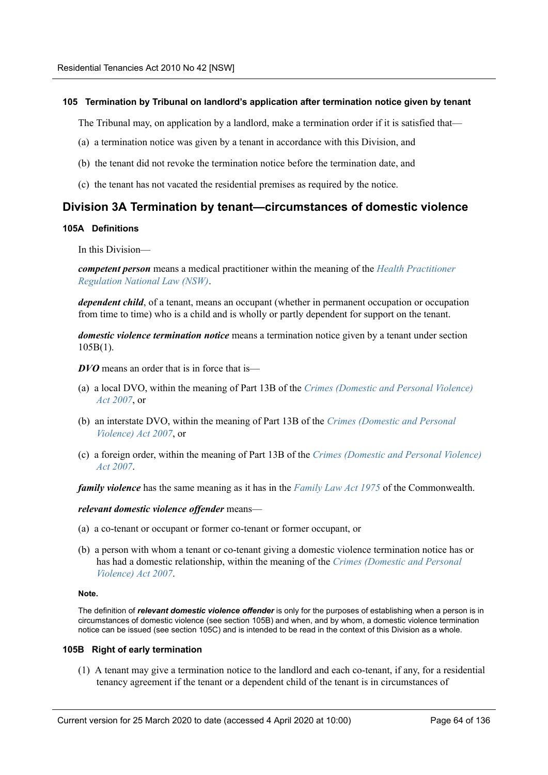## **105 Termination by Tribunal on landlord's application after termination notice given by tenant**

The Tribunal may, on application by a landlord, make a termination order if it is satisfied that—

- (a) a termination notice was given by a tenant in accordance with this Division, and
- (b) the tenant did not revoke the termination notice before the termination date, and
- (c) the tenant has not vacated the residential premises as required by the notice.

## **Division 3A Termination by tenant—circumstances of domestic violence**

## **105A Definitions**

In this Division—

*competent person* means a medical practitioner within the meaning of the *Health Practitioner Regulation National Law (NSW)*.

*dependent child*, of a tenant, means an occupant (whether in permanent occupation or occupation from time to time) who is a child and is wholly or partly dependent for support on the tenant.

*domestic violence termination notice* means a termination notice given by a tenant under section 105B(1).

*DVO* means an order that is in force that is—

- (a) a local DVO, within the meaning of Part 13B of the *Crimes (Domestic and Personal Violence) Act 2007*, or
- (b) an interstate DVO, within the meaning of Part 13B of the *Crimes (Domestic and Personal Violence) Act 2007*, or
- (c) a foreign order, within the meaning of Part 13B of the *Crimes (Domestic and Personal Violence) Act 2007*.

*family violence* has the same meaning as it has in the *Family Law Act 1975* of the Commonwealth.

*relevant domestic violence offender* means—

- (a) a co-tenant or occupant or former co-tenant or former occupant, or
- (b) a person with whom a tenant or co-tenant giving a domestic violence termination notice has or has had a domestic relationship, within the meaning of the *Crimes (Domestic and Personal Violence) Act 2007*.

### **Note.**

The definition of *relevant domestic violence offender* is only for the purposes of establishing when a person is in circumstances of domestic violence (see section 105B) and when, and by whom, a domestic violence termination notice can be issued (see section 105C) and is intended to be read in the context of this Division as a whole.

## **105B Right of early termination**

(1) A tenant may give a termination notice to the landlord and each co-tenant, if any, for a residential tenancy agreement if the tenant or a dependent child of the tenant is in circumstances of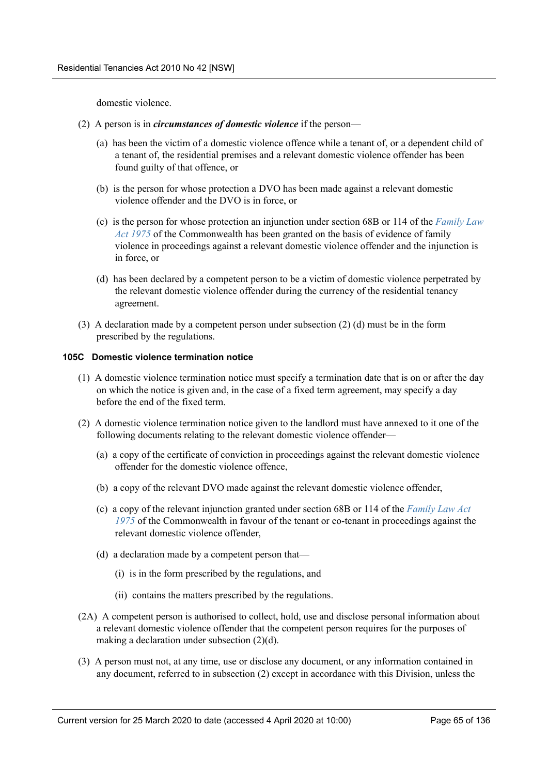domestic violence.

- (2) A person is in *circumstances of domestic violence* if the person—
	- (a) has been the victim of a domestic violence offence while a tenant of, or a dependent child of a tenant of, the residential premises and a relevant domestic violence offender has been found guilty of that offence, or
	- (b) is the person for whose protection a DVO has been made against a relevant domestic violence offender and the DVO is in force, or
	- (c) is the person for whose protection an injunction under section 68B or 114 of the *Family Law Act 1975* of the Commonwealth has been granted on the basis of evidence of family violence in proceedings against a relevant domestic violence offender and the injunction is in force, or
	- (d) has been declared by a competent person to be a victim of domestic violence perpetrated by the relevant domestic violence offender during the currency of the residential tenancy agreement.
- (3) A declaration made by a competent person under subsection (2) (d) must be in the form prescribed by the regulations.

## **105C Domestic violence termination notice**

- (1) A domestic violence termination notice must specify a termination date that is on or after the day on which the notice is given and, in the case of a fixed term agreement, may specify a day before the end of the fixed term.
- (2) A domestic violence termination notice given to the landlord must have annexed to it one of the following documents relating to the relevant domestic violence offender—
	- (a) a copy of the certificate of conviction in proceedings against the relevant domestic violence offender for the domestic violence offence,
	- (b) a copy of the relevant DVO made against the relevant domestic violence offender,
	- (c) a copy of the relevant injunction granted under section 68B or 114 of the *Family Law Act 1975* of the Commonwealth in favour of the tenant or co-tenant in proceedings against the relevant domestic violence offender,
	- (d) a declaration made by a competent person that—
		- (i) is in the form prescribed by the regulations, and
		- (ii) contains the matters prescribed by the regulations.
- (2A) A competent person is authorised to collect, hold, use and disclose personal information about a relevant domestic violence offender that the competent person requires for the purposes of making a declaration under subsection (2)(d).
- (3) A person must not, at any time, use or disclose any document, or any information contained in any document, referred to in subsection (2) except in accordance with this Division, unless the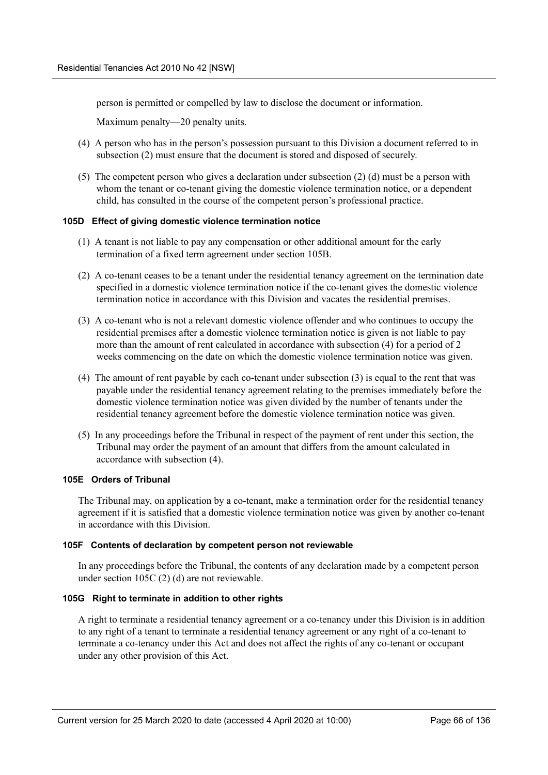person is permitted or compelled by law to disclose the document or information.

Maximum penalty—20 penalty units.

- (4) A person who has in the person's possession pursuant to this Division a document referred to in subsection (2) must ensure that the document is stored and disposed of securely.
- (5) The competent person who gives a declaration under subsection (2) (d) must be a person with whom the tenant or co-tenant giving the domestic violence termination notice, or a dependent child, has consulted in the course of the competent person's professional practice.

## **105D Effect of giving domestic violence termination notice**

- (1) A tenant is not liable to pay any compensation or other additional amount for the early termination of a fixed term agreement under section 105B.
- (2) A co-tenant ceases to be a tenant under the residential tenancy agreement on the termination date specified in a domestic violence termination notice if the co-tenant gives the domestic violence termination notice in accordance with this Division and vacates the residential premises.
- (3) A co-tenant who is not a relevant domestic violence offender and who continues to occupy the residential premises after a domestic violence termination notice is given is not liable to pay more than the amount of rent calculated in accordance with subsection (4) for a period of 2 weeks commencing on the date on which the domestic violence termination notice was given.
- (4) The amount of rent payable by each co-tenant under subsection (3) is equal to the rent that was payable under the residential tenancy agreement relating to the premises immediately before the domestic violence termination notice was given divided by the number of tenants under the residential tenancy agreement before the domestic violence termination notice was given.
- (5) In any proceedings before the Tribunal in respect of the payment of rent under this section, the Tribunal may order the payment of an amount that differs from the amount calculated in accordance with subsection (4).

## **105E Orders of Tribunal**

The Tribunal may, on application by a co-tenant, make a termination order for the residential tenancy agreement if it is satisfied that a domestic violence termination notice was given by another co-tenant in accordance with this Division.

### **105F Contents of declaration by competent person not reviewable**

In any proceedings before the Tribunal, the contents of any declaration made by a competent person under section 105C (2) (d) are not reviewable.

### **105G Right to terminate in addition to other rights**

A right to terminate a residential tenancy agreement or a co-tenancy under this Division is in addition to any right of a tenant to terminate a residential tenancy agreement or any right of a co-tenant to terminate a co-tenancy under this Act and does not affect the rights of any co-tenant or occupant under any other provision of this Act.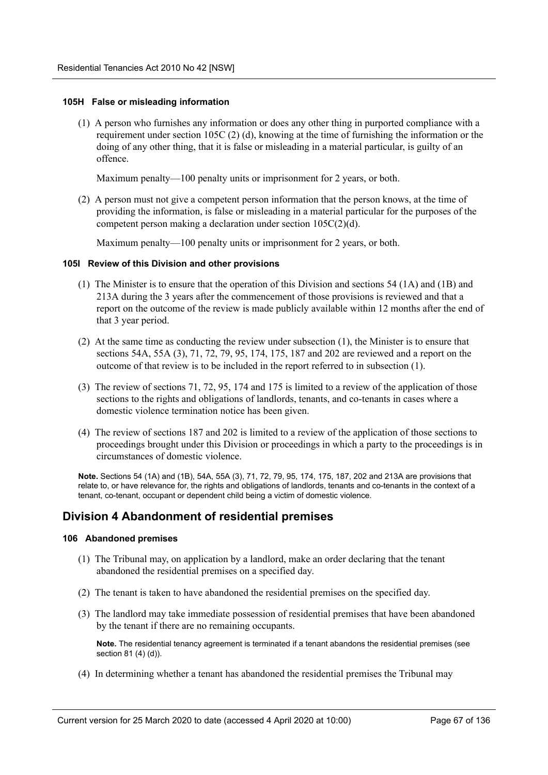### **105H False or misleading information**

(1) A person who furnishes any information or does any other thing in purported compliance with a requirement under section 105C (2) (d), knowing at the time of furnishing the information or the doing of any other thing, that it is false or misleading in a material particular, is guilty of an offence.

Maximum penalty—100 penalty units or imprisonment for 2 years, or both.

(2) A person must not give a competent person information that the person knows, at the time of providing the information, is false or misleading in a material particular for the purposes of the competent person making a declaration under section 105C(2)(d).

Maximum penalty—100 penalty units or imprisonment for 2 years, or both.

### **105I Review of this Division and other provisions**

- (1) The Minister is to ensure that the operation of this Division and sections 54 (1A) and (1B) and 213A during the 3 years after the commencement of those provisions is reviewed and that a report on the outcome of the review is made publicly available within 12 months after the end of that 3 year period.
- (2) At the same time as conducting the review under subsection (1), the Minister is to ensure that sections 54A, 55A (3), 71, 72, 79, 95, 174, 175, 187 and 202 are reviewed and a report on the outcome of that review is to be included in the report referred to in subsection (1).
- (3) The review of sections 71, 72, 95, 174 and 175 is limited to a review of the application of those sections to the rights and obligations of landlords, tenants, and co-tenants in cases where a domestic violence termination notice has been given.
- (4) The review of sections 187 and 202 is limited to a review of the application of those sections to proceedings brought under this Division or proceedings in which a party to the proceedings is in circumstances of domestic violence.

**Note.** Sections 54 (1A) and (1B), 54A, 55A (3), 71, 72, 79, 95, 174, 175, 187, 202 and 213A are provisions that relate to, or have relevance for, the rights and obligations of landlords, tenants and co-tenants in the context of a tenant, co-tenant, occupant or dependent child being a victim of domestic violence.

# **Division 4 Abandonment of residential premises**

## **106 Abandoned premises**

- (1) The Tribunal may, on application by a landlord, make an order declaring that the tenant abandoned the residential premises on a specified day.
- (2) The tenant is taken to have abandoned the residential premises on the specified day.
- (3) The landlord may take immediate possession of residential premises that have been abandoned by the tenant if there are no remaining occupants.

**Note.** The residential tenancy agreement is terminated if a tenant abandons the residential premises (see section 81 (4) (d)).

(4) In determining whether a tenant has abandoned the residential premises the Tribunal may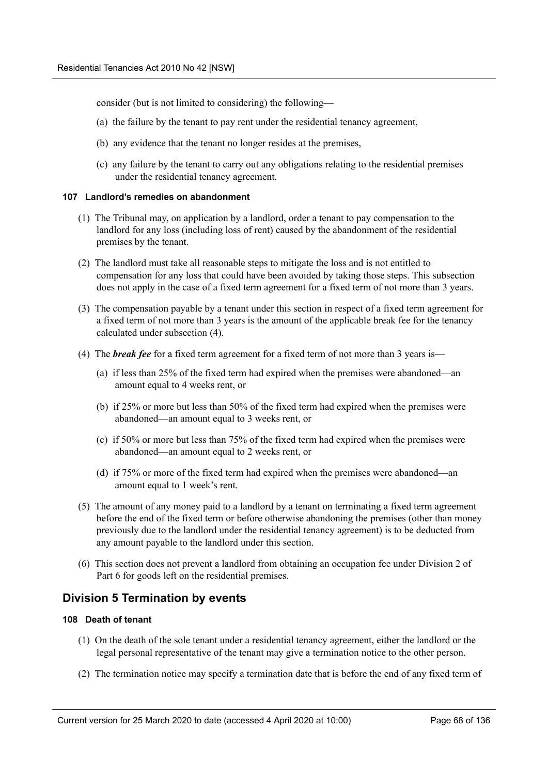consider (but is not limited to considering) the following—

- (a) the failure by the tenant to pay rent under the residential tenancy agreement,
- (b) any evidence that the tenant no longer resides at the premises,
- (c) any failure by the tenant to carry out any obligations relating to the residential premises under the residential tenancy agreement.

## **107 Landlord's remedies on abandonment**

- (1) The Tribunal may, on application by a landlord, order a tenant to pay compensation to the landlord for any loss (including loss of rent) caused by the abandonment of the residential premises by the tenant.
- (2) The landlord must take all reasonable steps to mitigate the loss and is not entitled to compensation for any loss that could have been avoided by taking those steps. This subsection does not apply in the case of a fixed term agreement for a fixed term of not more than 3 years.
- (3) The compensation payable by a tenant under this section in respect of a fixed term agreement for a fixed term of not more than 3 years is the amount of the applicable break fee for the tenancy calculated under subsection (4).
- (4) The *break fee* for a fixed term agreement for a fixed term of not more than 3 years is—
	- (a) if less than 25% of the fixed term had expired when the premises were abandoned—an amount equal to 4 weeks rent, or
	- (b) if 25% or more but less than 50% of the fixed term had expired when the premises were abandoned—an amount equal to 3 weeks rent, or
	- (c) if 50% or more but less than 75% of the fixed term had expired when the premises were abandoned—an amount equal to 2 weeks rent, or
	- (d) if 75% or more of the fixed term had expired when the premises were abandoned—an amount equal to 1 week's rent.
- (5) The amount of any money paid to a landlord by a tenant on terminating a fixed term agreement before the end of the fixed term or before otherwise abandoning the premises (other than money previously due to the landlord under the residential tenancy agreement) is to be deducted from any amount payable to the landlord under this section.
- (6) This section does not prevent a landlord from obtaining an occupation fee under Division 2 of Part 6 for goods left on the residential premises.

# **Division 5 Termination by events**

## **108 Death of tenant**

- (1) On the death of the sole tenant under a residential tenancy agreement, either the landlord or the legal personal representative of the tenant may give a termination notice to the other person.
- (2) The termination notice may specify a termination date that is before the end of any fixed term of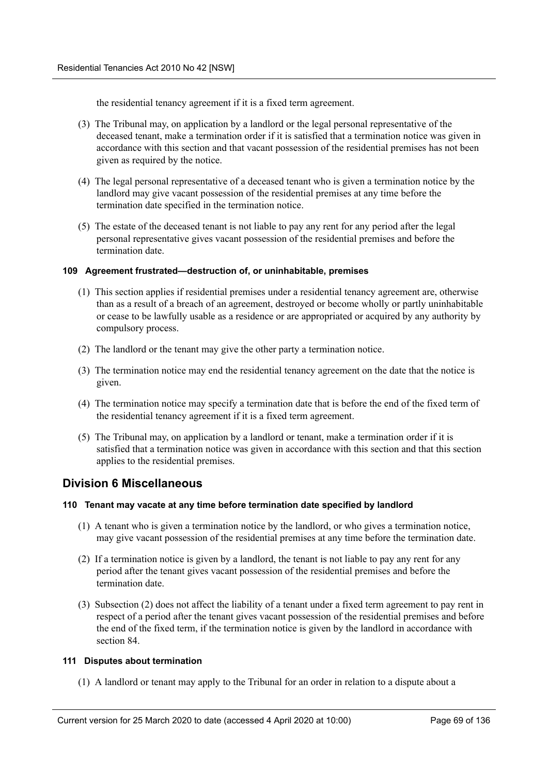the residential tenancy agreement if it is a fixed term agreement.

- (3) The Tribunal may, on application by a landlord or the legal personal representative of the deceased tenant, make a termination order if it is satisfied that a termination notice was given in accordance with this section and that vacant possession of the residential premises has not been given as required by the notice.
- (4) The legal personal representative of a deceased tenant who is given a termination notice by the landlord may give vacant possession of the residential premises at any time before the termination date specified in the termination notice.
- (5) The estate of the deceased tenant is not liable to pay any rent for any period after the legal personal representative gives vacant possession of the residential premises and before the termination date.

## **109 Agreement frustrated—destruction of, or uninhabitable, premises**

- (1) This section applies if residential premises under a residential tenancy agreement are, otherwise than as a result of a breach of an agreement, destroyed or become wholly or partly uninhabitable or cease to be lawfully usable as a residence or are appropriated or acquired by any authority by compulsory process.
- (2) The landlord or the tenant may give the other party a termination notice.
- (3) The termination notice may end the residential tenancy agreement on the date that the notice is given.
- (4) The termination notice may specify a termination date that is before the end of the fixed term of the residential tenancy agreement if it is a fixed term agreement.
- (5) The Tribunal may, on application by a landlord or tenant, make a termination order if it is satisfied that a termination notice was given in accordance with this section and that this section applies to the residential premises.

# **Division 6 Miscellaneous**

## **110 Tenant may vacate at any time before termination date specified by landlord**

- (1) A tenant who is given a termination notice by the landlord, or who gives a termination notice, may give vacant possession of the residential premises at any time before the termination date.
- (2) If a termination notice is given by a landlord, the tenant is not liable to pay any rent for any period after the tenant gives vacant possession of the residential premises and before the termination date.
- (3) Subsection (2) does not affect the liability of a tenant under a fixed term agreement to pay rent in respect of a period after the tenant gives vacant possession of the residential premises and before the end of the fixed term, if the termination notice is given by the landlord in accordance with section 84.

## **111 Disputes about termination**

(1) A landlord or tenant may apply to the Tribunal for an order in relation to a dispute about a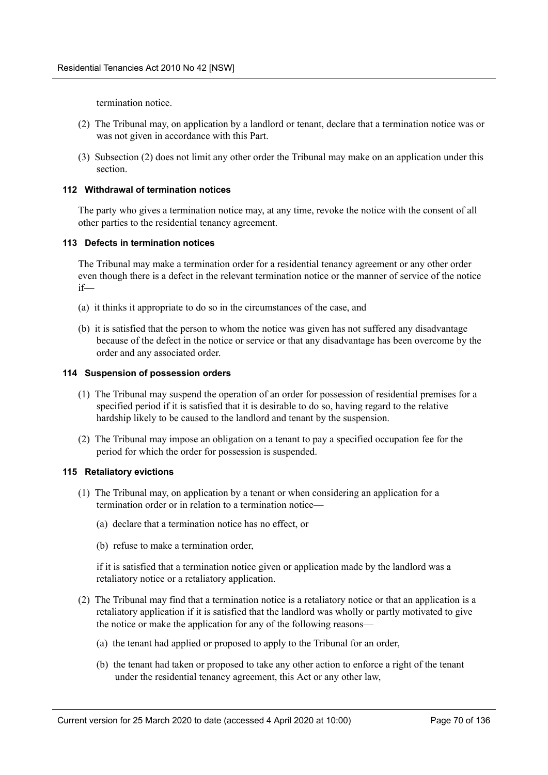termination notice.

- (2) The Tribunal may, on application by a landlord or tenant, declare that a termination notice was or was not given in accordance with this Part.
- (3) Subsection (2) does not limit any other order the Tribunal may make on an application under this section.

## **112 Withdrawal of termination notices**

The party who gives a termination notice may, at any time, revoke the notice with the consent of all other parties to the residential tenancy agreement.

### **113 Defects in termination notices**

The Tribunal may make a termination order for a residential tenancy agreement or any other order even though there is a defect in the relevant termination notice or the manner of service of the notice if—

- (a) it thinks it appropriate to do so in the circumstances of the case, and
- (b) it is satisfied that the person to whom the notice was given has not suffered any disadvantage because of the defect in the notice or service or that any disadvantage has been overcome by the order and any associated order.

## **114 Suspension of possession orders**

- (1) The Tribunal may suspend the operation of an order for possession of residential premises for a specified period if it is satisfied that it is desirable to do so, having regard to the relative hardship likely to be caused to the landlord and tenant by the suspension.
- (2) The Tribunal may impose an obligation on a tenant to pay a specified occupation fee for the period for which the order for possession is suspended.

### **115 Retaliatory evictions**

- (1) The Tribunal may, on application by a tenant or when considering an application for a termination order or in relation to a termination notice—
	- (a) declare that a termination notice has no effect, or
	- (b) refuse to make a termination order,

if it is satisfied that a termination notice given or application made by the landlord was a retaliatory notice or a retaliatory application.

- (2) The Tribunal may find that a termination notice is a retaliatory notice or that an application is a retaliatory application if it is satisfied that the landlord was wholly or partly motivated to give the notice or make the application for any of the following reasons—
	- (a) the tenant had applied or proposed to apply to the Tribunal for an order,
	- (b) the tenant had taken or proposed to take any other action to enforce a right of the tenant under the residential tenancy agreement, this Act or any other law,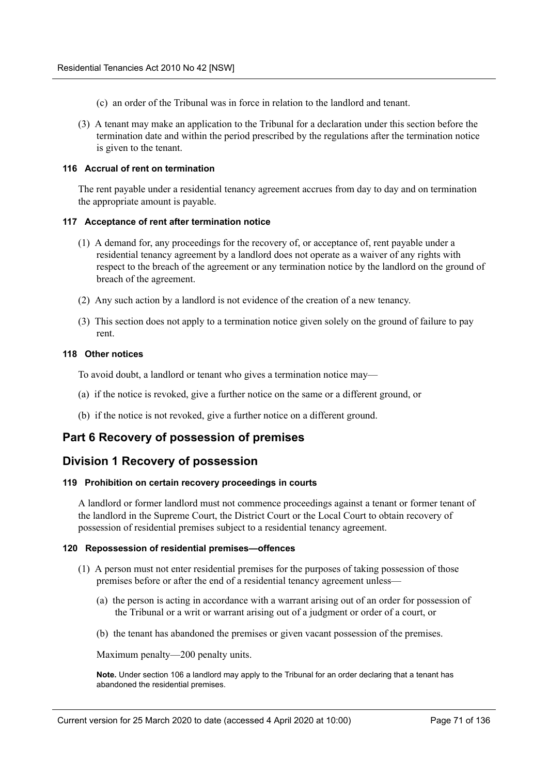- (c) an order of the Tribunal was in force in relation to the landlord and tenant.
- (3) A tenant may make an application to the Tribunal for a declaration under this section before the termination date and within the period prescribed by the regulations after the termination notice is given to the tenant.

## **116 Accrual of rent on termination**

The rent payable under a residential tenancy agreement accrues from day to day and on termination the appropriate amount is payable.

### **117 Acceptance of rent after termination notice**

- (1) A demand for, any proceedings for the recovery of, or acceptance of, rent payable under a residential tenancy agreement by a landlord does not operate as a waiver of any rights with respect to the breach of the agreement or any termination notice by the landlord on the ground of breach of the agreement.
- (2) Any such action by a landlord is not evidence of the creation of a new tenancy.
- (3) This section does not apply to a termination notice given solely on the ground of failure to pay rent.

## **118 Other notices**

To avoid doubt, a landlord or tenant who gives a termination notice may—

- (a) if the notice is revoked, give a further notice on the same or a different ground, or
- (b) if the notice is not revoked, give a further notice on a different ground.

# **Part 6 Recovery of possession of premises**

# **Division 1 Recovery of possession**

### **119 Prohibition on certain recovery proceedings in courts**

A landlord or former landlord must not commence proceedings against a tenant or former tenant of the landlord in the Supreme Court, the District Court or the Local Court to obtain recovery of possession of residential premises subject to a residential tenancy agreement.

## **120 Repossession of residential premises—offences**

- (1) A person must not enter residential premises for the purposes of taking possession of those premises before or after the end of a residential tenancy agreement unless—
	- (a) the person is acting in accordance with a warrant arising out of an order for possession of the Tribunal or a writ or warrant arising out of a judgment or order of a court, or
	- (b) the tenant has abandoned the premises or given vacant possession of the premises.

Maximum penalty—200 penalty units.

**Note.** Under section 106 a landlord may apply to the Tribunal for an order declaring that a tenant has abandoned the residential premises.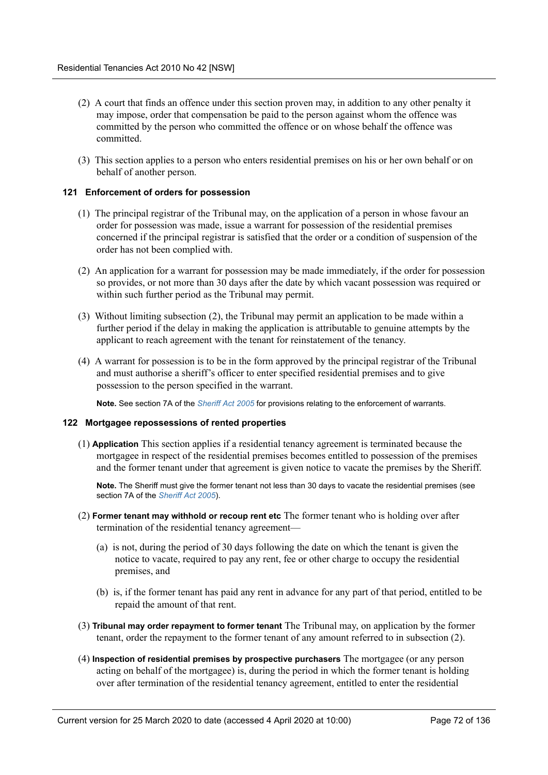- (2) A court that finds an offence under this section proven may, in addition to any other penalty it may impose, order that compensation be paid to the person against whom the offence was committed by the person who committed the offence or on whose behalf the offence was committed.
- (3) This section applies to a person who enters residential premises on his or her own behalf or on behalf of another person.

## **121 Enforcement of orders for possession**

- (1) The principal registrar of the Tribunal may, on the application of a person in whose favour an order for possession was made, issue a warrant for possession of the residential premises concerned if the principal registrar is satisfied that the order or a condition of suspension of the order has not been complied with.
- (2) An application for a warrant for possession may be made immediately, if the order for possession so provides, or not more than 30 days after the date by which vacant possession was required or within such further period as the Tribunal may permit.
- (3) Without limiting subsection (2), the Tribunal may permit an application to be made within a further period if the delay in making the application is attributable to genuine attempts by the applicant to reach agreement with the tenant for reinstatement of the tenancy.
- (4) A warrant for possession is to be in the form approved by the principal registrar of the Tribunal and must authorise a sheriff's officer to enter specified residential premises and to give possession to the person specified in the warrant.

**Note.** See section 7A of the *Sheriff Act 2005* for provisions relating to the enforcement of warrants.

### **122 Mortgagee repossessions of rented properties**

(1) **Application** This section applies if a residential tenancy agreement is terminated because the mortgagee in respect of the residential premises becomes entitled to possession of the premises and the former tenant under that agreement is given notice to vacate the premises by the Sheriff.

**Note.** The Sheriff must give the former tenant not less than 30 days to vacate the residential premises (see section 7A of the *Sheriff Act 2005*).

- (2) **Former tenant may withhold or recoup rent etc** The former tenant who is holding over after termination of the residential tenancy agreement—
	- (a) is not, during the period of 30 days following the date on which the tenant is given the notice to vacate, required to pay any rent, fee or other charge to occupy the residential premises, and
	- (b) is, if the former tenant has paid any rent in advance for any part of that period, entitled to be repaid the amount of that rent.
- (3) **Tribunal may order repayment to former tenant** The Tribunal may, on application by the former tenant, order the repayment to the former tenant of any amount referred to in subsection (2).
- (4) **Inspection of residential premises by prospective purchasers** The mortgagee (or any person acting on behalf of the mortgagee) is, during the period in which the former tenant is holding over after termination of the residential tenancy agreement, entitled to enter the residential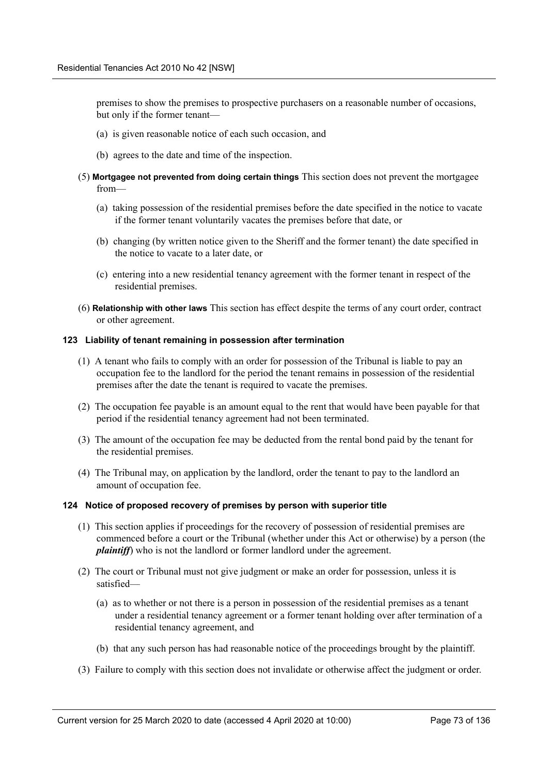premises to show the premises to prospective purchasers on a reasonable number of occasions, but only if the former tenant—

- (a) is given reasonable notice of each such occasion, and
- (b) agrees to the date and time of the inspection.
- (5) **Mortgagee not prevented from doing certain things** This section does not prevent the mortgagee from—
	- (a) taking possession of the residential premises before the date specified in the notice to vacate if the former tenant voluntarily vacates the premises before that date, or
	- (b) changing (by written notice given to the Sheriff and the former tenant) the date specified in the notice to vacate to a later date, or
	- (c) entering into a new residential tenancy agreement with the former tenant in respect of the residential premises.
- (6) **Relationship with other laws** This section has effect despite the terms of any court order, contract or other agreement.

#### **123 Liability of tenant remaining in possession after termination**

- (1) A tenant who fails to comply with an order for possession of the Tribunal is liable to pay an occupation fee to the landlord for the period the tenant remains in possession of the residential premises after the date the tenant is required to vacate the premises.
- (2) The occupation fee payable is an amount equal to the rent that would have been payable for that period if the residential tenancy agreement had not been terminated.
- (3) The amount of the occupation fee may be deducted from the rental bond paid by the tenant for the residential premises.
- (4) The Tribunal may, on application by the landlord, order the tenant to pay to the landlord an amount of occupation fee.

#### **124 Notice of proposed recovery of premises by person with superior title**

- (1) This section applies if proceedings for the recovery of possession of residential premises are commenced before a court or the Tribunal (whether under this Act or otherwise) by a person (the *plaintiff*) who is not the landlord or former landlord under the agreement.
- (2) The court or Tribunal must not give judgment or make an order for possession, unless it is satisfied—
	- (a) as to whether or not there is a person in possession of the residential premises as a tenant under a residential tenancy agreement or a former tenant holding over after termination of a residential tenancy agreement, and
	- (b) that any such person has had reasonable notice of the proceedings brought by the plaintiff.
- (3) Failure to comply with this section does not invalidate or otherwise affect the judgment or order.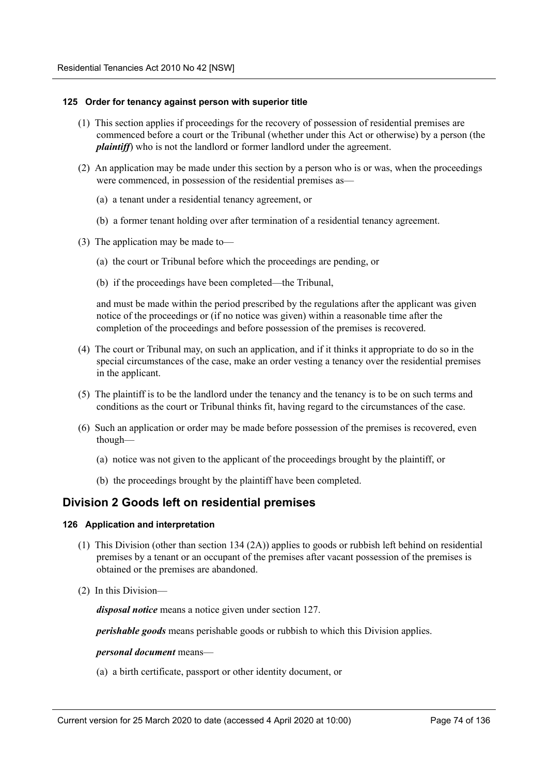#### **125 Order for tenancy against person with superior title**

- (1) This section applies if proceedings for the recovery of possession of residential premises are commenced before a court or the Tribunal (whether under this Act or otherwise) by a person (the *plaintiff*) who is not the landlord or former landlord under the agreement.
- (2) An application may be made under this section by a person who is or was, when the proceedings were commenced, in possession of the residential premises as—
	- (a) a tenant under a residential tenancy agreement, or
	- (b) a former tenant holding over after termination of a residential tenancy agreement.
- (3) The application may be made to—
	- (a) the court or Tribunal before which the proceedings are pending, or
	- (b) if the proceedings have been completed—the Tribunal,

and must be made within the period prescribed by the regulations after the applicant was given notice of the proceedings or (if no notice was given) within a reasonable time after the completion of the proceedings and before possession of the premises is recovered.

- (4) The court or Tribunal may, on such an application, and if it thinks it appropriate to do so in the special circumstances of the case, make an order vesting a tenancy over the residential premises in the applicant.
- (5) The plaintiff is to be the landlord under the tenancy and the tenancy is to be on such terms and conditions as the court or Tribunal thinks fit, having regard to the circumstances of the case.
- (6) Such an application or order may be made before possession of the premises is recovered, even though—
	- (a) notice was not given to the applicant of the proceedings brought by the plaintiff, or
	- (b) the proceedings brought by the plaintiff have been completed.

## **Division 2 Goods left on residential premises**

#### **126 Application and interpretation**

- (1) This Division (other than section 134 (2A)) applies to goods or rubbish left behind on residential premises by a tenant or an occupant of the premises after vacant possession of the premises is obtained or the premises are abandoned.
- (2) In this Division—

*disposal notice* means a notice given under section 127.

*perishable goods* means perishable goods or rubbish to which this Division applies.

#### *personal document* means—

(a) a birth certificate, passport or other identity document, or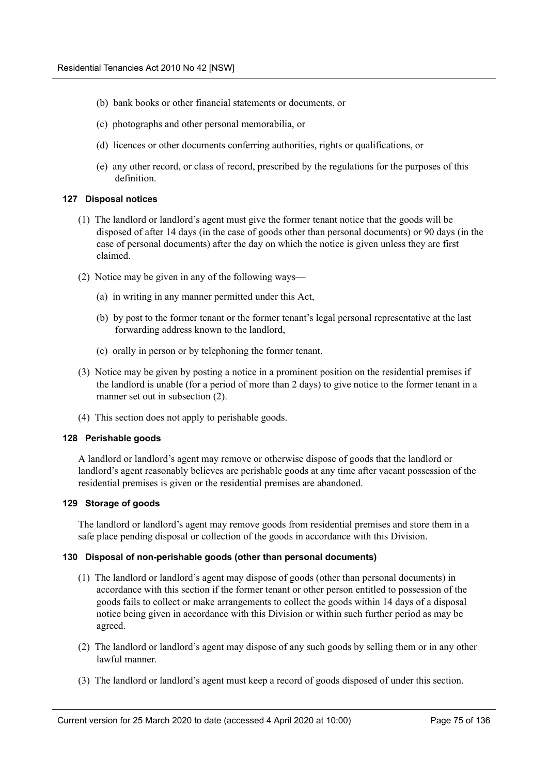- (b) bank books or other financial statements or documents, or
- (c) photographs and other personal memorabilia, or
- (d) licences or other documents conferring authorities, rights or qualifications, or
- (e) any other record, or class of record, prescribed by the regulations for the purposes of this definition.

#### **127 Disposal notices**

- (1) The landlord or landlord's agent must give the former tenant notice that the goods will be disposed of after 14 days (in the case of goods other than personal documents) or 90 days (in the case of personal documents) after the day on which the notice is given unless they are first claimed.
- (2) Notice may be given in any of the following ways—
	- (a) in writing in any manner permitted under this Act,
	- (b) by post to the former tenant or the former tenant's legal personal representative at the last forwarding address known to the landlord,
	- (c) orally in person or by telephoning the former tenant.
- (3) Notice may be given by posting a notice in a prominent position on the residential premises if the landlord is unable (for a period of more than 2 days) to give notice to the former tenant in a manner set out in subsection (2).
- (4) This section does not apply to perishable goods.

### **128 Perishable goods**

A landlord or landlord's agent may remove or otherwise dispose of goods that the landlord or landlord's agent reasonably believes are perishable goods at any time after vacant possession of the residential premises is given or the residential premises are abandoned.

## **129 Storage of goods**

The landlord or landlord's agent may remove goods from residential premises and store them in a safe place pending disposal or collection of the goods in accordance with this Division.

#### **130 Disposal of non-perishable goods (other than personal documents)**

- (1) The landlord or landlord's agent may dispose of goods (other than personal documents) in accordance with this section if the former tenant or other person entitled to possession of the goods fails to collect or make arrangements to collect the goods within 14 days of a disposal notice being given in accordance with this Division or within such further period as may be agreed.
- (2) The landlord or landlord's agent may dispose of any such goods by selling them or in any other lawful manner.
- (3) The landlord or landlord's agent must keep a record of goods disposed of under this section.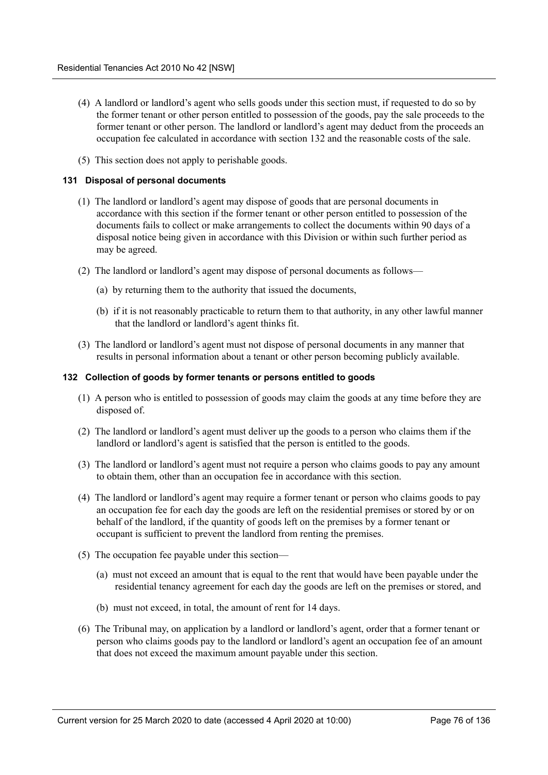- (4) A landlord or landlord's agent who sells goods under this section must, if requested to do so by the former tenant or other person entitled to possession of the goods, pay the sale proceeds to the former tenant or other person. The landlord or landlord's agent may deduct from the proceeds an occupation fee calculated in accordance with section 132 and the reasonable costs of the sale.
- (5) This section does not apply to perishable goods.

## **131 Disposal of personal documents**

- (1) The landlord or landlord's agent may dispose of goods that are personal documents in accordance with this section if the former tenant or other person entitled to possession of the documents fails to collect or make arrangements to collect the documents within 90 days of a disposal notice being given in accordance with this Division or within such further period as may be agreed.
- (2) The landlord or landlord's agent may dispose of personal documents as follows—
	- (a) by returning them to the authority that issued the documents,
	- (b) if it is not reasonably practicable to return them to that authority, in any other lawful manner that the landlord or landlord's agent thinks fit.
- (3) The landlord or landlord's agent must not dispose of personal documents in any manner that results in personal information about a tenant or other person becoming publicly available.

## **132 Collection of goods by former tenants or persons entitled to goods**

- (1) A person who is entitled to possession of goods may claim the goods at any time before they are disposed of.
- (2) The landlord or landlord's agent must deliver up the goods to a person who claims them if the landlord or landlord's agent is satisfied that the person is entitled to the goods.
- (3) The landlord or landlord's agent must not require a person who claims goods to pay any amount to obtain them, other than an occupation fee in accordance with this section.
- (4) The landlord or landlord's agent may require a former tenant or person who claims goods to pay an occupation fee for each day the goods are left on the residential premises or stored by or on behalf of the landlord, if the quantity of goods left on the premises by a former tenant or occupant is sufficient to prevent the landlord from renting the premises.
- (5) The occupation fee payable under this section—
	- (a) must not exceed an amount that is equal to the rent that would have been payable under the residential tenancy agreement for each day the goods are left on the premises or stored, and
	- (b) must not exceed, in total, the amount of rent for 14 days.
- (6) The Tribunal may, on application by a landlord or landlord's agent, order that a former tenant or person who claims goods pay to the landlord or landlord's agent an occupation fee of an amount that does not exceed the maximum amount payable under this section.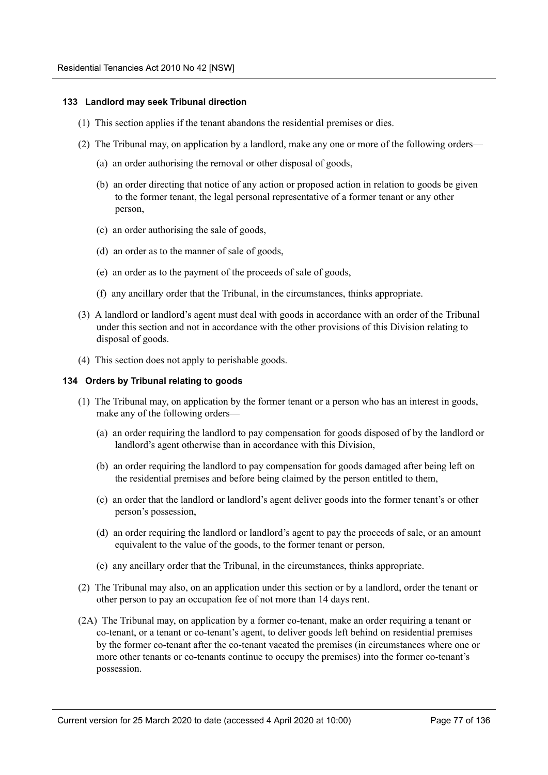#### **133 Landlord may seek Tribunal direction**

- (1) This section applies if the tenant abandons the residential premises or dies.
- (2) The Tribunal may, on application by a landlord, make any one or more of the following orders—
	- (a) an order authorising the removal or other disposal of goods,
	- (b) an order directing that notice of any action or proposed action in relation to goods be given to the former tenant, the legal personal representative of a former tenant or any other person,
	- (c) an order authorising the sale of goods,
	- (d) an order as to the manner of sale of goods,
	- (e) an order as to the payment of the proceeds of sale of goods,
	- (f) any ancillary order that the Tribunal, in the circumstances, thinks appropriate.
- (3) A landlord or landlord's agent must deal with goods in accordance with an order of the Tribunal under this section and not in accordance with the other provisions of this Division relating to disposal of goods.
- (4) This section does not apply to perishable goods.

#### **134 Orders by Tribunal relating to goods**

- (1) The Tribunal may, on application by the former tenant or a person who has an interest in goods, make any of the following orders—
	- (a) an order requiring the landlord to pay compensation for goods disposed of by the landlord or landlord's agent otherwise than in accordance with this Division,
	- (b) an order requiring the landlord to pay compensation for goods damaged after being left on the residential premises and before being claimed by the person entitled to them,
	- (c) an order that the landlord or landlord's agent deliver goods into the former tenant's or other person's possession,
	- (d) an order requiring the landlord or landlord's agent to pay the proceeds of sale, or an amount equivalent to the value of the goods, to the former tenant or person,
	- (e) any ancillary order that the Tribunal, in the circumstances, thinks appropriate.
- (2) The Tribunal may also, on an application under this section or by a landlord, order the tenant or other person to pay an occupation fee of not more than 14 days rent.
- (2A) The Tribunal may, on application by a former co-tenant, make an order requiring a tenant or co-tenant, or a tenant or co-tenant's agent, to deliver goods left behind on residential premises by the former co-tenant after the co-tenant vacated the premises (in circumstances where one or more other tenants or co-tenants continue to occupy the premises) into the former co-tenant's possession.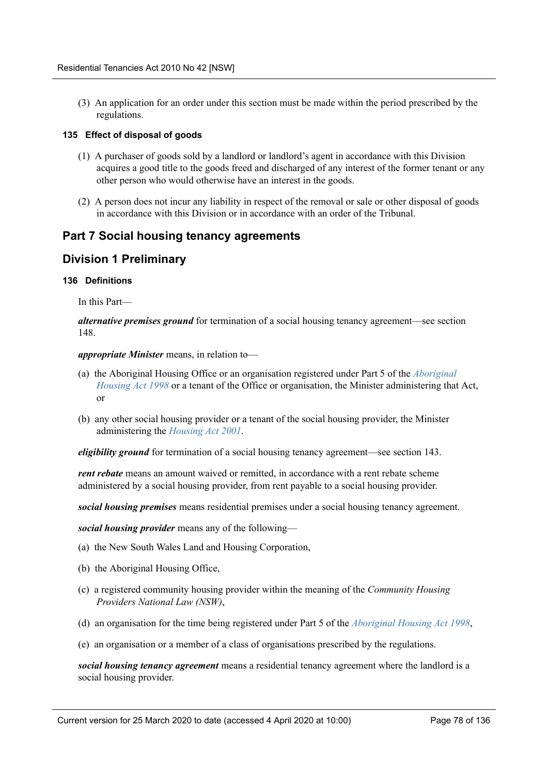(3) An application for an order under this section must be made within the period prescribed by the regulations.

#### **135 Effect of disposal of goods**

- (1) A purchaser of goods sold by a landlord or landlord's agent in accordance with this Division acquires a good title to the goods freed and discharged of any interest of the former tenant or any other person who would otherwise have an interest in the goods.
- (2) A person does not incur any liability in respect of the removal or sale or other disposal of goods in accordance with this Division or in accordance with an order of the Tribunal.

## **Part 7 Social housing tenancy agreements**

## **Division 1 Preliminary**

#### **136 Definitions**

In this Part—

*alternative premises ground* for termination of a social housing tenancy agreement—see section 148.

*appropriate Minister* means, in relation to—

- (a) the Aboriginal Housing Office or an organisation registered under Part 5 of the *Aboriginal Housing Act 1998* or a tenant of the Office or organisation, the Minister administering that Act, or
- (b) any other social housing provider or a tenant of the social housing provider, the Minister administering the *Housing Act 2001*.

*eligibility ground* for termination of a social housing tenancy agreement—see section 143.

*rent rebate* means an amount waived or remitted, in accordance with a rent rebate scheme administered by a social housing provider, from rent payable to a social housing provider.

*social housing premises* means residential premises under a social housing tenancy agreement.

*social housing provider* means any of the following—

- (a) the New South Wales Land and Housing Corporation,
- (b) the Aboriginal Housing Office,
- (c) a registered community housing provider within the meaning of the *Community Housing Providers National Law (NSW)*,
- (d) an organisation for the time being registered under Part 5 of the *Aboriginal Housing Act 1998*,
- (e) an organisation or a member of a class of organisations prescribed by the regulations.

*social housing tenancy agreement* means a residential tenancy agreement where the landlord is a social housing provider.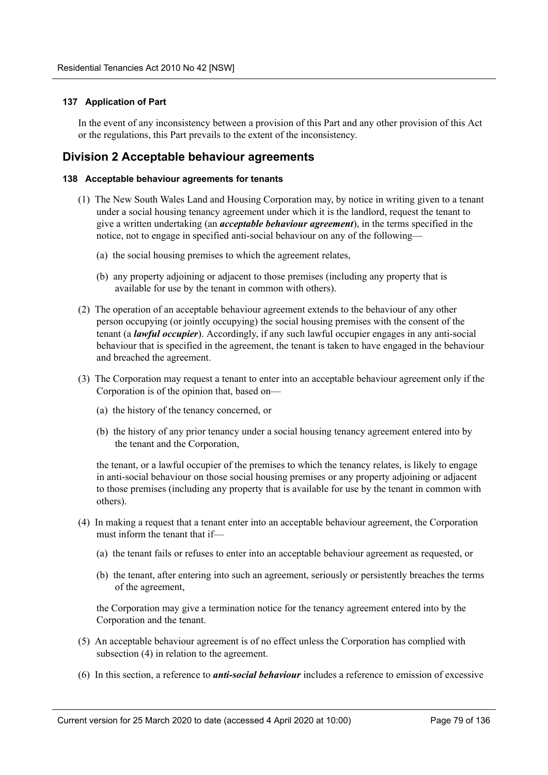## **137 Application of Part**

In the event of any inconsistency between a provision of this Part and any other provision of this Act or the regulations, this Part prevails to the extent of the inconsistency.

## **Division 2 Acceptable behaviour agreements**

#### **138 Acceptable behaviour agreements for tenants**

- (1) The New South Wales Land and Housing Corporation may, by notice in writing given to a tenant under a social housing tenancy agreement under which it is the landlord, request the tenant to give a written undertaking (an *acceptable behaviour agreement*), in the terms specified in the notice, not to engage in specified anti-social behaviour on any of the following—
	- (a) the social housing premises to which the agreement relates,
	- (b) any property adjoining or adjacent to those premises (including any property that is available for use by the tenant in common with others).
- (2) The operation of an acceptable behaviour agreement extends to the behaviour of any other person occupying (or jointly occupying) the social housing premises with the consent of the tenant (a *lawful occupier*). Accordingly, if any such lawful occupier engages in any anti-social behaviour that is specified in the agreement, the tenant is taken to have engaged in the behaviour and breached the agreement.
- (3) The Corporation may request a tenant to enter into an acceptable behaviour agreement only if the Corporation is of the opinion that, based on—
	- (a) the history of the tenancy concerned, or
	- (b) the history of any prior tenancy under a social housing tenancy agreement entered into by the tenant and the Corporation,

the tenant, or a lawful occupier of the premises to which the tenancy relates, is likely to engage in anti-social behaviour on those social housing premises or any property adjoining or adjacent to those premises (including any property that is available for use by the tenant in common with others).

- (4) In making a request that a tenant enter into an acceptable behaviour agreement, the Corporation must inform the tenant that if—
	- (a) the tenant fails or refuses to enter into an acceptable behaviour agreement as requested, or
	- (b) the tenant, after entering into such an agreement, seriously or persistently breaches the terms of the agreement,

the Corporation may give a termination notice for the tenancy agreement entered into by the Corporation and the tenant.

- (5) An acceptable behaviour agreement is of no effect unless the Corporation has complied with subsection (4) in relation to the agreement.
- (6) In this section, a reference to *anti-social behaviour* includes a reference to emission of excessive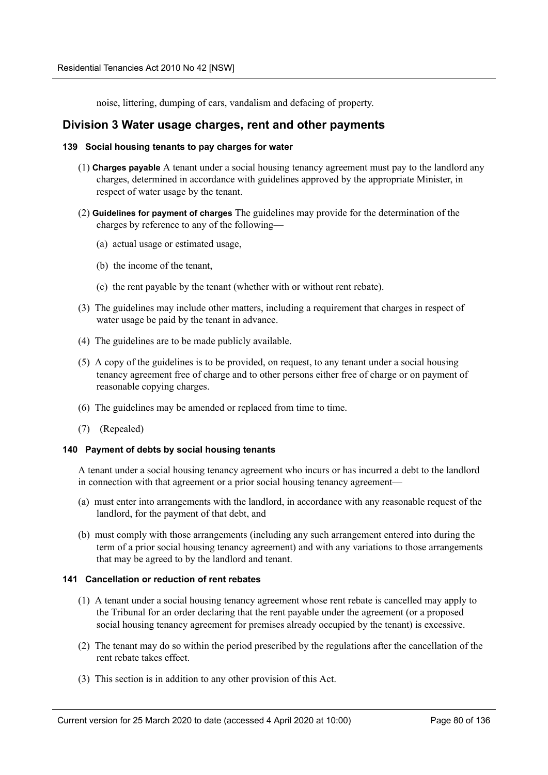noise, littering, dumping of cars, vandalism and defacing of property.

## **Division 3 Water usage charges, rent and other payments**

### **139 Social housing tenants to pay charges for water**

- (1) **Charges payable** A tenant under a social housing tenancy agreement must pay to the landlord any charges, determined in accordance with guidelines approved by the appropriate Minister, in respect of water usage by the tenant.
- (2) **Guidelines for payment of charges** The guidelines may provide for the determination of the charges by reference to any of the following—
	- (a) actual usage or estimated usage,
	- (b) the income of the tenant,
	- (c) the rent payable by the tenant (whether with or without rent rebate).
- (3) The guidelines may include other matters, including a requirement that charges in respect of water usage be paid by the tenant in advance.
- (4) The guidelines are to be made publicly available.
- (5) A copy of the guidelines is to be provided, on request, to any tenant under a social housing tenancy agreement free of charge and to other persons either free of charge or on payment of reasonable copying charges.
- (6) The guidelines may be amended or replaced from time to time.
- (7) (Repealed)

#### **140 Payment of debts by social housing tenants**

A tenant under a social housing tenancy agreement who incurs or has incurred a debt to the landlord in connection with that agreement or a prior social housing tenancy agreement—

- (a) must enter into arrangements with the landlord, in accordance with any reasonable request of the landlord, for the payment of that debt, and
- (b) must comply with those arrangements (including any such arrangement entered into during the term of a prior social housing tenancy agreement) and with any variations to those arrangements that may be agreed to by the landlord and tenant.

## **141 Cancellation or reduction of rent rebates**

- (1) A tenant under a social housing tenancy agreement whose rent rebate is cancelled may apply to the Tribunal for an order declaring that the rent payable under the agreement (or a proposed social housing tenancy agreement for premises already occupied by the tenant) is excessive.
- (2) The tenant may do so within the period prescribed by the regulations after the cancellation of the rent rebate takes effect.
- (3) This section is in addition to any other provision of this Act.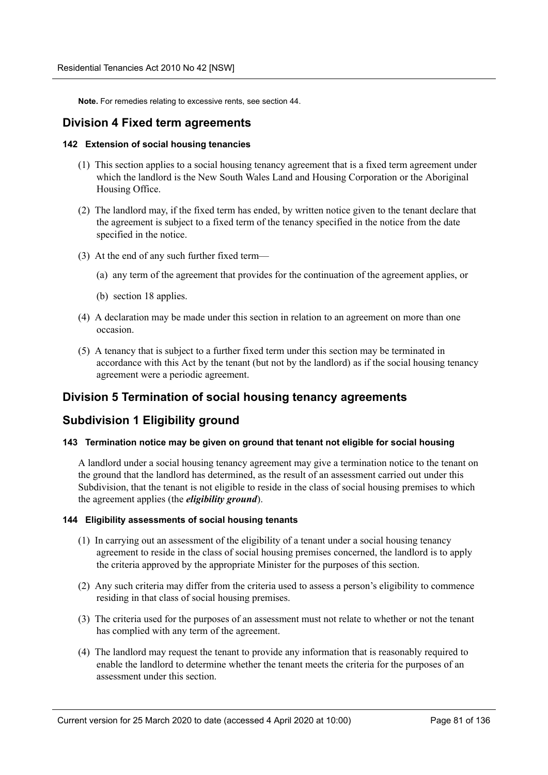**Note.** For remedies relating to excessive rents, see section 44.

## **Division 4 Fixed term agreements**

#### **142 Extension of social housing tenancies**

- (1) This section applies to a social housing tenancy agreement that is a fixed term agreement under which the landlord is the New South Wales Land and Housing Corporation or the Aboriginal Housing Office.
- (2) The landlord may, if the fixed term has ended, by written notice given to the tenant declare that the agreement is subject to a fixed term of the tenancy specified in the notice from the date specified in the notice.
- (3) At the end of any such further fixed term—
	- (a) any term of the agreement that provides for the continuation of the agreement applies, or
	- (b) section 18 applies.
- (4) A declaration may be made under this section in relation to an agreement on more than one occasion.
- (5) A tenancy that is subject to a further fixed term under this section may be terminated in accordance with this Act by the tenant (but not by the landlord) as if the social housing tenancy agreement were a periodic agreement.

## **Division 5 Termination of social housing tenancy agreements**

## **Subdivision 1 Eligibility ground**

## **143 Termination notice may be given on ground that tenant not eligible for social housing**

A landlord under a social housing tenancy agreement may give a termination notice to the tenant on the ground that the landlord has determined, as the result of an assessment carried out under this Subdivision, that the tenant is not eligible to reside in the class of social housing premises to which the agreement applies (the *eligibility ground*).

### **144 Eligibility assessments of social housing tenants**

- (1) In carrying out an assessment of the eligibility of a tenant under a social housing tenancy agreement to reside in the class of social housing premises concerned, the landlord is to apply the criteria approved by the appropriate Minister for the purposes of this section.
- (2) Any such criteria may differ from the criteria used to assess a person's eligibility to commence residing in that class of social housing premises.
- (3) The criteria used for the purposes of an assessment must not relate to whether or not the tenant has complied with any term of the agreement.
- (4) The landlord may request the tenant to provide any information that is reasonably required to enable the landlord to determine whether the tenant meets the criteria for the purposes of an assessment under this section.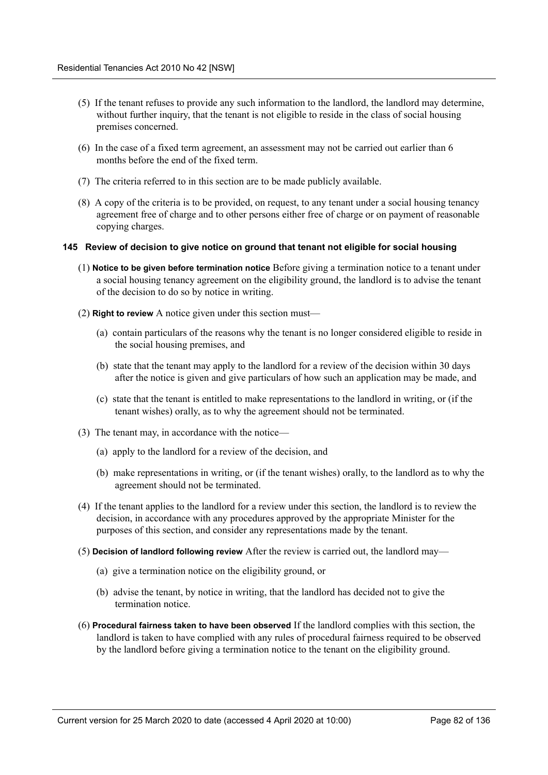- (5) If the tenant refuses to provide any such information to the landlord, the landlord may determine, without further inquiry, that the tenant is not eligible to reside in the class of social housing premises concerned.
- (6) In the case of a fixed term agreement, an assessment may not be carried out earlier than 6 months before the end of the fixed term.
- (7) The criteria referred to in this section are to be made publicly available.
- (8) A copy of the criteria is to be provided, on request, to any tenant under a social housing tenancy agreement free of charge and to other persons either free of charge or on payment of reasonable copying charges.

#### **145 Review of decision to give notice on ground that tenant not eligible for social housing**

- (1) **Notice to be given before termination notice** Before giving a termination notice to a tenant under a social housing tenancy agreement on the eligibility ground, the landlord is to advise the tenant of the decision to do so by notice in writing.
- (2) **Right to review** A notice given under this section must—
	- (a) contain particulars of the reasons why the tenant is no longer considered eligible to reside in the social housing premises, and
	- (b) state that the tenant may apply to the landlord for a review of the decision within 30 days after the notice is given and give particulars of how such an application may be made, and
	- (c) state that the tenant is entitled to make representations to the landlord in writing, or (if the tenant wishes) orally, as to why the agreement should not be terminated.
- (3) The tenant may, in accordance with the notice—
	- (a) apply to the landlord for a review of the decision, and
	- (b) make representations in writing, or (if the tenant wishes) orally, to the landlord as to why the agreement should not be terminated.
- (4) If the tenant applies to the landlord for a review under this section, the landlord is to review the decision, in accordance with any procedures approved by the appropriate Minister for the purposes of this section, and consider any representations made by the tenant.
- (5) **Decision of landlord following review** After the review is carried out, the landlord may—
	- (a) give a termination notice on the eligibility ground, or
	- (b) advise the tenant, by notice in writing, that the landlord has decided not to give the termination notice.
- (6) **Procedural fairness taken to have been observed** If the landlord complies with this section, the landlord is taken to have complied with any rules of procedural fairness required to be observed by the landlord before giving a termination notice to the tenant on the eligibility ground.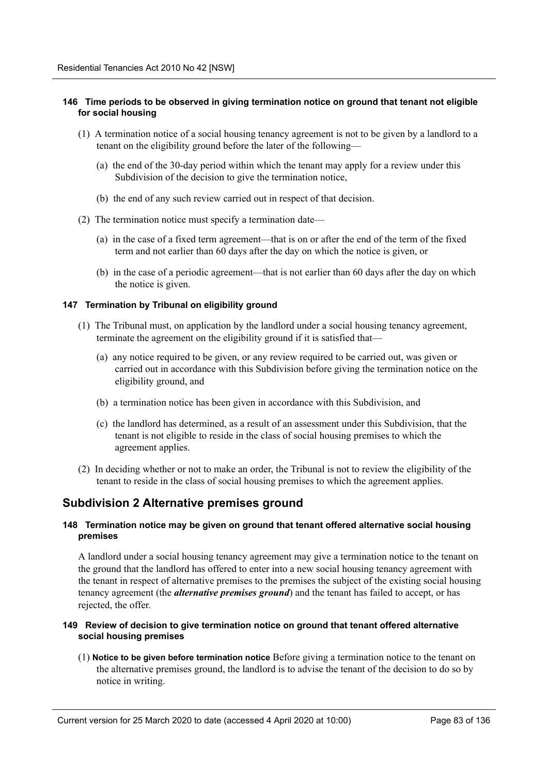## **146 Time periods to be observed in giving termination notice on ground that tenant not eligible for social housing**

- (1) A termination notice of a social housing tenancy agreement is not to be given by a landlord to a tenant on the eligibility ground before the later of the following—
	- (a) the end of the 30-day period within which the tenant may apply for a review under this Subdivision of the decision to give the termination notice,
	- (b) the end of any such review carried out in respect of that decision.
- (2) The termination notice must specify a termination date—
	- (a) in the case of a fixed term agreement—that is on or after the end of the term of the fixed term and not earlier than 60 days after the day on which the notice is given, or
	- (b) in the case of a periodic agreement—that is not earlier than 60 days after the day on which the notice is given.

#### **147 Termination by Tribunal on eligibility ground**

- (1) The Tribunal must, on application by the landlord under a social housing tenancy agreement, terminate the agreement on the eligibility ground if it is satisfied that—
	- (a) any notice required to be given, or any review required to be carried out, was given or carried out in accordance with this Subdivision before giving the termination notice on the eligibility ground, and
	- (b) a termination notice has been given in accordance with this Subdivision, and
	- (c) the landlord has determined, as a result of an assessment under this Subdivision, that the tenant is not eligible to reside in the class of social housing premises to which the agreement applies.
- (2) In deciding whether or not to make an order, the Tribunal is not to review the eligibility of the tenant to reside in the class of social housing premises to which the agreement applies.

## **Subdivision 2 Alternative premises ground**

#### **148 Termination notice may be given on ground that tenant offered alternative social housing premises**

A landlord under a social housing tenancy agreement may give a termination notice to the tenant on the ground that the landlord has offered to enter into a new social housing tenancy agreement with the tenant in respect of alternative premises to the premises the subject of the existing social housing tenancy agreement (the *alternative premises ground*) and the tenant has failed to accept, or has rejected, the offer.

#### **149 Review of decision to give termination notice on ground that tenant offered alternative social housing premises**

(1) **Notice to be given before termination notice** Before giving a termination notice to the tenant on the alternative premises ground, the landlord is to advise the tenant of the decision to do so by notice in writing.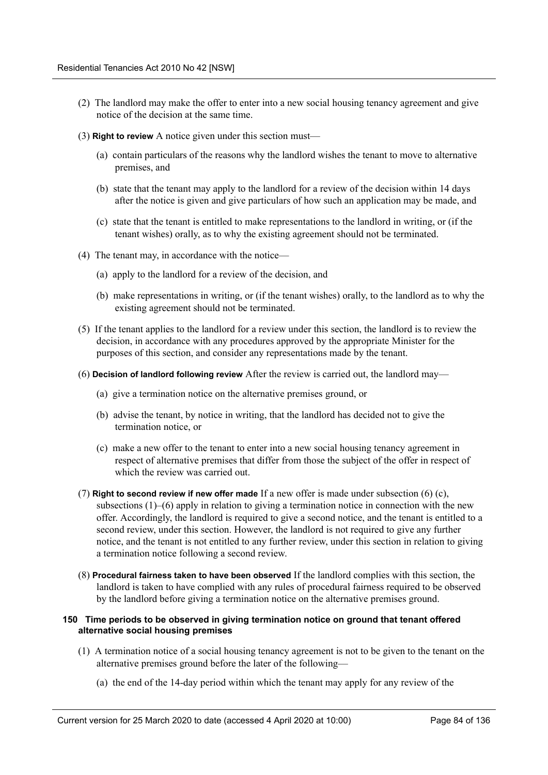- (2) The landlord may make the offer to enter into a new social housing tenancy agreement and give notice of the decision at the same time.
- (3) **Right to review** A notice given under this section must—
	- (a) contain particulars of the reasons why the landlord wishes the tenant to move to alternative premises, and
	- (b) state that the tenant may apply to the landlord for a review of the decision within 14 days after the notice is given and give particulars of how such an application may be made, and
	- (c) state that the tenant is entitled to make representations to the landlord in writing, or (if the tenant wishes) orally, as to why the existing agreement should not be terminated.
- (4) The tenant may, in accordance with the notice—
	- (a) apply to the landlord for a review of the decision, and
	- (b) make representations in writing, or (if the tenant wishes) orally, to the landlord as to why the existing agreement should not be terminated.
- (5) If the tenant applies to the landlord for a review under this section, the landlord is to review the decision, in accordance with any procedures approved by the appropriate Minister for the purposes of this section, and consider any representations made by the tenant.
- (6) **Decision of landlord following review** After the review is carried out, the landlord may—
	- (a) give a termination notice on the alternative premises ground, or
	- (b) advise the tenant, by notice in writing, that the landlord has decided not to give the termination notice, or
	- (c) make a new offer to the tenant to enter into a new social housing tenancy agreement in respect of alternative premises that differ from those the subject of the offer in respect of which the review was carried out.
- (7) **Right to second review if new offer made** If a new offer is made under subsection (6) (c), subsections  $(1)$ – $(6)$  apply in relation to giving a termination notice in connection with the new offer. Accordingly, the landlord is required to give a second notice, and the tenant is entitled to a second review, under this section. However, the landlord is not required to give any further notice, and the tenant is not entitled to any further review, under this section in relation to giving a termination notice following a second review.
- (8) **Procedural fairness taken to have been observed** If the landlord complies with this section, the landlord is taken to have complied with any rules of procedural fairness required to be observed by the landlord before giving a termination notice on the alternative premises ground.

## **150 Time periods to be observed in giving termination notice on ground that tenant offered alternative social housing premises**

- (1) A termination notice of a social housing tenancy agreement is not to be given to the tenant on the alternative premises ground before the later of the following—
	- (a) the end of the 14-day period within which the tenant may apply for any review of the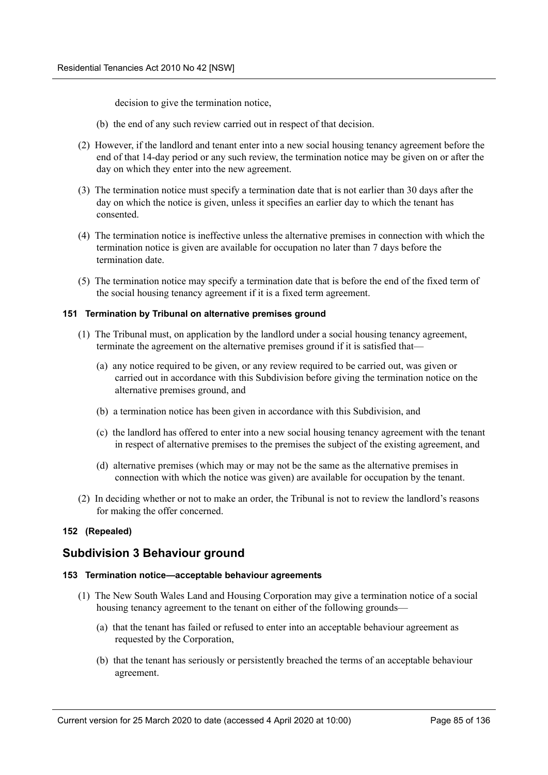decision to give the termination notice,

- (b) the end of any such review carried out in respect of that decision.
- (2) However, if the landlord and tenant enter into a new social housing tenancy agreement before the end of that 14-day period or any such review, the termination notice may be given on or after the day on which they enter into the new agreement.
- (3) The termination notice must specify a termination date that is not earlier than 30 days after the day on which the notice is given, unless it specifies an earlier day to which the tenant has consented.
- (4) The termination notice is ineffective unless the alternative premises in connection with which the termination notice is given are available for occupation no later than 7 days before the termination date.
- (5) The termination notice may specify a termination date that is before the end of the fixed term of the social housing tenancy agreement if it is a fixed term agreement.

#### **151 Termination by Tribunal on alternative premises ground**

- (1) The Tribunal must, on application by the landlord under a social housing tenancy agreement, terminate the agreement on the alternative premises ground if it is satisfied that—
	- (a) any notice required to be given, or any review required to be carried out, was given or carried out in accordance with this Subdivision before giving the termination notice on the alternative premises ground, and
	- (b) a termination notice has been given in accordance with this Subdivision, and
	- (c) the landlord has offered to enter into a new social housing tenancy agreement with the tenant in respect of alternative premises to the premises the subject of the existing agreement, and
	- (d) alternative premises (which may or may not be the same as the alternative premises in connection with which the notice was given) are available for occupation by the tenant.
- (2) In deciding whether or not to make an order, the Tribunal is not to review the landlord's reasons for making the offer concerned.

## **152 (Repealed)**

## **Subdivision 3 Behaviour ground**

## **153 Termination notice—acceptable behaviour agreements**

- (1) The New South Wales Land and Housing Corporation may give a termination notice of a social housing tenancy agreement to the tenant on either of the following grounds—
	- (a) that the tenant has failed or refused to enter into an acceptable behaviour agreement as requested by the Corporation,
	- (b) that the tenant has seriously or persistently breached the terms of an acceptable behaviour agreement.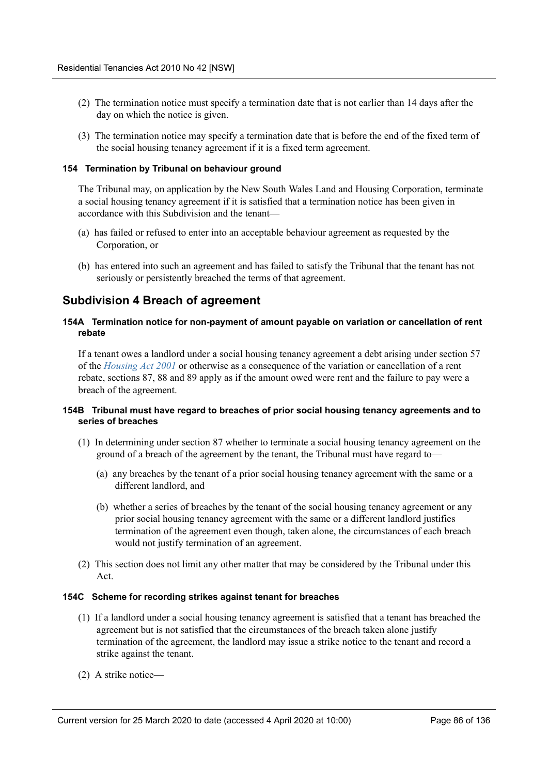- (2) The termination notice must specify a termination date that is not earlier than 14 days after the day on which the notice is given.
- (3) The termination notice may specify a termination date that is before the end of the fixed term of the social housing tenancy agreement if it is a fixed term agreement.

#### **154 Termination by Tribunal on behaviour ground**

The Tribunal may, on application by the New South Wales Land and Housing Corporation, terminate a social housing tenancy agreement if it is satisfied that a termination notice has been given in accordance with this Subdivision and the tenant—

- (a) has failed or refused to enter into an acceptable behaviour agreement as requested by the Corporation, or
- (b) has entered into such an agreement and has failed to satisfy the Tribunal that the tenant has not seriously or persistently breached the terms of that agreement.

## **Subdivision 4 Breach of agreement**

### **154A Termination notice for non-payment of amount payable on variation or cancellation of rent rebate**

If a tenant owes a landlord under a social housing tenancy agreement a debt arising under section 57 of the *Housing Act 2001* or otherwise as a consequence of the variation or cancellation of a rent rebate, sections 87, 88 and 89 apply as if the amount owed were rent and the failure to pay were a breach of the agreement.

#### **154B Tribunal must have regard to breaches of prior social housing tenancy agreements and to series of breaches**

- (1) In determining under section 87 whether to terminate a social housing tenancy agreement on the ground of a breach of the agreement by the tenant, the Tribunal must have regard to—
	- (a) any breaches by the tenant of a prior social housing tenancy agreement with the same or a different landlord, and
	- (b) whether a series of breaches by the tenant of the social housing tenancy agreement or any prior social housing tenancy agreement with the same or a different landlord justifies termination of the agreement even though, taken alone, the circumstances of each breach would not justify termination of an agreement.
- (2) This section does not limit any other matter that may be considered by the Tribunal under this Act.

#### **154C Scheme for recording strikes against tenant for breaches**

- (1) If a landlord under a social housing tenancy agreement is satisfied that a tenant has breached the agreement but is not satisfied that the circumstances of the breach taken alone justify termination of the agreement, the landlord may issue a strike notice to the tenant and record a strike against the tenant.
- (2) A strike notice—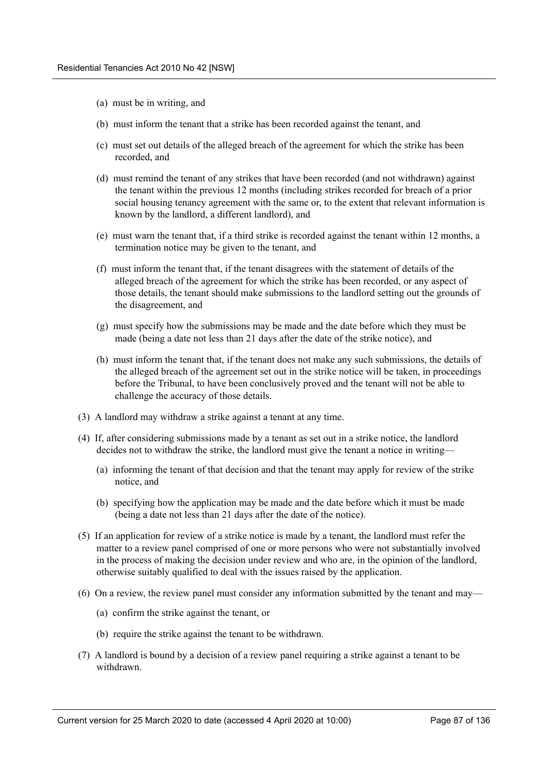- (a) must be in writing, and
- (b) must inform the tenant that a strike has been recorded against the tenant, and
- (c) must set out details of the alleged breach of the agreement for which the strike has been recorded, and
- (d) must remind the tenant of any strikes that have been recorded (and not withdrawn) against the tenant within the previous 12 months (including strikes recorded for breach of a prior social housing tenancy agreement with the same or, to the extent that relevant information is known by the landlord, a different landlord), and
- (e) must warn the tenant that, if a third strike is recorded against the tenant within 12 months, a termination notice may be given to the tenant, and
- (f) must inform the tenant that, if the tenant disagrees with the statement of details of the alleged breach of the agreement for which the strike has been recorded, or any aspect of those details, the tenant should make submissions to the landlord setting out the grounds of the disagreement, and
- (g) must specify how the submissions may be made and the date before which they must be made (being a date not less than 21 days after the date of the strike notice), and
- (h) must inform the tenant that, if the tenant does not make any such submissions, the details of the alleged breach of the agreement set out in the strike notice will be taken, in proceedings before the Tribunal, to have been conclusively proved and the tenant will not be able to challenge the accuracy of those details.
- (3) A landlord may withdraw a strike against a tenant at any time.
- (4) If, after considering submissions made by a tenant as set out in a strike notice, the landlord decides not to withdraw the strike, the landlord must give the tenant a notice in writing—
	- (a) informing the tenant of that decision and that the tenant may apply for review of the strike notice, and
	- (b) specifying how the application may be made and the date before which it must be made (being a date not less than 21 days after the date of the notice).
- (5) If an application for review of a strike notice is made by a tenant, the landlord must refer the matter to a review panel comprised of one or more persons who were not substantially involved in the process of making the decision under review and who are, in the opinion of the landlord, otherwise suitably qualified to deal with the issues raised by the application.
- (6) On a review, the review panel must consider any information submitted by the tenant and may—
	- (a) confirm the strike against the tenant, or
	- (b) require the strike against the tenant to be withdrawn.
- (7) A landlord is bound by a decision of a review panel requiring a strike against a tenant to be withdrawn.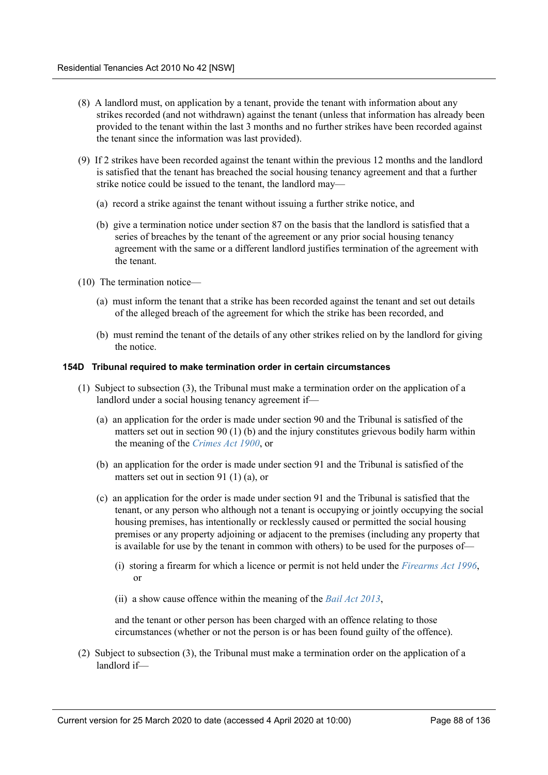- (8) A landlord must, on application by a tenant, provide the tenant with information about any strikes recorded (and not withdrawn) against the tenant (unless that information has already been provided to the tenant within the last 3 months and no further strikes have been recorded against the tenant since the information was last provided).
- (9) If 2 strikes have been recorded against the tenant within the previous 12 months and the landlord is satisfied that the tenant has breached the social housing tenancy agreement and that a further strike notice could be issued to the tenant, the landlord may—
	- (a) record a strike against the tenant without issuing a further strike notice, and
	- (b) give a termination notice under section 87 on the basis that the landlord is satisfied that a series of breaches by the tenant of the agreement or any prior social housing tenancy agreement with the same or a different landlord justifies termination of the agreement with the tenant.
- (10) The termination notice—
	- (a) must inform the tenant that a strike has been recorded against the tenant and set out details of the alleged breach of the agreement for which the strike has been recorded, and
	- (b) must remind the tenant of the details of any other strikes relied on by the landlord for giving the notice.

## **154D Tribunal required to make termination order in certain circumstances**

- (1) Subject to subsection (3), the Tribunal must make a termination order on the application of a landlord under a social housing tenancy agreement if—
	- (a) an application for the order is made under section 90 and the Tribunal is satisfied of the matters set out in section 90 (1) (b) and the injury constitutes grievous bodily harm within the meaning of the *Crimes Act 1900*, or
	- (b) an application for the order is made under section 91 and the Tribunal is satisfied of the matters set out in section 91 (1) (a), or
	- (c) an application for the order is made under section 91 and the Tribunal is satisfied that the tenant, or any person who although not a tenant is occupying or jointly occupying the social housing premises, has intentionally or recklessly caused or permitted the social housing premises or any property adjoining or adjacent to the premises (including any property that is available for use by the tenant in common with others) to be used for the purposes of—
		- (i) storing a firearm for which a licence or permit is not held under the *Firearms Act 1996*, or
		- (ii) a show cause offence within the meaning of the *Bail Act 2013*,

and the tenant or other person has been charged with an offence relating to those circumstances (whether or not the person is or has been found guilty of the offence).

(2) Subject to subsection (3), the Tribunal must make a termination order on the application of a landlord if—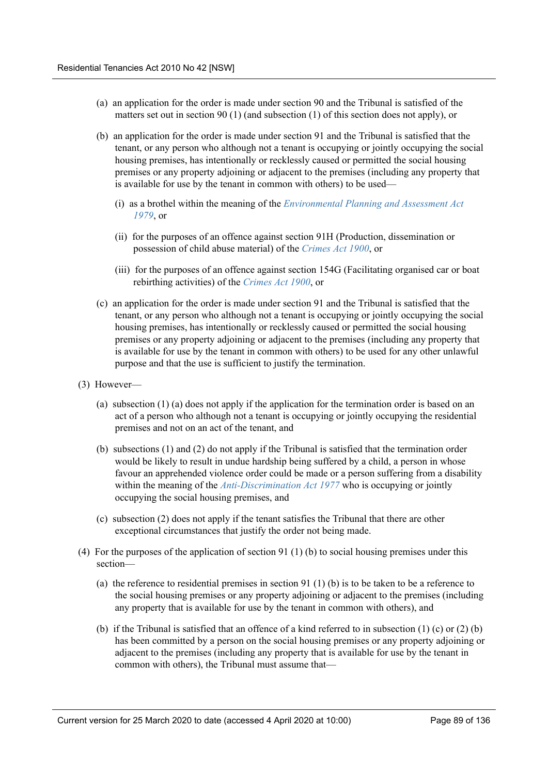- (a) an application for the order is made under section 90 and the Tribunal is satisfied of the matters set out in section 90 (1) (and subsection (1) of this section does not apply), or
- (b) an application for the order is made under section 91 and the Tribunal is satisfied that the tenant, or any person who although not a tenant is occupying or jointly occupying the social housing premises, has intentionally or recklessly caused or permitted the social housing premises or any property adjoining or adjacent to the premises (including any property that is available for use by the tenant in common with others) to be used—
	- (i) as a brothel within the meaning of the *Environmental Planning and Assessment Act 1979*, or
	- (ii) for the purposes of an offence against section 91H (Production, dissemination or possession of child abuse material) of the *Crimes Act 1900*, or
	- (iii) for the purposes of an offence against section 154G (Facilitating organised car or boat rebirthing activities) of the *Crimes Act 1900*, or
- (c) an application for the order is made under section 91 and the Tribunal is satisfied that the tenant, or any person who although not a tenant is occupying or jointly occupying the social housing premises, has intentionally or recklessly caused or permitted the social housing premises or any property adjoining or adjacent to the premises (including any property that is available for use by the tenant in common with others) to be used for any other unlawful purpose and that the use is sufficient to justify the termination.
- (3) However—
	- (a) subsection (1) (a) does not apply if the application for the termination order is based on an act of a person who although not a tenant is occupying or jointly occupying the residential premises and not on an act of the tenant, and
	- (b) subsections (1) and (2) do not apply if the Tribunal is satisfied that the termination order would be likely to result in undue hardship being suffered by a child, a person in whose favour an apprehended violence order could be made or a person suffering from a disability within the meaning of the *Anti-Discrimination Act 1977* who is occupying or jointly occupying the social housing premises, and
	- (c) subsection (2) does not apply if the tenant satisfies the Tribunal that there are other exceptional circumstances that justify the order not being made.
- (4) For the purposes of the application of section 91 (1) (b) to social housing premises under this section—
	- (a) the reference to residential premises in section 91 (1) (b) is to be taken to be a reference to the social housing premises or any property adjoining or adjacent to the premises (including any property that is available for use by the tenant in common with others), and
	- (b) if the Tribunal is satisfied that an offence of a kind referred to in subsection (1) (c) or (2) (b) has been committed by a person on the social housing premises or any property adjoining or adjacent to the premises (including any property that is available for use by the tenant in common with others), the Tribunal must assume that—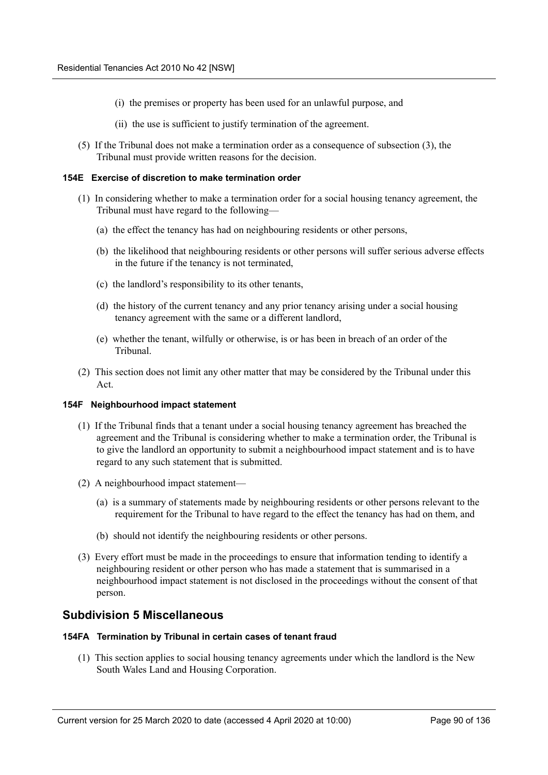- (i) the premises or property has been used for an unlawful purpose, and
- (ii) the use is sufficient to justify termination of the agreement.
- (5) If the Tribunal does not make a termination order as a consequence of subsection (3), the Tribunal must provide written reasons for the decision.

#### **154E Exercise of discretion to make termination order**

- (1) In considering whether to make a termination order for a social housing tenancy agreement, the Tribunal must have regard to the following—
	- (a) the effect the tenancy has had on neighbouring residents or other persons,
	- (b) the likelihood that neighbouring residents or other persons will suffer serious adverse effects in the future if the tenancy is not terminated,
	- (c) the landlord's responsibility to its other tenants,
	- (d) the history of the current tenancy and any prior tenancy arising under a social housing tenancy agreement with the same or a different landlord,
	- (e) whether the tenant, wilfully or otherwise, is or has been in breach of an order of the Tribunal.
- (2) This section does not limit any other matter that may be considered by the Tribunal under this Act.

#### **154F Neighbourhood impact statement**

- (1) If the Tribunal finds that a tenant under a social housing tenancy agreement has breached the agreement and the Tribunal is considering whether to make a termination order, the Tribunal is to give the landlord an opportunity to submit a neighbourhood impact statement and is to have regard to any such statement that is submitted.
- (2) A neighbourhood impact statement—
	- (a) is a summary of statements made by neighbouring residents or other persons relevant to the requirement for the Tribunal to have regard to the effect the tenancy has had on them, and
	- (b) should not identify the neighbouring residents or other persons.
- (3) Every effort must be made in the proceedings to ensure that information tending to identify a neighbouring resident or other person who has made a statement that is summarised in a neighbourhood impact statement is not disclosed in the proceedings without the consent of that person.

## **Subdivision 5 Miscellaneous**

#### **154FA Termination by Tribunal in certain cases of tenant fraud**

(1) This section applies to social housing tenancy agreements under which the landlord is the New South Wales Land and Housing Corporation.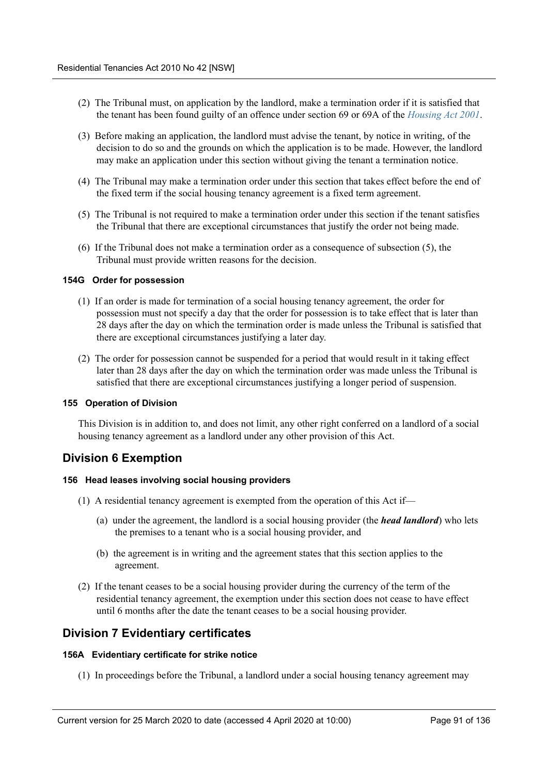- (2) The Tribunal must, on application by the landlord, make a termination order if it is satisfied that the tenant has been found guilty of an offence under section 69 or 69A of the *Housing Act 2001*.
- (3) Before making an application, the landlord must advise the tenant, by notice in writing, of the decision to do so and the grounds on which the application is to be made. However, the landlord may make an application under this section without giving the tenant a termination notice.
- (4) The Tribunal may make a termination order under this section that takes effect before the end of the fixed term if the social housing tenancy agreement is a fixed term agreement.
- (5) The Tribunal is not required to make a termination order under this section if the tenant satisfies the Tribunal that there are exceptional circumstances that justify the order not being made.
- (6) If the Tribunal does not make a termination order as a consequence of subsection (5), the Tribunal must provide written reasons for the decision.

#### **154G Order for possession**

- (1) If an order is made for termination of a social housing tenancy agreement, the order for possession must not specify a day that the order for possession is to take effect that is later than 28 days after the day on which the termination order is made unless the Tribunal is satisfied that there are exceptional circumstances justifying a later day.
- (2) The order for possession cannot be suspended for a period that would result in it taking effect later than 28 days after the day on which the termination order was made unless the Tribunal is satisfied that there are exceptional circumstances justifying a longer period of suspension.

#### **155 Operation of Division**

This Division is in addition to, and does not limit, any other right conferred on a landlord of a social housing tenancy agreement as a landlord under any other provision of this Act.

## **Division 6 Exemption**

#### **156 Head leases involving social housing providers**

- (1) A residential tenancy agreement is exempted from the operation of this Act if—
	- (a) under the agreement, the landlord is a social housing provider (the *head landlord*) who lets the premises to a tenant who is a social housing provider, and
	- (b) the agreement is in writing and the agreement states that this section applies to the agreement.
- (2) If the tenant ceases to be a social housing provider during the currency of the term of the residential tenancy agreement, the exemption under this section does not cease to have effect until 6 months after the date the tenant ceases to be a social housing provider.

## **Division 7 Evidentiary certificates**

#### **156A Evidentiary certificate for strike notice**

(1) In proceedings before the Tribunal, a landlord under a social housing tenancy agreement may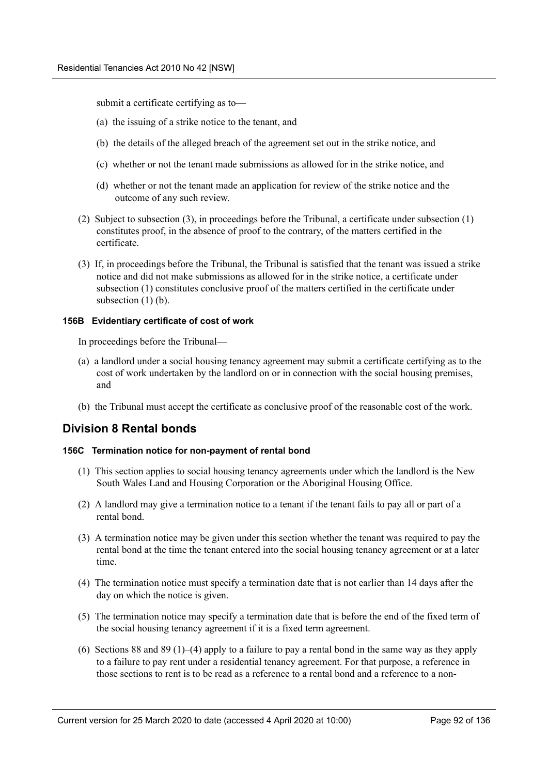submit a certificate certifying as to—

- (a) the issuing of a strike notice to the tenant, and
- (b) the details of the alleged breach of the agreement set out in the strike notice, and
- (c) whether or not the tenant made submissions as allowed for in the strike notice, and
- (d) whether or not the tenant made an application for review of the strike notice and the outcome of any such review.
- (2) Subject to subsection (3), in proceedings before the Tribunal, a certificate under subsection (1) constitutes proof, in the absence of proof to the contrary, of the matters certified in the certificate.
- (3) If, in proceedings before the Tribunal, the Tribunal is satisfied that the tenant was issued a strike notice and did not make submissions as allowed for in the strike notice, a certificate under subsection (1) constitutes conclusive proof of the matters certified in the certificate under subsection  $(1)$  (b).

#### **156B Evidentiary certificate of cost of work**

In proceedings before the Tribunal—

- (a) a landlord under a social housing tenancy agreement may submit a certificate certifying as to the cost of work undertaken by the landlord on or in connection with the social housing premises, and
- (b) the Tribunal must accept the certificate as conclusive proof of the reasonable cost of the work.

## **Division 8 Rental bonds**

#### **156C Termination notice for non-payment of rental bond**

- (1) This section applies to social housing tenancy agreements under which the landlord is the New South Wales Land and Housing Corporation or the Aboriginal Housing Office.
- (2) A landlord may give a termination notice to a tenant if the tenant fails to pay all or part of a rental bond.
- (3) A termination notice may be given under this section whether the tenant was required to pay the rental bond at the time the tenant entered into the social housing tenancy agreement or at a later time.
- (4) The termination notice must specify a termination date that is not earlier than 14 days after the day on which the notice is given.
- (5) The termination notice may specify a termination date that is before the end of the fixed term of the social housing tenancy agreement if it is a fixed term agreement.
- (6) Sections 88 and 89 (1)–(4) apply to a failure to pay a rental bond in the same way as they apply to a failure to pay rent under a residential tenancy agreement. For that purpose, a reference in those sections to rent is to be read as a reference to a rental bond and a reference to a non-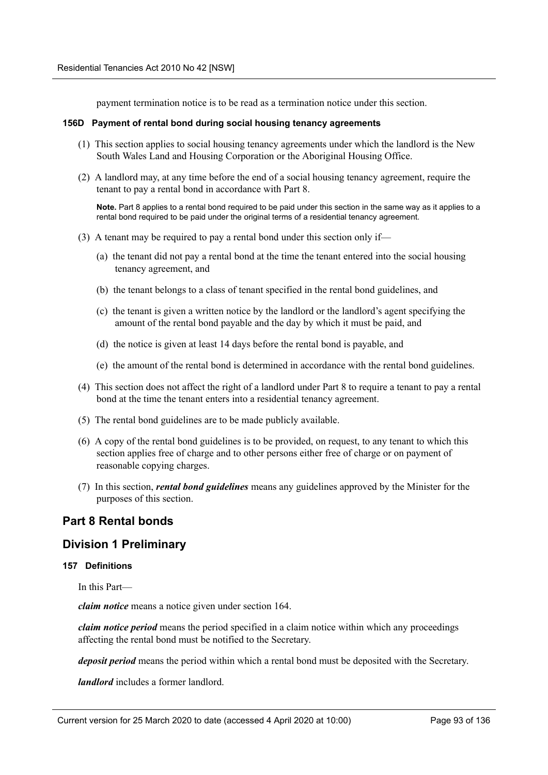payment termination notice is to be read as a termination notice under this section.

#### **156D Payment of rental bond during social housing tenancy agreements**

- (1) This section applies to social housing tenancy agreements under which the landlord is the New South Wales Land and Housing Corporation or the Aboriginal Housing Office.
- (2) A landlord may, at any time before the end of a social housing tenancy agreement, require the tenant to pay a rental bond in accordance with Part 8.

**Note.** Part 8 applies to a rental bond required to be paid under this section in the same way as it applies to a rental bond required to be paid under the original terms of a residential tenancy agreement.

- (3) A tenant may be required to pay a rental bond under this section only if—
	- (a) the tenant did not pay a rental bond at the time the tenant entered into the social housing tenancy agreement, and
	- (b) the tenant belongs to a class of tenant specified in the rental bond guidelines, and
	- (c) the tenant is given a written notice by the landlord or the landlord's agent specifying the amount of the rental bond payable and the day by which it must be paid, and
	- (d) the notice is given at least 14 days before the rental bond is payable, and
	- (e) the amount of the rental bond is determined in accordance with the rental bond guidelines.
- (4) This section does not affect the right of a landlord under Part 8 to require a tenant to pay a rental bond at the time the tenant enters into a residential tenancy agreement.
- (5) The rental bond guidelines are to be made publicly available.
- (6) A copy of the rental bond guidelines is to be provided, on request, to any tenant to which this section applies free of charge and to other persons either free of charge or on payment of reasonable copying charges.
- (7) In this section, *rental bond guidelines* means any guidelines approved by the Minister for the purposes of this section.

# **Part 8 Rental bonds**

## **Division 1 Preliminary**

## **157 Definitions**

In this Part—

*claim notice* means a notice given under section 164.

*claim notice period* means the period specified in a claim notice within which any proceedings affecting the rental bond must be notified to the Secretary.

*deposit period* means the period within which a rental bond must be deposited with the Secretary.

*landlord* includes a former landlord.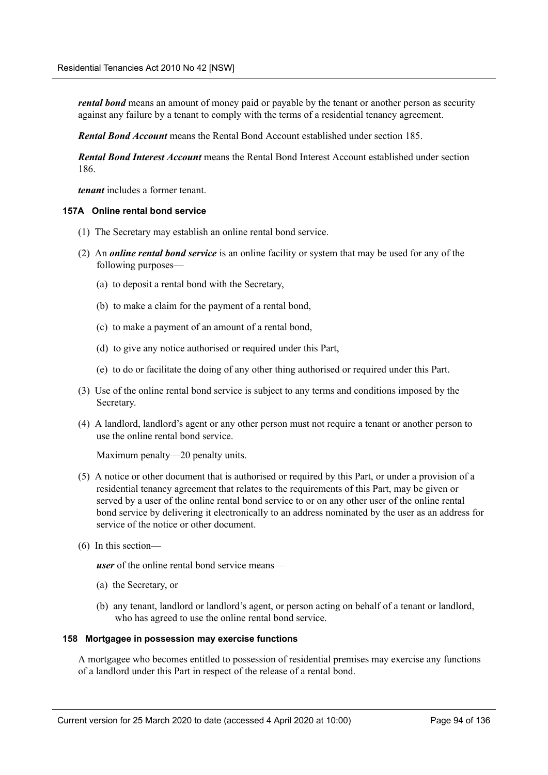*rental bond* means an amount of money paid or payable by the tenant or another person as security against any failure by a tenant to comply with the terms of a residential tenancy agreement.

*Rental Bond Account* means the Rental Bond Account established under section 185.

*Rental Bond Interest Account* means the Rental Bond Interest Account established under section 186.

*tenant* includes a former tenant.

#### **157A Online rental bond service**

- (1) The Secretary may establish an online rental bond service.
- (2) An *online rental bond service* is an online facility or system that may be used for any of the following purposes—
	- (a) to deposit a rental bond with the Secretary,
	- (b) to make a claim for the payment of a rental bond,
	- (c) to make a payment of an amount of a rental bond,
	- (d) to give any notice authorised or required under this Part,
	- (e) to do or facilitate the doing of any other thing authorised or required under this Part.
- (3) Use of the online rental bond service is subject to any terms and conditions imposed by the Secretary.
- (4) A landlord, landlord's agent or any other person must not require a tenant or another person to use the online rental bond service.

Maximum penalty—20 penalty units.

- (5) A notice or other document that is authorised or required by this Part, or under a provision of a residential tenancy agreement that relates to the requirements of this Part, may be given or served by a user of the online rental bond service to or on any other user of the online rental bond service by delivering it electronically to an address nominated by the user as an address for service of the notice or other document.
- (6) In this section—

*user* of the online rental bond service means—

- (a) the Secretary, or
- (b) any tenant, landlord or landlord's agent, or person acting on behalf of a tenant or landlord, who has agreed to use the online rental bond service.

### **158 Mortgagee in possession may exercise functions**

A mortgagee who becomes entitled to possession of residential premises may exercise any functions of a landlord under this Part in respect of the release of a rental bond.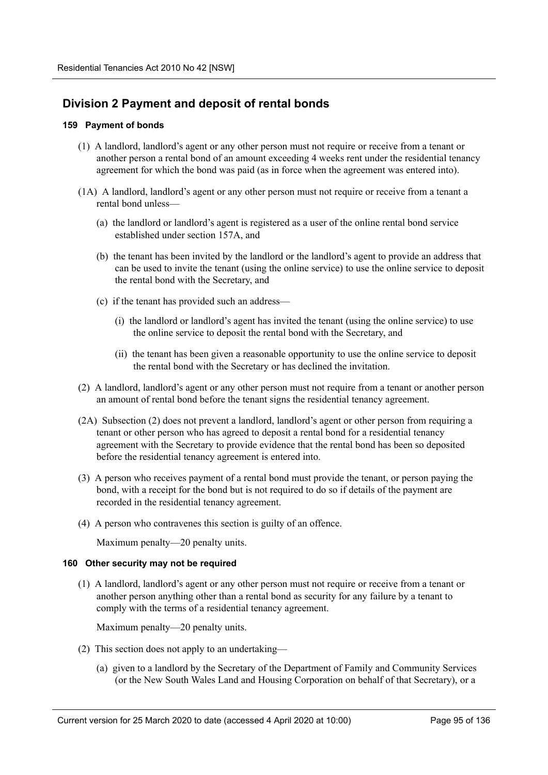# **Division 2 Payment and deposit of rental bonds**

## **159 Payment of bonds**

- (1) A landlord, landlord's agent or any other person must not require or receive from a tenant or another person a rental bond of an amount exceeding 4 weeks rent under the residential tenancy agreement for which the bond was paid (as in force when the agreement was entered into).
- (1A) A landlord, landlord's agent or any other person must not require or receive from a tenant a rental bond unless—
	- (a) the landlord or landlord's agent is registered as a user of the online rental bond service established under section 157A, and
	- (b) the tenant has been invited by the landlord or the landlord's agent to provide an address that can be used to invite the tenant (using the online service) to use the online service to deposit the rental bond with the Secretary, and
	- (c) if the tenant has provided such an address—
		- (i) the landlord or landlord's agent has invited the tenant (using the online service) to use the online service to deposit the rental bond with the Secretary, and
		- (ii) the tenant has been given a reasonable opportunity to use the online service to deposit the rental bond with the Secretary or has declined the invitation.
- (2) A landlord, landlord's agent or any other person must not require from a tenant or another person an amount of rental bond before the tenant signs the residential tenancy agreement.
- (2A) Subsection (2) does not prevent a landlord, landlord's agent or other person from requiring a tenant or other person who has agreed to deposit a rental bond for a residential tenancy agreement with the Secretary to provide evidence that the rental bond has been so deposited before the residential tenancy agreement is entered into.
- (3) A person who receives payment of a rental bond must provide the tenant, or person paying the bond, with a receipt for the bond but is not required to do so if details of the payment are recorded in the residential tenancy agreement.
- (4) A person who contravenes this section is guilty of an offence.

Maximum penalty—20 penalty units.

## **160 Other security may not be required**

(1) A landlord, landlord's agent or any other person must not require or receive from a tenant or another person anything other than a rental bond as security for any failure by a tenant to comply with the terms of a residential tenancy agreement.

Maximum penalty—20 penalty units.

- (2) This section does not apply to an undertaking—
	- (a) given to a landlord by the Secretary of the Department of Family and Community Services (or the New South Wales Land and Housing Corporation on behalf of that Secretary), or a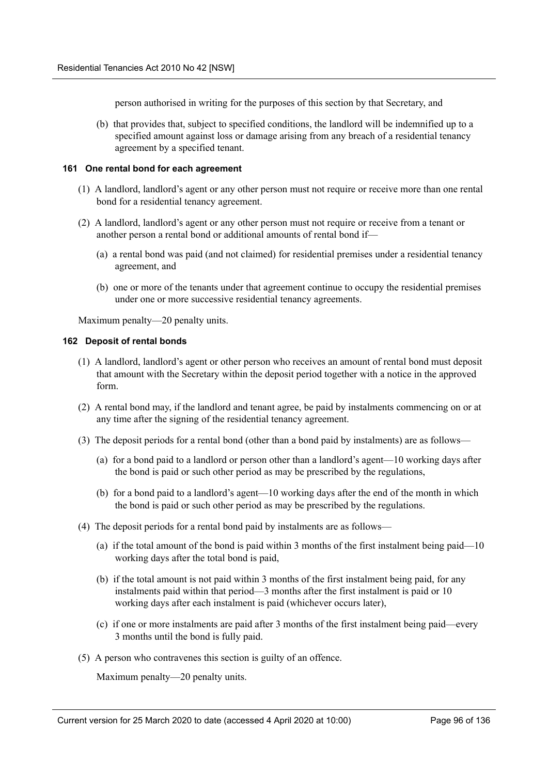person authorised in writing for the purposes of this section by that Secretary, and

(b) that provides that, subject to specified conditions, the landlord will be indemnified up to a specified amount against loss or damage arising from any breach of a residential tenancy agreement by a specified tenant.

## **161 One rental bond for each agreement**

- (1) A landlord, landlord's agent or any other person must not require or receive more than one rental bond for a residential tenancy agreement.
- (2) A landlord, landlord's agent or any other person must not require or receive from a tenant or another person a rental bond or additional amounts of rental bond if—
	- (a) a rental bond was paid (and not claimed) for residential premises under a residential tenancy agreement, and
	- (b) one or more of the tenants under that agreement continue to occupy the residential premises under one or more successive residential tenancy agreements.

Maximum penalty—20 penalty units.

#### **162 Deposit of rental bonds**

- (1) A landlord, landlord's agent or other person who receives an amount of rental bond must deposit that amount with the Secretary within the deposit period together with a notice in the approved form.
- (2) A rental bond may, if the landlord and tenant agree, be paid by instalments commencing on or at any time after the signing of the residential tenancy agreement.
- (3) The deposit periods for a rental bond (other than a bond paid by instalments) are as follows—
	- (a) for a bond paid to a landlord or person other than a landlord's agent—10 working days after the bond is paid or such other period as may be prescribed by the regulations,
	- (b) for a bond paid to a landlord's agent—10 working days after the end of the month in which the bond is paid or such other period as may be prescribed by the regulations.
- (4) The deposit periods for a rental bond paid by instalments are as follows—
	- (a) if the total amount of the bond is paid within 3 months of the first instalment being paid—10 working days after the total bond is paid,
	- (b) if the total amount is not paid within 3 months of the first instalment being paid, for any instalments paid within that period—3 months after the first instalment is paid or 10 working days after each instalment is paid (whichever occurs later),
	- (c) if one or more instalments are paid after 3 months of the first instalment being paid—every 3 months until the bond is fully paid.
- (5) A person who contravenes this section is guilty of an offence.

Maximum penalty—20 penalty units.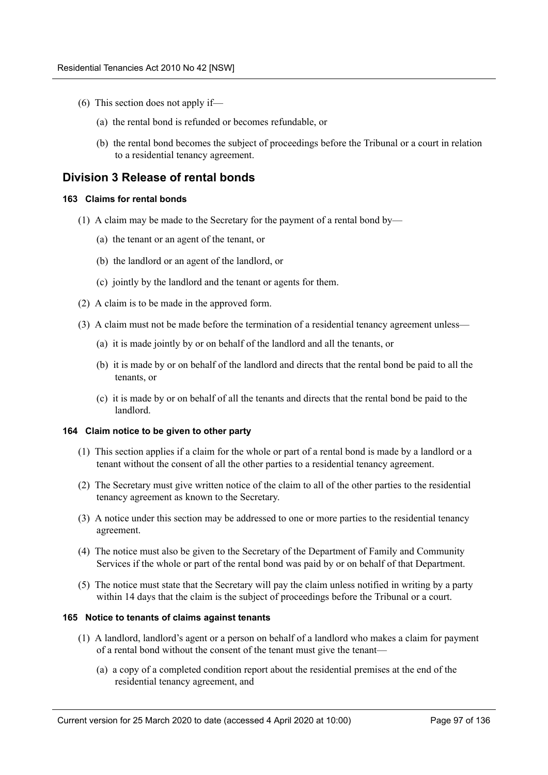- (6) This section does not apply if—
	- (a) the rental bond is refunded or becomes refundable, or
	- (b) the rental bond becomes the subject of proceedings before the Tribunal or a court in relation to a residential tenancy agreement.

## **Division 3 Release of rental bonds**

#### **163 Claims for rental bonds**

- (1) A claim may be made to the Secretary for the payment of a rental bond by—
	- (a) the tenant or an agent of the tenant, or
	- (b) the landlord or an agent of the landlord, or
	- (c) jointly by the landlord and the tenant or agents for them.
- (2) A claim is to be made in the approved form.
- (3) A claim must not be made before the termination of a residential tenancy agreement unless—
	- (a) it is made jointly by or on behalf of the landlord and all the tenants, or
	- (b) it is made by or on behalf of the landlord and directs that the rental bond be paid to all the tenants, or
	- (c) it is made by or on behalf of all the tenants and directs that the rental bond be paid to the landlord.

#### **164 Claim notice to be given to other party**

- (1) This section applies if a claim for the whole or part of a rental bond is made by a landlord or a tenant without the consent of all the other parties to a residential tenancy agreement.
- (2) The Secretary must give written notice of the claim to all of the other parties to the residential tenancy agreement as known to the Secretary.
- (3) A notice under this section may be addressed to one or more parties to the residential tenancy agreement.
- (4) The notice must also be given to the Secretary of the Department of Family and Community Services if the whole or part of the rental bond was paid by or on behalf of that Department.
- (5) The notice must state that the Secretary will pay the claim unless notified in writing by a party within 14 days that the claim is the subject of proceedings before the Tribunal or a court.

#### **165 Notice to tenants of claims against tenants**

- (1) A landlord, landlord's agent or a person on behalf of a landlord who makes a claim for payment of a rental bond without the consent of the tenant must give the tenant—
	- (a) a copy of a completed condition report about the residential premises at the end of the residential tenancy agreement, and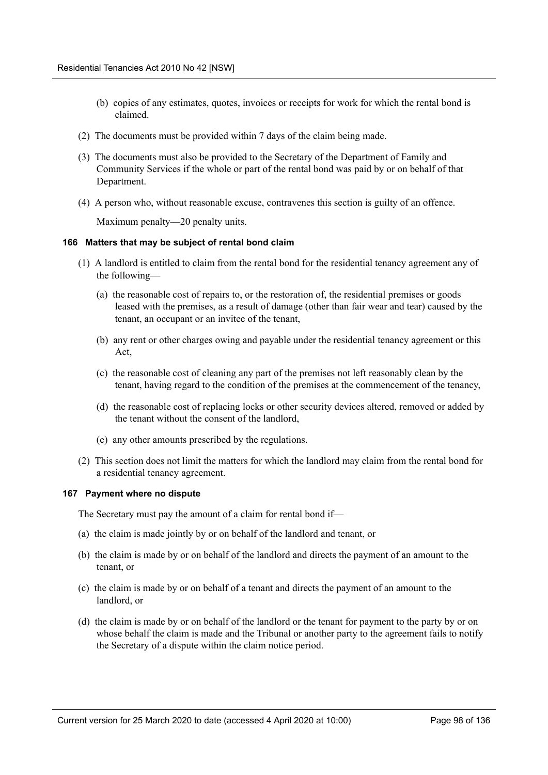- (b) copies of any estimates, quotes, invoices or receipts for work for which the rental bond is claimed.
- (2) The documents must be provided within 7 days of the claim being made.
- (3) The documents must also be provided to the Secretary of the Department of Family and Community Services if the whole or part of the rental bond was paid by or on behalf of that Department.
- (4) A person who, without reasonable excuse, contravenes this section is guilty of an offence.

Maximum penalty—20 penalty units.

#### **166 Matters that may be subject of rental bond claim**

- (1) A landlord is entitled to claim from the rental bond for the residential tenancy agreement any of the following—
	- (a) the reasonable cost of repairs to, or the restoration of, the residential premises or goods leased with the premises, as a result of damage (other than fair wear and tear) caused by the tenant, an occupant or an invitee of the tenant,
	- (b) any rent or other charges owing and payable under the residential tenancy agreement or this Act,
	- (c) the reasonable cost of cleaning any part of the premises not left reasonably clean by the tenant, having regard to the condition of the premises at the commencement of the tenancy,
	- (d) the reasonable cost of replacing locks or other security devices altered, removed or added by the tenant without the consent of the landlord,
	- (e) any other amounts prescribed by the regulations.
- (2) This section does not limit the matters for which the landlord may claim from the rental bond for a residential tenancy agreement.

#### **167 Payment where no dispute**

The Secretary must pay the amount of a claim for rental bond if—

- (a) the claim is made jointly by or on behalf of the landlord and tenant, or
- (b) the claim is made by or on behalf of the landlord and directs the payment of an amount to the tenant, or
- (c) the claim is made by or on behalf of a tenant and directs the payment of an amount to the landlord, or
- (d) the claim is made by or on behalf of the landlord or the tenant for payment to the party by or on whose behalf the claim is made and the Tribunal or another party to the agreement fails to notify the Secretary of a dispute within the claim notice period.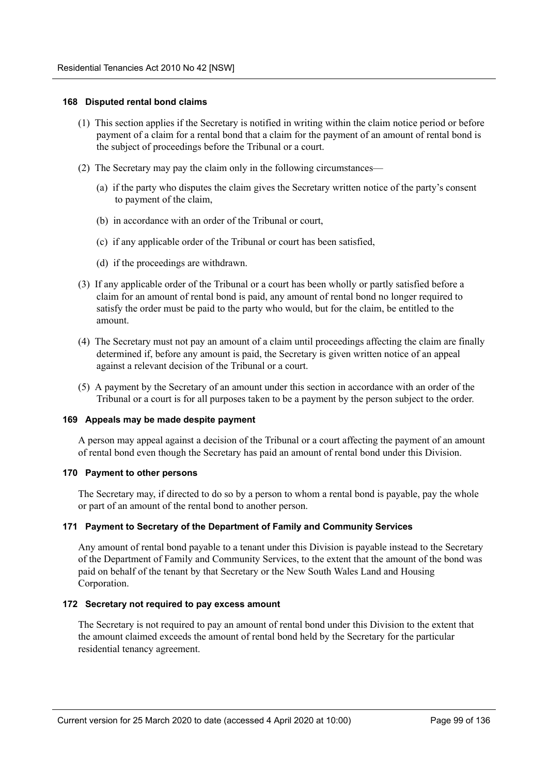#### **168 Disputed rental bond claims**

- (1) This section applies if the Secretary is notified in writing within the claim notice period or before payment of a claim for a rental bond that a claim for the payment of an amount of rental bond is the subject of proceedings before the Tribunal or a court.
- (2) The Secretary may pay the claim only in the following circumstances—
	- (a) if the party who disputes the claim gives the Secretary written notice of the party's consent to payment of the claim,
	- (b) in accordance with an order of the Tribunal or court,
	- (c) if any applicable order of the Tribunal or court has been satisfied,
	- (d) if the proceedings are withdrawn.
- (3) If any applicable order of the Tribunal or a court has been wholly or partly satisfied before a claim for an amount of rental bond is paid, any amount of rental bond no longer required to satisfy the order must be paid to the party who would, but for the claim, be entitled to the amount.
- (4) The Secretary must not pay an amount of a claim until proceedings affecting the claim are finally determined if, before any amount is paid, the Secretary is given written notice of an appeal against a relevant decision of the Tribunal or a court.
- (5) A payment by the Secretary of an amount under this section in accordance with an order of the Tribunal or a court is for all purposes taken to be a payment by the person subject to the order.

#### **169 Appeals may be made despite payment**

A person may appeal against a decision of the Tribunal or a court affecting the payment of an amount of rental bond even though the Secretary has paid an amount of rental bond under this Division.

#### **170 Payment to other persons**

The Secretary may, if directed to do so by a person to whom a rental bond is payable, pay the whole or part of an amount of the rental bond to another person.

## **171 Payment to Secretary of the Department of Family and Community Services**

Any amount of rental bond payable to a tenant under this Division is payable instead to the Secretary of the Department of Family and Community Services, to the extent that the amount of the bond was paid on behalf of the tenant by that Secretary or the New South Wales Land and Housing Corporation.

## **172 Secretary not required to pay excess amount**

The Secretary is not required to pay an amount of rental bond under this Division to the extent that the amount claimed exceeds the amount of rental bond held by the Secretary for the particular residential tenancy agreement.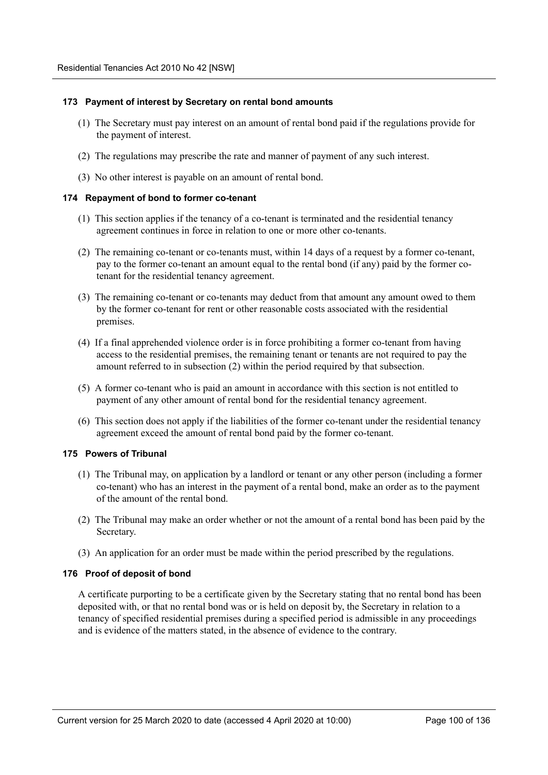#### **173 Payment of interest by Secretary on rental bond amounts**

- (1) The Secretary must pay interest on an amount of rental bond paid if the regulations provide for the payment of interest.
- (2) The regulations may prescribe the rate and manner of payment of any such interest.
- (3) No other interest is payable on an amount of rental bond.

#### **174 Repayment of bond to former co-tenant**

- (1) This section applies if the tenancy of a co-tenant is terminated and the residential tenancy agreement continues in force in relation to one or more other co-tenants.
- (2) The remaining co-tenant or co-tenants must, within 14 days of a request by a former co-tenant, pay to the former co-tenant an amount equal to the rental bond (if any) paid by the former cotenant for the residential tenancy agreement.
- (3) The remaining co-tenant or co-tenants may deduct from that amount any amount owed to them by the former co-tenant for rent or other reasonable costs associated with the residential premises.
- (4) If a final apprehended violence order is in force prohibiting a former co-tenant from having access to the residential premises, the remaining tenant or tenants are not required to pay the amount referred to in subsection (2) within the period required by that subsection.
- (5) A former co-tenant who is paid an amount in accordance with this section is not entitled to payment of any other amount of rental bond for the residential tenancy agreement.
- (6) This section does not apply if the liabilities of the former co-tenant under the residential tenancy agreement exceed the amount of rental bond paid by the former co-tenant.

## **175 Powers of Tribunal**

- (1) The Tribunal may, on application by a landlord or tenant or any other person (including a former co-tenant) who has an interest in the payment of a rental bond, make an order as to the payment of the amount of the rental bond.
- (2) The Tribunal may make an order whether or not the amount of a rental bond has been paid by the Secretary.
- (3) An application for an order must be made within the period prescribed by the regulations.

## **176 Proof of deposit of bond**

A certificate purporting to be a certificate given by the Secretary stating that no rental bond has been deposited with, or that no rental bond was or is held on deposit by, the Secretary in relation to a tenancy of specified residential premises during a specified period is admissible in any proceedings and is evidence of the matters stated, in the absence of evidence to the contrary.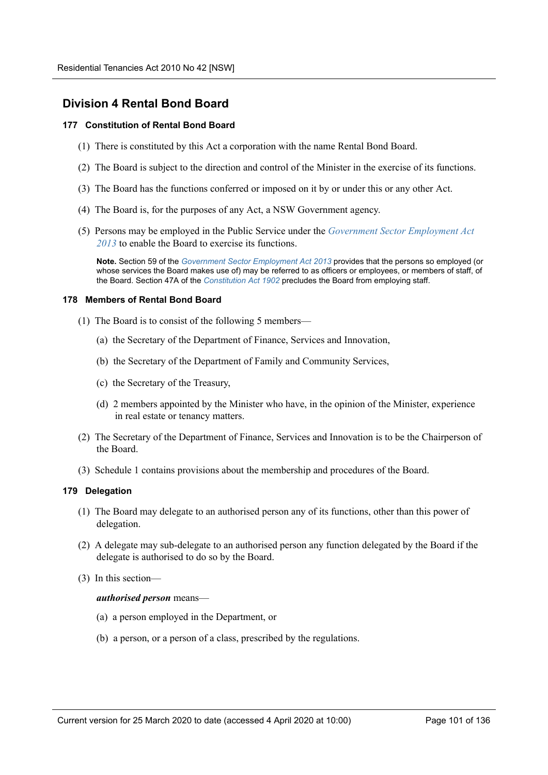# **Division 4 Rental Bond Board**

## **177 Constitution of Rental Bond Board**

- (1) There is constituted by this Act a corporation with the name Rental Bond Board.
- (2) The Board is subject to the direction and control of the Minister in the exercise of its functions.
- (3) The Board has the functions conferred or imposed on it by or under this or any other Act.
- (4) The Board is, for the purposes of any Act, a NSW Government agency.
- (5) Persons may be employed in the Public Service under the *Government Sector Employment Act 2013* to enable the Board to exercise its functions.

**Note.** Section 59 of the *Government Sector Employment Act 2013* provides that the persons so employed (or whose services the Board makes use of) may be referred to as officers or employees, or members of staff, of the Board. Section 47A of the *Constitution Act 1902* precludes the Board from employing staff.

#### **178 Members of Rental Bond Board**

- (1) The Board is to consist of the following 5 members—
	- (a) the Secretary of the Department of Finance, Services and Innovation,
	- (b) the Secretary of the Department of Family and Community Services,
	- (c) the Secretary of the Treasury,
	- (d) 2 members appointed by the Minister who have, in the opinion of the Minister, experience in real estate or tenancy matters.
- (2) The Secretary of the Department of Finance, Services and Innovation is to be the Chairperson of the Board.
- (3) Schedule 1 contains provisions about the membership and procedures of the Board.

## **179 Delegation**

- (1) The Board may delegate to an authorised person any of its functions, other than this power of delegation.
- (2) A delegate may sub-delegate to an authorised person any function delegated by the Board if the delegate is authorised to do so by the Board.
- (3) In this section—

#### *authorised person* means—

- (a) a person employed in the Department, or
- (b) a person, or a person of a class, prescribed by the regulations.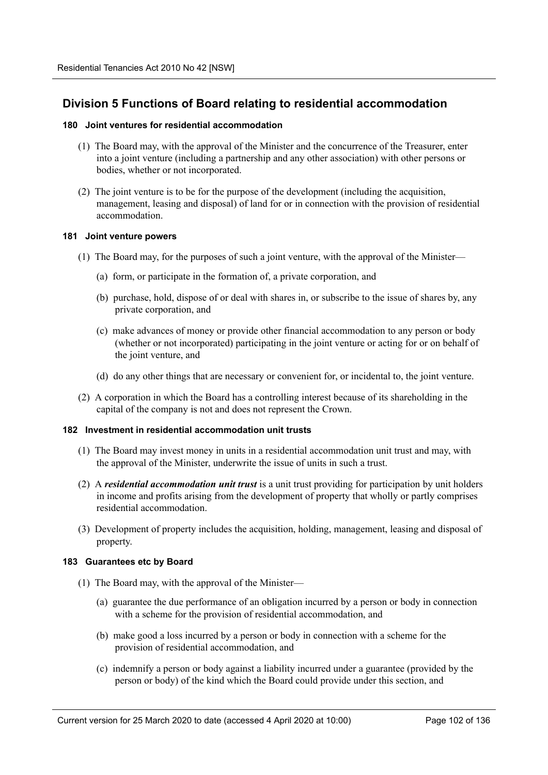# **Division 5 Functions of Board relating to residential accommodation**

### **180 Joint ventures for residential accommodation**

- (1) The Board may, with the approval of the Minister and the concurrence of the Treasurer, enter into a joint venture (including a partnership and any other association) with other persons or bodies, whether or not incorporated.
- (2) The joint venture is to be for the purpose of the development (including the acquisition, management, leasing and disposal) of land for or in connection with the provision of residential accommodation.

## **181 Joint venture powers**

- (1) The Board may, for the purposes of such a joint venture, with the approval of the Minister—
	- (a) form, or participate in the formation of, a private corporation, and
	- (b) purchase, hold, dispose of or deal with shares in, or subscribe to the issue of shares by, any private corporation, and
	- (c) make advances of money or provide other financial accommodation to any person or body (whether or not incorporated) participating in the joint venture or acting for or on behalf of the joint venture, and
	- (d) do any other things that are necessary or convenient for, or incidental to, the joint venture.
- (2) A corporation in which the Board has a controlling interest because of its shareholding in the capital of the company is not and does not represent the Crown.

## **182 Investment in residential accommodation unit trusts**

- (1) The Board may invest money in units in a residential accommodation unit trust and may, with the approval of the Minister, underwrite the issue of units in such a trust.
- (2) A *residential accommodation unit trust* is a unit trust providing for participation by unit holders in income and profits arising from the development of property that wholly or partly comprises residential accommodation.
- (3) Development of property includes the acquisition, holding, management, leasing and disposal of property.

## **183 Guarantees etc by Board**

- (1) The Board may, with the approval of the Minister—
	- (a) guarantee the due performance of an obligation incurred by a person or body in connection with a scheme for the provision of residential accommodation, and
	- (b) make good a loss incurred by a person or body in connection with a scheme for the provision of residential accommodation, and
	- (c) indemnify a person or body against a liability incurred under a guarantee (provided by the person or body) of the kind which the Board could provide under this section, and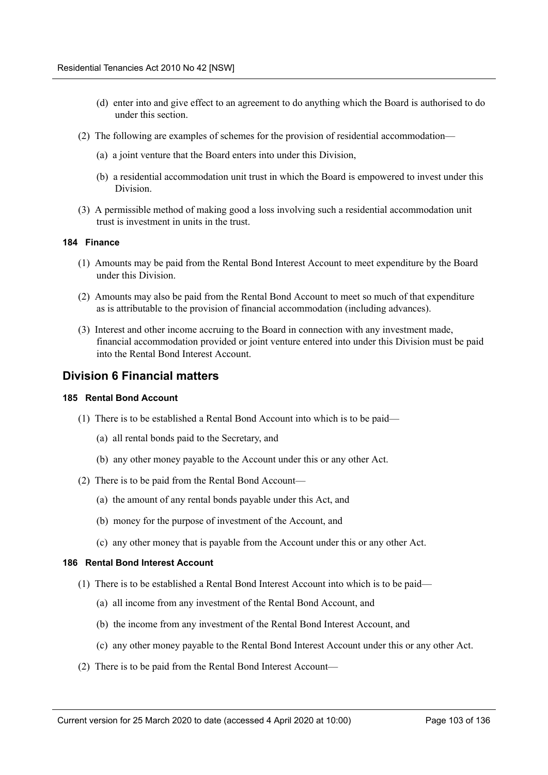- (d) enter into and give effect to an agreement to do anything which the Board is authorised to do under this section.
- (2) The following are examples of schemes for the provision of residential accommodation—
	- (a) a joint venture that the Board enters into under this Division,
	- (b) a residential accommodation unit trust in which the Board is empowered to invest under this Division.
- (3) A permissible method of making good a loss involving such a residential accommodation unit trust is investment in units in the trust.

#### **184 Finance**

- (1) Amounts may be paid from the Rental Bond Interest Account to meet expenditure by the Board under this Division.
- (2) Amounts may also be paid from the Rental Bond Account to meet so much of that expenditure as is attributable to the provision of financial accommodation (including advances).
- (3) Interest and other income accruing to the Board in connection with any investment made, financial accommodation provided or joint venture entered into under this Division must be paid into the Rental Bond Interest Account.

## **Division 6 Financial matters**

#### **185 Rental Bond Account**

- (1) There is to be established a Rental Bond Account into which is to be paid—
	- (a) all rental bonds paid to the Secretary, and
	- (b) any other money payable to the Account under this or any other Act.
- (2) There is to be paid from the Rental Bond Account—
	- (a) the amount of any rental bonds payable under this Act, and
	- (b) money for the purpose of investment of the Account, and
	- (c) any other money that is payable from the Account under this or any other Act.

## **186 Rental Bond Interest Account**

- (1) There is to be established a Rental Bond Interest Account into which is to be paid—
	- (a) all income from any investment of the Rental Bond Account, and
	- (b) the income from any investment of the Rental Bond Interest Account, and
	- (c) any other money payable to the Rental Bond Interest Account under this or any other Act.
- (2) There is to be paid from the Rental Bond Interest Account—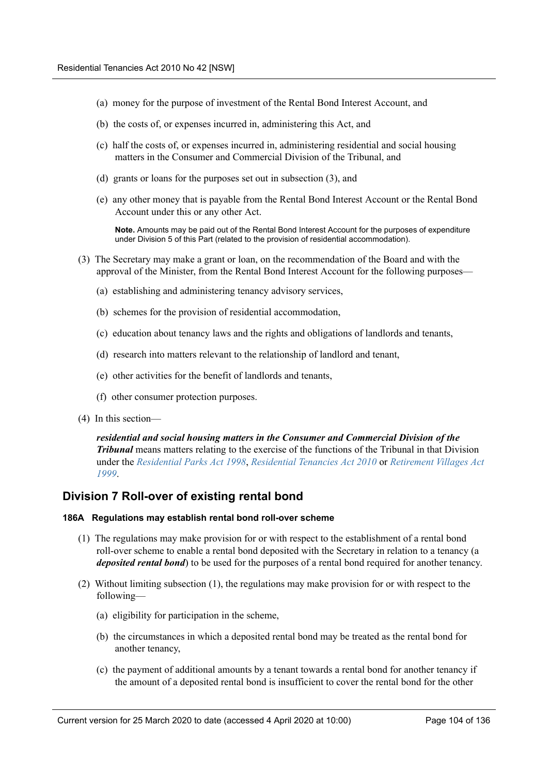- (a) money for the purpose of investment of the Rental Bond Interest Account, and
- (b) the costs of, or expenses incurred in, administering this Act, and
- (c) half the costs of, or expenses incurred in, administering residential and social housing matters in the Consumer and Commercial Division of the Tribunal, and
- (d) grants or loans for the purposes set out in subsection (3), and
- (e) any other money that is payable from the Rental Bond Interest Account or the Rental Bond Account under this or any other Act.

**Note.** Amounts may be paid out of the Rental Bond Interest Account for the purposes of expenditure under Division 5 of this Part (related to the provision of residential accommodation).

- (3) The Secretary may make a grant or loan, on the recommendation of the Board and with the approval of the Minister, from the Rental Bond Interest Account for the following purposes—
	- (a) establishing and administering tenancy advisory services,
	- (b) schemes for the provision of residential accommodation,
	- (c) education about tenancy laws and the rights and obligations of landlords and tenants,
	- (d) research into matters relevant to the relationship of landlord and tenant,
	- (e) other activities for the benefit of landlords and tenants,
	- (f) other consumer protection purposes.
- (4) In this section—

*residential and social housing matters in the Consumer and Commercial Division of the Tribunal* means matters relating to the exercise of the functions of the Tribunal in that Division under the *Residential Parks Act 1998*, *Residential Tenancies Act 2010* or *Retirement Villages Act 1999*.

# **Division 7 Roll-over of existing rental bond**

## **186A Regulations may establish rental bond roll-over scheme**

- (1) The regulations may make provision for or with respect to the establishment of a rental bond roll-over scheme to enable a rental bond deposited with the Secretary in relation to a tenancy (a *deposited rental bond*) to be used for the purposes of a rental bond required for another tenancy.
- (2) Without limiting subsection (1), the regulations may make provision for or with respect to the following—
	- (a) eligibility for participation in the scheme,
	- (b) the circumstances in which a deposited rental bond may be treated as the rental bond for another tenancy,
	- (c) the payment of additional amounts by a tenant towards a rental bond for another tenancy if the amount of a deposited rental bond is insufficient to cover the rental bond for the other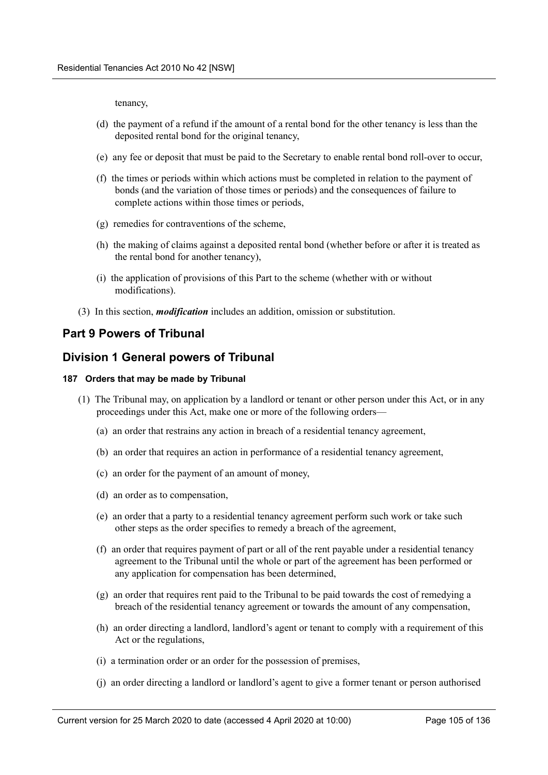tenancy,

- (d) the payment of a refund if the amount of a rental bond for the other tenancy is less than the deposited rental bond for the original tenancy,
- (e) any fee or deposit that must be paid to the Secretary to enable rental bond roll-over to occur,
- (f) the times or periods within which actions must be completed in relation to the payment of bonds (and the variation of those times or periods) and the consequences of failure to complete actions within those times or periods,
- (g) remedies for contraventions of the scheme,
- (h) the making of claims against a deposited rental bond (whether before or after it is treated as the rental bond for another tenancy),
- (i) the application of provisions of this Part to the scheme (whether with or without modifications).
- (3) In this section, *modification* includes an addition, omission or substitution.

## **Part 9 Powers of Tribunal**

## **Division 1 General powers of Tribunal**

#### **187 Orders that may be made by Tribunal**

- (1) The Tribunal may, on application by a landlord or tenant or other person under this Act, or in any proceedings under this Act, make one or more of the following orders—
	- (a) an order that restrains any action in breach of a residential tenancy agreement,
	- (b) an order that requires an action in performance of a residential tenancy agreement,
	- (c) an order for the payment of an amount of money,
	- (d) an order as to compensation,
	- (e) an order that a party to a residential tenancy agreement perform such work or take such other steps as the order specifies to remedy a breach of the agreement,
	- (f) an order that requires payment of part or all of the rent payable under a residential tenancy agreement to the Tribunal until the whole or part of the agreement has been performed or any application for compensation has been determined,
	- (g) an order that requires rent paid to the Tribunal to be paid towards the cost of remedying a breach of the residential tenancy agreement or towards the amount of any compensation,
	- (h) an order directing a landlord, landlord's agent or tenant to comply with a requirement of this Act or the regulations,
	- (i) a termination order or an order for the possession of premises,
	- (j) an order directing a landlord or landlord's agent to give a former tenant or person authorised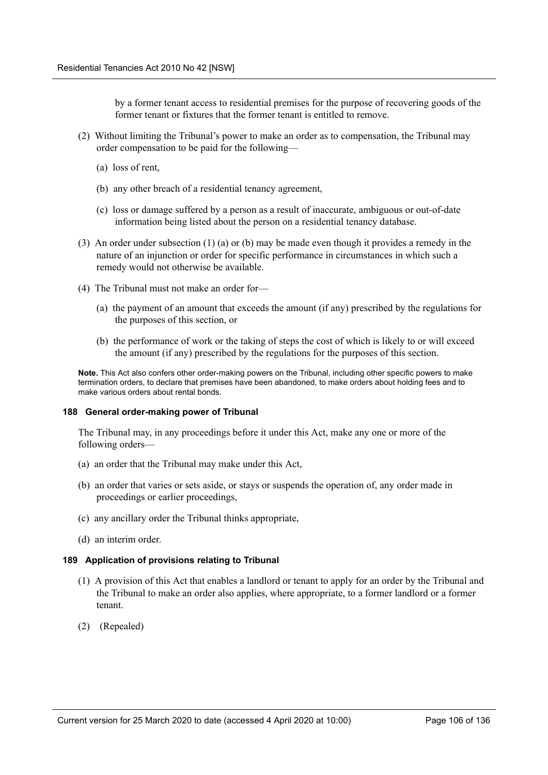by a former tenant access to residential premises for the purpose of recovering goods of the former tenant or fixtures that the former tenant is entitled to remove.

- (2) Without limiting the Tribunal's power to make an order as to compensation, the Tribunal may order compensation to be paid for the following—
	- (a) loss of rent,
	- (b) any other breach of a residential tenancy agreement,
	- (c) loss or damage suffered by a person as a result of inaccurate, ambiguous or out-of-date information being listed about the person on a residential tenancy database.
- (3) An order under subsection (1) (a) or (b) may be made even though it provides a remedy in the nature of an injunction or order for specific performance in circumstances in which such a remedy would not otherwise be available.
- (4) The Tribunal must not make an order for—
	- (a) the payment of an amount that exceeds the amount (if any) prescribed by the regulations for the purposes of this section, or
	- (b) the performance of work or the taking of steps the cost of which is likely to or will exceed the amount (if any) prescribed by the regulations for the purposes of this section.

**Note.** This Act also confers other order-making powers on the Tribunal, including other specific powers to make termination orders, to declare that premises have been abandoned, to make orders about holding fees and to make various orders about rental bonds.

#### **188 General order-making power of Tribunal**

The Tribunal may, in any proceedings before it under this Act, make any one or more of the following orders—

- (a) an order that the Tribunal may make under this Act,
- (b) an order that varies or sets aside, or stays or suspends the operation of, any order made in proceedings or earlier proceedings,
- (c) any ancillary order the Tribunal thinks appropriate,
- (d) an interim order.

#### **189 Application of provisions relating to Tribunal**

- (1) A provision of this Act that enables a landlord or tenant to apply for an order by the Tribunal and the Tribunal to make an order also applies, where appropriate, to a former landlord or a former tenant.
- (2) (Repealed)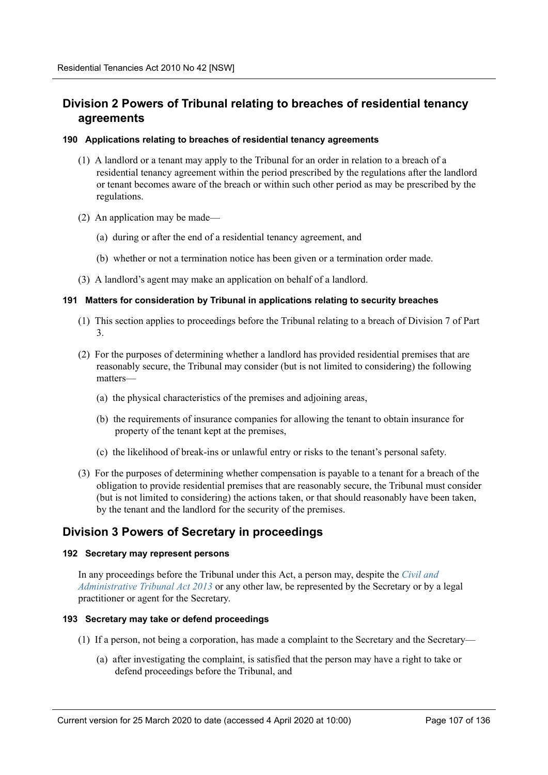# **Division 2 Powers of Tribunal relating to breaches of residential tenancy agreements**

## **190 Applications relating to breaches of residential tenancy agreements**

- (1) A landlord or a tenant may apply to the Tribunal for an order in relation to a breach of a residential tenancy agreement within the period prescribed by the regulations after the landlord or tenant becomes aware of the breach or within such other period as may be prescribed by the regulations.
- (2) An application may be made—
	- (a) during or after the end of a residential tenancy agreement, and
	- (b) whether or not a termination notice has been given or a termination order made.
- (3) A landlord's agent may make an application on behalf of a landlord.

## **191 Matters for consideration by Tribunal in applications relating to security breaches**

- (1) This section applies to proceedings before the Tribunal relating to a breach of Division 7 of Part 3.
- (2) For the purposes of determining whether a landlord has provided residential premises that are reasonably secure, the Tribunal may consider (but is not limited to considering) the following matters—
	- (a) the physical characteristics of the premises and adjoining areas,
	- (b) the requirements of insurance companies for allowing the tenant to obtain insurance for property of the tenant kept at the premises,
	- (c) the likelihood of break-ins or unlawful entry or risks to the tenant's personal safety.
- (3) For the purposes of determining whether compensation is payable to a tenant for a breach of the obligation to provide residential premises that are reasonably secure, the Tribunal must consider (but is not limited to considering) the actions taken, or that should reasonably have been taken, by the tenant and the landlord for the security of the premises.

# **Division 3 Powers of Secretary in proceedings**

## **192 Secretary may represent persons**

In any proceedings before the Tribunal under this Act, a person may, despite the *Civil and Administrative Tribunal Act 2013* or any other law, be represented by the Secretary or by a legal practitioner or agent for the Secretary.

## **193 Secretary may take or defend proceedings**

- (1) If a person, not being a corporation, has made a complaint to the Secretary and the Secretary—
	- (a) after investigating the complaint, is satisfied that the person may have a right to take or defend proceedings before the Tribunal, and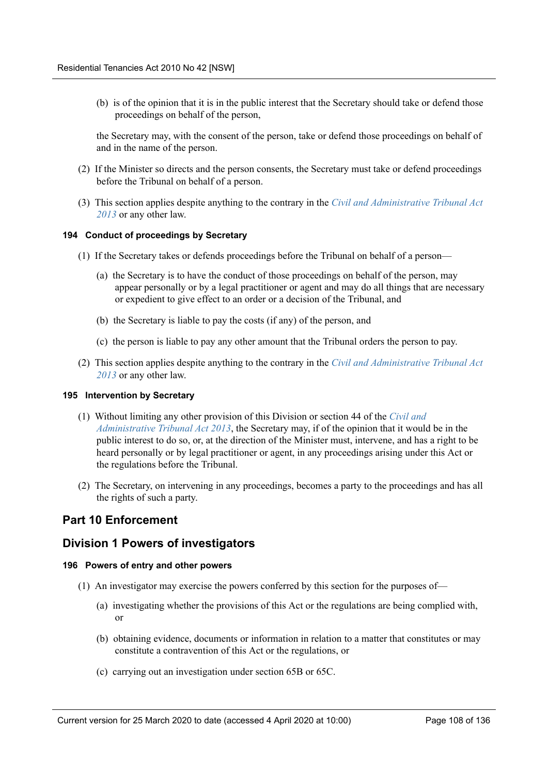(b) is of the opinion that it is in the public interest that the Secretary should take or defend those proceedings on behalf of the person,

the Secretary may, with the consent of the person, take or defend those proceedings on behalf of and in the name of the person.

- (2) If the Minister so directs and the person consents, the Secretary must take or defend proceedings before the Tribunal on behalf of a person.
- (3) This section applies despite anything to the contrary in the *Civil and Administrative Tribunal Act 2013* or any other law.

#### **194 Conduct of proceedings by Secretary**

- (1) If the Secretary takes or defends proceedings before the Tribunal on behalf of a person—
	- (a) the Secretary is to have the conduct of those proceedings on behalf of the person, may appear personally or by a legal practitioner or agent and may do all things that are necessary or expedient to give effect to an order or a decision of the Tribunal, and
	- (b) the Secretary is liable to pay the costs (if any) of the person, and
	- (c) the person is liable to pay any other amount that the Tribunal orders the person to pay.
- (2) This section applies despite anything to the contrary in the *Civil and Administrative Tribunal Act 2013* or any other law.

#### **195 Intervention by Secretary**

- (1) Without limiting any other provision of this Division or section 44 of the *Civil and Administrative Tribunal Act 2013*, the Secretary may, if of the opinion that it would be in the public interest to do so, or, at the direction of the Minister must, intervene, and has a right to be heard personally or by legal practitioner or agent, in any proceedings arising under this Act or the regulations before the Tribunal.
- (2) The Secretary, on intervening in any proceedings, becomes a party to the proceedings and has all the rights of such a party.

## **Part 10 Enforcement**

## **Division 1 Powers of investigators**

## **196 Powers of entry and other powers**

- (1) An investigator may exercise the powers conferred by this section for the purposes of—
	- (a) investigating whether the provisions of this Act or the regulations are being complied with, or
	- (b) obtaining evidence, documents or information in relation to a matter that constitutes or may constitute a contravention of this Act or the regulations, or
	- (c) carrying out an investigation under section 65B or 65C.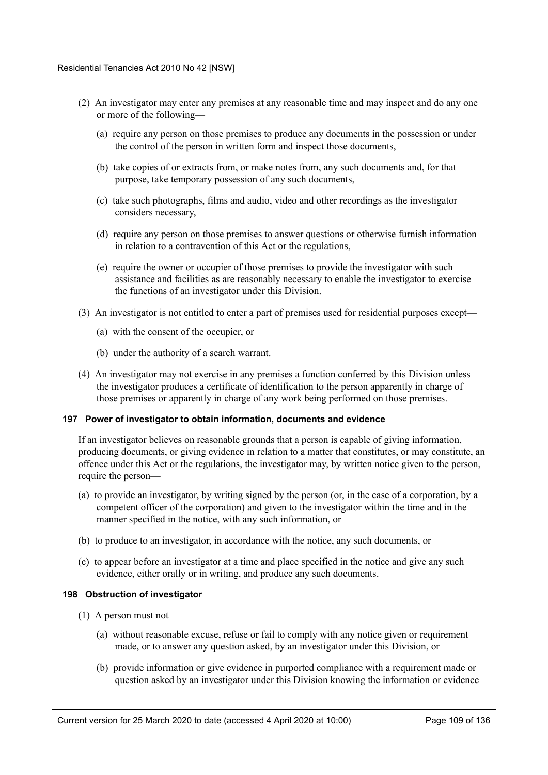- (2) An investigator may enter any premises at any reasonable time and may inspect and do any one or more of the following—
	- (a) require any person on those premises to produce any documents in the possession or under the control of the person in written form and inspect those documents,
	- (b) take copies of or extracts from, or make notes from, any such documents and, for that purpose, take temporary possession of any such documents,
	- (c) take such photographs, films and audio, video and other recordings as the investigator considers necessary,
	- (d) require any person on those premises to answer questions or otherwise furnish information in relation to a contravention of this Act or the regulations,
	- (e) require the owner or occupier of those premises to provide the investigator with such assistance and facilities as are reasonably necessary to enable the investigator to exercise the functions of an investigator under this Division.
- (3) An investigator is not entitled to enter a part of premises used for residential purposes except—
	- (a) with the consent of the occupier, or
	- (b) under the authority of a search warrant.
- (4) An investigator may not exercise in any premises a function conferred by this Division unless the investigator produces a certificate of identification to the person apparently in charge of those premises or apparently in charge of any work being performed on those premises.

#### **197 Power of investigator to obtain information, documents and evidence**

If an investigator believes on reasonable grounds that a person is capable of giving information, producing documents, or giving evidence in relation to a matter that constitutes, or may constitute, an offence under this Act or the regulations, the investigator may, by written notice given to the person, require the person—

- (a) to provide an investigator, by writing signed by the person (or, in the case of a corporation, by a competent officer of the corporation) and given to the investigator within the time and in the manner specified in the notice, with any such information, or
- (b) to produce to an investigator, in accordance with the notice, any such documents, or
- (c) to appear before an investigator at a time and place specified in the notice and give any such evidence, either orally or in writing, and produce any such documents.

#### **198 Obstruction of investigator**

- (1) A person must not—
	- (a) without reasonable excuse, refuse or fail to comply with any notice given or requirement made, or to answer any question asked, by an investigator under this Division, or
	- (b) provide information or give evidence in purported compliance with a requirement made or question asked by an investigator under this Division knowing the information or evidence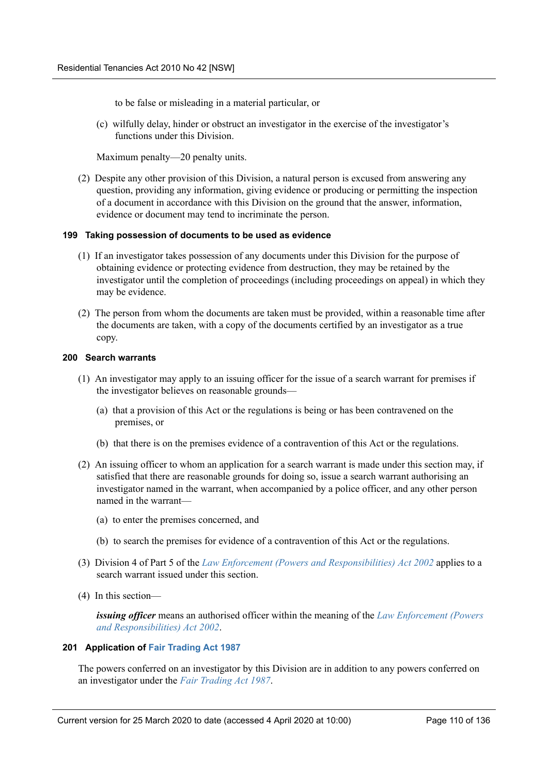to be false or misleading in a material particular, or

(c) wilfully delay, hinder or obstruct an investigator in the exercise of the investigator's functions under this Division.

Maximum penalty—20 penalty units.

(2) Despite any other provision of this Division, a natural person is excused from answering any question, providing any information, giving evidence or producing or permitting the inspection of a document in accordance with this Division on the ground that the answer, information, evidence or document may tend to incriminate the person.

### **199 Taking possession of documents to be used as evidence**

- (1) If an investigator takes possession of any documents under this Division for the purpose of obtaining evidence or protecting evidence from destruction, they may be retained by the investigator until the completion of proceedings (including proceedings on appeal) in which they may be evidence.
- (2) The person from whom the documents are taken must be provided, within a reasonable time after the documents are taken, with a copy of the documents certified by an investigator as a true copy.

## **200 Search warrants**

- (1) An investigator may apply to an issuing officer for the issue of a search warrant for premises if the investigator believes on reasonable grounds—
	- (a) that a provision of this Act or the regulations is being or has been contravened on the premises, or
	- (b) that there is on the premises evidence of a contravention of this Act or the regulations.
- (2) An issuing officer to whom an application for a search warrant is made under this section may, if satisfied that there are reasonable grounds for doing so, issue a search warrant authorising an investigator named in the warrant, when accompanied by a police officer, and any other person named in the warrant—
	- (a) to enter the premises concerned, and
	- (b) to search the premises for evidence of a contravention of this Act or the regulations.
- (3) Division 4 of Part 5 of the *Law Enforcement (Powers and Responsibilities) Act 2002* applies to a search warrant issued under this section.
- (4) In this section—

*issuing officer* means an authorised officer within the meaning of the *Law Enforcement (Powers and Responsibilities) Act 2002*.

#### **201 Application of Fair Trading Act 1987**

The powers conferred on an investigator by this Division are in addition to any powers conferred on an investigator under the *Fair Trading Act 1987*.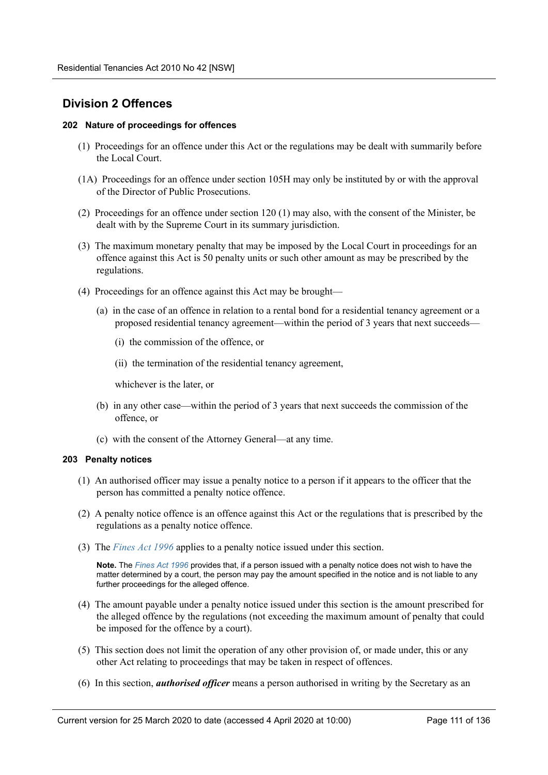# **Division 2 Offences**

### **202 Nature of proceedings for offences**

- (1) Proceedings for an offence under this Act or the regulations may be dealt with summarily before the Local Court.
- (1A) Proceedings for an offence under section 105H may only be instituted by or with the approval of the Director of Public Prosecutions.
- (2) Proceedings for an offence under section 120 (1) may also, with the consent of the Minister, be dealt with by the Supreme Court in its summary jurisdiction.
- (3) The maximum monetary penalty that may be imposed by the Local Court in proceedings for an offence against this Act is 50 penalty units or such other amount as may be prescribed by the regulations.
- (4) Proceedings for an offence against this Act may be brought—
	- (a) in the case of an offence in relation to a rental bond for a residential tenancy agreement or a proposed residential tenancy agreement—within the period of 3 years that next succeeds—
		- (i) the commission of the offence, or
		- (ii) the termination of the residential tenancy agreement,

whichever is the later, or

- (b) in any other case—within the period of 3 years that next succeeds the commission of the offence, or
- (c) with the consent of the Attorney General—at any time.

#### **203 Penalty notices**

- (1) An authorised officer may issue a penalty notice to a person if it appears to the officer that the person has committed a penalty notice offence.
- (2) A penalty notice offence is an offence against this Act or the regulations that is prescribed by the regulations as a penalty notice offence.
- (3) The *Fines Act 1996* applies to a penalty notice issued under this section.

**Note.** The *Fines Act 1996* provides that, if a person issued with a penalty notice does not wish to have the matter determined by a court, the person may pay the amount specified in the notice and is not liable to any further proceedings for the alleged offence.

- (4) The amount payable under a penalty notice issued under this section is the amount prescribed for the alleged offence by the regulations (not exceeding the maximum amount of penalty that could be imposed for the offence by a court).
- (5) This section does not limit the operation of any other provision of, or made under, this or any other Act relating to proceedings that may be taken in respect of offences.
- (6) In this section, *authorised officer* means a person authorised in writing by the Secretary as an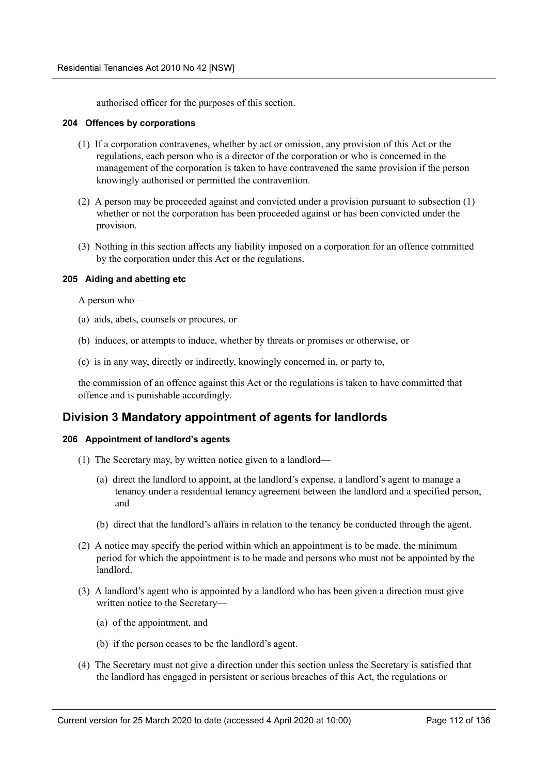authorised officer for the purposes of this section.

#### **204 Offences by corporations**

- (1) If a corporation contravenes, whether by act or omission, any provision of this Act or the regulations, each person who is a director of the corporation or who is concerned in the management of the corporation is taken to have contravened the same provision if the person knowingly authorised or permitted the contravention.
- (2) A person may be proceeded against and convicted under a provision pursuant to subsection (1) whether or not the corporation has been proceeded against or has been convicted under the provision.
- (3) Nothing in this section affects any liability imposed on a corporation for an offence committed by the corporation under this Act or the regulations.

### **205 Aiding and abetting etc**

A person who—

- (a) aids, abets, counsels or procures, or
- (b) induces, or attempts to induce, whether by threats or promises or otherwise, or
- (c) is in any way, directly or indirectly, knowingly concerned in, or party to,

the commission of an offence against this Act or the regulations is taken to have committed that offence and is punishable accordingly.

# **Division 3 Mandatory appointment of agents for landlords**

## **206 Appointment of landlord's agents**

- (1) The Secretary may, by written notice given to a landlord—
	- (a) direct the landlord to appoint, at the landlord's expense, a landlord's agent to manage a tenancy under a residential tenancy agreement between the landlord and a specified person, and
	- (b) direct that the landlord's affairs in relation to the tenancy be conducted through the agent.
- (2) A notice may specify the period within which an appointment is to be made, the minimum period for which the appointment is to be made and persons who must not be appointed by the landlord.
- (3) A landlord's agent who is appointed by a landlord who has been given a direction must give written notice to the Secretary—
	- (a) of the appointment, and
	- (b) if the person ceases to be the landlord's agent.
- (4) The Secretary must not give a direction under this section unless the Secretary is satisfied that the landlord has engaged in persistent or serious breaches of this Act, the regulations or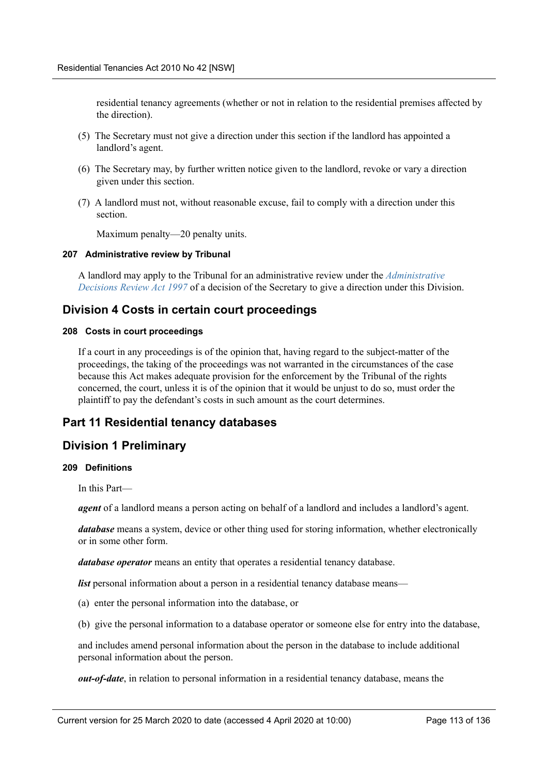residential tenancy agreements (whether or not in relation to the residential premises affected by the direction).

- (5) The Secretary must not give a direction under this section if the landlord has appointed a landlord's agent.
- (6) The Secretary may, by further written notice given to the landlord, revoke or vary a direction given under this section.
- (7) A landlord must not, without reasonable excuse, fail to comply with a direction under this section.

Maximum penalty—20 penalty units.

### **207 Administrative review by Tribunal**

A landlord may apply to the Tribunal for an administrative review under the *Administrative Decisions Review Act 1997* of a decision of the Secretary to give a direction under this Division.

# **Division 4 Costs in certain court proceedings**

#### **208 Costs in court proceedings**

If a court in any proceedings is of the opinion that, having regard to the subject-matter of the proceedings, the taking of the proceedings was not warranted in the circumstances of the case because this Act makes adequate provision for the enforcement by the Tribunal of the rights concerned, the court, unless it is of the opinion that it would be unjust to do so, must order the plaintiff to pay the defendant's costs in such amount as the court determines.

# **Part 11 Residential tenancy databases**

# **Division 1 Preliminary**

### **209 Definitions**

In this Part—

*agent* of a landlord means a person acting on behalf of a landlord and includes a landlord's agent.

*database* means a system, device or other thing used for storing information, whether electronically or in some other form.

*database operator* means an entity that operates a residential tenancy database.

*list* personal information about a person in a residential tenancy database means—

- (a) enter the personal information into the database, or
- (b) give the personal information to a database operator or someone else for entry into the database,

and includes amend personal information about the person in the database to include additional personal information about the person.

*out-of-date*, in relation to personal information in a residential tenancy database, means the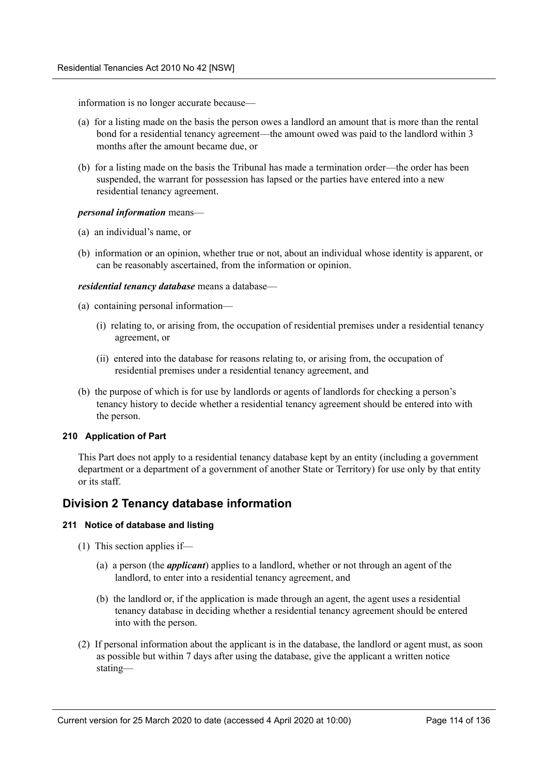information is no longer accurate because—

- (a) for a listing made on the basis the person owes a landlord an amount that is more than the rental bond for a residential tenancy agreement—the amount owed was paid to the landlord within 3 months after the amount became due, or
- (b) for a listing made on the basis the Tribunal has made a termination order—the order has been suspended, the warrant for possession has lapsed or the parties have entered into a new residential tenancy agreement.

### *personal information* means—

- (a) an individual's name, or
- (b) information or an opinion, whether true or not, about an individual whose identity is apparent, or can be reasonably ascertained, from the information or opinion.

### *residential tenancy database* means a database—

- (a) containing personal information—
	- (i) relating to, or arising from, the occupation of residential premises under a residential tenancy agreement, or
	- (ii) entered into the database for reasons relating to, or arising from, the occupation of residential premises under a residential tenancy agreement, and
- (b) the purpose of which is for use by landlords or agents of landlords for checking a person's tenancy history to decide whether a residential tenancy agreement should be entered into with the person.

## **210 Application of Part**

This Part does not apply to a residential tenancy database kept by an entity (including a government department or a department of a government of another State or Territory) for use only by that entity or its staff.

# **Division 2 Tenancy database information**

## **211 Notice of database and listing**

- (1) This section applies if—
	- (a) a person (the *applicant*) applies to a landlord, whether or not through an agent of the landlord, to enter into a residential tenancy agreement, and
	- (b) the landlord or, if the application is made through an agent, the agent uses a residential tenancy database in deciding whether a residential tenancy agreement should be entered into with the person.
- (2) If personal information about the applicant is in the database, the landlord or agent must, as soon as possible but within 7 days after using the database, give the applicant a written notice stating—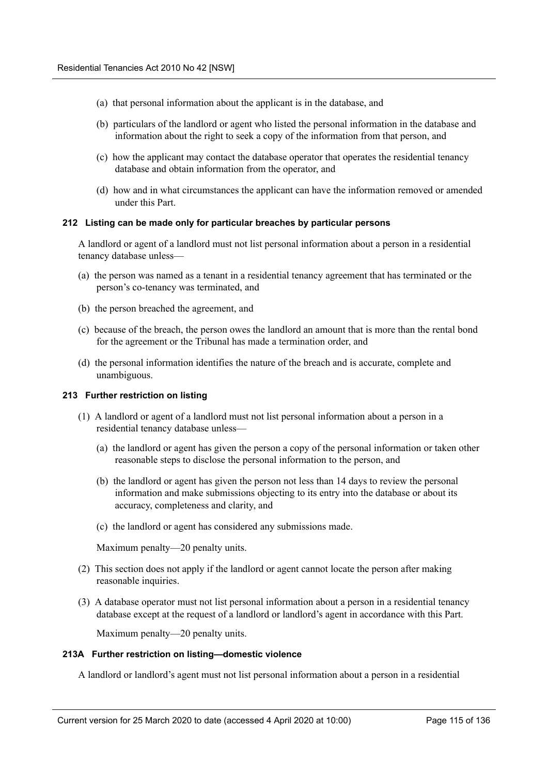- (a) that personal information about the applicant is in the database, and
- (b) particulars of the landlord or agent who listed the personal information in the database and information about the right to seek a copy of the information from that person, and
- (c) how the applicant may contact the database operator that operates the residential tenancy database and obtain information from the operator, and
- (d) how and in what circumstances the applicant can have the information removed or amended under this Part.

### **212 Listing can be made only for particular breaches by particular persons**

A landlord or agent of a landlord must not list personal information about a person in a residential tenancy database unless—

- (a) the person was named as a tenant in a residential tenancy agreement that has terminated or the person's co-tenancy was terminated, and
- (b) the person breached the agreement, and
- (c) because of the breach, the person owes the landlord an amount that is more than the rental bond for the agreement or the Tribunal has made a termination order, and
- (d) the personal information identifies the nature of the breach and is accurate, complete and unambiguous.

#### **213 Further restriction on listing**

- (1) A landlord or agent of a landlord must not list personal information about a person in a residential tenancy database unless—
	- (a) the landlord or agent has given the person a copy of the personal information or taken other reasonable steps to disclose the personal information to the person, and
	- (b) the landlord or agent has given the person not less than 14 days to review the personal information and make submissions objecting to its entry into the database or about its accuracy, completeness and clarity, and
	- (c) the landlord or agent has considered any submissions made.

Maximum penalty—20 penalty units.

- (2) This section does not apply if the landlord or agent cannot locate the person after making reasonable inquiries.
- (3) A database operator must not list personal information about a person in a residential tenancy database except at the request of a landlord or landlord's agent in accordance with this Part.

Maximum penalty—20 penalty units.

#### **213A Further restriction on listing—domestic violence**

A landlord or landlord's agent must not list personal information about a person in a residential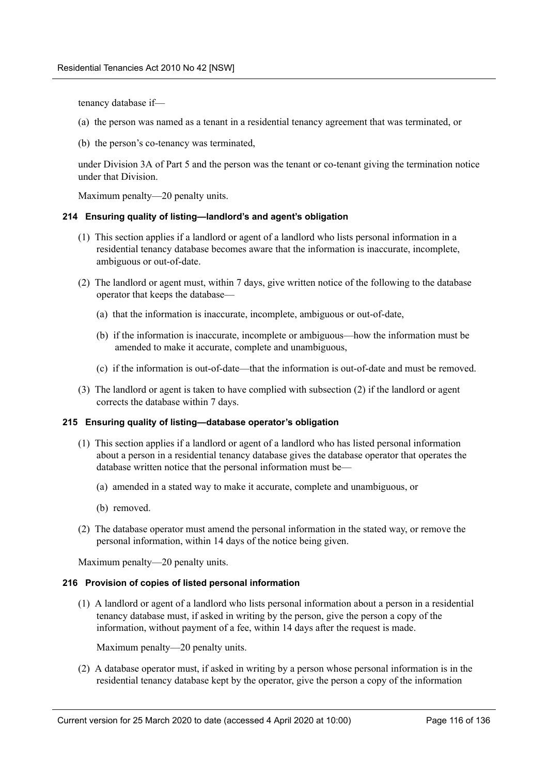tenancy database if—

- (a) the person was named as a tenant in a residential tenancy agreement that was terminated, or
- (b) the person's co-tenancy was terminated,

under Division 3A of Part 5 and the person was the tenant or co-tenant giving the termination notice under that Division.

Maximum penalty—20 penalty units.

### **214 Ensuring quality of listing—landlord's and agent's obligation**

- (1) This section applies if a landlord or agent of a landlord who lists personal information in a residential tenancy database becomes aware that the information is inaccurate, incomplete, ambiguous or out-of-date.
- (2) The landlord or agent must, within 7 days, give written notice of the following to the database operator that keeps the database—
	- (a) that the information is inaccurate, incomplete, ambiguous or out-of-date,
	- (b) if the information is inaccurate, incomplete or ambiguous—how the information must be amended to make it accurate, complete and unambiguous,
	- (c) if the information is out-of-date—that the information is out-of-date and must be removed.
- (3) The landlord or agent is taken to have complied with subsection (2) if the landlord or agent corrects the database within 7 days.

#### **215 Ensuring quality of listing—database operator's obligation**

- (1) This section applies if a landlord or agent of a landlord who has listed personal information about a person in a residential tenancy database gives the database operator that operates the database written notice that the personal information must be—
	- (a) amended in a stated way to make it accurate, complete and unambiguous, or
	- (b) removed.
- (2) The database operator must amend the personal information in the stated way, or remove the personal information, within 14 days of the notice being given.

Maximum penalty—20 penalty units.

#### **216 Provision of copies of listed personal information**

(1) A landlord or agent of a landlord who lists personal information about a person in a residential tenancy database must, if asked in writing by the person, give the person a copy of the information, without payment of a fee, within 14 days after the request is made.

Maximum penalty—20 penalty units.

(2) A database operator must, if asked in writing by a person whose personal information is in the residential tenancy database kept by the operator, give the person a copy of the information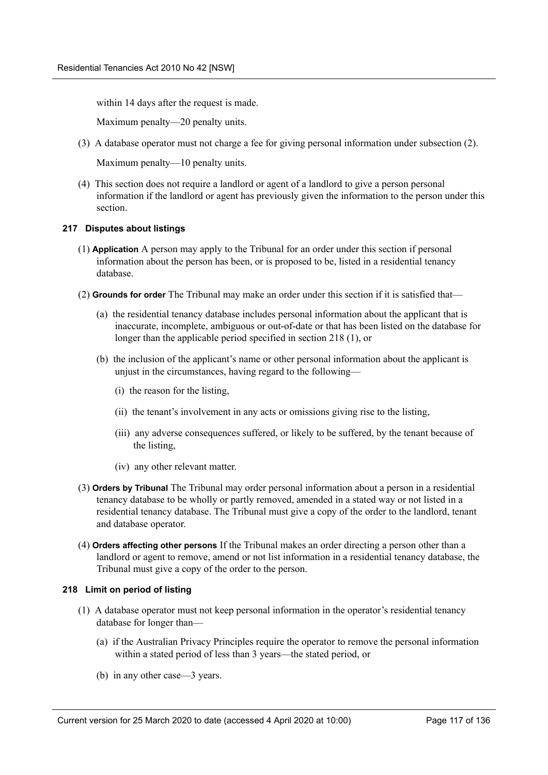within 14 days after the request is made.

Maximum penalty—20 penalty units.

(3) A database operator must not charge a fee for giving personal information under subsection (2).

Maximum penalty—10 penalty units.

(4) This section does not require a landlord or agent of a landlord to give a person personal information if the landlord or agent has previously given the information to the person under this section.

### **217 Disputes about listings**

- (1) **Application** A person may apply to the Tribunal for an order under this section if personal information about the person has been, or is proposed to be, listed in a residential tenancy database.
- (2) **Grounds for order** The Tribunal may make an order under this section if it is satisfied that—
	- (a) the residential tenancy database includes personal information about the applicant that is inaccurate, incomplete, ambiguous or out-of-date or that has been listed on the database for longer than the applicable period specified in section 218 (1), or
	- (b) the inclusion of the applicant's name or other personal information about the applicant is unjust in the circumstances, having regard to the following—
		- (i) the reason for the listing,
		- (ii) the tenant's involvement in any acts or omissions giving rise to the listing,
		- (iii) any adverse consequences suffered, or likely to be suffered, by the tenant because of the listing,
		- (iv) any other relevant matter.
- (3) **Orders by Tribunal** The Tribunal may order personal information about a person in a residential tenancy database to be wholly or partly removed, amended in a stated way or not listed in a residential tenancy database. The Tribunal must give a copy of the order to the landlord, tenant and database operator.
- (4) **Orders affecting other persons** If the Tribunal makes an order directing a person other than a landlord or agent to remove, amend or not list information in a residential tenancy database, the Tribunal must give a copy of the order to the person.

## **218 Limit on period of listing**

- (1) A database operator must not keep personal information in the operator's residential tenancy database for longer than—
	- (a) if the Australian Privacy Principles require the operator to remove the personal information within a stated period of less than 3 years—the stated period, or
	- (b) in any other case—3 years.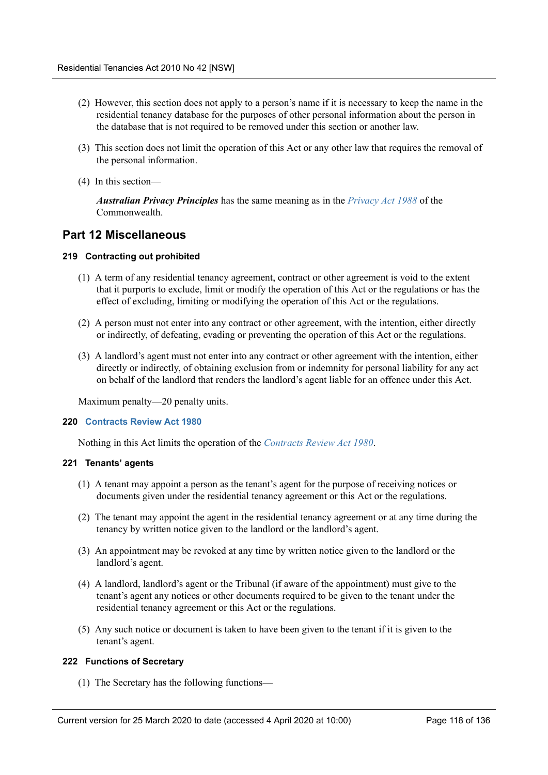- (2) However, this section does not apply to a person's name if it is necessary to keep the name in the residential tenancy database for the purposes of other personal information about the person in the database that is not required to be removed under this section or another law.
- (3) This section does not limit the operation of this Act or any other law that requires the removal of the personal information.
- (4) In this section—

*Australian Privacy Principles* has the same meaning as in the *Privacy Act 1988* of the Commonwealth.

# **Part 12 Miscellaneous**

## **219 Contracting out prohibited**

- (1) A term of any residential tenancy agreement, contract or other agreement is void to the extent that it purports to exclude, limit or modify the operation of this Act or the regulations or has the effect of excluding, limiting or modifying the operation of this Act or the regulations.
- (2) A person must not enter into any contract or other agreement, with the intention, either directly or indirectly, of defeating, evading or preventing the operation of this Act or the regulations.
- (3) A landlord's agent must not enter into any contract or other agreement with the intention, either directly or indirectly, of obtaining exclusion from or indemnity for personal liability for any act on behalf of the landlord that renders the landlord's agent liable for an offence under this Act.

Maximum penalty—20 penalty units.

## **220 Contracts Review Act 1980**

Nothing in this Act limits the operation of the *Contracts Review Act 1980*.

#### **221 Tenants' agents**

- (1) A tenant may appoint a person as the tenant's agent for the purpose of receiving notices or documents given under the residential tenancy agreement or this Act or the regulations.
- (2) The tenant may appoint the agent in the residential tenancy agreement or at any time during the tenancy by written notice given to the landlord or the landlord's agent.
- (3) An appointment may be revoked at any time by written notice given to the landlord or the landlord's agent.
- (4) A landlord, landlord's agent or the Tribunal (if aware of the appointment) must give to the tenant's agent any notices or other documents required to be given to the tenant under the residential tenancy agreement or this Act or the regulations.
- (5) Any such notice or document is taken to have been given to the tenant if it is given to the tenant's agent.

### **222 Functions of Secretary**

(1) The Secretary has the following functions—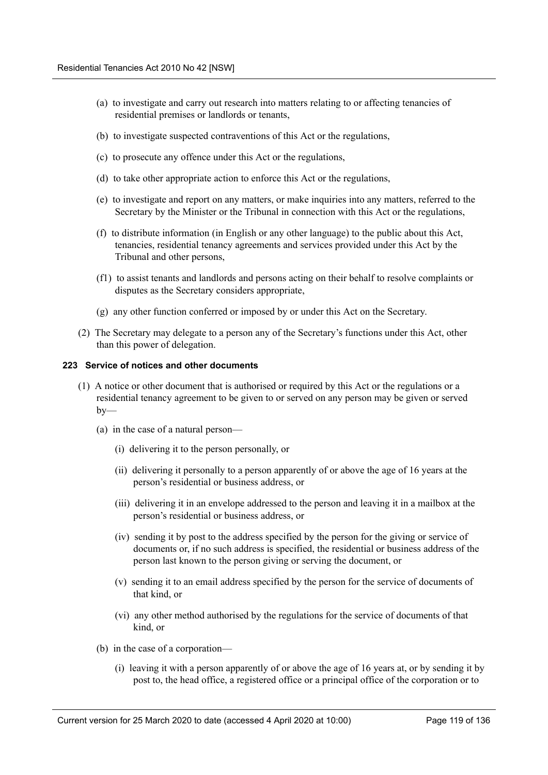- (a) to investigate and carry out research into matters relating to or affecting tenancies of residential premises or landlords or tenants,
- (b) to investigate suspected contraventions of this Act or the regulations,
- (c) to prosecute any offence under this Act or the regulations,
- (d) to take other appropriate action to enforce this Act or the regulations,
- (e) to investigate and report on any matters, or make inquiries into any matters, referred to the Secretary by the Minister or the Tribunal in connection with this Act or the regulations,
- (f) to distribute information (in English or any other language) to the public about this Act, tenancies, residential tenancy agreements and services provided under this Act by the Tribunal and other persons,
- (f1) to assist tenants and landlords and persons acting on their behalf to resolve complaints or disputes as the Secretary considers appropriate,
- (g) any other function conferred or imposed by or under this Act on the Secretary.
- (2) The Secretary may delegate to a person any of the Secretary's functions under this Act, other than this power of delegation.

#### **223 Service of notices and other documents**

- (1) A notice or other document that is authorised or required by this Act or the regulations or a residential tenancy agreement to be given to or served on any person may be given or served  $by-$ 
	- (a) in the case of a natural person—
		- (i) delivering it to the person personally, or
		- (ii) delivering it personally to a person apparently of or above the age of 16 years at the person's residential or business address, or
		- (iii) delivering it in an envelope addressed to the person and leaving it in a mailbox at the person's residential or business address, or
		- (iv) sending it by post to the address specified by the person for the giving or service of documents or, if no such address is specified, the residential or business address of the person last known to the person giving or serving the document, or
		- (v) sending it to an email address specified by the person for the service of documents of that kind, or
		- (vi) any other method authorised by the regulations for the service of documents of that kind, or
	- (b) in the case of a corporation—
		- (i) leaving it with a person apparently of or above the age of 16 years at, or by sending it by post to, the head office, a registered office or a principal office of the corporation or to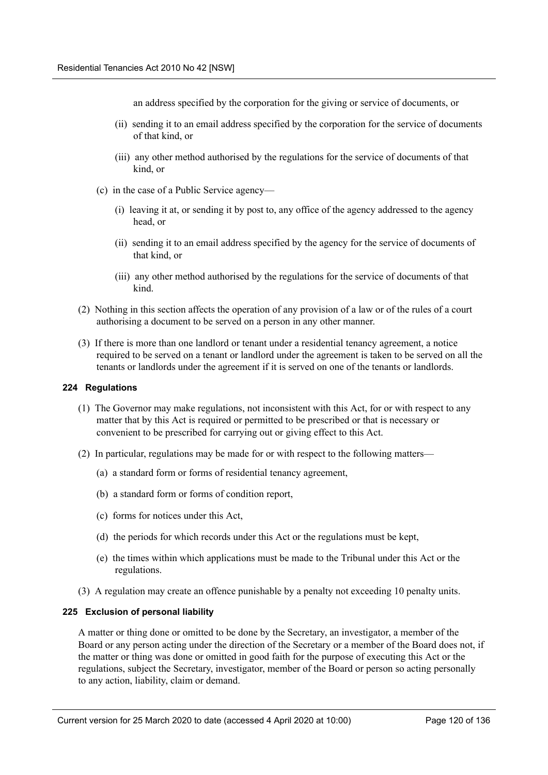an address specified by the corporation for the giving or service of documents, or

- (ii) sending it to an email address specified by the corporation for the service of documents of that kind, or
- (iii) any other method authorised by the regulations for the service of documents of that kind, or
- (c) in the case of a Public Service agency—
	- (i) leaving it at, or sending it by post to, any office of the agency addressed to the agency head, or
	- (ii) sending it to an email address specified by the agency for the service of documents of that kind, or
	- (iii) any other method authorised by the regulations for the service of documents of that kind.
- (2) Nothing in this section affects the operation of any provision of a law or of the rules of a court authorising a document to be served on a person in any other manner.
- (3) If there is more than one landlord or tenant under a residential tenancy agreement, a notice required to be served on a tenant or landlord under the agreement is taken to be served on all the tenants or landlords under the agreement if it is served on one of the tenants or landlords.

#### **224 Regulations**

- (1) The Governor may make regulations, not inconsistent with this Act, for or with respect to any matter that by this Act is required or permitted to be prescribed or that is necessary or convenient to be prescribed for carrying out or giving effect to this Act.
- (2) In particular, regulations may be made for or with respect to the following matters—
	- (a) a standard form or forms of residential tenancy agreement,
	- (b) a standard form or forms of condition report,
	- (c) forms for notices under this Act,
	- (d) the periods for which records under this Act or the regulations must be kept,
	- (e) the times within which applications must be made to the Tribunal under this Act or the regulations.
- (3) A regulation may create an offence punishable by a penalty not exceeding 10 penalty units.

#### **225 Exclusion of personal liability**

A matter or thing done or omitted to be done by the Secretary, an investigator, a member of the Board or any person acting under the direction of the Secretary or a member of the Board does not, if the matter or thing was done or omitted in good faith for the purpose of executing this Act or the regulations, subject the Secretary, investigator, member of the Board or person so acting personally to any action, liability, claim or demand.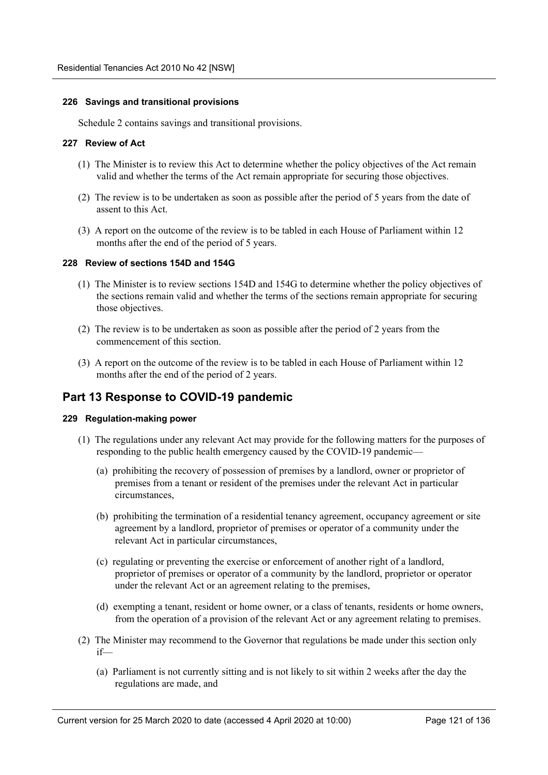### **226 Savings and transitional provisions**

Schedule 2 contains savings and transitional provisions.

### **227 Review of Act**

- (1) The Minister is to review this Act to determine whether the policy objectives of the Act remain valid and whether the terms of the Act remain appropriate for securing those objectives.
- (2) The review is to be undertaken as soon as possible after the period of 5 years from the date of assent to this Act.
- (3) A report on the outcome of the review is to be tabled in each House of Parliament within 12 months after the end of the period of 5 years.

### **228 Review of sections 154D and 154G**

- (1) The Minister is to review sections 154D and 154G to determine whether the policy objectives of the sections remain valid and whether the terms of the sections remain appropriate for securing those objectives.
- (2) The review is to be undertaken as soon as possible after the period of 2 years from the commencement of this section.
- (3) A report on the outcome of the review is to be tabled in each House of Parliament within 12 months after the end of the period of 2 years.

# **Part 13 Response to COVID-19 pandemic**

#### **229 Regulation-making power**

- (1) The regulations under any relevant Act may provide for the following matters for the purposes of responding to the public health emergency caused by the COVID-19 pandemic—
	- (a) prohibiting the recovery of possession of premises by a landlord, owner or proprietor of premises from a tenant or resident of the premises under the relevant Act in particular circumstances,
	- (b) prohibiting the termination of a residential tenancy agreement, occupancy agreement or site agreement by a landlord, proprietor of premises or operator of a community under the relevant Act in particular circumstances,
	- (c) regulating or preventing the exercise or enforcement of another right of a landlord, proprietor of premises or operator of a community by the landlord, proprietor or operator under the relevant Act or an agreement relating to the premises,
	- (d) exempting a tenant, resident or home owner, or a class of tenants, residents or home owners, from the operation of a provision of the relevant Act or any agreement relating to premises.
- (2) The Minister may recommend to the Governor that regulations be made under this section only if—
	- (a) Parliament is not currently sitting and is not likely to sit within 2 weeks after the day the regulations are made, and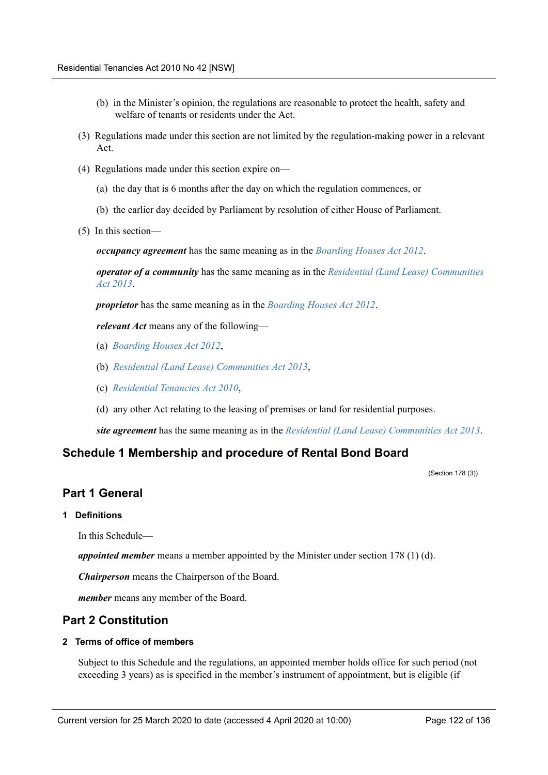- (b) in the Minister's opinion, the regulations are reasonable to protect the health, safety and welfare of tenants or residents under the Act.
- (3) Regulations made under this section are not limited by the regulation-making power in a relevant Act.
- (4) Regulations made under this section expire on—
	- (a) the day that is 6 months after the day on which the regulation commences, or
	- (b) the earlier day decided by Parliament by resolution of either House of Parliament.
- (5) In this section—

*occupancy agreement* has the same meaning as in the *Boarding Houses Act 2012*.

*operator of a community* has the same meaning as in the *Residential (Land Lease) Communities Act 2013*.

*proprietor* has the same meaning as in the *Boarding Houses Act 2012*.

*relevant Act* means any of the following—

- (a) *Boarding Houses Act 2012*,
- (b) *Residential (Land Lease) Communities Act 2013*,
- (c) *Residential Tenancies Act 2010*,
- (d) any other Act relating to the leasing of premises or land for residential purposes.

*site agreement* has the same meaning as in the *Residential (Land Lease) Communities Act 2013*.

# **Schedule 1 Membership and procedure of Rental Bond Board**

(Section 178 (3))

# **Part 1 General**

**1 Definitions**

In this Schedule—

*appointed member* means a member appointed by the Minister under section 178 (1) (d).

*Chairperson* means the Chairperson of the Board.

*member* means any member of the Board.

# **Part 2 Constitution**

## **2 Terms of office of members**

Subject to this Schedule and the regulations, an appointed member holds office for such period (not exceeding 3 years) as is specified in the member's instrument of appointment, but is eligible (if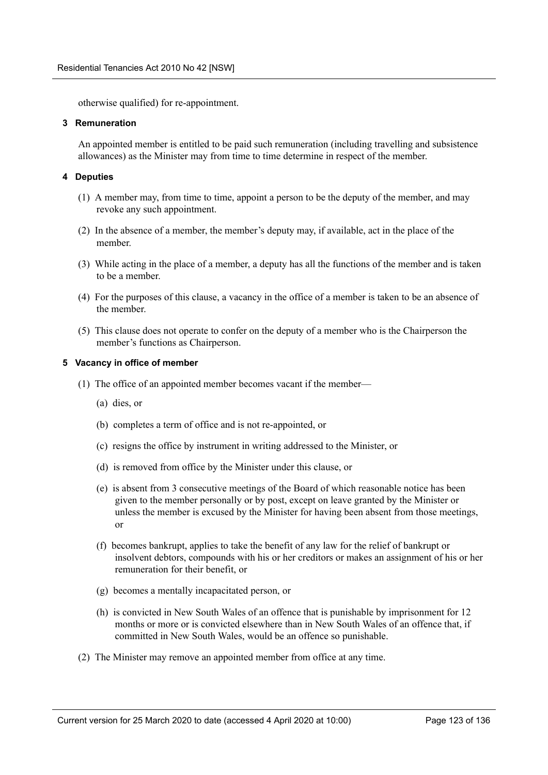otherwise qualified) for re-appointment.

### **3 Remuneration**

An appointed member is entitled to be paid such remuneration (including travelling and subsistence allowances) as the Minister may from time to time determine in respect of the member.

## **4 Deputies**

- (1) A member may, from time to time, appoint a person to be the deputy of the member, and may revoke any such appointment.
- (2) In the absence of a member, the member's deputy may, if available, act in the place of the member.
- (3) While acting in the place of a member, a deputy has all the functions of the member and is taken to be a member.
- (4) For the purposes of this clause, a vacancy in the office of a member is taken to be an absence of the member.
- (5) This clause does not operate to confer on the deputy of a member who is the Chairperson the member's functions as Chairperson.

### **5 Vacancy in office of member**

- (1) The office of an appointed member becomes vacant if the member—
	- (a) dies, or
	- (b) completes a term of office and is not re-appointed, or
	- (c) resigns the office by instrument in writing addressed to the Minister, or
	- (d) is removed from office by the Minister under this clause, or
	- (e) is absent from 3 consecutive meetings of the Board of which reasonable notice has been given to the member personally or by post, except on leave granted by the Minister or unless the member is excused by the Minister for having been absent from those meetings, or
	- (f) becomes bankrupt, applies to take the benefit of any law for the relief of bankrupt or insolvent debtors, compounds with his or her creditors or makes an assignment of his or her remuneration for their benefit, or
	- (g) becomes a mentally incapacitated person, or
	- (h) is convicted in New South Wales of an offence that is punishable by imprisonment for 12 months or more or is convicted elsewhere than in New South Wales of an offence that, if committed in New South Wales, would be an offence so punishable.
- (2) The Minister may remove an appointed member from office at any time.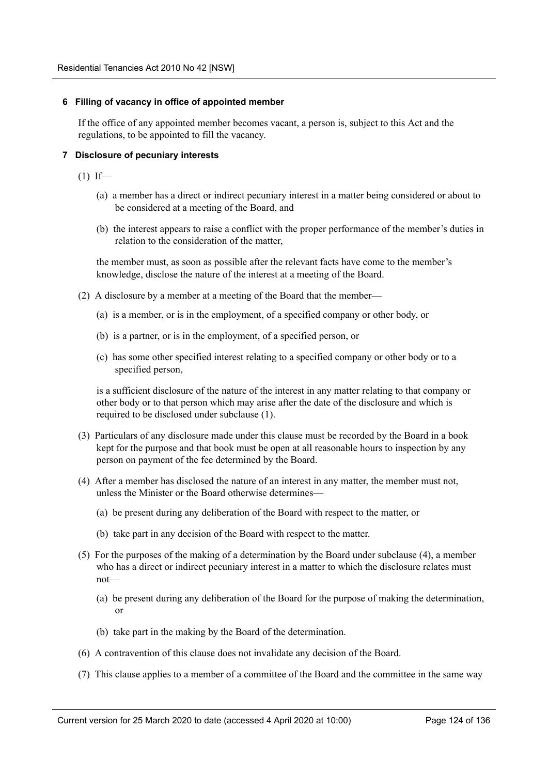### **6 Filling of vacancy in office of appointed member**

If the office of any appointed member becomes vacant, a person is, subject to this Act and the regulations, to be appointed to fill the vacancy.

## **7 Disclosure of pecuniary interests**

- $(1)$  If—
	- (a) a member has a direct or indirect pecuniary interest in a matter being considered or about to be considered at a meeting of the Board, and
	- (b) the interest appears to raise a conflict with the proper performance of the member's duties in relation to the consideration of the matter,

the member must, as soon as possible after the relevant facts have come to the member's knowledge, disclose the nature of the interest at a meeting of the Board.

- (2) A disclosure by a member at a meeting of the Board that the member—
	- (a) is a member, or is in the employment, of a specified company or other body, or
	- (b) is a partner, or is in the employment, of a specified person, or
	- (c) has some other specified interest relating to a specified company or other body or to a specified person,

is a sufficient disclosure of the nature of the interest in any matter relating to that company or other body or to that person which may arise after the date of the disclosure and which is required to be disclosed under subclause (1).

- (3) Particulars of any disclosure made under this clause must be recorded by the Board in a book kept for the purpose and that book must be open at all reasonable hours to inspection by any person on payment of the fee determined by the Board.
- (4) After a member has disclosed the nature of an interest in any matter, the member must not, unless the Minister or the Board otherwise determines—
	- (a) be present during any deliberation of the Board with respect to the matter, or
	- (b) take part in any decision of the Board with respect to the matter.
- (5) For the purposes of the making of a determination by the Board under subclause (4), a member who has a direct or indirect pecuniary interest in a matter to which the disclosure relates must not—
	- (a) be present during any deliberation of the Board for the purpose of making the determination, or
	- (b) take part in the making by the Board of the determination.
- (6) A contravention of this clause does not invalidate any decision of the Board.
- (7) This clause applies to a member of a committee of the Board and the committee in the same way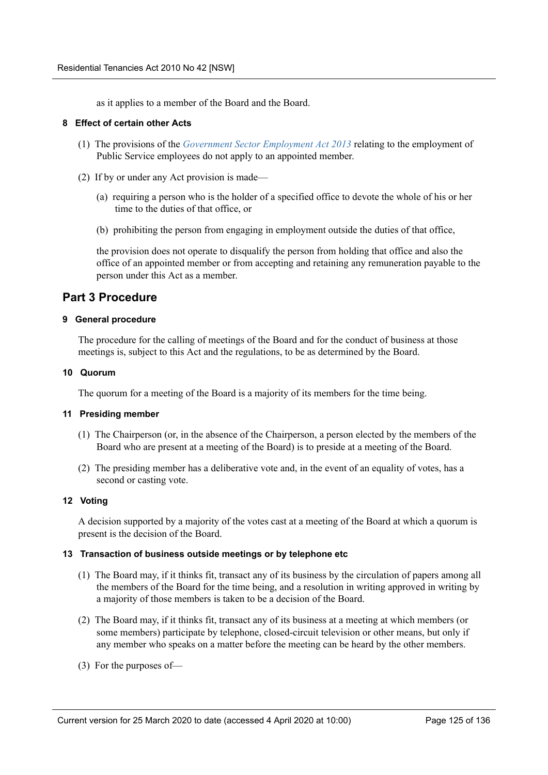as it applies to a member of the Board and the Board.

### **8 Effect of certain other Acts**

- (1) The provisions of the *Government Sector Employment Act 2013* relating to the employment of Public Service employees do not apply to an appointed member.
- (2) If by or under any Act provision is made—
	- (a) requiring a person who is the holder of a specified office to devote the whole of his or her time to the duties of that office, or
	- (b) prohibiting the person from engaging in employment outside the duties of that office,

the provision does not operate to disqualify the person from holding that office and also the office of an appointed member or from accepting and retaining any remuneration payable to the person under this Act as a member.

# **Part 3 Procedure**

### **9 General procedure**

The procedure for the calling of meetings of the Board and for the conduct of business at those meetings is, subject to this Act and the regulations, to be as determined by the Board.

### **10 Quorum**

The quorum for a meeting of the Board is a majority of its members for the time being.

#### **11 Presiding member**

- (1) The Chairperson (or, in the absence of the Chairperson, a person elected by the members of the Board who are present at a meeting of the Board) is to preside at a meeting of the Board.
- (2) The presiding member has a deliberative vote and, in the event of an equality of votes, has a second or casting vote.

## **12 Voting**

A decision supported by a majority of the votes cast at a meeting of the Board at which a quorum is present is the decision of the Board.

#### **13 Transaction of business outside meetings or by telephone etc**

- (1) The Board may, if it thinks fit, transact any of its business by the circulation of papers among all the members of the Board for the time being, and a resolution in writing approved in writing by a majority of those members is taken to be a decision of the Board.
- (2) The Board may, if it thinks fit, transact any of its business at a meeting at which members (or some members) participate by telephone, closed-circuit television or other means, but only if any member who speaks on a matter before the meeting can be heard by the other members.
- (3) For the purposes of—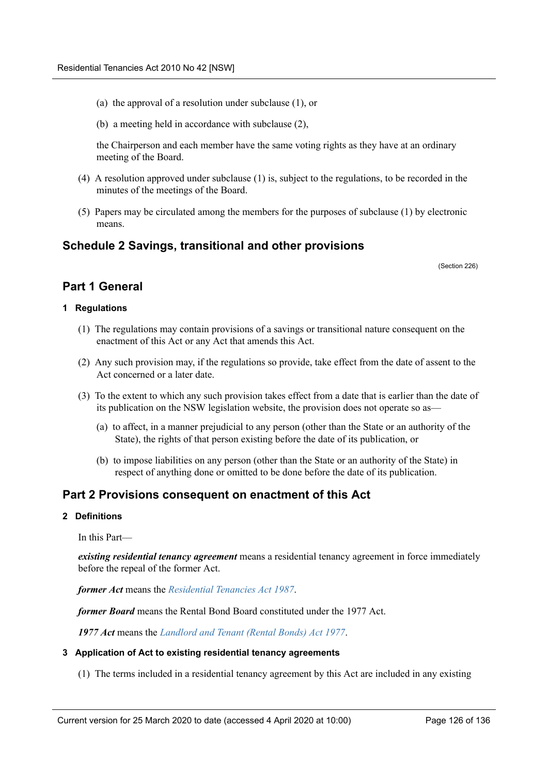- (a) the approval of a resolution under subclause (1), or
- (b) a meeting held in accordance with subclause (2),

the Chairperson and each member have the same voting rights as they have at an ordinary meeting of the Board.

- (4) A resolution approved under subclause (1) is, subject to the regulations, to be recorded in the minutes of the meetings of the Board.
- (5) Papers may be circulated among the members for the purposes of subclause (1) by electronic means.

# **Schedule 2 Savings, transitional and other provisions**

(Section 226)

# **Part 1 General**

## **1 Regulations**

- (1) The regulations may contain provisions of a savings or transitional nature consequent on the enactment of this Act or any Act that amends this Act.
- (2) Any such provision may, if the regulations so provide, take effect from the date of assent to the Act concerned or a later date.
- (3) To the extent to which any such provision takes effect from a date that is earlier than the date of its publication on the NSW legislation website, the provision does not operate so as—
	- (a) to affect, in a manner prejudicial to any person (other than the State or an authority of the State), the rights of that person existing before the date of its publication, or
	- (b) to impose liabilities on any person (other than the State or an authority of the State) in respect of anything done or omitted to be done before the date of its publication.

# **Part 2 Provisions consequent on enactment of this Act**

## **2 Definitions**

In this Part—

*existing residential tenancy agreement* means a residential tenancy agreement in force immediately before the repeal of the former Act.

*former Act* means the *Residential Tenancies Act 1987*.

*former Board* means the Rental Bond Board constituted under the 1977 Act.

*1977 Act* means the *Landlord and Tenant (Rental Bonds) Act 1977*.

#### **3 Application of Act to existing residential tenancy agreements**

(1) The terms included in a residential tenancy agreement by this Act are included in any existing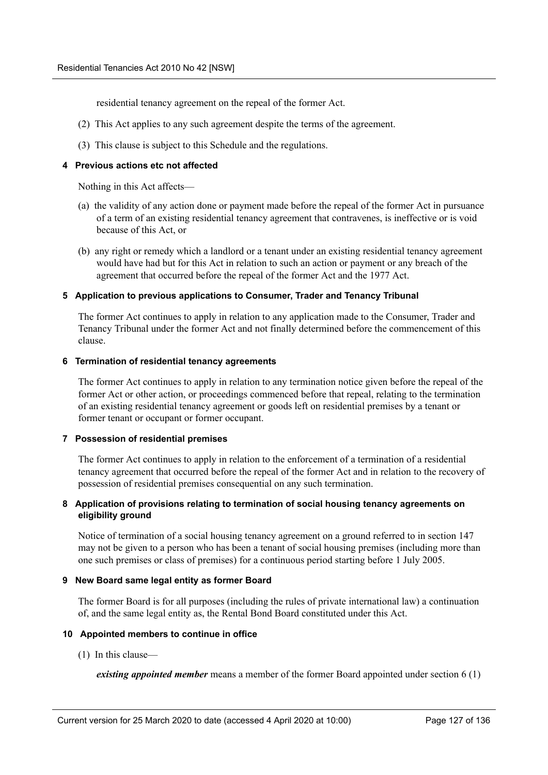residential tenancy agreement on the repeal of the former Act.

- (2) This Act applies to any such agreement despite the terms of the agreement.
- (3) This clause is subject to this Schedule and the regulations.

### **4 Previous actions etc not affected**

Nothing in this Act affects—

- (a) the validity of any action done or payment made before the repeal of the former Act in pursuance of a term of an existing residential tenancy agreement that contravenes, is ineffective or is void because of this Act, or
- (b) any right or remedy which a landlord or a tenant under an existing residential tenancy agreement would have had but for this Act in relation to such an action or payment or any breach of the agreement that occurred before the repeal of the former Act and the 1977 Act.

### **5 Application to previous applications to Consumer, Trader and Tenancy Tribunal**

The former Act continues to apply in relation to any application made to the Consumer, Trader and Tenancy Tribunal under the former Act and not finally determined before the commencement of this clause.

#### **6 Termination of residential tenancy agreements**

The former Act continues to apply in relation to any termination notice given before the repeal of the former Act or other action, or proceedings commenced before that repeal, relating to the termination of an existing residential tenancy agreement or goods left on residential premises by a tenant or former tenant or occupant or former occupant.

#### **7 Possession of residential premises**

The former Act continues to apply in relation to the enforcement of a termination of a residential tenancy agreement that occurred before the repeal of the former Act and in relation to the recovery of possession of residential premises consequential on any such termination.

## **8 Application of provisions relating to termination of social housing tenancy agreements on eligibility ground**

Notice of termination of a social housing tenancy agreement on a ground referred to in section 147 may not be given to a person who has been a tenant of social housing premises (including more than one such premises or class of premises) for a continuous period starting before 1 July 2005.

## **9 New Board same legal entity as former Board**

The former Board is for all purposes (including the rules of private international law) a continuation of, and the same legal entity as, the Rental Bond Board constituted under this Act.

## **10 Appointed members to continue in office**

(1) In this clause—

*existing appointed member* means a member of the former Board appointed under section 6 (1)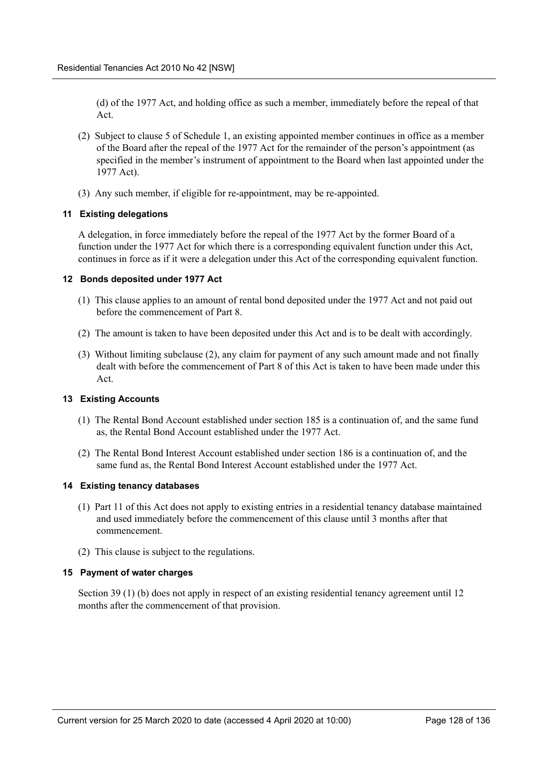(d) of the 1977 Act, and holding office as such a member, immediately before the repeal of that Act.

- (2) Subject to clause 5 of Schedule 1, an existing appointed member continues in office as a member of the Board after the repeal of the 1977 Act for the remainder of the person's appointment (as specified in the member's instrument of appointment to the Board when last appointed under the 1977 Act).
- (3) Any such member, if eligible for re-appointment, may be re-appointed.

## **11 Existing delegations**

A delegation, in force immediately before the repeal of the 1977 Act by the former Board of a function under the 1977 Act for which there is a corresponding equivalent function under this Act, continues in force as if it were a delegation under this Act of the corresponding equivalent function.

### **12 Bonds deposited under 1977 Act**

- (1) This clause applies to an amount of rental bond deposited under the 1977 Act and not paid out before the commencement of Part 8.
- (2) The amount is taken to have been deposited under this Act and is to be dealt with accordingly.
- (3) Without limiting subclause (2), any claim for payment of any such amount made and not finally dealt with before the commencement of Part 8 of this Act is taken to have been made under this Act.

### **13 Existing Accounts**

- (1) The Rental Bond Account established under section 185 is a continuation of, and the same fund as, the Rental Bond Account established under the 1977 Act.
- (2) The Rental Bond Interest Account established under section 186 is a continuation of, and the same fund as, the Rental Bond Interest Account established under the 1977 Act.

#### **14 Existing tenancy databases**

- (1) Part 11 of this Act does not apply to existing entries in a residential tenancy database maintained and used immediately before the commencement of this clause until 3 months after that commencement.
- (2) This clause is subject to the regulations.

## **15 Payment of water charges**

Section 39 (1) (b) does not apply in respect of an existing residential tenancy agreement until 12 months after the commencement of that provision.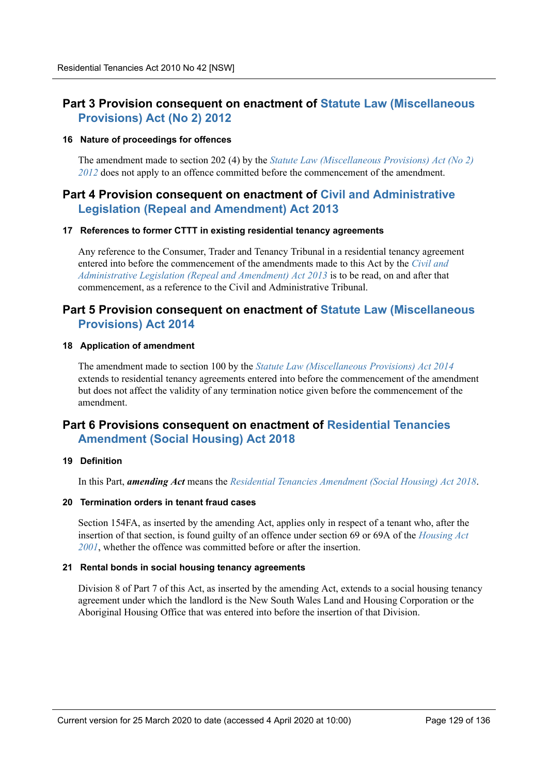# **Part 3 Provision consequent on enactment of Statute Law (Miscellaneous Provisions) Act (No 2) 2012**

### **16 Nature of proceedings for offences**

The amendment made to section 202 (4) by the *Statute Law (Miscellaneous Provisions) Act (No 2) 2012* does not apply to an offence committed before the commencement of the amendment.

# **Part 4 Provision consequent on enactment of Civil and Administrative Legislation (Repeal and Amendment) Act 2013**

### **17 References to former CTTT in existing residential tenancy agreements**

Any reference to the Consumer, Trader and Tenancy Tribunal in a residential tenancy agreement entered into before the commencement of the amendments made to this Act by the *Civil and Administrative Legislation (Repeal and Amendment) Act 2013* is to be read, on and after that commencement, as a reference to the Civil and Administrative Tribunal.

# **Part 5 Provision consequent on enactment of Statute Law (Miscellaneous Provisions) Act 2014**

### **18 Application of amendment**

The amendment made to section 100 by the *Statute Law (Miscellaneous Provisions) Act 2014* extends to residential tenancy agreements entered into before the commencement of the amendment but does not affect the validity of any termination notice given before the commencement of the amendment.

# **Part 6 Provisions consequent on enactment of Residential Tenancies Amendment (Social Housing) Act 2018**

## **19 Definition**

In this Part, *amending Act* means the *Residential Tenancies Amendment (Social Housing) Act 2018*.

## **20 Termination orders in tenant fraud cases**

Section 154FA, as inserted by the amending Act, applies only in respect of a tenant who, after the insertion of that section, is found guilty of an offence under section 69 or 69A of the *Housing Act 2001*, whether the offence was committed before or after the insertion.

## **21 Rental bonds in social housing tenancy agreements**

Division 8 of Part 7 of this Act, as inserted by the amending Act, extends to a social housing tenancy agreement under which the landlord is the New South Wales Land and Housing Corporation or the Aboriginal Housing Office that was entered into before the insertion of that Division.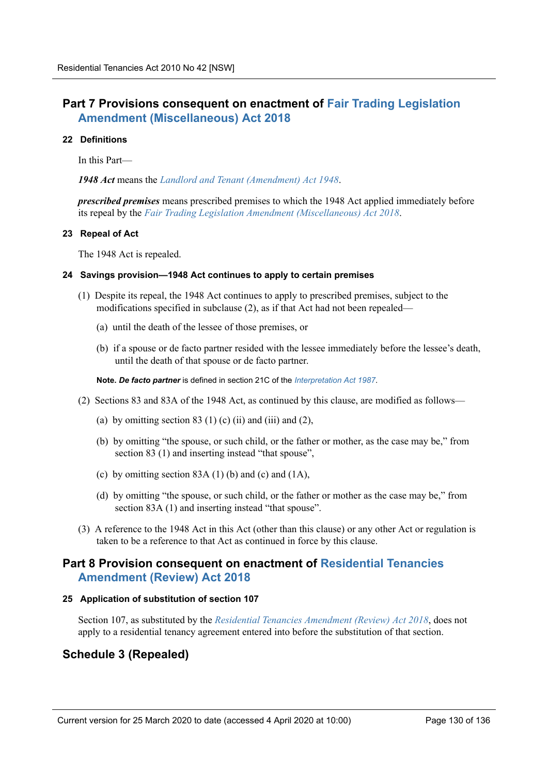# **Part 7 Provisions consequent on enactment of Fair Trading Legislation Amendment (Miscellaneous) Act 2018**

### **22 Definitions**

In this Part—

*1948 Act* means the *Landlord and Tenant (Amendment) Act 1948*.

*prescribed premises* means prescribed premises to which the 1948 Act applied immediately before its repeal by the *Fair Trading Legislation Amendment (Miscellaneous) Act 2018*.

### **23 Repeal of Act**

The 1948 Act is repealed.

### **24 Savings provision—1948 Act continues to apply to certain premises**

- (1) Despite its repeal, the 1948 Act continues to apply to prescribed premises, subject to the modifications specified in subclause (2), as if that Act had not been repealed—
	- (a) until the death of the lessee of those premises, or
	- (b) if a spouse or de facto partner resided with the lessee immediately before the lessee's death, until the death of that spouse or de facto partner.

**Note.** *De facto partner* is defined in section 21C of the *Interpretation Act 1987*.

- (2) Sections 83 and 83A of the 1948 Act, as continued by this clause, are modified as follows—
	- (a) by omitting section 83 (1) (c) (ii) and (iii) and (2),
	- (b) by omitting "the spouse, or such child, or the father or mother, as the case may be," from section 83 (1) and inserting instead "that spouse",
	- (c) by omitting section 83A (1) (b) and (c) and (1A),
	- (d) by omitting "the spouse, or such child, or the father or mother as the case may be," from section 83A (1) and inserting instead "that spouse".
- (3) A reference to the 1948 Act in this Act (other than this clause) or any other Act or regulation is taken to be a reference to that Act as continued in force by this clause.

# **Part 8 Provision consequent on enactment of Residential Tenancies Amendment (Review) Act 2018**

#### **25 Application of substitution of section 107**

Section 107, as substituted by the *Residential Tenancies Amendment (Review) Act 2018*, does not apply to a residential tenancy agreement entered into before the substitution of that section.

# **Schedule 3 (Repealed)**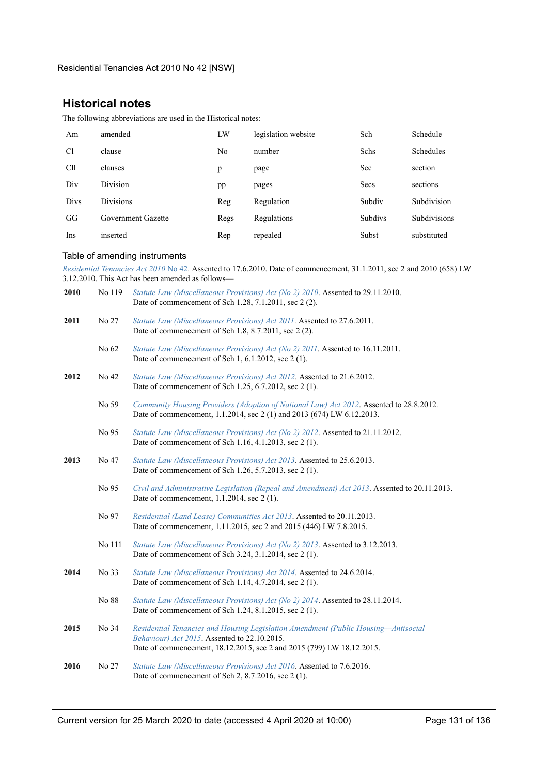# **Historical notes**

The following abbreviations are used in the Historical notes:

| Am             | amended            | LW   | legislation website | Sch            | Schedule            |
|----------------|--------------------|------|---------------------|----------------|---------------------|
| C <sub>1</sub> | clause             | No   | number              | Schs           | <b>Schedules</b>    |
| Cll            | clauses            | p    | page                | Sec            | section             |
| Div            | <b>Division</b>    | pp   | pages               | Secs           | sections            |
| Divs           | <b>Divisions</b>   | Reg  | Regulation          | Subdiv         | Subdivision         |
| GG             | Government Gazette | Regs | Regulations         | <b>Subdivs</b> | <b>Subdivisions</b> |
| Ins            | inserted           | Rep  | repealed            | Subst          | substituted         |

#### Table of amending instruments

*Residential Tenancies Act 2010* No 42. Assented to 17.6.2010. Date of commencement, 31.1.2011, sec 2 and 2010 (658) LW 3.12.2010. This Act has been amended as follows—

| 2010 | No 119     | Statute Law (Miscellaneous Provisions) Act (No 2) 2010. Assented to 29.11.2010.<br>Date of commencement of Sch 1.28, 7.1.2011, sec 2 (2).                                                                   |
|------|------------|-------------------------------------------------------------------------------------------------------------------------------------------------------------------------------------------------------------|
| 2011 | No 27      | Statute Law (Miscellaneous Provisions) Act 2011. Assented to 27.6.2011.<br>Date of commencement of Sch 1.8, 8.7.2011, sec 2 (2).                                                                            |
|      | No 62      | Statute Law (Miscellaneous Provisions) Act (No 2) 2011. Assented to 16.11.2011.<br>Date of commencement of Sch 1, 6.1.2012, sec 2 (1).                                                                      |
| 2012 | No 42      | Statute Law (Miscellaneous Provisions) Act 2012. Assented to 21.6.2012.<br>Date of commencement of Sch 1.25, 6.7.2012, sec 2 (1).                                                                           |
|      | No 59      | Community Housing Providers (Adoption of National Law) Act 2012. Assented to 28.8.2012.<br>Date of commencement, 1.1.2014, sec 2 (1) and 2013 (674) LW 6.12.2013.                                           |
|      | No 95      | Statute Law (Miscellaneous Provisions) Act (No 2) 2012. Assented to 21.11.2012.<br>Date of commencement of Sch 1.16, 4.1.2013, sec 2 (1).                                                                   |
| 2013 | No 47      | Statute Law (Miscellaneous Provisions) Act 2013. Assented to 25.6.2013.<br>Date of commencement of Sch 1.26, 5.7.2013, sec 2 (1).                                                                           |
|      | No 95      | Civil and Administrative Legislation (Repeal and Amendment) Act 2013. Assented to 20.11.2013.<br>Date of commencement, 1.1.2014, sec 2 (1).                                                                 |
|      | No 97      | Residential (Land Lease) Communities Act 2013. Assented to 20.11.2013.<br>Date of commencement, 1.11.2015, sec 2 and 2015 (446) LW 7.8.2015.                                                                |
|      | No $111\,$ | Statute Law (Miscellaneous Provisions) Act (No 2) 2013. Assented to 3.12.2013.<br>Date of commencement of Sch 3.24, 3.1.2014, sec 2 (1).                                                                    |
| 2014 | No 33      | Statute Law (Miscellaneous Provisions) Act 2014. Assented to 24.6.2014.<br>Date of commencement of Sch 1.14, 4.7.2014, sec 2 (1).                                                                           |
|      | No 88      | Statute Law (Miscellaneous Provisions) Act (No 2) 2014. Assented to 28.11.2014.<br>Date of commencement of Sch 1.24, 8.1.2015, sec 2 (1).                                                                   |
| 2015 | No 34      | Residential Tenancies and Housing Legislation Amendment (Public Housing-Antisocial<br>Behaviour) Act 2015. Assented to 22.10.2015.<br>Date of commencement, 18.12.2015, sec 2 and 2015 (799) LW 18.12.2015. |
| 2016 | No 27      | Statute Law (Miscellaneous Provisions) Act 2016. Assented to 7.6.2016.<br>Date of commencement of Sch 2, 8.7.2016, sec 2 (1).                                                                               |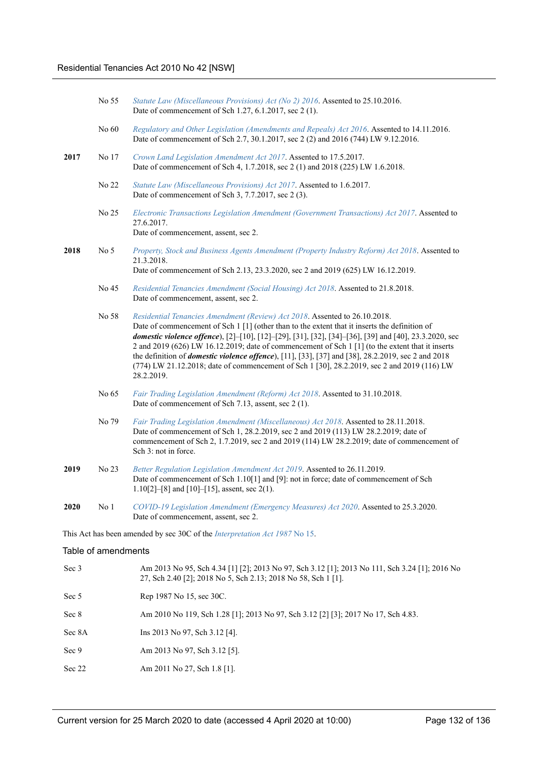|        | No 55               | Statute Law (Miscellaneous Provisions) Act (No 2) 2016. Assented to 25.10.2016.<br>Date of commencement of Sch 1.27, 6.1.2017, sec 2 (1).                                                                                                                                                                                                                                                                                                                                                                                                                                                                                       |
|--------|---------------------|---------------------------------------------------------------------------------------------------------------------------------------------------------------------------------------------------------------------------------------------------------------------------------------------------------------------------------------------------------------------------------------------------------------------------------------------------------------------------------------------------------------------------------------------------------------------------------------------------------------------------------|
|        | No 60               | Regulatory and Other Legislation (Amendments and Repeals) Act 2016. Assented to 14.11.2016.<br>Date of commencement of Sch 2.7, 30.1.2017, sec 2 (2) and 2016 (744) LW 9.12.2016.                                                                                                                                                                                                                                                                                                                                                                                                                                               |
| 2017   | No 17               | Crown Land Legislation Amendment Act 2017. Assented to 17.5.2017.<br>Date of commencement of Sch 4, 1.7.2018, sec 2 (1) and 2018 (225) LW 1.6.2018.                                                                                                                                                                                                                                                                                                                                                                                                                                                                             |
|        | No 22               | Statute Law (Miscellaneous Provisions) Act 2017. Assented to 1.6.2017.<br>Date of commencement of Sch 3, 7.7.2017, sec 2 (3).                                                                                                                                                                                                                                                                                                                                                                                                                                                                                                   |
|        | No 25               | Electronic Transactions Legislation Amendment (Government Transactions) Act 2017. Assented to<br>27.6.2017.<br>Date of commencement, assent, sec 2.                                                                                                                                                                                                                                                                                                                                                                                                                                                                             |
| 2018   | No <sub>5</sub>     | Property, Stock and Business Agents Amendment (Property Industry Reform) Act 2018. Assented to<br>21.3.2018.<br>Date of commencement of Sch 2.13, 23.3.2020, sec 2 and 2019 (625) LW 16.12.2019.                                                                                                                                                                                                                                                                                                                                                                                                                                |
|        | No 45               | Residential Tenancies Amendment (Social Housing) Act 2018. Assented to 21.8.2018.<br>Date of commencement, assent, sec 2.                                                                                                                                                                                                                                                                                                                                                                                                                                                                                                       |
|        | No 58               | Residential Tenancies Amendment (Review) Act 2018. Assented to 26.10.2018.<br>Date of commencement of Sch $1\left[1\right]$ (other than to the extent that it inserts the definition of<br>domestic violence offence), [2]-[10], [12]-[29], [31], [32], [34]-[36], [39] and [40], 23.3.2020, sec<br>2 and 2019 (626) LW 16.12.2019; date of commencement of Sch 1 [1] (to the extent that it inserts<br>the definition of <i>domestic violence offence</i> ), [11], [33], [37] and [38], 28.2.2019, sec 2 and 2018<br>(774) LW 21.12.2018; date of commencement of Sch 1 [30], 28.2.2019, sec 2 and 2019 (116) LW<br>28.2.2019. |
|        | No 65               | Fair Trading Legislation Amendment (Reform) Act 2018. Assented to 31.10.2018.<br>Date of commencement of Sch 7.13, assent, sec 2 (1).                                                                                                                                                                                                                                                                                                                                                                                                                                                                                           |
|        | No 79               | Fair Trading Legislation Amendment (Miscellaneous) Act 2018. Assented to 28.11.2018.<br>Date of commencement of Sch 1, 28.2.2019, sec 2 and 2019 (113) LW 28.2.2019; date of<br>commencement of Sch 2, 1.7.2019, sec 2 and 2019 (114) LW 28.2.2019; date of commencement of<br>Sch 3: not in force.                                                                                                                                                                                                                                                                                                                             |
| 2019   | No 23               | Better Regulation Legislation Amendment Act 2019. Assented to 26.11.2019.<br>Date of commencement of Sch 1.10[1] and [9]: not in force; date of commencement of Sch<br>1.10[2]-[8] and [10]-[15], assent, sec 2(1).                                                                                                                                                                                                                                                                                                                                                                                                             |
| 2020   | No 1                | COVID-19 Legislation Amendment (Emergency Measures) Act 2020. Assented to 25.3.2020.<br>Date of commencement, assent, sec 2.                                                                                                                                                                                                                                                                                                                                                                                                                                                                                                    |
|        |                     | This Act has been amended by sec 30C of the <i>Interpretation Act 1987</i> No 15.                                                                                                                                                                                                                                                                                                                                                                                                                                                                                                                                               |
|        | Table of amendments |                                                                                                                                                                                                                                                                                                                                                                                                                                                                                                                                                                                                                                 |
| Sec 3  |                     | Am 2013 No 95, Sch 4.34 [1] [2]; 2013 No 97, Sch 3.12 [1]; 2013 No 111, Sch 3.24 [1]; 2016 No<br>27, Sch 2.40 [2]; 2018 No 5, Sch 2.13; 2018 No 58, Sch 1 [1].                                                                                                                                                                                                                                                                                                                                                                                                                                                                  |
| Sec 5  |                     | Rep 1987 No 15, sec 30C.                                                                                                                                                                                                                                                                                                                                                                                                                                                                                                                                                                                                        |
| Sec 8  |                     | Am 2010 No 119, Sch 1.28 [1]; 2013 No 97, Sch 3.12 [2] [3]; 2017 No 17, Sch 4.83.                                                                                                                                                                                                                                                                                                                                                                                                                                                                                                                                               |
| Sec 8A |                     | Ins 2013 No 97, Sch 3.12 [4].                                                                                                                                                                                                                                                                                                                                                                                                                                                                                                                                                                                                   |
| Sec 9  |                     | Am 2013 No 97, Sch 3.12 [5].                                                                                                                                                                                                                                                                                                                                                                                                                                                                                                                                                                                                    |
| Sec 22 |                     | Am 2011 No 27, Sch 1.8 [1].                                                                                                                                                                                                                                                                                                                                                                                                                                                                                                                                                                                                     |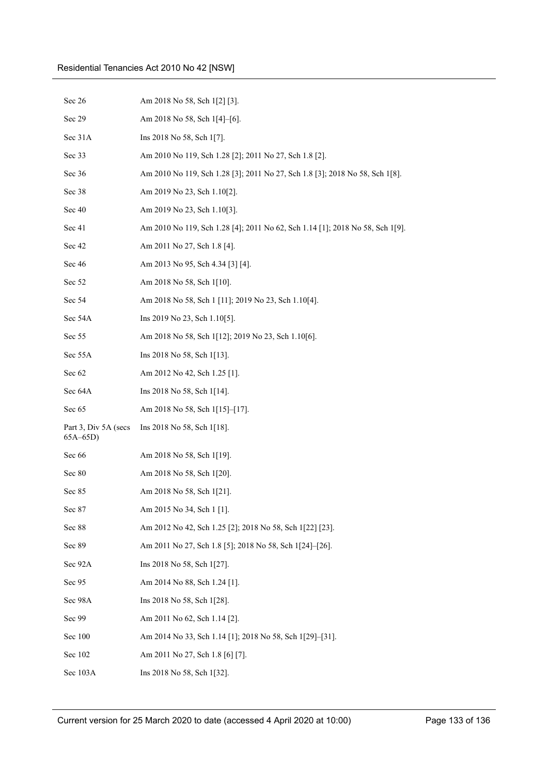| Sec 26                             | Am 2018 No 58, Sch 1[2] [3].                                                  |
|------------------------------------|-------------------------------------------------------------------------------|
| Sec 29                             | Am 2018 No 58, Sch 1[4]-[6].                                                  |
| Sec 31A                            | Ins 2018 No 58, Sch 1[7].                                                     |
| Sec 33                             | Am 2010 No 119, Sch 1.28 [2]; 2011 No 27, Sch 1.8 [2].                        |
| Sec 36                             | Am 2010 No 119, Sch 1.28 [3]; 2011 No 27, Sch 1.8 [3]; 2018 No 58, Sch 1[8].  |
| Sec 38                             | Am 2019 No 23, Sch 1.10[2].                                                   |
| Sec 40                             | Am 2019 No 23, Sch 1.10[3].                                                   |
| Sec 41                             | Am 2010 No 119, Sch 1.28 [4]; 2011 No 62, Sch 1.14 [1]; 2018 No 58, Sch 1[9]. |
| Sec 42                             | Am 2011 No 27, Sch 1.8 [4].                                                   |
| Sec 46                             | Am 2013 No 95, Sch 4.34 [3] [4].                                              |
| Sec 52                             | Am 2018 No 58, Sch 1[10].                                                     |
| Sec 54                             | Am 2018 No 58, Sch 1 [11]; 2019 No 23, Sch 1.10[4].                           |
| Sec 54A                            | Ins 2019 No 23, Sch 1.10[5].                                                  |
| Sec 55                             | Am 2018 No 58, Sch 1[12]; 2019 No 23, Sch 1.10[6].                            |
| Sec 55A                            | Ins 2018 No 58, Sch 1[13].                                                    |
| Sec 62                             | Am 2012 No 42, Sch 1.25 [1].                                                  |
| Sec 64A                            | Ins 2018 No 58, Sch 1[14].                                                    |
| Sec 65                             | Am 2018 No 58, Sch 1[15]–[17].                                                |
| Part 3, Div 5A (secs<br>$65A-65D)$ | Ins 2018 No 58, Sch 1[18].                                                    |
| Sec 66                             | Am 2018 No 58, Sch 1[19].                                                     |
| Sec 80                             | Am 2018 No 58, Sch 1[20].                                                     |
| Sec 85                             | Am 2018 No 58, Sch 1[21].                                                     |
| Sec 87                             | Am 2015 No 34, Sch 1 [1].                                                     |
| Sec 88                             | Am 2012 No 42, Sch 1.25 [2]; 2018 No 58, Sch 1[22] [23].                      |
| Sec 89                             | Am 2011 No 27, Sch 1.8 [5]; 2018 No 58, Sch 1[24]-[26].                       |
| Sec 92A                            | Ins 2018 No 58, Sch 1[27].                                                    |
| Sec 95                             | Am 2014 No 88, Sch 1.24 [1].                                                  |
| Sec 98A                            | Ins 2018 No 58, Sch 1[28].                                                    |
| Sec 99                             | Am 2011 No 62, Sch 1.14 [2].                                                  |
| Sec 100                            | Am 2014 No 33, Sch 1.14 [1]; 2018 No 58, Sch 1[29]-[31].                      |
| Sec 102                            | Am 2011 No 27, Sch 1.8 [6] [7].                                               |
| Sec 103A                           | Ins 2018 No 58, Sch 1[32].                                                    |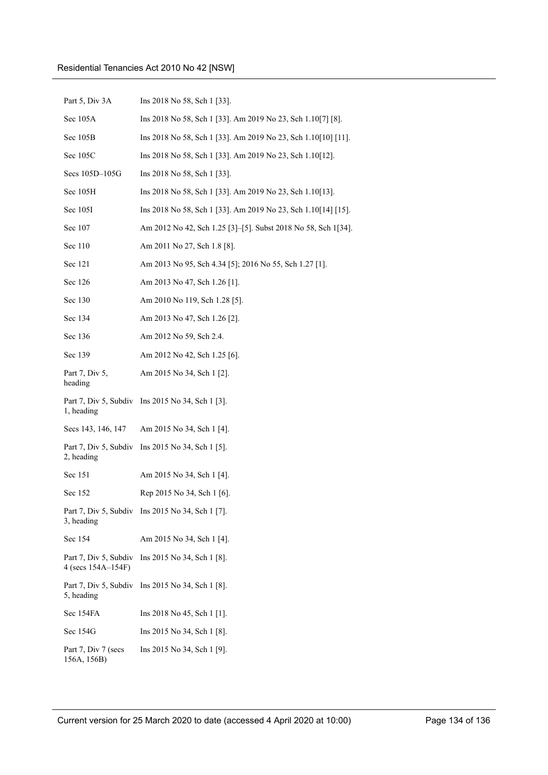| Part 5, Div 3A                              | Ins 2018 No 58, Sch 1 [33].                                   |
|---------------------------------------------|---------------------------------------------------------------|
| Sec 105A                                    | Ins 2018 No 58, Sch 1 [33]. Am 2019 No 23, Sch 1.10[7] [8].   |
| Sec 105B                                    | Ins 2018 No 58, Sch 1 [33]. Am 2019 No 23, Sch 1.10[10] [11]. |
| Sec 105C                                    | Ins 2018 No 58, Sch 1 [33]. Am 2019 No 23, Sch 1.10[12].      |
| Secs 105D-105G                              | Ins 2018 No 58, Sch 1 [33].                                   |
| Sec 105H                                    | Ins 2018 No 58, Sch 1 [33]. Am 2019 No 23, Sch 1.10[13].      |
| Sec 105I                                    | Ins 2018 No 58, Sch 1 [33]. Am 2019 No 23, Sch 1.10[14] [15]. |
| Sec 107                                     | Am 2012 No 42, Sch 1.25 [3]-[5]. Subst 2018 No 58, Sch 1[34]. |
| Sec 110                                     | Am 2011 No 27, Sch 1.8 [8].                                   |
| Sec 121                                     | Am 2013 No 95, Sch 4.34 [5]; 2016 No 55, Sch 1.27 [1].        |
| Sec 126                                     | Am 2013 No 47, Sch 1.26 [1].                                  |
| Sec 130                                     | Am 2010 No 119, Sch 1.28 [5].                                 |
| Sec 134                                     | Am 2013 No 47, Sch 1.26 [2].                                  |
| Sec 136                                     | Am 2012 No 59, Sch 2.4.                                       |
| Sec 139                                     | Am 2012 No 42, Sch 1.25 [6].                                  |
| Part 7, Div 5,<br>heading                   | Am 2015 No 34, Sch 1 [2].                                     |
| 1, heading                                  | Part 7, Div 5, Subdiv Ins 2015 No 34, Sch 1 [3].              |
| Secs 143, 146, 147                          | Am 2015 No 34, Sch 1 [4].                                     |
| Part 7, Div 5, Subdiv<br>2, heading         | Ins 2015 No 34, Sch 1 [5].                                    |
| Sec 151                                     | Am 2015 No 34, Sch 1 [4].                                     |
| Sec 152                                     | Rep 2015 No 34, Sch 1 [6].                                    |
| 3, heading                                  | Part 7, Div 5, Subdiv Ins 2015 No 34, Sch 1 [7].              |
| Sec 154                                     | Am 2015 No 34, Sch 1 [4].                                     |
| Part 7, Div 5, Subdiv<br>4 (secs 154A-154F) | Ins 2015 No 34, Sch 1 [8].                                    |
| Part 7, Div 5, Subdiv<br>5, heading         | Ins 2015 No 34, Sch 1 [8].                                    |
| Sec 154FA                                   | Ins 2018 No 45, Sch $1 \lfloor 1 \rfloor$ .                   |
| Sec 154G                                    | Ins 2015 No 34, Sch 1 [8].                                    |
| Part 7, Div 7 (secs<br>156A, 156B)          | Ins 2015 No 34, Sch 1 [9].                                    |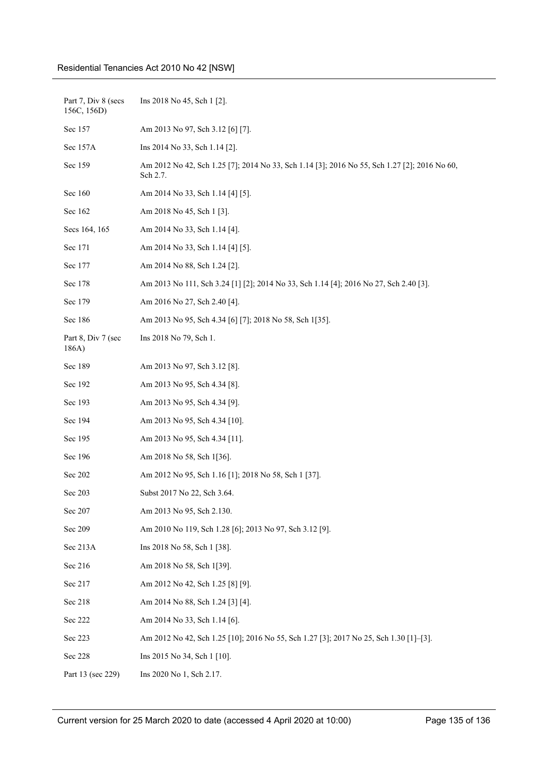## Residential Tenancies Act 2010 No 42 [NSW]

| Part 7, Div 8 (secs<br>156C, 156D) | Ins 2018 No 45, Sch 1 [2].                                                                               |
|------------------------------------|----------------------------------------------------------------------------------------------------------|
| Sec 157                            | Am 2013 No 97, Sch 3.12 [6] [7].                                                                         |
| Sec 157A                           | Ins 2014 No 33, Sch 1.14 [2].                                                                            |
| Sec 159                            | Am 2012 No 42, Sch 1.25 [7]; 2014 No 33, Sch 1.14 [3]; 2016 No 55, Sch 1.27 [2]; 2016 No 60.<br>Sch 2.7. |
| Sec 160                            | Am 2014 No 33, Sch 1.14 [4] [5].                                                                         |
| Sec 162                            | Am 2018 No 45, Sch 1 [3].                                                                                |
| Secs 164, 165                      | Am 2014 No 33, Sch 1.14 [4].                                                                             |
| Sec 171                            | Am 2014 No 33, Sch 1.14 [4] [5].                                                                         |
| Sec 177                            | Am 2014 No 88, Sch 1.24 [2].                                                                             |
| Sec 178                            | Am 2013 No 111, Sch 3.24 [1] [2]; 2014 No 33, Sch 1.14 [4]; 2016 No 27, Sch 2.40 [3].                    |
| Sec 179                            | Am 2016 No 27, Sch 2.40 [4].                                                                             |
| Sec 186                            | Am 2013 No 95, Sch 4.34 [6] [7]; 2018 No 58, Sch 1[35].                                                  |
| Part 8, Div 7 (sec<br>186A)        | Ins 2018 No 79, Sch 1.                                                                                   |
| Sec 189                            | Am 2013 No 97, Sch 3.12 [8].                                                                             |
| Sec 192                            | Am 2013 No 95, Sch 4.34 [8].                                                                             |
| Sec 193                            | Am 2013 No 95, Sch 4.34 [9].                                                                             |
| Sec 194                            | Am 2013 No 95, Sch 4.34 [10].                                                                            |
| Sec 195                            | Am 2013 No 95, Sch 4.34 [11].                                                                            |
| Sec 196                            | Am 2018 No 58, Sch 1[36].                                                                                |
| Sec 202                            | Am 2012 No 95, Sch 1.16 [1]; 2018 No 58, Sch 1 [37].                                                     |
| Sec 203                            | Subst 2017 No 22, Sch 3.64.                                                                              |
| Sec 207                            | Am 2013 No 95, Sch 2.130.                                                                                |
| Sec 209                            | Am 2010 No 119, Sch 1.28 [6]; 2013 No 97, Sch 3.12 [9].                                                  |
| Sec 213A                           | Ins 2018 No 58, Sch 1 [38].                                                                              |
| Sec 216                            | Am 2018 No 58, Sch 1[39].                                                                                |
| Sec 217                            | Am 2012 No 42, Sch 1.25 [8] [9].                                                                         |
| Sec 218                            | Am 2014 No 88, Sch 1.24 [3] [4].                                                                         |
| Sec 222                            | Am 2014 No 33, Sch 1.14 [6].                                                                             |
| Sec 223                            | Am 2012 No 42, Sch 1.25 [10]; 2016 No 55, Sch 1.27 [3]; 2017 No 25, Sch 1.30 [1]-[3].                    |
| Sec 228                            | Ins 2015 No 34, Sch 1 [10].                                                                              |
| Part 13 (sec 229)                  | Ins 2020 No 1, Sch 2.17.                                                                                 |